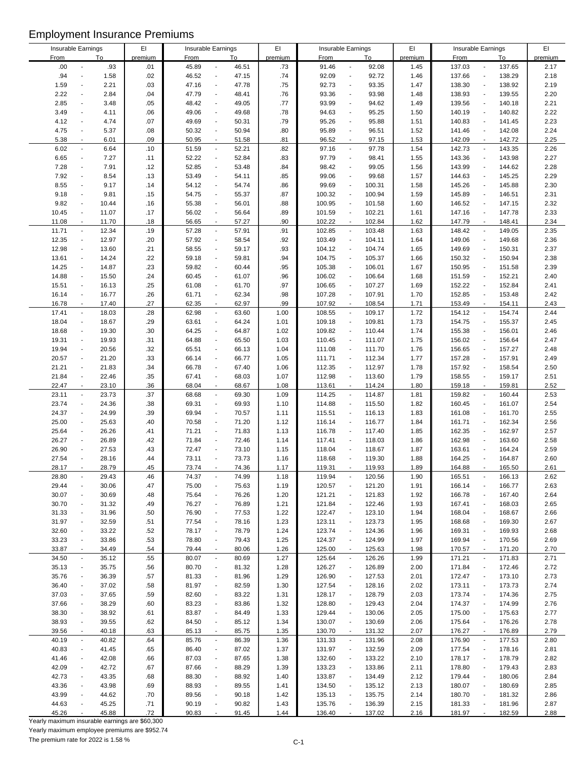| Insurable Earnings |                          |       | EI      | Insurable Earnings |                                   | EI      |             | Insurable Earnings                 | EI      | Insurable Earnings |                                    | EI      |
|--------------------|--------------------------|-------|---------|--------------------|-----------------------------------|---------|-------------|------------------------------------|---------|--------------------|------------------------------------|---------|
| <b>From</b>        |                          | To    | premium | <b>From</b>        | To                                | premium | <b>From</b> | To                                 | premium | <b>From</b>        | To                                 | premium |
| .00                | $\overline{\phantom{a}}$ | .93   | .01     | 45.89              | 46.51<br>$\overline{\phantom{a}}$ | .73     | 91.46       | 92.08                              | 1.45    | 137.03             | 137.65<br>$\blacksquare$           | 2.17    |
| .94                | $\overline{\phantom{a}}$ | 1.58  | .02     | 46.52              | 47.15<br>$\blacksquare$           | .74     | 92.09       | 92.72<br>$\overline{\phantom{a}}$  | 1.46    | 137.66             | 138.29<br>$\overline{a}$           | 2.18    |
| 1.59               | $\overline{\phantom{a}}$ | 2.21  | .03     | 47.16              | 47.78<br>$\blacksquare$           | .75     | 92.73       | 93.35<br>$\blacksquare$            | 1.47    | 138.30             | 138.92<br>$\overline{a}$           | 2.19    |
| 2.22               | $\overline{\phantom{a}}$ | 2.84  | .04     | 47.79              | 48.41<br>$\blacksquare$           | .76     | 93.36       | 93.98<br>$\overline{\phantom{a}}$  | 1.48    | 138.93             | 139.55<br>$\overline{a}$           | 2.20    |
|                    |                          |       |         |                    |                                   |         |             |                                    |         |                    |                                    |         |
| 2.85               | $\overline{\phantom{a}}$ | 3.48  | .05     | 48.42              | 49.05<br>$\blacksquare$           | .77     | 93.99       | 94.62<br>$\ddot{\phantom{0}}$      | 1.49    | 139.56             | 140.18<br>Ĭ.                       | 2.21    |
| 3.49               | $\overline{\phantom{a}}$ | 4.11  | .06     | 49.06              | $\blacksquare$<br>49.68           | .78     | 94.63       | 95.25<br>$\blacksquare$            | 1.50    | 140.19             | 140.82<br>$\blacksquare$           | 2.22    |
| 4.12               | $\blacksquare$           | 4.74  | .07     | 49.69              | $\overline{\phantom{a}}$<br>50.31 | .79     | 95.26       | 95.88<br>$\overline{\phantom{a}}$  | 1.51    | 140.83             | 141.45<br>$\overline{a}$           | 2.23    |
| 4.75               | $\overline{\phantom{a}}$ | 5.37  | .08     | 50.32              | 50.94<br>$\blacksquare$           | .80     | 95.89       | 96.51<br>$\blacksquare$            | 1.52    | 141.46             | 142.08<br>$\overline{a}$           | 2.24    |
| 5.38               | $\overline{\phantom{a}}$ | 6.01  | .09     | 50.95              | 51.58<br>$\blacksquare$           | .81     | 96.52       | 97.15<br>$\blacksquare$            | 1.53    | 142.09             | 142.72<br>$\overline{\phantom{a}}$ | 2.25    |
|                    |                          |       |         |                    |                                   |         |             |                                    |         |                    |                                    |         |
| 6.02               | $\overline{\phantom{a}}$ | 6.64  | .10     | 51.59              | 52.21<br>$\blacksquare$           | .82     | 97.16       | 97.78<br>$\overline{\phantom{a}}$  | 1.54    | 142.73             | 143.35<br>$\overline{\phantom{m}}$ | 2.26    |
| 6.65               | $\blacksquare$           | 7.27  | .11     | 52.22              | 52.84<br>$\blacksquare$           | .83     | 97.79       | 98.41<br>$\blacksquare$            | 1.55    | 143.36             | 143.98<br>$\overline{a}$           | 2.27    |
| 7.28               | $\blacksquare$           | 7.91  | .12     | 52.85              | 53.48<br>$\overline{\phantom{a}}$ | .84     | 98.42       | 99.05<br>$\sim$                    | 1.56    | 143.99             | 144.62<br>$\overline{a}$           | 2.28    |
| 7.92               | $\blacksquare$           | 8.54  | .13     | 53.49              | 54.11<br>$\blacksquare$           | .85     | 99.06       | 99.68<br>$\overline{a}$            | 1.57    | 144.63             | 145.25<br>$\overline{a}$           | 2.29    |
| 8.55               | $\overline{\phantom{a}}$ | 9.17  | .14     | 54.12              | 54.74<br>$\blacksquare$           | .86     | 99.69       | 100.31<br>$\ddot{\phantom{1}}$     | 1.58    | 145.26             | 145.88<br>$\overline{a}$           | 2.30    |
| 9.18               | $\overline{\phantom{a}}$ | 9.81  | .15     | 54.75              | 55.37<br>$\blacksquare$           | .87     | 100.32      | 100.94<br>$\sim$                   | 1.59    | 145.89             | 146.51<br>$\overline{a}$           | 2.31    |
|                    |                          |       |         |                    |                                   |         |             |                                    |         |                    |                                    |         |
| 9.82               | $\blacksquare$           | 10.44 | .16     | 55.38              | 56.01<br>$\blacksquare$           | .88     | 100.95      | 101.58<br>$\blacksquare$           | 1.60    | 146.52             | 147.15<br>$\blacksquare$           | 2.32    |
| 10.45              | $\overline{\phantom{a}}$ | 11.07 | .17     | 56.02              | 56.64<br>$\overline{\phantom{a}}$ | .89     | 101.59      | 102.21<br>$\overline{\phantom{a}}$ | 1.61    | 147.16             | 147.78<br>$\overline{a}$           | 2.33    |
| 11.08              | $\overline{\phantom{a}}$ | 11.70 | .18     | 56.65              | 57.27<br>$\blacksquare$           | .90     | 102.22      | 102.84<br>$\mathbf{r}$             | 1.62    | 147.79             | 148.41<br>$\sim$                   | 2.34    |
| 11.71              | $\overline{\phantom{a}}$ | 12.34 | .19     | 57.28              | 57.91<br>$\blacksquare$           | .91     | 102.85      | 103.48<br>$\overline{\phantom{a}}$ | 1.63    | 148.42             | 149.05<br>$\blacksquare$           | 2.35    |
| 12.35              | $\blacksquare$           | 12.97 | .20     | 57.92              | 58.54<br>$\blacksquare$           | .92     | 103.49      | 104.11<br>$\blacksquare$           | 1.64    | 149.06             | 149.68<br>$\overline{a}$           | 2.36    |
| 12.98              | $\overline{\phantom{a}}$ | 13.60 | .21     | 58.55              | 59.17<br>$\overline{\phantom{a}}$ | .93     | 104.12      | 104.74<br>$\overline{\phantom{a}}$ | 1.65    | 149.69             | 150.31<br>$\overline{a}$           | 2.37    |
|                    |                          |       |         |                    |                                   |         |             |                                    |         |                    |                                    |         |
| 13.61              | $\overline{\phantom{a}}$ | 14.24 | .22     | 59.18              | 59.81<br>$\blacksquare$           | .94     | 104.75      | 105.37                             | 1.66    | 150.32             | 150.94<br>$\overline{a}$           | 2.38    |
| 14.25              | $\blacksquare$           | 14.87 | .23     | 59.82              | $\blacksquare$<br>60.44           | .95     | 105.38      | 106.01                             | 1.67    | 150.95             | 151.58<br>$\blacksquare$           | 2.39    |
| 14.88              | $\ddot{\phantom{a}}$     | 15.50 | .24     | 60.45              | 61.07<br>$\blacksquare$           | .96     | 106.02      | 106.64                             | 1.68    | 151.59             | 152.21<br>$\overline{a}$           | 2.40    |
| 15.51              | $\blacksquare$           | 16.13 | .25     | 61.08              | $\blacksquare$<br>61.70           | .97     | 106.65      | 107.27<br>$\blacksquare$           | 1.69    | 152.22             | 152.84<br>$\overline{a}$           | 2.41    |
| 16.14              | $\overline{\phantom{a}}$ | 16.77 | .26     | 61.71              | 62.34<br>$\blacksquare$           | .98     | 107.28      | 107.91<br>$\blacksquare$           | 1.70    | 152.85             | 153.48<br>$\overline{a}$           | 2.42    |
| 16.78              | $\blacksquare$           | 17.40 | .27     | 62.35              | 62.97<br>$\overline{\phantom{a}}$ | .99     | 107.92      | 108.54                             | 1.71    | 153.49             | 154.11<br>$\blacksquare$           | 2.43    |
|                    |                          |       |         |                    |                                   |         |             |                                    |         |                    |                                    |         |
| 17.41              | $\blacksquare$           | 18.03 | .28     | 62.98              | $\overline{\phantom{a}}$<br>63.60 | 1.00    | 108.55      | 109.17<br>$\blacksquare$           | 1.72    | 154.12             | $\overline{\phantom{a}}$<br>154.74 | 2.44    |
| 18.04              | $\blacksquare$           | 18.67 | .29     | 63.61              | 64.24<br>$\overline{\phantom{a}}$ | 1.01    | 109.18      | 109.81                             | 1.73    | 154.75             | 155.37<br>$\overline{a}$           | 2.45    |
| 18.68              | $\blacksquare$           | 19.30 | .30     | 64.25              | $\overline{\phantom{a}}$<br>64.87 | 1.02    | 109.82      | 110.44<br>$\blacksquare$           | 1.74    | 155.38             | 156.01<br>$\blacksquare$           | 2.46    |
| 19.31              | $\overline{\phantom{a}}$ | 19.93 | .31     | 64.88              | $\overline{\phantom{a}}$<br>65.50 | 1.03    | 110.45      | 111.07<br>$\overline{\phantom{a}}$ | 1.75    | 156.02             | 156.64<br>$\overline{a}$           | 2.47    |
| 19.94              | $\blacksquare$           | 20.56 | .32     | 65.51              | $\blacksquare$<br>66.13           | 1.04    | 111.08      | 111.70<br>$\overline{\phantom{a}}$ | 1.76    | 156.65             | 157.27<br>$\overline{a}$           | 2.48    |
|                    |                          |       |         |                    | $\blacksquare$                    |         |             | $\blacksquare$                     |         |                    | $\overline{a}$                     |         |
| 20.57              | $\overline{\phantom{a}}$ | 21.20 | .33     | 66.14              | 66.77                             | 1.05    | 111.71      | 112.34                             | 1.77    | 157.28             | 157.91                             | 2.49    |
| 21.21              | $\overline{\phantom{a}}$ | 21.83 | .34     | 66.78              | 67.40<br>$\blacksquare$           | 1.06    | 112.35      | 112.97<br>$\overline{\phantom{a}}$ | 1.78    | 157.92             | 158.54<br>$\overline{a}$           | 2.50    |
| 21.84              | $\overline{\phantom{a}}$ | 22.46 | .35     | 67.41              | 68.03<br>$\blacksquare$           | 1.07    | 112.98      | 113.60<br>$\blacksquare$           | 1.79    | 158.55             | 159.17<br>$\blacksquare$           | 2.51    |
| 22.47              | $\sim$                   | 23.10 | .36     | 68.04              | 68.67<br>$\mathbf{r}$             | 1.08    | 113.61      | 114.24<br>$\sim$                   | 1.80    | 159.18             | 159.81<br>$\blacksquare$           | 2.52    |
| 23.11              | $\overline{\phantom{a}}$ | 23.73 | .37     | 68.68              | 69.30<br>$\blacksquare$           | 1.09    | 114.25      | 114.87<br>$\overline{\phantom{a}}$ | 1.81    | 159.82             | 160.44<br>$\overline{\phantom{a}}$ | 2.53    |
| 23.74              | $\ddot{\phantom{a}}$     | 24.36 | .38     | 69.31              | 69.93<br>$\overline{\phantom{a}}$ | 1.10    | 114.88      | 115.50<br>$\blacksquare$           | 1.82    | 160.45             | 161.07<br>$\overline{a}$           | 2.54    |
|                    | $\overline{\phantom{a}}$ |       |         |                    |                                   |         |             |                                    |         |                    |                                    |         |
| 24.37              |                          | 24.99 | .39     | 69.94              | 70.57<br>$\blacksquare$           | 1.11    | 115.51      | 116.13                             | 1.83    | 161.08             | 161.70<br>$\overline{\phantom{a}}$ | 2.55    |
| 25.00              | $\overline{\phantom{a}}$ | 25.63 | .40     | 70.58              | 71.20<br>$\blacksquare$           | 1.12    | 116.14      | 116.77<br>$\overline{\phantom{a}}$ | 1.84    | 161.71             | 162.34<br>$\overline{a}$           | 2.56    |
| 25.64              | $\overline{\phantom{a}}$ | 26.26 | .41     | 71.21              | 71.83<br>$\overline{\phantom{a}}$ | 1.13    | 116.78      | 117.40                             | 1.85    | 162.35             | 162.97<br>$\overline{a}$           | 2.57    |
| 26.27              | $\sim$                   | 26.89 | .42     | 71.84              | $\blacksquare$<br>72.46           | 1.14    | 117.41      | 118.03<br>$\blacksquare$           | 1.86    | 162.98             | 163.60<br>$\blacksquare$           | 2.58    |
| 26.90              |                          | 27.53 | .43     | 72.47              | $\overline{\phantom{a}}$<br>73.10 | 1.15    | 118.04      | 118.67<br>$\overline{\phantom{a}}$ | 1.87    | 163.61             | 164.24<br>$\overline{a}$           | 2.59    |
| 27.54              |                          | 28.16 | .44     | 73.11              | $\blacksquare$<br>73.73           | 1.16    | 118.68      | 119.30<br>$\blacksquare$           | 1.88    | 164.25             | 164.87<br>$\overline{a}$           | 2.60    |
|                    |                          |       |         |                    |                                   |         |             | 119.93                             |         |                    |                                    |         |
| 28.17              |                          | 28.79 | 45      | 73.74              | 74.36<br>$\overline{\phantom{a}}$ | 1.17    | 119.31      |                                    | 1.89    | 164.88             | 165.50                             | 2.61    |
| 28.80              | $\overline{\phantom{a}}$ | 29.43 | .46     | 74.37              | 74.99<br>$\overline{\phantom{a}}$ | 1.18    | 119.94      | 120.56<br>$\overline{\phantom{a}}$ | 1.90    | 165.51             | 166.13<br>$\blacksquare$           | 2.62    |
| 29.44              |                          | 30.06 | .47     | 75.00              | 75.63<br>$\overline{\phantom{a}}$ | 1.19    | 120.57      | 121.20                             | 1.91    | 166.14             | 166.77<br>Ĭ.                       | 2.63    |
| 30.07              | $\overline{\phantom{a}}$ | 30.69 | .48     | 75.64              | 76.26<br>$\overline{\phantom{a}}$ | 1.20    | 121.21      | 121.83                             | 1.92    | 166.78             | 167.40<br>$\overline{a}$           | 2.64    |
| 30.70              | $\overline{\phantom{a}}$ | 31.32 | .49     | 76.27              | 76.89<br>$\blacksquare$           | 1.21    | 121.84      | 122.46                             | 1.93    | 167.41             | 168.03<br>$\overline{a}$           | 2.65    |
| 31.33              | $\overline{\phantom{a}}$ | 31.96 | .50     | 76.90              | 77.53<br>$\overline{\phantom{a}}$ | 1.22    | 122.47      | 123.10                             | 1.94    | 168.04             | 168.67<br>$\overline{a}$           | 2.66    |
| 31.97              | $\overline{\phantom{a}}$ |       |         |                    | $\blacksquare$                    | 1.23    | 123.11      |                                    |         | 168.68             |                                    |         |
|                    |                          | 32.59 | .51     | 77.54              | 78.16                             |         |             | 123.73                             | 1.95    |                    | 169.30                             | 2.67    |
| 32.60              | $\overline{\phantom{a}}$ | 33.22 | .52     | 78.17              | 78.79<br>$\blacksquare$           | 1.24    | 123.74      | 124.36<br>$\overline{\phantom{a}}$ | 1.96    | 169.31             | 169.93<br>$\overline{a}$           | 2.68    |
| 33.23              |                          | 33.86 | .53     | 78.80              | 79.43<br>$\blacksquare$           | 1.25    | 124.37      | 124.99                             | 1.97    | 169.94             | 170.56                             | 2.69    |
| 33.87              | $\overline{\phantom{a}}$ | 34.49 | .54     | 79.44              | 80.06<br>$\blacksquare$           | 1.26    | 125.00      | 125.63<br>$\blacksquare$           | 1.98    | 170.57             | 171.20<br>$\blacksquare$           | 2.70    |
| 34.50              | $\overline{\phantom{a}}$ | 35.12 | .55     | 80.07              | 80.69<br>÷                        | 1.27    | 125.64      | 126.26<br>$\overline{\phantom{a}}$ | 1.99    | 171.21             | 171.83<br>$\blacksquare$           | 2.71    |
| 35.13              | $\blacksquare$           | 35.75 | .56     | 80.70              | 81.32<br>$\blacksquare$           | 1.28    | 126.27      | 126.89                             | 2.00    | 171.84             | 172.46<br>$\overline{a}$           | 2.72    |
| 35.76              | $\overline{\phantom{a}}$ | 36.39 |         | 81.33              | 81.96<br>÷                        | 1.29    | 126.90      | 127.53                             | 2.01    | 172.47             | 173.10<br>÷                        | 2.73    |
|                    |                          |       | .57     |                    |                                   |         |             |                                    |         |                    |                                    |         |
| 36.40              |                          | 37.02 | .58     | 81.97              | 82.59<br>$\overline{\phantom{a}}$ | 1.30    | 127.54      | 128.16                             | 2.02    | 173.11             | 173.73                             | 2.74    |
| 37.03              | $\overline{\phantom{a}}$ | 37.65 | .59     | 82.60              | 83.22<br>÷                        | 1.31    | 128.17      | 128.79                             | 2.03    | 173.74             | 174.36<br>Ĭ.                       | 2.75    |
| 37.66              | $\overline{\phantom{a}}$ | 38.29 | .60     | 83.23              | 83.86<br>$\overline{\phantom{a}}$ | 1.32    | 128.80      | 129.43                             | 2.04    | 174.37             | 174.99<br>Ĭ.                       | 2.76    |
| 38.30              | $\blacksquare$           | 38.92 | .61     | 83.87              | $\blacksquare$<br>84.49           | 1.33    | 129.44      | 130.06<br>$\overline{a}$           | 2.05    | 175.00             | 175.63<br>Ĭ.                       | 2.77    |
| 38.93              | $\blacksquare$           | 39.55 | .62     | 84.50              | 85.12<br>$\blacksquare$           | 1.34    | 130.07      | 130.69<br>$\overline{\phantom{a}}$ | 2.06    | 175.64             | 176.26<br>Ĭ.                       | 2.78    |
|                    |                          |       |         |                    |                                   |         |             |                                    |         |                    | $\blacksquare$                     |         |
| 39.56              | $\overline{\phantom{a}}$ | 40.18 | .63     | 85.13              | 85.75<br>$\blacksquare$           | 1.35    | 130.70      | 131.32                             | 2.07    | 176.27             | 176.89                             | 2.79    |
| 40.19              | $\overline{\phantom{a}}$ | 40.82 | .64     | 85.76              | $\blacksquare$<br>86.39           | 1.36    | 131.33      | 131.96<br>$\overline{\phantom{a}}$ | 2.08    | 176.90             | 177.53<br>$\blacksquare$           | 2.80    |
| 40.83              |                          | 41.45 | .65     | 86.40              | 87.02<br>$\blacksquare$           | 1.37    | 131.97      | 132.59                             | 2.09    | 177.54             | 178.16<br>Ĭ.                       | 2.81    |
| 41.46              | $\blacksquare$           | 42.08 | .66     | 87.03              | $\blacksquare$<br>87.65           | 1.38    | 132.60      | 133.22                             | 2.10    | 178.17             | 178.79<br>$\overline{a}$           | 2.82    |
| 42.09              | $\overline{\phantom{a}}$ | 42.72 | .67     | 87.66              | 88.29<br>÷                        | 1.39    | 133.23      | 133.86                             | 2.11    | 178.80             | 179.43<br>Ĭ.                       | 2.83    |
| 42.73              | $\overline{\phantom{a}}$ | 43.35 | .68     | 88.30              | 88.92<br>$\blacksquare$           | 1.40    | 133.87      | 134.49                             | 2.12    | 179.44             | 180.06<br>÷                        | 2.84    |
| 43.36              | $\overline{\phantom{a}}$ | 43.98 |         | 88.93              | 89.55<br>$\blacksquare$           |         | 134.50      | 135.12                             |         | 180.07             | 180.69<br>$\overline{a}$           | 2.85    |
|                    |                          |       | .69     |                    |                                   | 1.41    |             |                                    | 2.13    |                    |                                    |         |
| 43.99              |                          | 44.62 | .70     | 89.56              | 90.18<br>$\overline{\phantom{a}}$ | 1.42    | 135.13      | 135.75                             | 2.14    | 180.70             | 181.32                             | 2.86    |
| 44.63              |                          | 45.25 | .71     | 90.19              | $\overline{\phantom{a}}$<br>90.82 | 1.43    | 135.76      | 136.39                             | 2.15    | 181.33             | 181.96<br>$\overline{a}$           | 2.87    |
| 45.26              |                          | 45.88 | .72     | 90.83              | 91.45                             | 1.44    | 136.40      | 137.02                             | 2.16    | 181.97             | 182.59                             | 2.88    |

Yearly maximum insurable earnings are \$60,300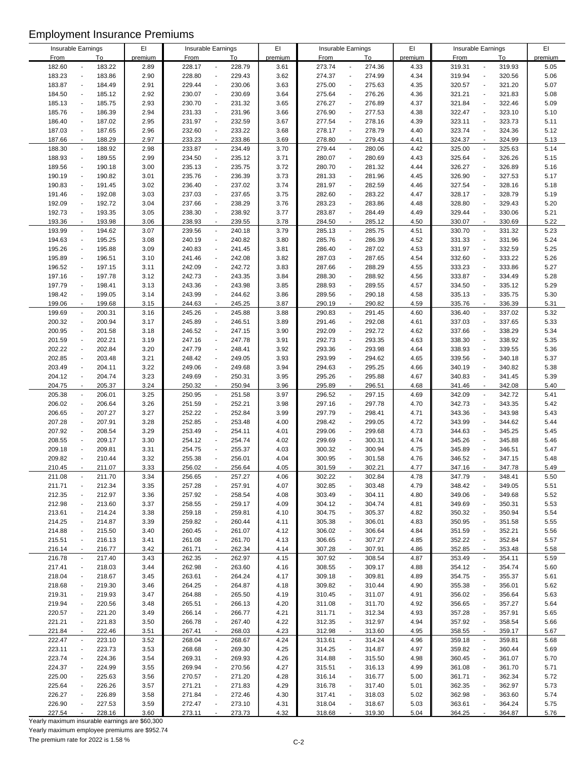| Insurable Earnings |                                    | $\mathsf{E} \mathsf{I}$ | Insurable Earnings |                                    | EI      |             | Insurable Earnings                 | EI      | Insurable Earnings |                                    | EI      |
|--------------------|------------------------------------|-------------------------|--------------------|------------------------------------|---------|-------------|------------------------------------|---------|--------------------|------------------------------------|---------|
| From               | <u>To</u>                          | premium                 | <b>From</b>        | To                                 | premium | <b>From</b> | To                                 | premium | <b>From</b>        | To                                 | premium |
| 182.60             | 183.22                             | 2.89                    | 228.17             | 228.79<br>$\blacksquare$           | 3.61    | 273.74      | 274.36<br>$\overline{a}$           | 4.33    | 319.31             | 319.93<br>$\overline{a}$           | 5.05    |
| 183.23             | 183.86<br>$\blacksquare$           | 2.90                    | 228.80             | 229.43<br>$\overline{\phantom{a}}$ | 3.62    | 274.37      | 274.99<br>$\blacksquare$           | 4.34    | 319.94             | 320.56<br>$\overline{\phantom{a}}$ | 5.06    |
| 183.87             | 184.49<br>$\overline{\phantom{a}}$ | 2.91                    | 229.44             | 230.06<br>$\ddot{\phantom{a}}$     | 3.63    | 275.00      | 275.63<br>$\overline{a}$           | 4.35    | 320.57             | 321.20<br>$\overline{\phantom{a}}$ | 5.07    |
| 184.50             | 185.12<br>$\overline{\phantom{a}}$ | 2.92                    | 230.07             | 230.69<br>$\overline{\phantom{a}}$ | 3.64    | 275.64      | 276.26<br>$\overline{a}$           | 4.36    | 321.21             | 321.83<br>$\blacksquare$           | 5.08    |
|                    |                                    |                         |                    |                                    |         |             |                                    |         |                    |                                    |         |
| 185.13             | 185.75<br>$\overline{a}$           | 2.93                    | 230.70             | 231.32<br>$\ddot{\phantom{a}}$     | 3.65    | 276.27      | 276.89<br>L,                       | 4.37    | 321.84             | 322.46<br>$\overline{\phantom{a}}$ | 5.09    |
| 185.76             | 186.39<br>$\overline{\phantom{a}}$ | 2.94                    | 231.33             | 231.96<br>$\overline{\phantom{a}}$ | 3.66    | 276.90      | 277.53<br>$\overline{a}$           | 4.38    | 322.47             | 323.10<br>$\overline{a}$           | 5.10    |
| 186.40             | 187.02<br>$\overline{a}$           | 2.95                    | 231.97             | 232.59<br>$\blacksquare$           | 3.67    | 277.54      | 278.16<br>$\overline{a}$           | 4.39    | 323.11             | 323.73<br>$\overline{\phantom{a}}$ | 5.11    |
| 187.03             | 187.65<br>$\blacksquare$           | 2.96                    | 232.60             | 233.22<br>$\blacksquare$           | 3.68    | 278.17      | 278.79<br>$\blacksquare$           | 4.40    | 323.74             | 324.36<br>$\overline{\phantom{a}}$ | 5.12    |
| 187.66             | 188.29<br>$\overline{\phantom{a}}$ | 2.97                    | 233.23             | 233.86<br>$\overline{\phantom{a}}$ | 3.69    | 278.80      | 279.43<br>$\overline{\phantom{a}}$ | 4.41    | 324.37             | 324.99<br>$\overline{a}$           | 5.13    |
|                    |                                    |                         |                    |                                    |         |             |                                    |         |                    |                                    |         |
| 188.30             | 188.92<br>$\overline{\phantom{a}}$ | 2.98                    | 233.87             | 234.49<br>$\overline{\phantom{a}}$ | 3.70    | 279.44      | 280.06<br>$\overline{a}$           | 4.42    | 325.00             | 325.63<br>$\overline{a}$           | 5.14    |
| 188.93             | 189.55<br>$\overline{\phantom{a}}$ | 2.99                    | 234.50             | 235.12<br>$\ddot{\phantom{a}}$     | 3.71    | 280.07      | 280.69<br>$\overline{\phantom{a}}$ | 4.43    | 325.64             | 326.26<br>$\blacksquare$           | 5.15    |
| 189.56             | 190.18                             | 3.00                    | 235.13             | 235.75<br>$\overline{\phantom{a}}$ | 3.72    | 280.70      | 281.32                             | 4.44    | 326.27             | 326.89<br>$\overline{a}$           | 5.16    |
| 190.19             | 190.82<br>$\blacksquare$           | 3.01                    | 235.76             | 236.39<br>$\overline{\phantom{a}}$ | 3.73    | 281.33      | 281.96<br>$\overline{a}$           | 4.45    | 326.90             | 327.53<br>$\overline{a}$           | 5.17    |
| 190.83             | 191.45<br>$\overline{a}$           | 3.02                    | 236.40             | 237.02<br>$\ddot{\phantom{a}}$     | 3.74    | 281.97      | 282.59<br>$\overline{a}$           | 4.46    | 327.54             | 328.16<br>$\overline{\phantom{a}}$ | 5.18    |
| 191.46             | 192.08<br>$\overline{a}$           | 3.03                    | 237.03             | 237.65<br>$\ddot{\phantom{a}}$     | 3.75    | 282.60      | 283.22                             | 4.47    | 328.17             | 328.79<br>$\overline{\phantom{a}}$ | 5.19    |
| 192.09             | 192.72<br>$\blacksquare$           | 3.04                    | 237.66             | 238.29<br>$\overline{\phantom{a}}$ | 3.76    | 283.23      | 283.86                             | 4.48    | 328.80             | 329.43<br>$\overline{a}$           | 5.20    |
|                    |                                    |                         |                    |                                    |         |             |                                    |         |                    |                                    |         |
| 192.73             | 193.35<br>$\overline{a}$           | 3.05                    | 238.30             | 238.92<br>$\overline{\phantom{a}}$ | 3.77    | 283.87      | 284.49                             | 4.49    | 329.44             | 330.06<br>$\overline{\phantom{a}}$ | 5.21    |
| 193.36             | 193.98<br>$\sim$                   | 3.06                    | 238.93             | $\overline{a}$<br>239.55           | 3.78    | 284.50      | 285.12                             | 4.50    | 330.07             | 330.69<br>÷,                       | 5.22    |
| 193.99             | 194.62<br>$\blacksquare$           | 3.07                    | 239.56             | $\Box$<br>240.18                   | 3.79    | 285.13      | 285.75<br>$\blacksquare$           | 4.51    | 330.70             | 331.32<br>$\ddot{\phantom{a}}$     | 5.23    |
| 194.63             | 195.25<br>$\blacksquare$           | 3.08                    | 240.19             | 240.82<br>$\overline{\phantom{a}}$ | 3.80    | 285.76      | 286.39<br>$\overline{a}$           | 4.52    | 331.33             | 331.96<br>$\overline{a}$           | 5.24    |
| 195.26             | 195.88<br>$\overline{a}$           | 3.09                    | 240.83             | 241.45<br>$\ddot{\phantom{a}}$     | 3.81    | 286.40      | 287.02                             | 4.53    | 331.97             | 332.59<br>$\overline{a}$           | 5.25    |
| 195.89             | 196.51<br>$\overline{a}$           | 3.10                    | 241.46             | 242.08<br>$\overline{\phantom{a}}$ | 3.82    | 287.03      | 287.65                             | 4.54    | 332.60             | 333.22<br>$\overline{\phantom{a}}$ | 5.26    |
|                    |                                    |                         |                    |                                    |         |             |                                    |         |                    |                                    |         |
| 196.52             | 197.15<br>$\overline{\phantom{a}}$ | 3.11                    | 242.09             | 242.72<br>$\overline{\phantom{a}}$ | 3.83    | 287.66      | 288.29<br>$\overline{a}$           | 4.55    | 333.23             | 333.86<br>$\blacksquare$           | 5.27    |
| 197.16             | 197.78                             | 3.12                    | 242.73             | 243.35<br>$\overline{\phantom{a}}$ | 3.84    | 288.30      | 288.92                             | 4.56    | 333.87             | 334.49                             | 5.28    |
| 197.79             | 198.41<br>$\overline{\phantom{a}}$ | 3.13                    | 243.36             | 243.98<br>$\blacksquare$           | 3.85    | 288.93      | 289.55<br>$\overline{a}$           | 4.57    | 334.50             | 335.12<br>$\overline{\phantom{a}}$ | 5.29    |
| 198.42             | 199.05<br>$\blacksquare$           | 3.14                    | 243.99             | 244.62<br>$\ddot{\phantom{a}}$     | 3.86    | 289.56      | 290.18<br>$\overline{a}$           | 4.58    | 335.13             | 335.75<br>$\overline{a}$           | 5.30    |
| 199.06             | 199.68<br>$\overline{\phantom{a}}$ | 3.15                    | 244.63             | 245.25<br>$\blacksquare$           | 3.87    | 290.19      | 290.82                             | 4.59    | 335.76             | 336.39<br>$\overline{\phantom{a}}$ | 5.31    |
| 199.69             | 200.31<br>$\blacksquare$           | 3.16                    | 245.26             | $\Box$<br>245.88                   | 3.88    | 290.83      | 291.45<br>$\blacksquare$           | 4.60    | 336.40             | 337.02<br>$\ddot{\phantom{a}}$     | 5.32    |
| 200.32             | 200.94<br>$\overline{a}$           | 3.17                    | 245.89             | 246.51<br>$\ddot{\phantom{a}}$     | 3.89    | 291.46      | 292.08<br>$\overline{a}$           | 4.61    | 337.03             | 337.65<br>$\blacksquare$           | 5.33    |
|                    | $\blacksquare$                     |                         |                    | $\blacksquare$                     |         |             | $\overline{a}$                     |         |                    |                                    |         |
| 200.95             | 201.58                             | 3.18                    | 246.52             | 247.15                             | 3.90    | 292.09      | 292.72                             | 4.62    | 337.66             | 338.29<br>$\ddot{\phantom{1}}$     | 5.34    |
| 201.59             | 202.21<br>$\overline{a}$           | 3.19                    | 247.16             | 247.78<br>$\overline{\phantom{a}}$ | 3.91    | 292.73      | 293.35<br>L,                       | 4.63    | 338.30             | 338.92<br>$\overline{a}$           | 5.35    |
| 202.22             | 202.84<br>$\overline{a}$           | 3.20                    | 247.79             | 248.41<br>$\overline{\phantom{a}}$ | 3.92    | 293.36      | 293.98<br>$\overline{a}$           | 4.64    | 338.93             | 339.55<br>$\overline{a}$           | 5.36    |
| 202.85             | 203.48<br>$\overline{a}$           | 3.21                    | 248.42             | 249.05<br>$\overline{\phantom{a}}$ | 3.93    | 293.99      | 294.62                             | 4.65    | 339.56             | 340.18<br>$\overline{a}$           | 5.37    |
| 203.49             | 204.11<br>$\overline{a}$           | 3.22                    | 249.06             | 249.68<br>$\overline{\phantom{a}}$ | 3.94    | 294.63      | 295.25                             | 4.66    | 340.19             | 340.82<br>$\overline{\phantom{a}}$ | 5.38    |
| 204.12             | 204.74<br>$\blacksquare$           | 3.23                    | 249.69             | 250.31<br>$\overline{\phantom{a}}$ | 3.95    | 295.26      | 295.88<br>$\blacksquare$           | 4.67    | 340.83             | 341.45<br>$\blacksquare$           | 5.39    |
| 204.75             | 205.37                             | 3.24                    | 250.32             | 250.94<br>$\sim$                   | 3.96    | 295.89      | 296.51                             | 4.68    | 341.46             | 342.08                             | 5.40    |
| 205.38             | 206.01<br>$\blacksquare$           | 3.25                    | 250.95             | 251.58<br>$\overline{\phantom{a}}$ | 3.97    | 296.52      | 297.15<br>$\overline{\phantom{a}}$ | 4.69    | 342.09             | 342.72<br>$\ddot{\phantom{1}}$     | 5.41    |
|                    |                                    |                         |                    |                                    |         |             |                                    |         |                    |                                    |         |
| 206.02             | 206.64<br>$\overline{\phantom{a}}$ | 3.26                    | 251.59             | $\overline{\phantom{a}}$<br>252.21 | 3.98    | 297.16      | 297.78<br>$\blacksquare$           | 4.70    | 342.73             | 343.35<br>$\overline{a}$           | 5.42    |
| 206.65             | 207.27<br>$\overline{a}$           | 3.27                    | 252.22             | 252.84<br>$\overline{\phantom{a}}$ | 3.99    | 297.79      | 298.41<br>L,                       | 4.71    | 343.36             | 343.98<br>$\overline{a}$           | 5.43    |
| 207.28             | 207.91<br>$\blacksquare$           | 3.28                    | 252.85             | 253.48<br>$\overline{\phantom{a}}$ | 4.00    | 298.42      | 299.05<br>$\overline{a}$           | 4.72    | 343.99             | 344.62<br>$\overline{\phantom{a}}$ | 5.44    |
| 207.92             | 208.54<br>$\overline{\phantom{a}}$ | 3.29                    | 253.49             | 254.11<br>$\overline{\phantom{a}}$ | 4.01    | 299.06      | 299.68<br>L,                       | 4.73    | 344.63             | 345.25<br>$\overline{a}$           | 5.45    |
| 208.55             | 209.17<br>$\overline{a}$           | 3.30                    | 254.12             | 254.74<br>$\overline{\phantom{a}}$ | 4.02    | 299.69      | 300.31<br>$\overline{a}$           | 4.74    | 345.26             | 345.88<br>$\overline{\phantom{a}}$ | 5.46    |
| 209.18             | 209.81                             | 3.31                    | 254.75             | 255.37<br>$\ddot{\phantom{a}}$     | 4.03    | 300.32      | 300.94                             | 4.75    | 345.89             | 346.51                             | 5.47    |
| 209.82             | 210.44<br>$\blacksquare$           | 3.32                    | 255.38             | 256.01<br>$\overline{\phantom{a}}$ | 4.04    | 300.95      | 301.58<br>$\overline{\phantom{a}}$ | 4.76    | 346.52             | 347.15<br>$\overline{\phantom{a}}$ | 5.48    |
|                    |                                    |                         |                    |                                    |         |             |                                    |         |                    |                                    |         |
| 210.45             | 211.07                             | 3.33                    | 256.02             | 256.64                             | 4.05    | 301.59      | 302.21                             | 4.77    | 347.16             | 347.78                             | 5.49    |
| 211.08             | 211.70<br>$\overline{\phantom{a}}$ | 3.34                    | 256.65             | 257.27<br>$\blacksquare$           | 4.06    | 302.22      | 302.84<br>$\overline{\phantom{a}}$ | 4.78    | 347.79             | 348.41<br>$\overline{a}$           | 5.50    |
| 211.71             | 212.34<br>$\overline{a}$           | 3.35                    | 257.28             | 257.91<br>$\overline{\phantom{a}}$ | 4.07    | 302.85      | 303.48                             | 4.79    | 348.42             | 349.05<br>$\overline{\phantom{a}}$ | 5.51    |
| 212.35             | 212.97                             | 3.36                    | 257.92             | 258.54<br>$\overline{\phantom{a}}$ | 4.08    | 303.49      | 304.11                             | 4.80    | 349.06             | 349.68                             | 5.52    |
| 212.98             | 213.60<br>$\blacksquare$           | 3.37                    | 258.55             | 259.17<br>$\overline{\phantom{a}}$ | 4.09    | 304.12      | 304.74<br>$\overline{a}$           | 4.81    | 349.69             | 350.31<br>$\blacksquare$           | 5.53    |
| 213.61             | 214.24<br>$\overline{a}$           | 3.38                    | 259.18             | 259.81<br>$\overline{\phantom{a}}$ | 4.10    | 304.75      | 305.37                             | 4.82    | 350.32             | 350.94<br>$\overline{a}$           | 5.54    |
|                    | $\blacksquare$                     |                         |                    |                                    |         |             |                                    |         |                    |                                    |         |
| 214.25             | 214.87                             | 3.39                    | 259.82             | 260.44<br>$\overline{\phantom{a}}$ | 4.11    | 305.38      | 306.01                             | 4.83    | 350.95             | 351.58<br>$\overline{\phantom{a}}$ | 5.55    |
| 214.88             | 215.50<br>$\overline{\phantom{a}}$ | 3.40                    | 260.45             | 261.07<br>$\overline{\phantom{a}}$ | 4.12    | 306.02      | 306.64<br>$\overline{\phantom{a}}$ | 4.84    | 351.59             | 352.21<br>$\blacksquare$           | 5.56    |
| 215.51             | 216.13<br>$\overline{a}$           | 3.41                    | 261.08             | 261.70<br>$\overline{\phantom{a}}$ | 4.13    | 306.65      | 307.27                             | 4.85    | 352.22             | 352.84<br>$\overline{\phantom{a}}$ | 5.57    |
| 216.14             | 216.77<br>$\blacksquare$           | 3.42                    | 261.71             | 262.34<br>$\blacksquare$           | 4.14    | 307.28      | 307.91                             | 4.86    | 352.85             | 353.48<br>$\overline{a}$           | 5.58    |
| 216.78             | 217.40                             | 3.43                    | 262.35             | 262.97<br>$\blacksquare$           | 4.15    | 307.92      | 308.54                             | 4.87    | 353.49             | 354.11<br>$\blacksquare$           | 5.59    |
| 217.41             | 218.03<br>$\overline{\phantom{a}}$ | 3.44                    | 262.98             | 263.60<br>$\blacksquare$           | 4.16    | 308.55      | 309.17                             | 4.88    | 354.12             | 354.74<br>$\overline{\phantom{a}}$ | 5.60    |
| 218.04             | 218.67<br>$\blacksquare$           | 3.45                    | 263.61             | 264.24<br>$\blacksquare$           | 4.17    | 309.18      | 309.81                             | 4.89    | 354.75             | 355.37<br>$\overline{\phantom{a}}$ | 5.61    |
|                    | $\overline{\phantom{a}}$           |                         |                    | 264.87<br>$\overline{\phantom{a}}$ | 4.18    | 309.82      |                                    |         | 355.38             | $\overline{a}$                     |         |
| 218.68             | 219.30                             | 3.46                    | 264.25             |                                    |         |             | 310.44                             | 4.90    |                    | 356.01                             | 5.62    |
| 219.31             | 219.93<br>$\overline{\phantom{a}}$ | 3.47                    | 264.88             | 265.50<br>$\overline{\phantom{a}}$ | 4.19    | 310.45      | 311.07<br>$\overline{a}$           | 4.91    | 356.02             | 356.64<br>$\blacksquare$           | 5.63    |
| 219.94             | 220.56                             | 3.48                    | 265.51             | 266.13<br>$\overline{\phantom{a}}$ | 4.20    | 311.08      | 311.70                             | 4.92    | 356.65             | 357.27                             | 5.64    |
| 220.57             | 221.20<br>$\overline{\phantom{a}}$ | 3.49                    | 266.14             | 266.77<br>$\blacksquare$           | 4.21    | 311.71      | 312.34<br>$\blacksquare$           | 4.93    | 357.28             | 357.91<br>$\blacksquare$           | 5.65    |
| 221.21             | 221.83<br>$\overline{a}$           | 3.50                    | 266.78             | 267.40<br>$\overline{\phantom{a}}$ | 4.22    | 312.35      | 312.97                             | 4.94    | 357.92             | 358.54<br>$\overline{\phantom{a}}$ | 5.66    |
| 221.84             | 222.46<br>$\overline{\phantom{a}}$ | 3.51                    | 267.41             | 268.03<br>$\blacksquare$           | 4.23    | 312.98      | 313.60                             | 4.95    | 358.55             | 359.17                             | 5.67    |
| 222.47             | 223.10<br>$\overline{\phantom{a}}$ | 3.52                    | 268.04             | $\blacksquare$<br>268.67           | 4.24    | 313.61      | 314.24<br>$\blacksquare$           | 4.96    | 359.18             | 359.81<br>$\ddot{\phantom{0}}$     | 5.68    |
| 223.11             | 223.73<br>$\blacksquare$           | 3.53                    | 268.68             | 269.30<br>$\overline{\phantom{a}}$ | 4.25    | 314.25      | 314.87                             | 4.97    | 359.82             | $\overline{\phantom{a}}$           |         |
|                    |                                    |                         |                    |                                    |         |             |                                    |         |                    | 360.44                             | 5.69    |
| 223.74             | 224.36<br>$\overline{a}$           | 3.54                    | 269.31             | 269.93<br>$\overline{\phantom{a}}$ | 4.26    | 314.88      | 315.50<br>$\overline{a}$           | 4.98    | 360.45             | 361.07<br>$\overline{\phantom{a}}$ | 5.70    |
| 224.37             | 224.99                             | 3.55                    | 269.94             | 270.56<br>$\overline{\phantom{a}}$ | 4.27    | 315.51      | 316.13                             | 4.99    | 361.08             | 361.70<br>$\overline{\phantom{a}}$ | 5.71    |
| 225.00             | 225.63<br>$\overline{\phantom{a}}$ | 3.56                    | 270.57             | 271.20<br>$\overline{\phantom{a}}$ | 4.28    | 316.14      | 316.77                             | 5.00    | 361.71             | 362.34<br>$\blacksquare$           | 5.72    |
| 225.64             | 226.26<br>$\overline{a}$           | 3.57                    | 271.21             | 271.83<br>$\overline{\phantom{a}}$ | 4.29    | 316.78      | 317.40                             | 5.01    | 362.35             | 362.97<br>$\overline{a}$           | 5.73    |
| 226.27             | 226.89                             | 3.58                    | 271.84             | 272.46<br>$\overline{\phantom{a}}$ | 4.30    | 317.41      | 318.03                             | 5.02    | 362.98             | 363.60                             | 5.74    |
| 226.90             | 227.53<br>$\overline{\phantom{a}}$ | 3.59                    | 272.47             | 273.10<br>$\overline{\phantom{a}}$ | 4.31    | 318.04      | 318.67<br>$\blacksquare$           | 5.03    | 363.61             | 364.24<br>$\blacksquare$           | 5.75    |
| 227.54             | 228.16                             | 3.60                    | 273.11             | 273.73                             | 4.32    | 318.68      | 319.30                             | 5.04    | 364.25             | 364.87                             | 5.76    |
|                    |                                    |                         |                    |                                    |         |             |                                    |         |                    |                                    |         |

Yearly maximum insurable earnings are \$60,300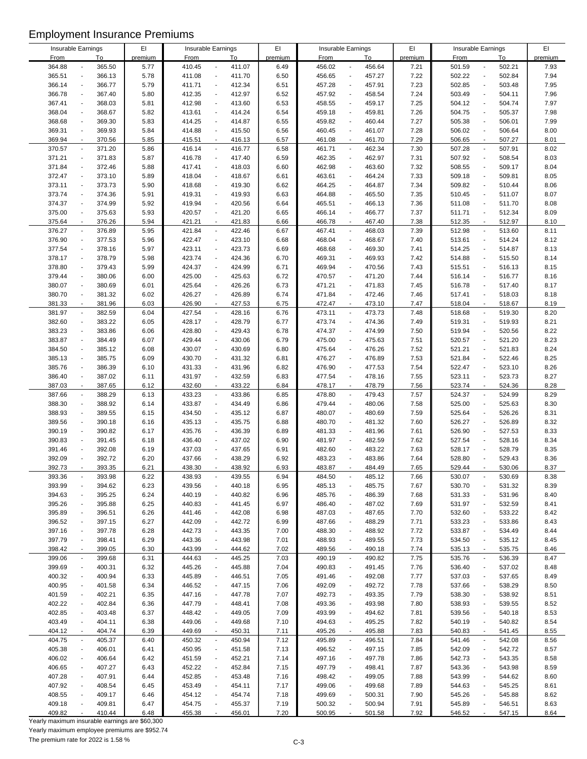| Insurable Earnings |                          |        | EI      | Insurable Earnings |                                       | EI      |             | Insurable Earnings                 | EI      | Insurable Earnings |                                    | EI      |
|--------------------|--------------------------|--------|---------|--------------------|---------------------------------------|---------|-------------|------------------------------------|---------|--------------------|------------------------------------|---------|
| <b>From</b>        |                          | To     | premium | <b>From</b>        | To                                    | premium | <b>From</b> | To                                 | premium | <b>From</b>        | To                                 | premium |
| 364.88             |                          | 365.50 | 5.77    | 410.45             | 411.07<br>$\overline{\phantom{a}}$    | 6.49    | 456.02      | 456.64                             | 7.21    | 501.59             | 502.21<br>$\blacksquare$           | 7.93    |
| 365.51             | $\blacksquare$           | 366.13 | 5.78    | 411.08             | 411.70<br>$\overline{\phantom{a}}$    | 6.50    | 456.65      | 457.27<br>$\overline{\phantom{a}}$ | 7.22    | 502.22             | 502.84<br>$\overline{\phantom{a}}$ | 7.94    |
|                    |                          |        |         |                    |                                       |         |             |                                    |         |                    |                                    |         |
| 366.14             | $\overline{\phantom{a}}$ | 366.77 | 5.79    | 411.71             | 412.34<br>$\overline{\phantom{a}}$    | 6.51    | 457.28      | 457.91                             | 7.23    | 502.85             | 503.48<br>$\overline{\phantom{a}}$ | 7.95    |
| 366.78             | $\blacksquare$           | 367.40 | 5.80    | 412.35             | 412.97<br>$\blacksquare$              | 6.52    | 457.92      | 458.54<br>$\overline{\phantom{a}}$ | 7.24    | 503.49             | 504.11<br>$\overline{\phantom{a}}$ | 7.96    |
| 367.41             | $\overline{\phantom{a}}$ | 368.03 | 5.81    | 412.98             | 413.60<br>$\blacksquare$              | 6.53    | 458.55      | 459.17                             | 7.25    | 504.12             | 504.74<br>$\overline{\phantom{a}}$ | 7.97    |
| 368.04             | $\blacksquare$           | 368.67 | 5.82    | 413.61             | 414.24<br>$\blacksquare$              | 6.54    | 459.18      | 459.81<br>$\overline{a}$           | 7.26    | 504.75             | 505.37<br>$\overline{\phantom{a}}$ | 7.98    |
|                    |                          |        |         |                    |                                       |         |             |                                    |         |                    |                                    |         |
| 368.68             | $\blacksquare$           | 369.30 | 5.83    | 414.25             | 414.87<br>$\blacksquare$              | 6.55    | 459.82      | 460.44<br>$\overline{a}$           | 7.27    | 505.38             | 506.01<br>$\blacksquare$           | 7.99    |
| 369.31             | $\overline{\phantom{a}}$ | 369.93 | 5.84    | 414.88             | 415.50<br>$\blacksquare$              | 6.56    | 460.45      | 461.07<br>$\overline{a}$           | 7.28    | 506.02             | 506.64<br>$\blacksquare$           | 8.00    |
| 369.94             | $\blacksquare$           | 370.56 | 5.85    | 415.51             | 416.13<br>$\blacksquare$              | 6.57    | 461.08      | 461.70<br>$\overline{\phantom{a}}$ | 7.29    | 506.65             | 507.27<br>$\overline{\phantom{a}}$ | 8.01    |
| 370.57             | $\overline{\phantom{a}}$ | 371.20 | 5.86    | 416.14             | 416.77<br>$\overline{\phantom{a}}$    | 6.58    | 461.71      | 462.34<br>$\overline{\phantom{a}}$ | 7.30    | 507.28             | 507.91<br>$\overline{\phantom{a}}$ | 8.02    |
|                    |                          |        |         |                    |                                       |         |             |                                    |         |                    |                                    |         |
| 371.21             | $\overline{\phantom{a}}$ | 371.83 | 5.87    | 416.78             | 417.40<br>$\overline{\phantom{a}}$    | 6.59    | 462.35      | 462.97<br>$\overline{\phantom{a}}$ | 7.31    | 507.92             | 508.54<br>$\overline{a}$           | 8.03    |
| 371.84             | $\overline{\phantom{a}}$ | 372.46 | 5.88    | 417.41             | 418.03<br>$\blacksquare$              | 6.60    | 462.98      | 463.60<br>÷,                       | 7.32    | 508.55             | 509.17<br>$\blacksquare$           | 8.04    |
| 372.47             | $\blacksquare$           | 373.10 | 5.89    | 418.04             | 418.67<br>$\blacksquare$              | 6.61    | 463.61      | 464.24<br>$\overline{a}$           | 7.33    | 509.18             | 509.81<br>$\overline{\phantom{a}}$ | 8.05    |
| 373.11             | $\overline{\phantom{a}}$ | 373.73 | 5.90    | 418.68             | 419.30<br>$\blacksquare$              | 6.62    | 464.25      | 464.87<br>$\overline{a}$           | 7.34    | 509.82             | 510.44<br>$\blacksquare$           | 8.06    |
| 373.74             | $\blacksquare$           | 374.36 | 5.91    | 419.31             | 419.93<br>$\blacksquare$              | 6.63    | 464.88      | 465.50                             | 7.35    | 510.45             | 511.07<br>$\overline{\phantom{a}}$ | 8.07    |
|                    |                          |        |         |                    |                                       |         |             |                                    |         |                    |                                    |         |
| 374.37             | $\overline{\phantom{a}}$ | 374.99 | 5.92    | 419.94             | 420.56<br>$\overline{a}$              | 6.64    | 465.51      | 466.13<br>$\overline{\phantom{a}}$ | 7.36    | 511.08             | 511.70<br>$\overline{\phantom{a}}$ | 8.08    |
| 375.00             | $\overline{a}$           | 375.63 | 5.93    | 420.57             | 421.20<br>$\overline{\phantom{a}}$    | 6.65    | 466.14      | 466.77                             | 7.37    | 511.71             | 512.34                             | 8.09    |
| 375.64             | $\overline{\phantom{a}}$ | 376.26 | 5.94    | 421.21             | 421.83<br>$\blacksquare$              | 6.66    | 466.78      | 467.40<br>$\sim$                   | 7.38    | 512.35             | 512.97<br>$\sim$                   | 8.10    |
| 376.27             | $\overline{\phantom{a}}$ | 376.89 | 5.95    | 421.84             | 422.46<br>$\blacksquare$              | 6.67    | 467.41      | 468.03<br>$\overline{\phantom{a}}$ | 7.39    | 512.98             | 513.60<br>$\overline{\phantom{a}}$ | 8.11    |
|                    |                          |        |         |                    |                                       |         |             |                                    |         |                    |                                    |         |
| 376.90             | $\overline{\phantom{a}}$ | 377.53 | 5.96    | 422.47             | 423.10<br>$\overline{a}$              | 6.68    | 468.04      | 468.67                             | 7.40    | 513.61             | 514.24<br>$\overline{\phantom{a}}$ | 8.12    |
| 377.54             | $\blacksquare$           | 378.16 | 5.97    | 423.11             | 423.73<br>$\blacksquare$              | 6.69    | 468.68      | 469.30<br>$\overline{a}$           | 7.41    | 514.25             | 514.87<br>$\blacksquare$           | 8.13    |
| 378.17             | $\blacksquare$           | 378.79 | 5.98    | 423.74             | 424.36<br>$\overline{a}$              | 6.70    | 469.31      | 469.93<br>$\blacksquare$           | 7.42    | 514.88             | 515.50<br>$\overline{\phantom{a}}$ | 8.14    |
| 378.80             | $\overline{\phantom{a}}$ | 379.43 | 5.99    | 424.37             | 424.99<br>$\overline{a}$              | 6.71    | 469.94      | 470.56<br>$\overline{a}$           | 7.43    | 515.51             | 516.13<br>$\blacksquare$           | 8.15    |
| 379.44             | $\overline{\phantom{a}}$ | 380.06 | 6.00    | 425.00             | 425.63<br>$\overline{a}$              | 6.72    | 470.57      | 471.20<br>$\overline{\phantom{a}}$ | 7.44    | 516.14             | 516.77<br>$\overline{a}$           | 8.16    |
|                    |                          |        |         |                    |                                       |         |             |                                    |         |                    |                                    |         |
| 380.07             | $\overline{\phantom{a}}$ | 380.69 | 6.01    | 425.64             | 426.26<br>$\overline{a}$              | 6.73    | 471.21      | 471.83<br>$\overline{a}$           | 7.45    | 516.78             | 517.40<br>$\overline{a}$           | 8.17    |
| 380.70             | $\ddot{\phantom{a}}$     | 381.32 | 6.02    | 426.27             | 426.89<br>$\overline{\phantom{a}}$    | 6.74    | 471.84      | 472.46<br>$\overline{\phantom{a}}$ | 7.46    | 517.41             | 518.03<br>$\blacksquare$           | 8.18    |
| 381.33             | $\overline{\phantom{a}}$ | 381.96 | 6.03    | 426.90             | 427.53<br>$\blacksquare$              | 6.75    | 472.47      | 473.10<br>$\blacksquare$           | 7.47    | 518.04             | 518.67<br>$\overline{\phantom{a}}$ | 8.19    |
| 381.97             | $\blacksquare$           | 382.59 | 6.04    | 427.54             | $\Box$<br>428.16                      | 6.76    | 473.11      | 473.73<br>$\blacksquare$           | 7.48    | 518.68             | 519.30<br>$\overline{\phantom{a}}$ | 8.20    |
| 382.60             | $\overline{\phantom{a}}$ |        |         | 428.17             | $\blacksquare$                        |         | 473.74      | $\overline{a}$                     | 7.49    |                    | $\blacksquare$                     |         |
|                    |                          | 383.22 | 6.05    |                    | 428.79                                | 6.77    |             | 474.36                             |         | 519.31             | 519.93                             | 8.21    |
| 383.23             | $\overline{\phantom{a}}$ | 383.86 | 6.06    | 428.80             | 429.43<br>$\blacksquare$              | 6.78    | 474.37      | 474.99<br>$\overline{a}$           | 7.50    | 519.94             | 520.56<br>$\blacksquare$           | 8.22    |
| 383.87             | $\blacksquare$           | 384.49 | 6.07    | 429.44             | 430.06<br>$\blacksquare$              | 6.79    | 475.00      | 475.63<br>$\overline{a}$           | 7.51    | 520.57             | 521.20<br>$\blacksquare$           | 8.23    |
| 384.50             | $\overline{\phantom{a}}$ | 385.12 | 6.08    | 430.07             | 430.69<br>$\overline{a}$              | 6.80    | 475.64      | 476.26<br>$\overline{\phantom{a}}$ | 7.52    | 521.21             | 521.83<br>$\overline{a}$           | 8.24    |
| 385.13             | $\overline{\phantom{a}}$ | 385.75 | 6.09    | 430.70             | 431.32<br>$\overline{a}$              | 6.81    | 476.27      | 476.89<br>$\overline{\phantom{a}}$ | 7.53    | 521.84             | 522.46<br>$\overline{a}$           | 8.25    |
|                    |                          |        |         |                    |                                       |         |             |                                    |         |                    |                                    |         |
| 385.76             | $\overline{a}$           | 386.39 | 6.10    | 431.33             | 431.96<br>$\overline{\phantom{a}}$    | 6.82    | 476.90      | 477.53<br>$\blacksquare$           | 7.54    | 522.47             | 523.10<br>$\overline{\phantom{a}}$ | 8.26    |
| 386.40             | $\overline{\phantom{a}}$ | 387.02 | 6.11    | 431.97             | 432.59<br>$\overline{\phantom{a}}$    | 6.83    | 477.54      | 478.16<br>$\overline{a}$           | 7.55    | 523.11             | 523.73<br>$\blacksquare$           | 8.27    |
| 387.03             | $\sim$                   | 387.65 | 6.12    | 432.60             | 433.22<br>$\mathcal{L}_{\mathcal{A}}$ | 6.84    | 478.17      | 478.79<br>$\sim$                   | 7.56    | 523.74             | 524.36<br>$\sim$                   | 8.28    |
| 387.66             | $\blacksquare$           | 388.29 | 6.13    | 433.23             | 433.86<br>$\blacksquare$              | 6.85    | 478.80      | 479.43<br>$\blacksquare$           | 7.57    | 524.37             | 524.99<br>$\blacksquare$           | 8.29    |
|                    |                          |        |         |                    |                                       |         |             |                                    |         |                    |                                    |         |
| 388.30             | $\ddot{\phantom{a}}$     | 388.92 | 6.14    | 433.87             | 434.49<br>$\ddot{\phantom{a}}$        | 6.86    | 479.44      | 480.06<br>$\blacksquare$           | 7.58    | 525.00             | 525.63<br>$\blacksquare$           | 8.30    |
| 388.93             | $\overline{\phantom{a}}$ | 389.55 | 6.15    | 434.50             | 435.12<br>$\ddot{\phantom{a}}$        | 6.87    | 480.07      | 480.69                             | 7.59    | 525.64             | 526.26<br>$\overline{a}$           | 8.31    |
| 389.56             | $\overline{\phantom{a}}$ | 390.18 | 6.16    | 435.13             | 435.75<br>$\overline{\phantom{a}}$    | 6.88    | 480.70      | 481.32<br>$\overline{\phantom{a}}$ | 7.60    | 526.27             | 526.89<br>$\overline{\phantom{a}}$ | 8.32    |
| 390.19             | $\overline{\phantom{a}}$ | 390.82 | 6.17    | 435.76             | 436.39<br>$\overline{\phantom{a}}$    | 6.89    | 481.33      | 481.96                             | 7.61    | 526.90             | 527.53<br>$\overline{\phantom{a}}$ | 8.33    |
|                    | $\blacksquare$           |        |         |                    | $\blacksquare$                        |         |             | $\overline{a}$                     |         |                    | $\blacksquare$                     |         |
| 390.83             |                          | 391.45 | 6.18    | 436.40             | 437.02                                | 6.90    | 481.97      | 482.59                             | 7.62    | 527.54             | 528.16                             | 8.34    |
| 391.46             | L,                       | 392.08 | 6.19    | 437.03             | 437.65<br>÷,                          | 6.91    | 482.60      | 483.22                             | 7.63    | 528.17             | 528.79<br>÷,                       | 8.35    |
| 392.09             | $\blacksquare$           | 392.72 | 6.20    | 437.66             | 438.29<br>$\blacksquare$              | 6.92    | 483.23      | 483.86                             | 7.64    | 528.80             | 529.43<br>$\blacksquare$           | 8.36    |
| 392.73             |                          | 393.35 | 6.21    | 438.30             | 438.92                                | 6.93    | 483.87      | 484.49                             | 7.65    | 529.44             | 530.06                             | 8.37    |
| 393.36             | $\overline{\phantom{a}}$ | 393.98 | 6.22    | 438.93             | 439.55<br>$\overline{\phantom{a}}$    | 6.94    | 484.50      | 485.12<br>$\overline{\phantom{a}}$ | 7.66    | 530.07             | 530.69<br>$\overline{\phantom{a}}$ | 8.38    |
|                    |                          |        |         |                    |                                       |         |             |                                    |         |                    |                                    |         |
| 393.99             | $\ddot{\phantom{a}}$     | 394.62 | 6.23    | 439.56             | 440.18<br>$\overline{\phantom{a}}$    | 6.95    | 485.13      | 485.75                             | 7.67    | 530.70             | 531.32<br>$\overline{a}$           | 8.39    |
| 394.63             | $\overline{\phantom{a}}$ | 395.25 | 6.24    | 440.19             | 440.82<br>$\overline{\phantom{a}}$    | 6.96    | 485.76      | 486.39                             | 7.68    | 531.33             | 531.96<br>$\overline{a}$           | 8.40    |
| 395.26             | $\overline{\phantom{a}}$ | 395.88 | 6.25    | 440.83             | 441.45<br>$\overline{\phantom{a}}$    | 6.97    | 486.40      | 487.02<br>$\blacksquare$           | 7.69    | 531.97             | 532.59<br>$\overline{a}$           | 8.41    |
| 395.89             | $\overline{\phantom{a}}$ | 396.51 | 6.26    | 441.46             | 442.08<br>$\blacksquare$              | 6.98    | 487.03      | 487.65<br>$\blacksquare$           | 7.70    | 532.60             | 533.22<br>$\overline{a}$           | 8.42    |
| 396.52             | $\blacksquare$           | 397.15 | 6.27    | 442.09             | 442.72<br>$\blacksquare$              | 6.99    | 487.66      | 488.29                             | 7.71    | 533.23             | 533.86<br>$\overline{\phantom{a}}$ | 8.43    |
|                    |                          |        |         |                    |                                       |         |             |                                    |         |                    |                                    |         |
| 397.16             | $\overline{\phantom{a}}$ | 397.78 | 6.28    | 442.73             | 443.35<br>$\overline{\phantom{a}}$    | 7.00    | 488.30      | 488.92<br>$\overline{\phantom{a}}$ | 7.72    | 533.87             | 534.49<br>$\overline{a}$           | 8.44    |
| 397.79             | $\overline{\phantom{a}}$ | 398.41 | 6.29    | 443.36             | 443.98<br>$\overline{\phantom{a}}$    | 7.01    | 488.93      | 489.55                             | 7.73    | 534.50             | 535.12                             | 8.45    |
| 398.42             | $\overline{\phantom{a}}$ | 399.05 | 6.30    | 443.99             | 444.62<br>$\blacksquare$              | 7.02    | 489.56      | 490.18<br>$\blacksquare$           | 7.74    | 535.13             | 535.75<br>$\blacksquare$           | 8.46    |
| 399.06             | $\overline{\phantom{a}}$ | 399.68 | 6.31    | 444.63             | 445.25<br>$\overline{\phantom{a}}$    | 7.03    | 490.19      | 490.82<br>$\overline{\phantom{a}}$ | 7.75    | 535.76             | 536.39<br>$\overline{\phantom{a}}$ | 8.47    |
| 399.69             | $\overline{\phantom{a}}$ |        |         |                    | 445.88<br>$\blacksquare$              | 7.04    | 490.83      | $\blacksquare$                     |         | 536.40             | $\overline{a}$                     |         |
|                    |                          | 400.31 | 6.32    | 445.26             |                                       |         |             | 491.45                             | 7.76    |                    | 537.02                             | 8.48    |
| 400.32             | $\blacksquare$           | 400.94 | 6.33    | 445.89             | 446.51<br>$\overline{\phantom{a}}$    | 7.05    | 491.46      | 492.08<br>$\overline{\phantom{a}}$ | 7.77    | 537.03             | 537.65<br>$\overline{\phantom{a}}$ | 8.49    |
| 400.95             | $\overline{a}$           | 401.58 | 6.34    | 446.52             | 447.15<br>$\overline{\phantom{a}}$    | 7.06    | 492.09      | 492.72                             | 7.78    | 537.66             | 538.29                             | 8.50    |
| 401.59             | $\overline{\phantom{a}}$ | 402.21 | 6.35    | 447.16             | 447.78<br>$\overline{\phantom{a}}$    | 7.07    | 492.73      | 493.35<br>$\overline{\phantom{a}}$ | 7.79    | 538.30             | 538.92<br>$\overline{\phantom{a}}$ | 8.51    |
| 402.22             | ÷,                       | 402.84 | 6.36    | 447.79             | 448.41<br>$\overline{\phantom{a}}$    | 7.08    | 493.36      | 493.98                             | 7.80    | 538.93             | 539.55<br>$\overline{a}$           | 8.52    |
|                    |                          |        |         |                    |                                       |         |             |                                    |         |                    |                                    |         |
| 402.85             | $\overline{\phantom{a}}$ | 403.48 | 6.37    | 448.42             | 449.05<br>$\overline{\phantom{a}}$    | 7.09    | 493.99      | 494.62<br>$\overline{a}$           | 7.81    | 539.56             | 540.18<br>$\overline{a}$           | 8.53    |
| 403.49             | $\ddot{\phantom{a}}$     | 404.11 | 6.38    | 449.06             | 449.68<br>$\overline{\phantom{a}}$    | 7.10    | 494.63      | 495.25                             | 7.82    | 540.19             | 540.82<br>$\overline{a}$           | 8.54    |
| 404.12             | $\overline{\phantom{a}}$ | 404.74 | 6.39    | 449.69             | 450.31<br>$\overline{\phantom{a}}$    | 7.11    | 495.26      | 495.88                             | 7.83    | 540.83             | 541.45<br>$\blacksquare$           | 8.55    |
| 404.75             | $\overline{\phantom{a}}$ | 405.37 | 6.40    | 450.32             | 450.94<br>$\blacksquare$              | 7.12    | 495.89      | 496.51<br>$\overline{\phantom{a}}$ | 7.84    | 541.46             | 542.08<br>$\overline{\phantom{a}}$ | 8.56    |
|                    |                          |        |         |                    | $\overline{\phantom{a}}$              |         |             |                                    |         |                    |                                    |         |
| 405.38             |                          | 406.01 | 6.41    | 450.95             | 451.58                                | 7.13    | 496.52      | 497.15                             | 7.85    | 542.09             | 542.72                             | 8.57    |
| 406.02             | $\blacksquare$           | 406.64 | 6.42    | 451.59             | 452.21<br>$\blacksquare$              | 7.14    | 497.16      | 497.78<br>$\blacksquare$           | 7.86    | 542.73             | 543.35<br>$\blacksquare$           | 8.58    |
| 406.65             | $\overline{\phantom{a}}$ | 407.27 | 6.43    | 452.22             | 452.84<br>$\overline{\phantom{a}}$    | 7.15    | 497.79      | 498.41<br>$\overline{a}$           | 7.87    | 543.36             | 543.98<br>$\overline{a}$           | 8.59    |
| 407.28             | $\overline{\phantom{a}}$ | 407.91 | 6.44    | 452.85             | 453.48<br>$\blacksquare$              | 7.16    | 498.42      | 499.05                             | 7.88    | 543.99             | 544.62<br>$\overline{\phantom{a}}$ | 8.60    |
| 407.92             | $\overline{\phantom{a}}$ | 408.54 |         | 453.49             | 454.11<br>$\overline{\phantom{a}}$    | 7.17    | 499.06      | 499.68<br>$\blacksquare$           | 7.89    | 544.63             | 545.25<br>$\overline{a}$           | 8.61    |
|                    |                          |        | 6.45    |                    |                                       |         |             |                                    |         |                    |                                    |         |
| 408.55             | $\overline{a}$           | 409.17 | 6.46    | 454.12             | 454.74<br>$\overline{\phantom{a}}$    | 7.18    | 499.69      | 500.31                             | 7.90    | 545.26             | 545.88                             | 8.62    |
| 409.18             | $\ddot{\phantom{a}}$     | 409.81 | 6.47    | 454.75             | 455.37<br>$\overline{\phantom{a}}$    | 7.19    | 500.32      | 500.94<br>$\blacksquare$           | 7.91    | 545.89             | 546.51<br>$\overline{a}$           | 8.63    |
| 409.82             |                          | 410.44 | 6.48    | 455.38             | 456.01                                | 7.20    | 500.95      | 501.58                             | 7.92    | 546.52             | 547.15                             | 8.64    |

Yearly maximum insurable earnings are \$60,300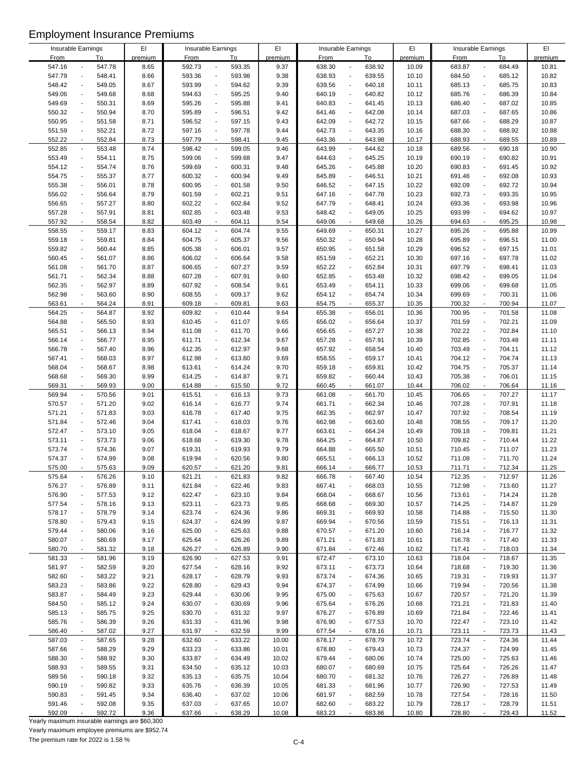| Insurable Earnings                 |                                    | EI      |             | Insurable Earnings                    | EI      |             | Insurable Earnings                 | EI      | Insurable Earnings                 |                          | EI      |
|------------------------------------|------------------------------------|---------|-------------|---------------------------------------|---------|-------------|------------------------------------|---------|------------------------------------|--------------------------|---------|
| <b>From</b>                        | To                                 | premium | <b>From</b> | To                                    | premium | <b>From</b> | To                                 | premium | <b>From</b>                        | To                       | premium |
| 547.16                             | 547.78                             | 8.65    | 592.73      | 593.35<br>$\blacksquare$              | 9.37    | 638.30      | 638.92                             | 10.09   | 683.87                             | 684.49<br>$\overline{a}$ | 10.81   |
|                                    |                                    |         |             |                                       |         |             |                                    |         |                                    |                          |         |
| 547.79                             | 548.41<br>$\blacksquare$           | 8.66    | 593.36      | 593.98<br>$\overline{a}$              | 9.38    | 638.93      | 639.55<br>$\blacksquare$           | 10.10   | 684.50<br>$\overline{\phantom{a}}$ | 685.12                   | 10.82   |
| 548.42<br>$\overline{\phantom{a}}$ | 549.05                             | 8.67    | 593.99      | 594.62<br>$\blacksquare$              | 9.39    | 639.56      | 640.18<br>$\overline{\phantom{a}}$ | 10.11   | 685.13<br>$\overline{a}$           | 685.75                   | 10.83   |
| 549.06                             | 549.68<br>$\blacksquare$           | 8.68    | 594.63      | $\Box$<br>595.25                      | 9.40    | 640.19      | 640.82<br>$\overline{\phantom{a}}$ | 10.12   | 685.76<br>$\blacksquare$           | 686.39                   | 10.84   |
|                                    |                                    |         |             |                                       |         |             |                                    |         |                                    |                          |         |
| 549.69<br>$\overline{a}$           | 550.31                             | 8.69    | 595.26      | 595.88<br>÷,                          | 9.41    | 640.83      | 641.45                             | 10.13   | 686.40<br>$\overline{a}$           | 687.02                   | 10.85   |
| 550.32                             | 550.94<br>$\overline{\phantom{a}}$ | 8.70    | 595.89      | 596.51<br>$\blacksquare$              | 9.42    | 641.46      | 642.08<br>$\overline{\phantom{a}}$ | 10.14   | 687.03<br>$\blacksquare$           | 687.65                   | 10.86   |
| 550.95                             | 551.58<br>$\blacksquare$           | 8.71    | 596.52      | 597.15<br>$\overline{a}$              | 9.43    | 642.09      | 642.72<br>$\overline{a}$           | 10.15   | 687.66<br>$\overline{a}$           | 688.29                   | 10.87   |
|                                    |                                    |         |             |                                       |         |             |                                    |         |                                    |                          |         |
| 551.59                             | 552.21<br>$\blacksquare$           | 8.72    | 597.16      | 597.78<br>$\overline{\phantom{a}}$    | 9.44    | 642.73      | 643.35<br>$\blacksquare$           | 10.16   | 688.30<br>$\overline{a}$           | 688.92                   | 10.88   |
| 552.22                             | 552.84<br>$\blacksquare$           | 8.73    | 597.79      | 598.41<br>$\blacksquare$              | 9.45    | 643.36      | 643.98<br>$\overline{\phantom{a}}$ | 10.17   | 688.93<br>$\overline{a}$           | 689.55                   | 10.89   |
| 552.85                             | 553.48<br>$\overline{\phantom{a}}$ | 8.74    | 598.42      | 599.05<br>$\blacksquare$              | 9.46    | 643.99      | 644.62<br>$\overline{\phantom{a}}$ | 10.18   | 689.56<br>$\overline{a}$           | 690.18                   | 10.90   |
|                                    | $\blacksquare$                     |         |             |                                       |         |             | $\overline{\phantom{a}}$           |         | $\overline{a}$                     |                          |         |
| 553.49                             | 554.11                             | 8.75    | 599.06      | 599.68<br>$\blacksquare$              | 9.47    | 644.63      | 645.25                             | 10.19   | 690.19                             | 690.82                   | 10.91   |
| 554.12                             | 554.74<br>$\blacksquare$           | 8.76    | 599.69      | 600.31<br>$\blacksquare$              | 9.48    | 645.26      | 645.88<br>$\overline{\phantom{a}}$ | 10.20   | 690.83<br>$\overline{a}$           | 691.45                   | 10.92   |
| 554.75                             | 555.37<br>$\overline{\phantom{a}}$ | 8.77    | 600.32      | 600.94<br>$\blacksquare$              | 9.49    | 645.89      | 646.51<br>$\blacksquare$           | 10.21   | 691.46<br>$\overline{\phantom{a}}$ | 692.08                   | 10.93   |
| 555.38                             | 556.01<br>$\blacksquare$           | 8.78    | 600.95      | 601.58<br>$\overline{a}$              | 9.50    | 646.52      | 647.15                             | 10.22   | 692.09<br>$\overline{a}$           | 692.72                   | 10.94   |
|                                    |                                    |         |             |                                       |         |             |                                    |         |                                    |                          |         |
| 556.02<br>$\overline{a}$           | 556.64                             | 8.79    | 601.59      | 602.21<br>$\overline{a}$              | 9.51    | 647.16      | 647.78<br>÷,                       | 10.23   | 692.73<br>$\overline{a}$           | 693.35                   | 10.95   |
| 556.65<br>$\overline{\phantom{a}}$ | 557.27                             | 8.80    | 602.22      | 602.84<br>$\overline{a}$              | 9.52    | 647.79      | 648.41<br>$\overline{\phantom{a}}$ | 10.24   | 693.36<br>$\overline{a}$           | 693.98                   | 10.96   |
| 557.28<br>$\overline{a}$           | 557.91                             | 8.81    | 602.85      | 603.48<br>$\overline{a}$              | 9.53    | 648.42      | 649.05                             | 10.25   | 693.99<br>$\overline{a}$           | 694.62                   | 10.97   |
|                                    |                                    |         |             |                                       |         |             |                                    |         |                                    |                          |         |
| 557.92<br>$\sim$                   | 558.54                             | 8.82    | 603.49      | $\blacksquare$<br>604.11              | 9.54    | 649.06      | 649.68<br>$\blacksquare$           | 10.26   | 694.63<br>ä,                       | 695.25                   | 10.98   |
| 558.55                             | 559.17<br>$\overline{\phantom{a}}$ | 8.83    | 604.12      | 604.74<br>$\blacksquare$              | 9.55    | 649.69      | 650.31<br>$\overline{\phantom{a}}$ | 10.27   | 695.26<br>$\blacksquare$           | 695.88                   | 10.99   |
| 559.18                             | 559.81<br>$\blacksquare$           | 8.84    | 604.75      | 605.37<br>$\blacksquare$              | 9.56    | 650.32      | 650.94<br>$\overline{a}$           | 10.28   | 695.89<br>$\overline{\phantom{a}}$ | 696.51                   | 11.00   |
|                                    |                                    |         |             |                                       |         |             |                                    |         |                                    |                          |         |
| 559.82<br>$\overline{\phantom{a}}$ | 560.44                             | 8.85    | 605.38      | 606.01<br>$\overline{\phantom{a}}$    | 9.57    | 650.95      | 651.58<br>$\overline{\phantom{a}}$ | 10.29   | 696.52<br>$\overline{\phantom{a}}$ | 697.15                   | 11.01   |
| 560.45                             | 561.07<br>$\blacksquare$           | 8.86    | 606.02      | 606.64<br>$\overline{a}$              | 9.58    | 651.59      | 652.21<br>$\overline{a}$           | 10.30   | 697.16<br>$\overline{a}$           | 697.78                   | 11.02   |
| 561.08                             | 561.70<br>$\blacksquare$           | 8.87    | 606.65      | 607.27<br>$\overline{a}$              | 9.59    | 652.22      | 652.84<br>$\overline{a}$           | 10.31   | 697.79<br>$\overline{\phantom{a}}$ | 698.41                   | 11.03   |
| ÷,                                 |                                    |         |             |                                       |         |             | $\overline{\phantom{a}}$           |         | $\overline{a}$                     |                          |         |
| 561.71                             | 562.34                             | 8.88    | 607.28      | 607.91<br>$\blacksquare$              | 9.60    | 652.85      | 653.48                             | 10.32   | 698.42                             | 699.05                   | 11.04   |
| 562.35                             | 562.97<br>$\overline{\phantom{a}}$ | 8.89    | 607.92      | 608.54<br>$\blacksquare$              | 9.61    | 653.49      | 654.11<br>$\ddot{\phantom{a}}$     | 10.33   | 699.06<br>$\overline{a}$           | 699.68                   | 11.05   |
| 562.98                             | 563.60<br>$\blacksquare$           | 8.90    | 608.55      | 609.17<br>$\overline{a}$              | 9.62    | 654.12      | 654.74<br>$\blacksquare$           | 10.34   | 699.69<br>$\overline{a}$           | 700.31                   | 11.06   |
| $\blacksquare$                     | 564.24                             | 8.91    | 609.18      | 609.81<br>$\blacksquare$              | 9.63    | 654.75      | 655.37                             | 10.35   | 700.32<br>$\blacksquare$           | 700.94                   | 11.07   |
| 563.61                             |                                    |         |             |                                       |         |             |                                    |         |                                    |                          |         |
| 564.25                             | 564.87<br>$\blacksquare$           | 8.92    | 609.82      | 610.44<br>$\blacksquare$              | 9.64    | 655.38      | 656.01<br>$\overline{\phantom{a}}$ | 10.36   | 700.95<br>$\overline{\phantom{a}}$ | 701.58                   | 11.08   |
| 564.88<br>$\overline{a}$           | 565.50                             | 8.93    | 610.45      | 611.07<br>$\overline{a}$              | 9.65    | 656.02      | 656.64                             | 10.37   | 701.59<br>$\overline{\phantom{a}}$ | 702.21                   | 11.09   |
| 565.51<br>$\blacksquare$           | 566.13                             | 8.94    | 611.08      | 611.70<br>$\blacksquare$              | 9.66    | 656.65      | 657.27<br>÷,                       | 10.38   | 702.22<br>$\overline{a}$           | 702.84                   | 11.10   |
|                                    |                                    |         |             |                                       |         |             |                                    |         |                                    |                          |         |
| 566.14                             | 566.77<br>$\overline{a}$           | 8.95    | 611.71      | 612.34<br>$\blacksquare$              | 9.67    | 657.28      | 657.91<br>$\overline{\phantom{a}}$ | 10.39   | 702.85<br>$\overline{a}$           | 703.48                   | 11.11   |
| 566.78                             | 567.40<br>$\overline{\phantom{a}}$ | 8.96    | 612.35      | 612.97<br>$\blacksquare$              | 9.68    | 657.92      | 658.54<br>$\overline{a}$           | 10.40   | 703.49<br>$\overline{a}$           | 704.11                   | 11.12   |
| 567.41                             | 568.03<br>$\blacksquare$           | 8.97    | 612.98      | 613.60<br>$\blacksquare$              | 9.69    | 658.55      | 659.17<br>$\overline{\phantom{a}}$ | 10.41   | 704.12<br>$\overline{a}$           | 704.74                   | 11.13   |
|                                    |                                    |         |             |                                       |         |             |                                    |         |                                    |                          |         |
| 568.04<br>$\overline{a}$           | 568.67                             | 8.98    | 613.61      | 614.24<br>$\overline{\phantom{a}}$    | 9.70    | 659.18      | 659.81<br>$\overline{\phantom{a}}$ | 10.42   | 704.75<br>$\overline{a}$           | 705.37                   | 11.14   |
| 568.68                             | 569.30<br>$\blacksquare$           | 8.99    | 614.25      | 614.87<br>$\overline{\phantom{a}}$    | 9.71    | 659.82      | 660.44<br>$\blacksquare$           | 10.43   | 705.38<br>$\overline{a}$           | 706.01                   | 11.15   |
| 569.31                             | 569.93<br>$\sim$                   | 9.00    | 614.88      | 615.50<br>$\mathcal{L}_{\mathcal{A}}$ | 9.72    | 660.45      | 661.07                             | 10.44   | 706.02<br>÷,                       | 706.64                   | 11.16   |
|                                    |                                    |         |             |                                       |         |             |                                    |         |                                    |                          |         |
| 569.94                             | 570.56<br>$\blacksquare$           | 9.01    | 615.51      | 616.13<br>$\blacksquare$              | 9.73    | 661.08      | 661.70<br>$\blacksquare$           | 10.45   | 706.65<br>$\blacksquare$           | 707.27                   | 11.17   |
| 570.57                             | 571.20<br>$\overline{\phantom{a}}$ | 9.02    | 616.14      | 616.77<br>$\blacksquare$              | 9.74    | 661.71      | 662.34<br>$\overline{\phantom{a}}$ | 10.46   | 707.28<br>$\overline{a}$           | 707.91                   | 11.18   |
| 571.21                             | 571.83<br>$\blacksquare$           | 9.03    | 616.78      | 617.40<br>$\blacksquare$              | 9.75    | 662.35      | 662.97<br>$\overline{\phantom{a}}$ | 10.47   | 707.92<br>$\overline{a}$           | 708.54                   | 11.19   |
|                                    |                                    |         |             |                                       |         |             | 663.60                             |         |                                    |                          |         |
| 571.84                             | 572.46<br>$\blacksquare$           | 9.04    | 617.41      | 618.03<br>$\overline{\phantom{a}}$    | 9.76    | 662.98      | $\blacksquare$                     | 10.48   | 708.55<br>$\overline{\phantom{a}}$ | 709.17                   | 11.20   |
| 572.47                             | 573.10<br>$\overline{a}$           | 9.05    | 618.04      | 618.67<br>$\tilde{\phantom{a}}$       | 9.77    | 663.61      | 664.24                             | 10.49   | 709.18<br>$\overline{\phantom{a}}$ | 709.81                   | 11.21   |
| 573.11<br>$\overline{\phantom{a}}$ | 573.73                             | 9.06    | 618.68      | 619.30<br>$\blacksquare$              | 9.78    | 664.25      | 664.87<br>$\overline{\phantom{a}}$ | 10.50   | 709.82<br>$\overline{a}$           | 710.44                   | 11.22   |
| 573.74                             | $\sim$                             | 9.07    | 619.31      | 619.93<br>$\blacksquare$              | 9.79    | 664.88      | 665.50<br>$\overline{\phantom{a}}$ | 10.51   | 710.45<br>$\overline{a}$           | 711.07                   | 11.23   |
|                                    | 574.36                             |         |             |                                       |         |             |                                    |         |                                    |                          |         |
| 574.37                             | 574.99<br>$\blacksquare$           | 9.08    | 619.94      | 620.56<br>$\blacksquare$              | 9.80    | 665.51      | 666.13<br>$\overline{a}$           | 10.52   | 711.08<br>$\overline{a}$           | 711.70                   | 11.24   |
| 575.00                             | 575.63                             | 9.09    | 620.57      | 621.20                                | 9.81    | 666.14      | 666.77                             | 10.53   | 711.71                             | 712.34                   | 11.25   |
| 575.64                             | 576.26<br>$\overline{\phantom{a}}$ | 9.10    | 621.21      | 621.83<br>$\overline{\phantom{a}}$    | 9.82    | 666.78      | 667.40<br>$\overline{\phantom{a}}$ | 10.54   | 712.35<br>$\overline{a}$           | 712.97                   | 11.26   |
|                                    |                                    |         |             |                                       |         |             |                                    |         |                                    |                          |         |
| 576.27<br>$\overline{a}$           | 576.89                             | 9.11    | 621.84      | 622.46<br>$\overline{\phantom{a}}$    | 9.83    | 667.41      | 668.03                             | 10.55   | 712.98                             | 713.60                   | 11.27   |
| 576.90<br>$\blacksquare$           | 577.53                             | 9.12    | 622.47      | 623.10<br>$\overline{\phantom{a}}$    | 9.84    | 668.04      | 668.67                             | 10.56   | 713.61<br>$\overline{a}$           | 714.24                   | 11.28   |
| 577.54                             | 578.16<br>$\blacksquare$           | 9.13    | 623.11      | 623.73<br>$\overline{\phantom{a}}$    | 9.85    | 668.68      | 669.30<br>$\overline{\phantom{a}}$ | 10.57   | 714.25                             | 714.87                   | 11.29   |
| 578.17<br>$\blacksquare$           | 578.79                             | 9.14    | 623.74      | 624.36<br>$\overline{\phantom{a}}$    |         | 669.31      | 669.93<br>$\overline{\phantom{a}}$ | 10.58   | 714.88<br>$\overline{a}$           |                          | 11.30   |
|                                    |                                    |         |             |                                       | 9.86    |             |                                    |         |                                    | 715.50                   |         |
| 578.80<br>$\overline{\phantom{a}}$ | 579.43                             | 9.15    | 624.37      | 624.99<br>$\overline{\phantom{a}}$    | 9.87    | 669.94      | 670.56                             | 10.59   | 715.51                             | 716.13                   | 11.31   |
| 579.44<br>$\blacksquare$           | 580.06                             | 9.16    | 625.00      | 625.63<br>$\overline{\phantom{a}}$    | 9.88    | 670.57      | 671.20<br>$\overline{\phantom{a}}$ | 10.60   | 716.14<br>$\overline{a}$           | 716.77                   | 11.32   |
| 580.07                             | 580.69                             | 9.17    | 625.64      | 626.26<br>$\overline{\phantom{a}}$    | 9.89    | 671.21      | 671.83                             | 10.61   | 716.78                             | 717.40                   | 11.33   |
|                                    |                                    |         |             |                                       |         |             |                                    |         |                                    |                          |         |
| 580.70                             | 581.32                             | 9.18    | 626.27      | 626.89<br>$\blacksquare$              | 9.90    | 671.84      | 672.46<br>$\overline{\phantom{a}}$ | 10.62   | 717.41                             | 718.03                   | 11.34   |
| 581.33                             | 581.96<br>$\overline{\phantom{a}}$ | 9.19    | 626.90      | 627.53<br>$\overline{\phantom{a}}$    | 9.91    | 672.47      | 673.10<br>$\blacksquare$           | 10.63   | 718.04<br>$\overline{a}$           | 718.67                   | 11.35   |
| 581.97                             | 582.59<br>$\overline{\phantom{a}}$ | 9.20    | 627.54      | 628.16<br>$\blacksquare$              | 9.92    | 673.11      | 673.73                             | 10.64   | 718.68<br>$\overline{\phantom{a}}$ | 719.30                   | 11.36   |
| 582.60                             | 583.22<br>$\overline{\phantom{a}}$ |         |             | 628.79<br>$\overline{\phantom{a}}$    | 9.93    | 673.74      | 674.36<br>$\overline{\phantom{a}}$ |         | 719.31<br>÷,                       | 719.93                   |         |
|                                    |                                    | 9.21    | 628.17      |                                       |         |             |                                    | 10.65   |                                    |                          | 11.37   |
| 583.23<br>$\overline{a}$           | 583.86                             | 9.22    | 628.80      | 629.43<br>$\overline{\phantom{a}}$    | 9.94    | 674.37      | 674.99                             | 10.66   | 719.94<br>$\overline{a}$           | 720.56                   | 11.38   |
| 583.87<br>$\blacksquare$           | 584.49                             | 9.23    | 629.44      | 630.06<br>$\overline{\phantom{a}}$    | 9.95    | 675.00      | 675.63<br>$\overline{\phantom{a}}$ | 10.67   | 720.57<br>$\overline{a}$           | 721.20                   | 11.39   |
| 584.50                             | 585.12                             | 9.24    | 630.07      | 630.69<br>$\overline{\phantom{a}}$    | 9.96    | 675.64      | 676.26                             | 10.68   | 721.21<br>$\overline{a}$           | 721.83                   | 11.40   |
|                                    |                                    |         |             |                                       |         |             |                                    |         |                                    |                          |         |
| 585.13<br>$\blacksquare$           | 585.75                             | 9.25    | 630.70      | 631.32<br>$\overline{\phantom{a}}$    | 9.97    | 676.27      | 676.89<br>$\blacksquare$           | 10.69   | 721.84                             | 722.46                   | 11.41   |
| 585.76<br>$\overline{\phantom{a}}$ | 586.39                             | 9.26    | 631.33      | 631.96<br>$\overline{\phantom{a}}$    | 9.98    | 676.90      | 677.53<br>$\blacksquare$           | 10.70   | 722.47<br>$\overline{a}$           | 723.10                   | 11.42   |
| 586.40<br>$\overline{\phantom{a}}$ | 587.02                             | 9.27    | 631.97      | 632.59<br>$\blacksquare$              | 9.99    | 677.54      | 678.16                             | 10.71   | 723.11<br>$\overline{\phantom{a}}$ | 723.73                   | 11.43   |
|                                    |                                    |         |             |                                       |         |             |                                    |         |                                    |                          |         |
| 587.03<br>$\overline{\phantom{a}}$ | 587.65                             | 9.28    | 632.60      | 633.22<br>$\overline{\phantom{a}}$    | 10.00   | 678.17      | 678.79<br>$\overline{\phantom{a}}$ | 10.72   | 723.74<br>$\blacksquare$           | 724.36                   | 11.44   |
| 587.66                             | 588.29                             | 9.29    | 633.23      | 633.86<br>$\overline{\phantom{a}}$    | 10.01   | 678.80      | 679.43                             | 10.73   | 724.37<br>$\overline{\phantom{a}}$ | 724.99                   | 11.45   |
| 588.30                             | 588.92<br>$\blacksquare$           | 9.30    | 633.87      | 634.49<br>$\overline{\phantom{a}}$    | 10.02   | 679.44      | 680.06<br>$\blacksquare$           | 10.74   | 725.00<br>$\overline{a}$           | 725.63                   | 11.46   |
|                                    |                                    |         |             |                                       |         |             |                                    |         |                                    |                          |         |
| 588.93                             | 589.55<br>$\overline{a}$           | 9.31    | 634.50      | 635.12<br>$\overline{\phantom{a}}$    | 10.03   | 680.07      | 680.69                             | 10.75   | 725.64<br>$\overline{a}$           | 726.26                   | 11.47   |
| 589.56<br>$\blacksquare$           | 590.18                             | 9.32    | 635.13      | 635.75<br>$\overline{\phantom{a}}$    | 10.04   | 680.70      | 681.32                             | 10.76   | 726.27                             | 726.89                   | 11.48   |
| 590.19<br>$\blacksquare$           | 590.82                             | 9.33    | 635.76      | 636.39<br>$\overline{\phantom{a}}$    | 10.05   | 681.33      | 681.96<br>$\overline{\phantom{a}}$ | 10.77   | 726.90<br>$\overline{a}$           | 727.53                   | 11.49   |
| 590.83                             |                                    |         |             | $\overline{\phantom{a}}$              |         |             |                                    |         |                                    |                          |         |
|                                    | 591.45                             | 9.34    | 636.40      | 637.02                                | 10.06   | 681.97      | 682.59                             | 10.78   | 727.54                             | 728.16                   | 11.50   |
| 591.46<br>$\overline{\phantom{a}}$ | 592.08                             | 9.35    | 637.03      | 637.65<br>$\overline{\phantom{a}}$    | 10.07   | 682.60      | 683.22<br>$\blacksquare$           | 10.79   | 728.17<br>$\overline{a}$           | 728.79                   | 11.51   |
| 592.09                             | 592.72                             | 9.36    | 637.66      | 638.29                                | 10.08   | 683.23      | 683.86                             | 10.80   | 728.80                             | 729.43                   | 11.52   |

Yearly maximum insurable earnings are \$60,300

Yearly maximum employee premiums are \$952.74

The premium rate for 2022 is 1.58 %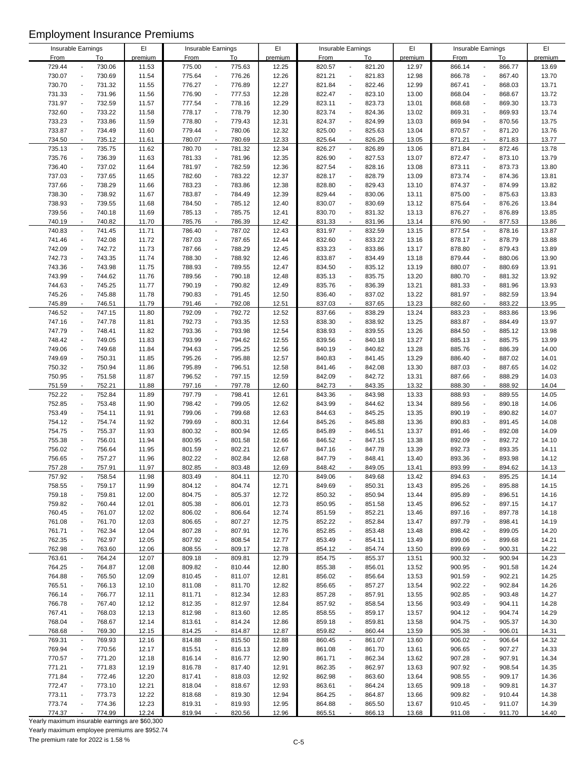| Insurable Earnings                 |        | EI      |             | Insurable Earnings                 | EI      |             | Insurable Earnings                 | EI      | Insurable Earnings                 |        | EI      |
|------------------------------------|--------|---------|-------------|------------------------------------|---------|-------------|------------------------------------|---------|------------------------------------|--------|---------|
| <b>From</b>                        | To     | premium | <b>From</b> | To                                 | premium | <b>From</b> | To                                 | premium | <b>From</b>                        | To     | premium |
| 729.44                             | 730.06 | 11.53   | 775.00      | 775.63<br>$\overline{\phantom{a}}$ | 12.25   | 820.57      | 821.20<br>$\overline{\phantom{a}}$ | 12.97   | 866.14<br>$\blacksquare$           | 866.77 | 13.69   |
| 730.07<br>$\blacksquare$           | 730.69 | 11.54   | 775.64      | 776.26<br>$\blacksquare$           | 12.26   | 821.21      | 821.83<br>$\blacksquare$           | 12.98   | 866.78<br>$\overline{\phantom{a}}$ | 867.40 | 13.70   |
| 730.70<br>$\overline{\phantom{a}}$ |        |         | 776.27      | $\overline{a}$                     | 12.27   |             | 822.46<br>$\blacksquare$           |         | $\overline{\phantom{a}}$           |        |         |
|                                    | 731.32 | 11.55   |             | 776.89                             |         | 821.84      |                                    | 12.99   | 867.41                             | 868.03 | 13.71   |
| 731.33<br>$\overline{\phantom{a}}$ | 731.96 | 11.56   | 776.90      | 777.53<br>$\overline{a}$           | 12.28   | 822.47      | 823.10<br>$\overline{\phantom{a}}$ | 13.00   | 868.04<br>$\blacksquare$           | 868.67 | 13.72   |
| 731.97<br>$\overline{a}$           | 732.59 | 11.57   | 777.54      | 778.16<br>÷,                       | 12.29   | 823.11      | 823.73<br>$\overline{a}$           | 13.01   | 868.68<br>$\overline{a}$           | 869.30 | 13.73   |
| 732.60<br>$\blacksquare$           | 733.22 | 11.58   | 778.17      | 778.79<br>$\blacksquare$           | 12.30   | 823.74      | 824.36<br>$\overline{a}$           | 13.02   | 869.31<br>$\overline{\phantom{a}}$ | 869.93 | 13.74   |
| 733.23<br>$\overline{a}$           | 733.86 | 11.59   | 778.80      | 779.43<br>$\overline{a}$           | 12.31   | 824.37      | 824.99<br>$\overline{a}$           | 13.03   | 869.94<br>$\overline{a}$           | 870.56 | 13.75   |
| 733.87<br>$\blacksquare$           | 734.49 | 11.60   | 779.44      | 780.06<br>$\overline{a}$           | 12.32   | 825.00      | 825.63<br>$\overline{\phantom{a}}$ | 13.04   | 870.57<br>$\overline{a}$           | 871.20 | 13.76   |
|                                    |        |         |             |                                    |         |             |                                    |         |                                    |        |         |
| 734.50<br>$\overline{\phantom{a}}$ | 735.12 | 11.61   | 780.07      | 780.69<br>$\overline{\phantom{a}}$ | 12.33   | 825.64      | 826.26<br>$\blacksquare$           | 13.05   | 871.21<br>$\overline{a}$           | 871.83 | 13.77   |
| 735.13<br>$\blacksquare$           | 735.75 | 11.62   | 780.70      | 781.32<br>$\overline{\phantom{a}}$ | 12.34   | 826.27      | 826.89<br>$\overline{\phantom{a}}$ | 13.06   | 871.84<br>$\overline{a}$           | 872.46 | 13.78   |
| 735.76<br>$\blacksquare$           | 736.39 | 11.63   | 781.33      | 781.96<br>$\overline{a}$           | 12.35   | 826.90      | 827.53<br>$\overline{\phantom{a}}$ | 13.07   | 872.47<br>$\overline{a}$           | 873.10 | 13.79   |
| 736.40<br>$\overline{a}$           | 737.02 | 11.64   | 781.97      | 782.59<br>÷,                       | 12.36   | 827.54      | 828.16<br>$\overline{\phantom{a}}$ | 13.08   | 873.11<br>$\overline{\phantom{a}}$ | 873.73 | 13.80   |
| 737.03<br>$\overline{\phantom{a}}$ | 737.65 | 11.65   | 782.60      | 783.22<br>$\overline{a}$           | 12.37   | 828.17      | 828.79<br>$\overline{a}$           | 13.09   | 873.74<br>$\overline{a}$           | 874.36 | 13.81   |
| 737.66<br>$\overline{\phantom{a}}$ | 738.29 |         | 783.23      | $\overline{a}$                     |         | 828.80      | 829.43                             |         | $\overline{a}$                     |        |         |
|                                    |        | 11.66   |             | 783.86                             | 12.38   |             |                                    | 13.10   | 874.37                             | 874.99 | 13.82   |
| 738.30<br>$\overline{a}$           | 738.92 | 11.67   | 783.87      | 784.49<br>$\overline{a}$           | 12.39   | 829.44      | 830.06                             | 13.11   | 875.00<br>$\overline{a}$           | 875.63 | 13.83   |
| 738.93<br>$\overline{\phantom{a}}$ | 739.55 | 11.68   | 784.50      | 785.12<br>$\overline{\phantom{a}}$ | 12.40   | 830.07      | 830.69<br>$\overline{\phantom{a}}$ | 13.12   | 875.64<br>$\overline{a}$           | 876.26 | 13.84   |
| 739.56<br>$\overline{a}$           | 740.18 | 11.69   | 785.13      | 785.75<br>$\overline{\phantom{a}}$ | 12.41   | 830.70      | 831.32                             | 13.13   | 876.27<br>$\overline{a}$           | 876.89 | 13.85   |
| 740.19<br>$\sim$                   | 740.82 | 11.70   | 785.76      | 786.39<br>$\blacksquare$           | 12.42   | 831.33      | 831.96<br>$\blacksquare$           | 13.14   | 876.90<br>$\sim$                   | 877.53 | 13.86   |
| 740.83<br>$\blacksquare$           |        |         |             | $\blacksquare$                     |         |             | 832.59                             | 13.15   | $\blacksquare$                     |        |         |
|                                    | 741.45 | 11.71   | 786.40      | 787.02                             | 12.43   | 831.97      | $\overline{\phantom{a}}$           |         | 877.54                             | 878.16 | 13.87   |
| 741.46<br>$\blacksquare$           | 742.08 | 11.72   | 787.03      | 787.65<br>$\blacksquare$           | 12.44   | 832.60      | 833.22<br>$\overline{a}$           | 13.16   | 878.17<br>$\overline{a}$           | 878.79 | 13.88   |
| 742.09<br>$\overline{\phantom{a}}$ | 742.72 | 11.73   | 787.66      | 788.29<br>$\overline{\phantom{a}}$ | 12.45   | 833.23      | 833.86<br>$\overline{\phantom{a}}$ | 13.17   | 878.80<br>$\overline{a}$           | 879.43 | 13.89   |
| 742.73<br>$\overline{a}$           | 743.35 | 11.74   | 788.30      | 788.92<br>$\overline{a}$           | 12.46   | 833.87      | 834.49                             | 13.18   | 879.44<br>$\overline{a}$           | 880.06 | 13.90   |
| 743.36<br>$\overline{\phantom{a}}$ | 743.98 | 11.75   | 788.93      | 789.55<br>$\overline{a}$           | 12.47   | 834.50      | 835.12<br>$\overline{\phantom{a}}$ | 13.19   | 880.07<br>$\overline{a}$           | 880.69 | 13.91   |
| 743.99<br>÷,                       | 744.62 | 11.76   | 789.56      | 790.18<br>÷,                       | 12.48   | 835.13      | 835.75<br>$\overline{\phantom{a}}$ | 13.20   | 880.70<br>$\overline{a}$           | 881.32 | 13.92   |
|                                    |        | 11.77   |             |                                    |         |             | $\ddot{\phantom{a}}$               | 13.21   | $\overline{a}$                     |        |         |
| 744.63<br>$\overline{\phantom{a}}$ | 745.25 |         | 790.19      | 790.82<br>$\blacksquare$           | 12.49   | 835.76      | 836.39                             |         | 881.33                             | 881.96 | 13.93   |
| 745.26<br>$\overline{\phantom{a}}$ | 745.88 | 11.78   | 790.83      | 791.45<br>$\overline{a}$           | 12.50   | 836.40      | 837.02<br>$\blacksquare$           | 13.22   | 881.97<br>$\overline{a}$           | 882.59 | 13.94   |
| 745.89<br>$\overline{\phantom{a}}$ | 746.51 | 11.79   | 791.46      | 792.08<br>$\overline{\phantom{a}}$ | 12.51   | 837.03      | 837.65                             | 13.23   | 882.60<br>$\blacksquare$           | 883.22 | 13.95   |
| 746.52<br>$\overline{\phantom{a}}$ | 747.15 | 11.80   | 792.09      | 792.72<br>$\blacksquare$           | 12.52   | 837.66      | 838.29<br>$\overline{\phantom{a}}$ | 13.24   | 883.23<br>$\blacksquare$           | 883.86 | 13.96   |
| 747.16<br>$\overline{a}$           | 747.78 | 11.81   | 792.73      | 793.35<br>$\overline{a}$           | 12.53   | 838.30      | 838.92                             | 13.25   | 883.87<br>$\overline{a}$           | 884.49 | 13.97   |
| 747.79<br>$\blacksquare$           |        |         | 793.36      | $\blacksquare$                     |         |             | ÷,                                 |         | $\overline{a}$                     |        |         |
|                                    | 748.41 | 11.82   |             | 793.98                             | 12.54   | 838.93      | 839.55                             | 13.26   | 884.50                             | 885.12 | 13.98   |
| 748.42<br>$\overline{a}$           | 749.05 | 11.83   | 793.99      | $\overline{\phantom{a}}$<br>794.62 | 12.55   | 839.56      | 840.18<br>$\overline{\phantom{a}}$ | 13.27   | 885.13<br>$\overline{a}$           | 885.75 | 13.99   |
| 749.06<br>$\blacksquare$           | 749.68 | 11.84   | 794.63      | 795.25<br>$\blacksquare$           | 12.56   | 840.19      | 840.82<br>$\overline{a}$           | 13.28   | 885.76<br>$\overline{a}$           | 886.39 | 14.00   |
| 749.69<br>$\overline{\phantom{a}}$ | 750.31 | 11.85   | 795.26      | 795.88<br>$\overline{\phantom{a}}$ | 12.57   | 840.83      | 841.45<br>$\overline{\phantom{a}}$ | 13.29   | 886.40<br>$\overline{a}$           | 887.02 | 14.01   |
| 750.32<br>$\overline{a}$           | 750.94 | 11.86   | 795.89      | 796.51<br>$\overline{\phantom{a}}$ | 12.58   | 841.46      | 842.08<br>$\overline{\phantom{a}}$ | 13.30   | 887.03<br>$\overline{a}$           | 887.65 | 14.02   |
| 750.95<br>$\overline{\phantom{a}}$ | 751.58 | 11.87   | 796.52      | 797.15<br>$\overline{\phantom{a}}$ | 12.59   | 842.09      | 842.72<br>$\overline{\phantom{a}}$ | 13.31   | 887.66<br>$\overline{\phantom{a}}$ | 888.29 | 14.03   |
| $\sim$                             |        |         |             | ÷,                                 |         |             |                                    |         | ÷,                                 |        |         |
| 751.59                             | 752.21 | 11.88   | 797.16      | 797.78                             | 12.60   | 842.73      | 843.35                             | 13.32   | 888.30                             | 888.92 | 14.04   |
| 752.22<br>$\blacksquare$           | 752.84 | 11.89   | 797.79      | 798.41<br>$\blacksquare$           | 12.61   | 843.36      | 843.98<br>$\overline{\phantom{a}}$ | 13.33   | 888.93<br>$\overline{\phantom{a}}$ | 889.55 | 14.05   |
| 752.85<br>$\overline{\phantom{a}}$ | 753.48 | 11.90   | 798.42      | $\overline{\phantom{a}}$<br>799.05 | 12.62   | 843.99      | 844.62<br>$\overline{a}$           | 13.34   | 889.56<br>$\overline{\phantom{a}}$ | 890.18 | 14.06   |
| 753.49<br>$\overline{a}$           | 754.11 | 11.91   | 799.06      | 799.68<br>$\overline{a}$           | 12.63   | 844.63      | 845.25                             | 13.35   | 890.19<br>$\overline{a}$           | 890.82 | 14.07   |
| 754.12<br>$\overline{\phantom{a}}$ | 754.74 | 11.92   | 799.69      | 800.31<br>$\overline{\phantom{a}}$ | 12.64   | 845.26      | 845.88<br>$\overline{\phantom{a}}$ | 13.36   | 890.83<br>$\overline{a}$           | 891.45 | 14.08   |
| 754.75<br>$\overline{a}$           | 755.37 | 11.93   | 800.32      | 800.94<br>$\overline{\phantom{a}}$ | 12.65   | 845.89      | 846.51                             | 13.37   | 891.46<br>$\overline{\phantom{a}}$ | 892.08 | 14.09   |
|                                    |        |         |             |                                    |         |             |                                    |         |                                    |        |         |
| 755.38<br>$\blacksquare$           | 756.01 | 11.94   | 800.95      | 801.58<br>$\blacksquare$           | 12.66   | 846.52      | 847.15<br>$\overline{\phantom{a}}$ | 13.38   | 892.09<br>$\overline{a}$           | 892.72 | 14.10   |
| 756.02<br>÷,                       | 756.64 | 11.95   | 801.59      | 802.21<br>÷,                       | 12.67   | 847.16      | 847.78<br>$\overline{\phantom{a}}$ | 13.39   | 892.73<br>L,                       | 893.35 | 14.11   |
| 756.65<br>$\overline{\phantom{a}}$ | 757.27 | 11.96   | 802.22      | 802.84<br>$\blacksquare$           | 12.68   | 847.79      | 848.41                             | 13.40   | 893.36<br>$\overline{a}$           | 893.98 | 14.12   |
| 757.28                             | 757.91 | 11.97   | 802.85      | 803.48                             | 12.69   | 848.42      | 849.05                             | 13.41   | 893.99                             | 894.62 | 14.13   |
| 757.92<br>$\overline{\phantom{a}}$ | 758.54 | 11.98   | 803.49      | 804.11<br>$\overline{\phantom{a}}$ | 12.70   | 849.06      | 849.68<br>$\overline{\phantom{a}}$ | 13.42   | 894.63<br>$\overline{a}$           | 895.25 | 14.14   |
|                                    |        |         |             |                                    |         |             |                                    |         |                                    |        |         |
| 758.55                             | 759.17 | 11.99   | 804.12      | 804.74<br>$\overline{\phantom{a}}$ | 12.71   | 849.69      | 850.31                             | 13.43   | 895.26                             | 895.88 | 14.15   |
| 759.18                             | 759.81 | 12.00   | 804.75      | 805.37<br>$\overline{\phantom{a}}$ | 12.72   | 850.32      | 850.94                             | 13.44   | 895.89<br>$\overline{a}$           | 896.51 | 14.16   |
| 759.82<br>$\overline{\phantom{a}}$ | 760.44 | 12.01   | 805.38      | 806.01<br>$\overline{\phantom{a}}$ | 12.73   | 850.95      | 851.58<br>$\blacksquare$           | 13.45   | 896.52<br>$\overline{a}$           | 897.15 | 14.17   |
| 760.45<br>$\overline{\phantom{a}}$ | 761.07 | 12.02   | 806.02      | 806.64<br>$\overline{\phantom{a}}$ | 12.74   | 851.59      | 852.21                             | 13.46   | 897.16<br>$\overline{a}$           | 897.78 | 14.18   |
| 761.08<br>$\overline{a}$           | 761.70 | 12.03   | 806.65      | 807.27<br>$\blacksquare$           | 12.75   | 852.22      | 852.84                             | 13.47   | 897.79                             | 898.41 | 14.19   |
| 761.71<br>$\blacksquare$           | 762.34 | 12.04   | 807.28      | 807.91<br>$\overline{\phantom{a}}$ | 12.76   | 852.85      | 853.48<br>$\overline{\phantom{a}}$ | 13.48   | 898.42<br>$\overline{a}$           | 899.05 | 14.20   |
| 762.35                             |        |         |             | $\overline{\phantom{a}}$           |         |             |                                    |         |                                    |        |         |
|                                    | 762.97 | 12.05   | 807.92      | 808.54                             | 12.77   | 853.49      | 854.11                             | 13.49   | 899.06                             | 899.68 | 14.21   |
| 762.98                             | 763.60 | 12.06   | 808.55      | 809.17<br>$\blacksquare$           | 12.78   | 854.12      | 854.74<br>$\overline{\phantom{a}}$ | 13.50   | 899.69                             | 900.31 | 14.22   |
| 763.61                             | 764.24 | 12.07   | 809.18      | 809.81<br>$\overline{\phantom{a}}$ | 12.79   | 854.75      | 855.37                             | 13.51   | 900.32<br>$\blacksquare$           | 900.94 | 14.23   |
| 764.25<br>$\blacksquare$           | 764.87 | 12.08   | 809.82      | 810.44<br>$\blacksquare$           | 12.80   | 855.38      | 856.01                             | 13.52   | 900.95                             | 901.58 | 14.24   |
| 764.88<br>$\blacksquare$           | 765.50 | 12.09   | 810.45      | 811.07<br>$\blacksquare$           | 12.81   | 856.02      | 856.64<br>$\overline{\phantom{a}}$ | 13.53   | 901.59<br>÷,                       | 902.21 | 14.25   |
| 765.51<br>$\overline{\phantom{a}}$ | 766.13 | 12.10   | 811.08      | 811.70<br>$\overline{\phantom{a}}$ | 12.82   | 856.65      | 857.27                             | 13.54   | 902.22                             | 902.84 | 14.26   |
|                                    |        |         |             |                                    |         |             |                                    |         |                                    |        |         |
| 766.14<br>$\overline{a}$           | 766.77 | 12.11   | 811.71      | 812.34<br>$\overline{\phantom{a}}$ | 12.83   | 857.28      | 857.91                             | 13.55   | 902.85<br>$\overline{a}$           | 903.48 | 14.27   |
| 766.78                             | 767.40 | 12.12   | 812.35      | 812.97<br>$\overline{\phantom{a}}$ | 12.84   | 857.92      | 858.54                             | 13.56   | 903.49                             | 904.11 | 14.28   |
| 767.41<br>$\overline{a}$           | 768.03 | 12.13   | 812.98      | 813.60<br>$\overline{\phantom{a}}$ | 12.85   | 858.55      | 859.17<br>$\blacksquare$           | 13.57   | 904.12                             | 904.74 | 14.29   |
| 768.04<br>$\overline{a}$           | 768.67 | 12.14   | 813.61      | 814.24<br>$\overline{\phantom{a}}$ | 12.86   | 859.18      | 859.81                             | 13.58   | 904.75<br>$\overline{a}$           | 905.37 | 14.30   |
| 768.68<br>$\overline{\phantom{a}}$ | 769.30 | 12.15   | 814.25      | 814.87<br>$\overline{\phantom{a}}$ | 12.87   | 859.82      | 860.44                             | 13.59   | 905.38                             | 906.01 | 14.31   |
| 769.31                             |        |         |             |                                    |         |             | 861.07                             |         | 906.02<br>$\blacksquare$           |        | 14.32   |
| $\overline{\phantom{a}}$           | 769.93 | 12.16   | 814.88      | 815.50<br>$\blacksquare$           | 12.88   | 860.45      | $\overline{\phantom{a}}$           | 13.60   |                                    | 906.64 |         |
| 769.94                             | 770.56 | 12.17   | 815.51      | 816.13<br>$\overline{\phantom{a}}$ | 12.89   | 861.08      | 861.70                             | 13.61   | 906.65                             | 907.27 | 14.33   |
| 770.57<br>$\blacksquare$           | 771.20 | 12.18   | 816.14      | 816.77<br>$\overline{\phantom{a}}$ | 12.90   | 861.71      | 862.34<br>$\blacksquare$           | 13.62   | 907.28<br>$\blacksquare$           | 907.91 | 14.34   |
| 771.21<br>$\blacksquare$           | 771.83 | 12.19   | 816.78      | 817.40<br>$\overline{\phantom{a}}$ | 12.91   | 862.35      | 862.97                             | 13.63   | 907.92<br>$\overline{a}$           | 908.54 | 14.35   |
| 771.84<br>$\overline{\phantom{a}}$ | 772.46 | 12.20   | 817.41      | 818.03<br>$\overline{\phantom{a}}$ | 12.92   | 862.98      | 863.60                             | 13.64   | 908.55                             | 909.17 | 14.36   |
| 772.47<br>$\blacksquare$           | 773.10 | 12.21   | 818.04      | 818.67<br>$\blacksquare$           | 12.93   | 863.61      | 864.24<br>$\overline{\phantom{a}}$ | 13.65   | 909.18<br>$\overline{a}$           | 909.81 | 14.37   |
|                                    |        |         |             |                                    |         |             |                                    |         |                                    |        |         |
| 773.11                             | 773.73 | 12.22   | 818.68      | 819.30<br>$\overline{\phantom{a}}$ | 12.94   | 864.25      | 864.87                             | 13.66   | 909.82                             | 910.44 | 14.38   |
| 773.74<br>$\overline{a}$           | 774.36 | 12.23   | 819.31      | 819.93<br>$\overline{\phantom{a}}$ | 12.95   | 864.88      | 865.50<br>$\overline{a}$           | 13.67   | 910.45<br>$\overline{a}$           | 911.07 | 14.39   |
| 774.37                             | 774.99 | 12.24   | 819.94      | 820.56                             | 12.96   | 865.51      | 866.13                             | 13.68   | 911.08                             | 911.70 | 14.40   |

Yearly maximum insurable earnings are \$60,300

Yearly maximum employee premiums are \$952.74

The premium rate for 2022 is 1.58 %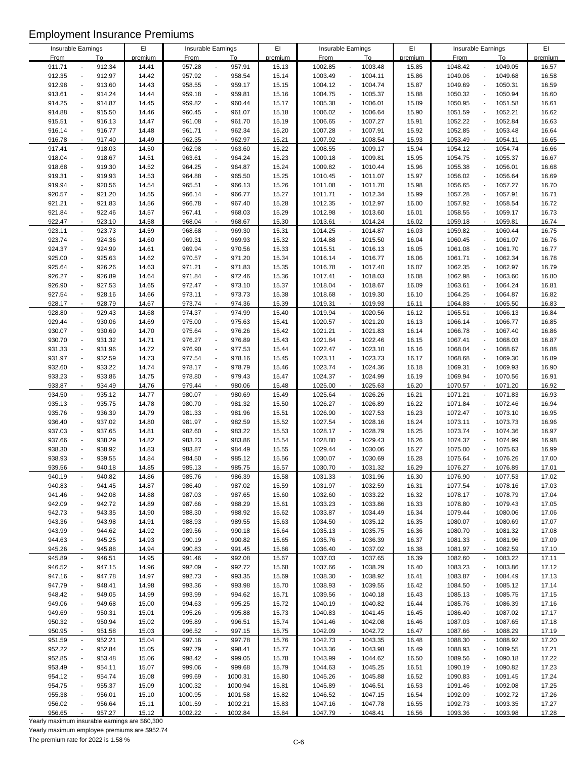| Insurable Earnings |                                    | EI      |             | Insurable Earnings                  | EI      |             | Insurable Earnings                  | EI      |             | Insurable Earnings                      | EI      |
|--------------------|------------------------------------|---------|-------------|-------------------------------------|---------|-------------|-------------------------------------|---------|-------------|-----------------------------------------|---------|
| <b>From</b>        | To                                 | premium | <b>From</b> | To                                  | premium | <b>From</b> | To                                  | premium | <b>From</b> | To                                      | premium |
| 911.71             | 912.34<br>$\overline{\phantom{m}}$ | 14.41   | 957.28      | 957.91<br>$\blacksquare$            | 15.13   | 1002.85     | 1003.48                             | 15.85   | 1048.42     | 1049.05<br>$\overline{a}$               | 16.57   |
| 912.35             | 912.97<br>$\blacksquare$           | 14.42   | 957.92      | 958.54<br>$\overline{\phantom{a}}$  | 15.14   | 1003.49     | 1004.11                             | 15.86   | 1049.06     | 1049.68<br>$\overline{a}$               | 16.58   |
|                    |                                    |         |             |                                     |         |             |                                     |         |             |                                         |         |
| 912.98             | 913.60<br>$\blacksquare$           | 14.43   | 958.55      | 959.17<br>$\blacksquare$            | 15.15   | 1004.12     | 1004.74<br>$\overline{\phantom{a}}$ | 15.87   | 1049.69     | 1050.31<br>$\overline{a}$               | 16.59   |
| 913.61             | 914.24<br>$\overline{\phantom{a}}$ | 14.44   | 959.18      | 959.81<br>$\blacksquare$            | 15.16   | 1004.75     | 1005.37<br>$\overline{\phantom{a}}$ | 15.88   | 1050.32     | 1050.94<br>$\overline{a}$               | 16.60   |
| 914.25             | 914.87<br>$\overline{a}$           | 14.45   | 959.82      | 960.44<br>$\overline{a}$            | 15.17   | 1005.38     | 1006.01                             | 15.89   | 1050.95     | 1051.58<br>÷,                           | 16.61   |
| 914.88             | 915.50<br>$\overline{\phantom{a}}$ | 14.46   | 960.45      | 961.07<br>$\blacksquare$            | 15.18   | 1006.02     | 1006.64<br>$\blacksquare$           | 15.90   | 1051.59     | 1052.21<br>$\overline{a}$               | 16.62   |
| 915.51             | 916.13<br>$\blacksquare$           | 14.47   | 961.08      | 961.70<br>$\overline{\phantom{a}}$  | 15.19   | 1006.65     | 1007.27<br>$\overline{\phantom{a}}$ | 15.91   | 1052.22     | 1052.84<br>$\overline{a}$               | 16.63   |
|                    |                                    |         |             |                                     |         |             |                                     |         |             |                                         |         |
| 916.14             | 916.77<br>$\blacksquare$           | 14.48   | 961.71      | 962.34<br>$\overline{\phantom{a}}$  | 15.20   | 1007.28     | 1007.91                             | 15.92   | 1052.85     | 1053.48<br>$\overline{a}$               | 16.64   |
| 916.78             | 917.40<br>$\blacksquare$           | 14.49   | 962.35      | 962.97<br>$\blacksquare$            | 15.21   | 1007.92     | 1008.54<br>$\overline{\phantom{a}}$ | 15.93   | 1053.49     | 1054.11<br>$\blacksquare$               | 16.65   |
| 917.41             | 918.03<br>$\overline{\phantom{a}}$ | 14.50   | 962.98      | 963.60<br>$\blacksquare$            | 15.22   | 1008.55     | 1009.17<br>$\blacksquare$           | 15.94   | 1054.12     | 1054.74<br>$\blacksquare$               | 16.66   |
| 918.04             | 918.67<br>$\blacksquare$           | 14.51   | 963.61      | 964.24<br>$\blacksquare$            | 15.23   | 1009.18     | 1009.81<br>$\overline{\phantom{a}}$ | 15.95   | 1054.75     | 1055.37<br>÷,                           | 16.67   |
|                    | $\blacksquare$                     |         | 964.25      | $\blacksquare$                      | 15.24   |             |                                     |         |             | $\overline{a}$                          |         |
| 918.68             | 919.30                             | 14.52   |             | 964.87                              |         | 1009.82     | 1010.44                             | 15.96   | 1055.38     | 1056.01                                 | 16.68   |
| 919.31             | 919.93<br>$\overline{\phantom{a}}$ | 14.53   | 964.88      | 965.50<br>$\blacksquare$            | 15.25   | 1010.45     | 1011.07<br>$\overline{\phantom{a}}$ | 15.97   | 1056.02     | 1056.64<br>$\overline{a}$               | 16.69   |
| 919.94             | 920.56<br>$\overline{a}$           | 14.54   | 965.51      | 966.13<br>$\overline{a}$            | 15.26   | 1011.08     | 1011.70                             | 15.98   | 1056.65     | 1057.27<br>$\overline{a}$               | 16.70   |
| 920.57             | 921.20<br>$\overline{a}$           | 14.55   | 966.14      | 966.77<br>$\overline{a}$            | 15.27   | 1011.71     | 1012.34                             | 15.99   | 1057.28     | 1057.91<br>÷,                           | 16.71   |
| 921.21             | 921.83<br>$\blacksquare$           | 14.56   | 966.78      | 967.40<br>$\overline{\phantom{a}}$  | 15.28   | 1012.35     | 1012.97<br>$\overline{\phantom{a}}$ | 16.00   | 1057.92     | 1058.54<br>$\overline{a}$               | 16.72   |
|                    |                                    |         |             |                                     |         |             |                                     |         |             |                                         |         |
| 921.84             | 922.46<br>$\overline{a}$           | 14.57   | 967.41      | $\overline{a}$<br>968.03            | 15.29   | 1012.98     | 1013.60                             | 16.01   | 1058.55     | 1059.17<br>÷,                           | 16.73   |
| 922.47             | 923.10<br>$\mathbf{r}$             | 14.58   | 968.04      | 968.67<br>$\blacksquare$            | 15.30   | 1013.61     | 1014.24<br>$\sim$                   | 16.02   | 1059.18     | 1059.81<br>ä,                           | 16.74   |
| 923.11             | 923.73<br>$\blacksquare$           | 14.59   | 968.68      | 969.30<br>$\blacksquare$            | 15.31   | 1014.25     | 1014.87<br>$\overline{\phantom{a}}$ | 16.03   | 1059.82     | 1060.44<br>$\blacksquare$               | 16.75   |
| 923.74             | 924.36<br>$\blacksquare$           | 14.60   | 969.31      | 969.93<br>$\blacksquare$            | 15.32   | 1014.88     | 1015.50                             | 16.04   | 1060.45     | 1061.07<br>$\overline{a}$               | 16.76   |
| 924.37             | 924.99<br>$\blacksquare$           | 14.61   | 969.94      | 970.56<br>$\overline{\phantom{a}}$  | 15.33   | 1015.51     | 1016.13                             | 16.05   | 1061.08     | 1061.70<br>$\overline{a}$               | 16.77   |
|                    |                                    |         |             |                                     |         |             |                                     |         |             |                                         |         |
| 925.00             | 925.63<br>$\overline{a}$           | 14.62   | 970.57      | 971.20<br>$\overline{\phantom{a}}$  | 15.34   | 1016.14     | 1016.77<br>$\overline{\phantom{a}}$ | 16.06   | 1061.71     | 1062.34<br>$\overline{a}$               | 16.78   |
| 925.64             | 926.26<br>$\blacksquare$           | 14.63   | 971.21      | 971.83<br>$\overline{\phantom{a}}$  | 15.35   | 1016.78     | 1017.40                             | 16.07   | 1062.35     | 1062.97<br>÷,                           | 16.79   |
| 926.27             | 926.89<br>$\overline{a}$           | 14.64   | 971.84      | 972.46<br>÷,                        | 15.36   | 1017.41     | 1018.03                             | 16.08   | 1062.98     | 1063.60<br>$\overline{a}$               | 16.80   |
| 926.90             | 927.53<br>$\overline{\phantom{a}}$ | 14.65   | 972.47      | 973.10<br>$\blacksquare$            | 15.37   | 1018.04     | 1018.67<br>$\overline{\phantom{a}}$ | 16.09   | 1063.61     | 1064.24<br>$\overline{a}$               | 16.81   |
| 927.54             | 928.16<br>$\blacksquare$           | 14.66   | 973.11      | 973.73<br>$\ddot{\phantom{a}}$      | 15.38   | 1018.68     | 1019.30                             | 16.10   | 1064.25     | 1064.87<br>$\overline{a}$               | 16.82   |
|                    |                                    |         |             |                                     |         |             |                                     |         |             |                                         |         |
| 928.17             | 928.79<br>$\blacksquare$           | 14.67   | 973.74      | 974.36<br>$\blacksquare$            | 15.39   | 1019.31     | 1019.93                             | 16.11   | 1064.88     | 1065.50<br>$\overline{a}$               | 16.83   |
| 928.80             | 929.43<br>$\overline{\phantom{a}}$ | 14.68   | 974.37      | 974.99<br>$\blacksquare$            | 15.40   | 1019.94     | 1020.56<br>$\overline{\phantom{a}}$ | 16.12   | 1065.51     | 1066.13<br>$\blacksquare$               | 16.84   |
| 929.44             | 930.06<br>$\overline{a}$           | 14.69   | 975.00      | 975.63<br>$\overline{\phantom{a}}$  | 15.41   | 1020.57     | 1021.20                             | 16.13   | 1066.14     | 1066.77<br>$\overline{a}$               | 16.85   |
| 930.07             | 930.69<br>$\blacksquare$           | 14.70   | 975.64      | 976.26<br>$\blacksquare$            | 15.42   | 1021.21     | 1021.83<br>$\overline{\phantom{a}}$ | 16.14   | 1066.78     | 1067.40<br>÷,                           | 16.86   |
| 930.70             | 931.32<br>$\overline{a}$           | 14.71   | 976.27      | 976.89<br>$\ddot{\phantom{a}}$      | 15.43   | 1021.84     | 1022.46<br>$\overline{\phantom{a}}$ | 16.15   | 1067.41     | 1068.03<br>÷,                           | 16.87   |
|                    |                                    |         |             |                                     |         |             |                                     |         |             |                                         |         |
| 931.33             | 931.96<br>$\overline{\phantom{a}}$ | 14.72   | 976.90      | 977.53<br>$\blacksquare$            | 15.44   | 1022.47     | 1023.10                             | 16.16   | 1068.04     | 1068.67<br>$\overline{a}$               | 16.88   |
| 931.97             | 932.59<br>$\blacksquare$           | 14.73   | 977.54      | 978.16<br>$\overline{\phantom{a}}$  | 15.45   | 1023.11     | 1023.73<br>$\overline{a}$           | 16.17   | 1068.68     | 1069.30<br>$\overline{a}$               | 16.89   |
| 932.60             | 933.22<br>$\overline{a}$           | 14.74   | 978.17      | 978.79<br>$\overline{\phantom{a}}$  | 15.46   | 1023.74     | 1024.36<br>$\overline{a}$           | 16.18   | 1069.31     | 1069.93<br>$\overline{a}$               | 16.90   |
| 933.23             | 933.86<br>$\blacksquare$           | 14.75   | 978.80      | 979.43<br>$\overline{\phantom{a}}$  | 15.47   | 1024.37     | 1024.99                             | 16.19   | 1069.94     | 1070.56<br>$\overline{a}$               | 16.91   |
| 933.87             | 934.49<br>$\sim$                   | 14.76   | 979.44      | 980.06<br>÷,                        | 15.48   | 1025.00     | 1025.63<br>$\sim$                   | 16.20   | 1070.57     | 1071.20<br>$\sim$                       | 16.92   |
|                    |                                    |         |             |                                     |         |             |                                     |         |             |                                         |         |
| 934.50             | 935.12<br>$\blacksquare$           | 14.77   | 980.07      | 980.69<br>$\blacksquare$            | 15.49   | 1025.64     | 1026.26<br>$\overline{\phantom{a}}$ | 16.21   | 1071.21     | 1071.83<br>$\overline{\phantom{a}}$     | 16.93   |
| 935.13             | 935.75<br>$\overline{\phantom{a}}$ | 14.78   | 980.70      | 981.32<br>$\overline{a}$            | 15.50   | 1026.27     | 1026.89                             | 16.22   | 1071.84     | 1072.46<br>÷,                           | 16.94   |
| 935.76             | 936.39<br>$\overline{a}$           | 14.79   | 981.33      | 981.96<br>$\overline{a}$            | 15.51   | 1026.90     | 1027.53                             | 16.23   | 1072.47     | 1073.10<br>÷,                           | 16.95   |
| 936.40             | 937.02<br>$\blacksquare$           | 14.80   | 981.97      | 982.59<br>$\overline{\phantom{a}}$  | 15.52   | 1027.54     | 1028.16<br>$\overline{\phantom{a}}$ | 16.24   | 1073.11     | 1073.73<br>$\overline{a}$               | 16.96   |
| 937.03             | 937.65<br>$\overline{a}$           | 14.81   | 982.60      | 983.22<br>$\overline{\phantom{a}}$  | 15.53   | 1028.17     | 1028.79                             | 16.25   | 1073.74     | 1074.36                                 | 16.97   |
|                    |                                    |         |             |                                     |         |             |                                     |         |             |                                         |         |
| 937.66             | 938.29<br>$\blacksquare$           | 14.82   | 983.23      | 983.86<br>$\blacksquare$            | 15.54   | 1028.80     | 1029.43<br>$\overline{\phantom{a}}$ | 16.26   | 1074.37     | 1074.99<br>$\overline{a}$               | 16.98   |
| 938.30             | 938.92                             | 14.83   | 983.87      | 984.49<br>÷,                        | 15.55   | 1029.44     | 1030.06                             | 16.27   | 1075.00     | 1075.63<br>÷,                           | 16.99   |
| 938.93             | 939.55<br>$\blacksquare$           | 14.84   | 984.50      | 985.12<br>$\blacksquare$            | 15.56   | 1030.07     | 1030.69                             | 16.28   | 1075.64     | 1076.26<br>$\overline{a}$               | 17.00   |
| 939.56             | 940.18                             | 14.85   | 985.13      | 985.75                              | 15.57   | 1030.70     | 1031.32                             | 16.29   | 1076.27     | 1076.89                                 | 17.01   |
|                    |                                    |         |             |                                     |         |             |                                     |         |             |                                         |         |
| 940.19             | 940.82<br>$\overline{\phantom{a}}$ | 14.86   | 985.76      | 986.39<br>$\overline{\phantom{a}}$  | 15.58   | 1031.33     | 1031.96<br>$\overline{\phantom{a}}$ | 16.30   | 1076.90     | 1077.53<br>$\overline{a}$               | 17.02   |
| 940.83             | 941.45                             | 14.87   | 986.40      | 987.02<br>$\overline{\phantom{a}}$  | 15.59   | 1031.97     | 1032.59                             | 16.31   | 1077.54     | 1078.16                                 | 17.03   |
| 941.46             | 942.08<br>$\overline{a}$           | 14.88   | 987.03      | 987.65<br>$\overline{\phantom{a}}$  | 15.60   | 1032.60     | 1033.22                             | 16.32   | 1078.17     | 1078.79<br>$\overline{a}$               | 17.04   |
| 942.09             | 942.72<br>$\blacksquare$           | 14.89   | 987.66      | 988.29<br>$\overline{\phantom{a}}$  | 15.61   | 1033.23     | 1033.86                             | 16.33   | 1078.80     | 1079.43<br>$\overline{a}$               | 17.05   |
| 942.73             | 943.35<br>$\blacksquare$           | 14.90   | 988.30      | 988.92<br>$\overline{\phantom{a}}$  | 15.62   | 1033.87     | 1034.49                             | 16.34   | 1079.44     | 1080.06<br>$\overline{a}$               | 17.06   |
| 943.36             | 943.98<br>$\overline{a}$           | 14.91   | 988.93      | 989.55<br>$\blacksquare$            | 15.63   | 1034.50     | 1035.12                             | 16.35   | 1080.07     | 1080.69                                 | 17.07   |
|                    |                                    |         |             |                                     |         |             |                                     |         |             |                                         |         |
| 943.99             | 944.62<br>$\blacksquare$           | 14.92   | 989.56      | 990.18<br>$\overline{\phantom{a}}$  | 15.64   | 1035.13     | 1035.75<br>$\blacksquare$           | 16.36   | 1080.70     | 1081.32<br>$\overline{a}$               | 17.08   |
| 944.63             | 945.25                             | 14.93   | 990.19      | 990.82<br>$\overline{\phantom{a}}$  | 15.65   | 1035.76     | 1036.39                             | 16.37   | 1081.33     | 1081.96                                 | 17.09   |
| 945.26             | 945.88<br>$\overline{a}$           | 14.94   | 990.83      | 991.45<br>$\blacksquare$            | 15.66   | 1036.40     | 1037.02<br>$\overline{\phantom{a}}$ | 16.38   | 1081.97     | 1082.59<br>÷,                           | 17.10   |
| 945.89             | 946.51<br>$\overline{a}$           | 14.95   | 991.46      | 992.08<br>$\overline{\phantom{a}}$  | 15.67   | 1037.03     | 1037.65                             | 16.39   | 1082.60     | 1083.22<br>$\qquad \qquad \blacksquare$ | 17.11   |
| 946.52             | 947.15<br>$\blacksquare$           | 14.96   | 992.09      | 992.72<br>$\overline{\phantom{a}}$  | 15.68   | 1037.66     | 1038.29                             | 16.40   | 1083.23     | 1083.86<br>$\overline{a}$               | 17.12   |
|                    |                                    |         |             |                                     |         |             |                                     |         |             |                                         |         |
| 947.16             | 947.78<br>$\blacksquare$           | 14.97   | 992.73      | 993.35<br>$\overline{\phantom{a}}$  | 15.69   | 1038.30     | 1038.92                             | 16.41   | 1083.87     | 1084.49<br>÷,                           | 17.13   |
| 947.79             | 948.41<br>$\overline{\phantom{a}}$ | 14.98   | 993.36      | 993.98<br>$\overline{\phantom{a}}$  | 15.70   | 1038.93     | 1039.55<br>$\overline{a}$           | 16.42   | 1084.50     | 1085.12<br>$\overline{a}$               | 17.14   |
| 948.42             | 949.05<br>$\overline{a}$           | 14.99   | 993.99      | 994.62<br>$\overline{\phantom{a}}$  | 15.71   | 1039.56     | 1040.18<br>$\overline{a}$           | 16.43   | 1085.13     | 1085.75                                 | 17.15   |
| 949.06             | 949.68                             | 15.00   | 994.63      | 995.25<br>$\overline{\phantom{a}}$  | 15.72   | 1040.19     | 1040.82                             | 16.44   | 1085.76     | 1086.39                                 | 17.16   |
| 949.69             | 950.31<br>$\overline{a}$           | 15.01   | 995.26      | 995.88<br>$\overline{\phantom{a}}$  | 15.73   | 1040.83     | 1041.45                             | 16.45   | 1086.40     | 1087.02                                 | 17.17   |
|                    |                                    |         |             |                                     |         |             |                                     |         |             |                                         |         |
| 950.32             | 950.94<br>$\overline{a}$           | 15.02   | 995.89      | 996.51<br>$\overline{\phantom{a}}$  | 15.74   | 1041.46     | 1042.08                             | 16.46   | 1087.03     | 1087.65                                 | 17.18   |
| 950.95             | 951.58<br>$\overline{\phantom{a}}$ | 15.03   | 996.52      | 997.15<br>$\overline{\phantom{a}}$  | 15.75   | 1042.09     | 1042.72<br>$\blacksquare$           | 16.47   | 1087.66     | 1088.29<br>$\blacksquare$               | 17.19   |
| 951.59             | 952.21<br>$\blacksquare$           | 15.04   | 997.16      | 997.78<br>$\blacksquare$            | 15.76   | 1042.73     | 1043.35<br>$\overline{\phantom{a}}$ | 16.48   | 1088.30     | 1088.92<br>$\blacksquare$               | 17.20   |
| 952.22             | 952.84<br>$\overline{a}$           | 15.05   | 997.79      | 998.41<br>$\overline{\phantom{a}}$  | 15.77   | 1043.36     | 1043.98                             | 16.49   | 1088.93     | 1089.55                                 | 17.21   |
|                    | $\blacksquare$                     |         |             |                                     |         |             |                                     |         |             |                                         |         |
| 952.85             | 953.48                             | 15.06   | 998.42      | 999.05<br>$\blacksquare$            | 15.78   | 1043.99     | 1044.62<br>$\blacksquare$           | 16.50   | 1089.56     | 1090.18<br>$\overline{a}$               | 17.22   |
| 953.49             | 954.11<br>$\overline{a}$           | 15.07   | 999.06      | 999.68<br>$\overline{\phantom{a}}$  | 15.79   | 1044.63     | 1045.25                             | 16.51   | 1090.19     | 1090.82<br>$\overline{a}$               | 17.23   |
| 954.12             | 954.74<br>$\overline{\phantom{a}}$ | 15.08   | 999.69      | 1000.31<br>$\blacksquare$           | 15.80   | 1045.26     | 1045.88                             | 16.52   | 1090.83     | 1091.45<br>$\overline{a}$               | 17.24   |
| 954.75             | 955.37<br>$\blacksquare$           | 15.09   | 1000.32     | 1000.94<br>$\blacksquare$           | 15.81   | 1045.89     | 1046.51<br>$\overline{\phantom{a}}$ | 16.53   | 1091.46     | 1092.08<br>$\overline{a}$               | 17.25   |
| 955.38             | 956.01                             | 15.10   | 1000.95     | 1001.58<br>$\overline{\phantom{a}}$ | 15.82   | 1046.52     | 1047.15<br>$\overline{\phantom{a}}$ | 16.54   | 1092.09     | 1092.72                                 | 17.26   |
| 956.02             | $\overline{\phantom{a}}$           |         |             | $\overline{\phantom{a}}$            |         |             | 1047.78                             |         |             |                                         |         |
|                    | 956.64                             | 15.11   | 1001.59     | 1002.21                             | 15.83   | 1047.16     |                                     | 16.55   | 1092.73     | 1093.35                                 | 17.27   |
| 956.65             | 957.27                             | 15.12   | 1002.22     | 1002.84                             | 15.84   | 1047.79     | 1048.41                             | 16.56   | 1093.36     | 1093.98                                 | 17.28   |

Yearly maximum insurable earnings are \$60,300

Yearly maximum employee premiums are \$952.74

The premium rate for 2022 is 1.58 %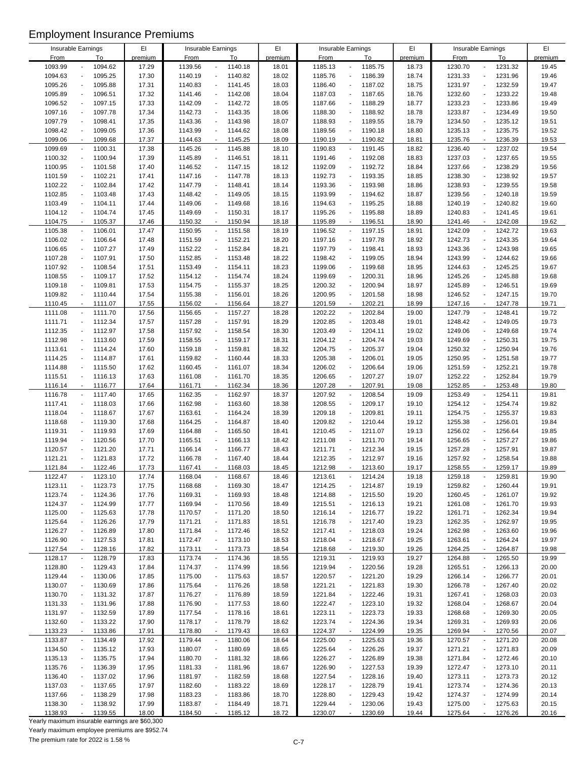|                    |                          |         | EI      |             |                                     | EI      |             |                                         | EI      |                    |                                     | EI      |
|--------------------|--------------------------|---------|---------|-------------|-------------------------------------|---------|-------------|-----------------------------------------|---------|--------------------|-------------------------------------|---------|
| Insurable Earnings |                          |         |         |             | Insurable Earnings                  |         |             | Insurable Earnings                      |         | Insurable Earnings |                                     |         |
| <b>From</b>        |                          | To      | premium | <b>From</b> | To                                  | premium | <b>From</b> | To                                      | premium | <b>From</b>        | To                                  | premium |
| 1093.99            |                          | 1094.62 | 17.29   | 1139.56     | 1140.18<br>$\blacksquare$           | 18.01   | 1185.13     | 1185.75                                 | 18.73   | 1230.70            | 1231.32<br>$\overline{\phantom{a}}$ | 19.45   |
| 1094.63            |                          | 1095.25 | 17.30   | 1140.19     | 1140.82<br>$\blacksquare$           | 18.02   | 1185.76     | 1186.39                                 | 18.74   | 1231.33            | 1231.96<br>$\blacksquare$           | 19.46   |
| 1095.26            | $\overline{\phantom{a}}$ | 1095.88 | 17.31   | 1140.83     | 1141.45<br>$\blacksquare$           | 18.03   | 1186.40     | 1187.02                                 | 18.75   | 1231.97            | 1232.59<br>$\overline{\phantom{a}}$ | 19.47   |
| 1095.89            | $\overline{\phantom{a}}$ | 1096.51 | 17.32   | 1141.46     | 1142.08<br>$\blacksquare$           | 18.04   | 1187.03     | 1187.65<br>$\overline{\phantom{a}}$     | 18.76   | 1232.60            | 1233.22<br>$\overline{\phantom{a}}$ | 19.48   |
| 1096.52            | $\overline{\phantom{a}}$ | 1097.15 | 17.33   | 1142.09     | 1142.72<br>$\blacksquare$           | 18.05   | 1187.66     | 1188.29                                 | 18.77   | 1233.23            | 1233.86<br>$\overline{a}$           | 19.49   |
| 1097.16            | $\blacksquare$           | 1097.78 | 17.34   | 1142.73     | 1143.35<br>$\blacksquare$           | 18.06   | 1188.30     | 1188.92<br>$\overline{\phantom{a}}$     | 18.78   | 1233.87            | 1234.49<br>$\blacksquare$           | 19.50   |
| 1097.79            | ÷,                       | 1098.41 | 17.35   | 1143.36     | 1143.98<br>$\blacksquare$           | 18.07   | 1188.93     | 1189.55<br>$\overline{\phantom{a}}$     | 18.79   | 1234.50            | 1235.12<br>$\overline{\phantom{a}}$ | 19.51   |
| 1098.42            | $\ddot{\phantom{a}}$     | 1099.05 | 17.36   | 1143.99     | 1144.62<br>$\blacksquare$           | 18.08   | 1189.56     | 1190.18                                 | 18.80   | 1235.13            | 1235.75<br>$\blacksquare$           | 19.52   |
|                    |                          |         |         |             |                                     |         |             |                                         |         |                    |                                     |         |
| 1099.06            | $\blacksquare$           | 1099.68 | 17.37   | 1144.63     | 1145.25<br>$\blacksquare$           | 18.09   | 1190.19     | 1190.82<br>$\overline{\phantom{a}}$     | 18.81   | 1235.76            | 1236.39<br>$\blacksquare$           | 19.53   |
| 1099.69            | $\overline{\phantom{a}}$ | 1100.31 | 17.38   | 1145.26     | 1145.88<br>$\blacksquare$           | 18.10   | 1190.83     | 1191.45                                 | 18.82   | 1236.40            | 1237.02<br>$\overline{\phantom{a}}$ | 19.54   |
| 1100.32            | $\ddot{\phantom{a}}$     | 1100.94 | 17.39   | 1145.89     | 1146.51<br>$\blacksquare$           | 18.11   | 1191.46     | 1192.08                                 | 18.83   | 1237.03            | 1237.65<br>$\overline{a}$           | 19.55   |
| 1100.95            | ÷,                       | 1101.58 | 17.40   | 1146.52     | 1147.15<br>$\blacksquare$           | 18.12   | 1192.09     | 1192.72                                 | 18.84   | 1237.66            | 1238.29<br>$\overline{a}$           | 19.56   |
| 1101.59            | $\blacksquare$           | 1102.21 | 17.41   | 1147.16     | 1147.78<br>$\blacksquare$           | 18.13   | 1192.73     | 1193.35<br>$\overline{\phantom{a}}$     | 18.85   | 1238.30            | 1238.92<br>$\overline{\phantom{a}}$ | 19.57   |
| 1102.22            | $\overline{\phantom{a}}$ | 1102.84 | 17.42   | 1147.79     | 1148.41<br>$\blacksquare$           | 18.14   | 1193.36     | 1193.98                                 | 18.86   | 1238.93            | 1239.55<br>$\blacksquare$           | 19.58   |
| 1102.85            | $\overline{\phantom{a}}$ | 1103.48 | 17.43   | 1148.42     | 1149.05<br>$\blacksquare$           | 18.15   | 1193.99     | 1194.62                                 | 18.87   | 1239.56            | 1240.18<br>$\overline{a}$           | 19.59   |
| 1103.49            | $\overline{\phantom{a}}$ | 1104.11 | 17.44   | 1149.06     | 1149.68<br>$\blacksquare$           | 18.16   | 1194.63     | 1195.25<br>$\overline{\phantom{a}}$     | 18.88   | 1240.19            | 1240.82<br>$\blacksquare$           | 19.60   |
|                    | $\overline{\phantom{a}}$ |         |         |             |                                     |         |             |                                         |         |                    | $\overline{a}$                      |         |
| 1104.12            |                          | 1104.74 | 17.45   | 1149.69     | 1150.31                             | 18.17   | 1195.26     | 1195.88                                 | 18.89   | 1240.83            | 1241.45                             | 19.61   |
| 1104.75            | $\overline{\phantom{a}}$ | 1105.37 | 17.46   | 1150.32     | 1150.94<br>$\mathcal{L}$            | 18.18   | 1195.89     | 1196.51<br>$\sim$                       | 18.90   | 1241.46            | 1242.08<br>$\ddot{\phantom{a}}$     | 19.62   |
| 1105.38            | $\blacksquare$           | 1106.01 | 17.47   | 1150.95     | 1151.58<br>$\blacksquare$           | 18.19   | 1196.52     | 1197.15<br>$\overline{\phantom{a}}$     | 18.91   | 1242.09            | 1242.72<br>$\blacksquare$           | 19.63   |
| 1106.02            | $\overline{\phantom{a}}$ | 1106.64 | 17.48   | 1151.59     | 1152.21<br>$\blacksquare$           | 18.20   | 1197.16     | 1197.78                                 | 18.92   | 1242.73            | 1243.35<br>$\blacksquare$           | 19.64   |
| 1106.65            | $\overline{\phantom{a}}$ | 1107.27 | 17.49   | 1152.22     | 1152.84<br>$\blacksquare$           | 18.21   | 1197.79     | 1198.41                                 | 18.93   | 1243.36            | 1243.98<br>$\overline{a}$           | 19.65   |
| 1107.28            | $\overline{a}$           | 1107.91 | 17.50   | 1152.85     | 1153.48<br>$\blacksquare$           | 18.22   | 1198.42     | 1199.05<br>$\blacksquare$               | 18.94   | 1243.99            | 1244.62<br>$\blacksquare$           | 19.66   |
| 1107.92            | $\overline{\phantom{a}}$ | 1108.54 | 17.51   | 1153.49     | 1154.11<br>$\blacksquare$           | 18.23   | 1199.06     | 1199.68                                 | 18.95   | 1244.63            | 1245.25<br>$\blacksquare$           | 19.67   |
| 1108.55            | ÷,                       | 1109.17 | 17.52   | 1154.12     | 1154.74<br>$\blacksquare$           | 18.24   | 1199.69     | 1200.31                                 | 18.96   | 1245.26            | 1245.88<br>$\overline{a}$           | 19.68   |
| 1109.18            | $\ddot{\phantom{a}}$     | 1109.81 | 17.53   | 1154.75     | 1155.37<br>$\blacksquare$           | 18.25   | 1200.32     | 1200.94                                 | 18.97   | 1245.89            | 1246.51<br>$\blacksquare$           | 19.69   |
|                    |                          |         |         |             |                                     |         |             |                                         |         |                    |                                     |         |
| 1109.82            | $\ddot{\phantom{a}}$     | 1110.44 | 17.54   | 1155.38     | 1156.01<br>$\blacksquare$           | 18.26   | 1200.95     | 1201.58                                 | 18.98   | 1246.52            | 1247.15<br>$\blacksquare$           | 19.70   |
| 1110.45            | $\overline{\phantom{a}}$ | 1111.07 | 17.55   | 1156.02     | 1156.64<br>$\blacksquare$           | 18.27   | 1201.59     | 1202.21<br>$\blacksquare$               | 18.99   | 1247.16            | 1247.78<br>$\sim$                   | 19.71   |
| 1111.08            | $\blacksquare$           | 1111.70 | 17.56   | 1156.65     | 1157.27<br>$\blacksquare$           | 18.28   | 1202.22     | 1202.84<br>$\blacksquare$               | 19.00   | 1247.79            | 1248.41<br>$\overline{\phantom{a}}$ | 19.72   |
| 1111.71            | $\blacksquare$           | 1112.34 | 17.57   | 1157.28     | $\blacksquare$<br>1157.91           | 18.29   | 1202.85     | 1203.48<br>$\overline{a}$               | 19.01   | 1248.42            | 1249.05<br>$\blacksquare$           | 19.73   |
| 1112.35            | $\overline{\phantom{a}}$ | 1112.97 | 17.58   | 1157.92     | 1158.54<br>$\blacksquare$           | 18.30   | 1203.49     | 1204.11<br>$\overline{a}$               | 19.02   | 1249.06            | 1249.68<br>$\blacksquare$           | 19.74   |
| 1112.98            | $\blacksquare$           | 1113.60 | 17.59   | 1158.55     | 1159.17<br>$\overline{\phantom{a}}$ | 18.31   | 1204.12     | 1204.74<br>$\overline{\phantom{a}}$     | 19.03   | 1249.69            | 1250.31<br>$\blacksquare$           | 19.75   |
| 1113.61            | $\overline{\phantom{a}}$ | 1114.24 | 17.60   | 1159.18     | 1159.81<br>$\blacksquare$           | 18.32   | 1204.75     | 1205.37                                 | 19.04   | 1250.32            | 1250.94<br>$\blacksquare$           | 19.76   |
| 1114.25            | $\overline{\phantom{a}}$ | 1114.87 | 17.61   | 1159.82     | 1160.44<br>$\blacksquare$           | 18.33   | 1205.38     | 1206.01                                 | 19.05   | 1250.95            | 1251.58<br>$\overline{a}$           | 19.77   |
| 1114.88            | $\overline{a}$           | 1115.50 | 17.62   | 1160.45     | 1161.07<br>$\blacksquare$           | 18.34   | 1206.02     | 1206.64<br>$\blacksquare$               | 19.06   | 1251.59            | 1252.21<br>$\overline{a}$           | 19.78   |
| 1115.51            | $\overline{\phantom{a}}$ |         |         |             |                                     |         |             | 1207.27                                 | 19.07   |                    | 1252.84<br>$\blacksquare$           |         |
|                    |                          | 1116.13 | 17.63   | 1161.08     | 1161.70<br>$\blacksquare$           | 18.35   | 1206.65     |                                         |         | 1252.22            |                                     | 19.79   |
| 1116.14            | $\mathbf{r}$             | 1116.77 | 17.64   | 1161.71     | 1162.34<br>$\sim$                   | 18.36   | 1207.28     | 1207.91<br>$\overline{\phantom{a}}$     | 19.08   | 1252.85            | 1253.48<br>$\blacksquare$           | 19.80   |
| 1116.78            | $\blacksquare$           | 1117.40 | 17.65   | 1162.35     | 1162.97<br>$\blacksquare$           | 18.37   | 1207.92     | 1208.54<br>$\overline{\phantom{a}}$     | 19.09   | 1253.49            | 1254.11<br>$\overline{\phantom{a}}$ | 19.81   |
| 1117.41            | ÷,                       | 1118.03 | 17.66   | 1162.98     | 1163.60<br>$\blacksquare$           | 18.38   | 1208.55     | 1209.17                                 | 19.10   | 1254.12            | 1254.74<br>$\overline{\phantom{a}}$ | 19.82   |
| 1118.04            | $\overline{a}$           | 1118.67 | 17.67   | 1163.61     | 1164.24<br>$\blacksquare$           | 18.39   | 1209.18     | 1209.81                                 | 19.11   | 1254.75            | 1255.37<br>$\overline{a}$           | 19.83   |
| 1118.68            | $\overline{\phantom{a}}$ | 1119.30 | 17.68   | 1164.25     | 1164.87<br>$\blacksquare$           | 18.40   | 1209.82     | 1210.44<br>$\blacksquare$               | 19.12   | 1255.38            | 1256.01<br>$\overline{\phantom{a}}$ | 19.84   |
| 1119.31            |                          | 1119.93 | 17.69   | 1164.88     | 1165.50<br>$\blacksquare$           | 18.41   | 1210.45     | 1211.07                                 | 19.13   | 1256.02            | 1256.64                             | 19.85   |
| 1119.94            | $\overline{\phantom{a}}$ | 1120.56 | 17.70   | 1165.51     | 1166.13<br>$\blacksquare$           | 18.42   | 1211.08     | 1211.70<br>$\overline{\phantom{a}}$     | 19.14   | 1256.65            | 1257.27<br>$\overline{a}$           | 19.86   |
| 1120.57            | L,                       | 1121.20 | 17.71   | 1166.14     | 1166.77<br>$\blacksquare$           | 18.43   | 1211.71     | 1212.34<br>$\blacksquare$               | 19.15   | 1257.28            | 1257.91<br>$\blacksquare$           | 19.87   |
|                    | $\blacksquare$           |         | 17.72   |             | $\blacksquare$                      |         |             | 1212.97                                 |         |                    | 1258.54<br>$\blacksquare$           |         |
| 1121.21            |                          | 1121.83 |         | 1166.78     | 1167.40                             | 18.44   | 1212.35     |                                         | 19.16   | 1257.92            |                                     | 19.88   |
| 1121.84            |                          | 1122.46 | 17.73   | 1167.41     | 1168.03                             | 18.45   | 1212.98     | 1213.60                                 | 19.17   | 1258.55            | 1259.17                             | 19.89   |
| 1122.47            | $\overline{a}$           | 1123.10 | 17.74   | 1168.04     | 1168.67<br>$\overline{\phantom{a}}$ | 18.46   | 1213.61     | 1214.24<br>$\qquad \qquad \blacksquare$ | 19.18   | 1259.18            | 1259.81<br>$\overline{\phantom{a}}$ | 19.90   |
| 1123.11            |                          | 1123.73 | 17.75   | 1168.68     | 1169.30                             | 18.47   | 1214.25     | 1214.87                                 | 19.19   | 1259.82            | 1260.44                             | 19.91   |
| 1123.74            |                          | 1124.36 | 17.76   | 1169.31     | 1169.93<br>$\overline{\phantom{a}}$ | 18.48   | 1214.88     | 1215.50                                 | 19.20   | 1260.45            | 1261.07                             | 19.92   |
| 1124.37            |                          | 1124.99 | 17.77   | 1169.94     | 1170.56<br>$\overline{\phantom{a}}$ | 18.49   | 1215.51     | 1216.13                                 | 19.21   | 1261.08            | 1261.70                             | 19.93   |
| 1125.00            |                          | 1125.63 | 17.78   | 1170.57     | 1171.20<br>$\overline{\phantom{a}}$ | 18.50   | 1216.14     | 1216.77                                 | 19.22   | 1261.71            | 1262.34                             | 19.94   |
| 1125.64            |                          | 1126.26 | 17.79   | 1171.21     | 1171.83<br>$\blacksquare$           | 18.51   | 1216.78     | 1217.40                                 | 19.23   | 1262.35            | 1262.97                             | 19.95   |
| 1126.27            | $\overline{a}$           | 1126.89 | 17.80   | 1171.84     | 1172.46<br>$\overline{\phantom{a}}$ | 18.52   | 1217.41     | 1218.03<br>$\overline{\phantom{a}}$     | 19.24   | 1262.98            | 1263.60<br>$\overline{a}$           | 19.96   |
| 1126.90            |                          |         |         | 1172.47     | 1173.10<br>$\overline{\phantom{a}}$ |         | 1218.04     | 1218.67                                 | 19.25   |                    |                                     |         |
|                    |                          | 1127.53 | 17.81   |             |                                     | 18.53   |             |                                         |         | 1263.61            | 1264.24                             | 19.97   |
| 1127.54            |                          | 1128.16 | 17.82   | 1173.11     | 1173.73<br>$\blacksquare$           | 18.54   | 1218.68     | 1219.30                                 | 19.26   | 1264.25            | 1264.87<br>$\blacksquare$           | 19.98   |
| 1128.17            | $\overline{a}$           | 1128.79 | 17.83   | 1173.74     | 1174.36<br>$\overline{\phantom{a}}$ | 18.55   | 1219.31     | 1219.93                                 | 19.27   | 1264.88            | 1265.50<br>$\overline{\phantom{a}}$ | 19.99   |
| 1128.80            |                          | 1129.43 | 17.84   | 1174.37     | 1174.99<br>$\overline{\phantom{a}}$ | 18.56   | 1219.94     | 1220.56                                 | 19.28   | 1265.51            | 1266.13<br>$\overline{a}$           | 20.00   |
| 1129.44            |                          | 1130.06 | 17.85   | 1175.00     | 1175.63<br>$\overline{\phantom{a}}$ | 18.57   | 1220.57     | 1221.20<br>$\overline{\phantom{m}}$     | 19.29   | 1266.14            | 1266.77                             | 20.01   |
| 1130.07            |                          | 1130.69 | 17.86   | 1175.64     | 1176.26<br>$\overline{\phantom{a}}$ | 18.58   | 1221.21     | 1221.83                                 | 19.30   | 1266.78            | 1267.40                             | 20.02   |
| 1130.70            |                          | 1131.32 | 17.87   | 1176.27     | 1176.89<br>$\blacksquare$           | 18.59   | 1221.84     | 1222.46<br>$\blacksquare$               | 19.31   | 1267.41            | 1268.03<br>$\overline{a}$           | 20.03   |
| 1131.33            |                          | 1131.96 | 17.88   | 1176.90     | 1177.53<br>$\overline{\phantom{a}}$ | 18.60   | 1222.47     | 1223.10                                 | 19.32   | 1268.04            | 1268.67                             | 20.04   |
| 1131.97            |                          | 1132.59 | 17.89   | 1177.54     | 1178.16<br>$\overline{\phantom{a}}$ | 18.61   | 1223.11     | 1223.73<br>$\overline{a}$               | 19.33   | 1268.68            | 1269.30                             | 20.05   |
| 1132.60            |                          | 1133.22 |         | 1178.17     | 1178.79<br>$\overline{\phantom{a}}$ |         | 1223.74     | 1224.36                                 | 19.34   | 1269.31            | 1269.93                             | 20.06   |
|                    |                          |         | 17.90   |             |                                     | 18.62   |             |                                         |         |                    |                                     |         |
| 1133.23            |                          | 1133.86 | 17.91   | 1178.80     | 1179.43<br>$\overline{\phantom{a}}$ | 18.63   | 1224.37     | 1224.99                                 | 19.35   | 1269.94            | 1270.56<br>$\overline{\phantom{a}}$ | 20.07   |
| 1133.87            | $\overline{\phantom{a}}$ | 1134.49 | 17.92   | 1179.44     | 1180.06<br>$\overline{\phantom{a}}$ | 18.64   | 1225.00     | 1225.63<br>$\blacksquare$               | 19.36   | 1270.57            | 1271.20<br>$\overline{\phantom{a}}$ | 20.08   |
| 1134.50            |                          | 1135.12 | 17.93   | 1180.07     | 1180.69<br>$\overline{\phantom{a}}$ | 18.65   | 1225.64     | 1226.26                                 | 19.37   | 1271.21            | 1271.83                             | 20.09   |
| 1135.13            | $\overline{\phantom{a}}$ | 1135.75 | 17.94   | 1180.70     | 1181.32<br>$\blacksquare$           | 18.66   | 1226.27     | 1226.89<br>$\overline{\phantom{a}}$     | 19.38   | 1271.84            | 1272.46<br>$\overline{a}$           | 20.10   |
| 1135.76            |                          | 1136.39 | 17.95   | 1181.33     | 1181.96<br>$\blacksquare$           | 18.67   | 1226.90     | 1227.53                                 | 19.39   | 1272.47            | 1273.10<br>$\overline{\phantom{a}}$ | 20.11   |
| 1136.40            |                          | 1137.02 | 17.96   | 1181.97     | 1182.59<br>$\blacksquare$           | 18.68   | 1227.54     | 1228.16                                 | 19.40   | 1273.11            | 1273.73<br>$\overline{a}$           | 20.12   |
| 1137.03            |                          | 1137.65 | 17.97   | 1182.60     | 1183.22<br>$\overline{\phantom{a}}$ | 18.69   | 1228.17     | 1228.79<br>$\qquad \qquad \blacksquare$ | 19.41   | 1273.74            | 1274.36                             | 20.13   |
| 1137.66            |                          | 1138.29 | 17.98   | 1183.23     | 1183.86                             | 18.70   | 1228.80     | 1229.43                                 | 19.42   | 1274.37            | 1274.99                             | 20.14   |
| 1138.30            |                          |         |         |             |                                     |         |             | 1230.06                                 |         |                    |                                     |         |
|                    |                          | 1138.92 | 17.99   | 1183.87     | 1184.49                             | 18.71   | 1229.44     |                                         | 19.43   | 1275.00            | 1275.63                             | 20.15   |
| 1138.93            |                          | 1139.55 | 18.00   | 1184.50     | 1185.12                             | 18.72   | 1230.07     | 1230.69                                 | 19.44   | 1275.64            | 1276.26                             | 20.16   |

Yearly maximum insurable earnings are \$60,300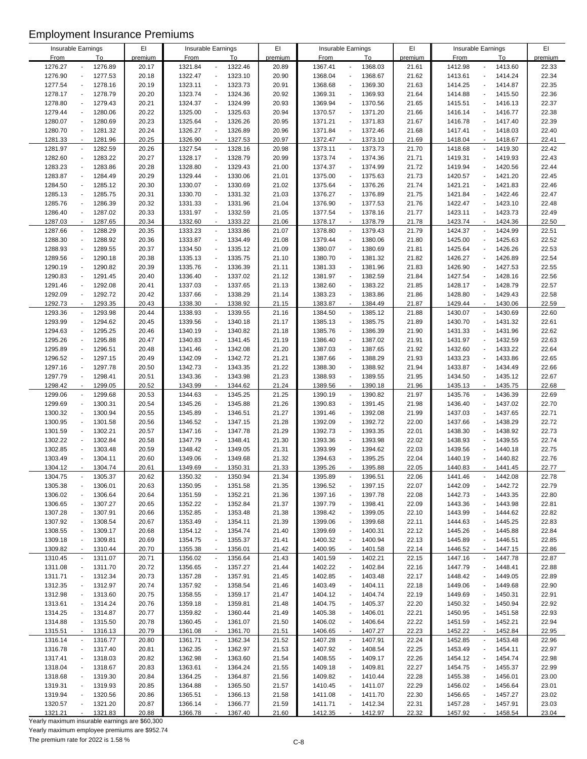| Insurable Earnings |                                     | EI      | Insurable Earnings |                                     | EI      |         | Insurable Earnings                      | EI      |             | Insurable Earnings                  | EI      |
|--------------------|-------------------------------------|---------|--------------------|-------------------------------------|---------|---------|-----------------------------------------|---------|-------------|-------------------------------------|---------|
| <b>From</b>        | To                                  | premium | <b>From</b>        | To                                  | premium | From    | To                                      | premium | <b>From</b> | To                                  | premium |
| 1276.27            | 1276.89                             | 20.17   | 1321.84            | 1322.46<br>$\overline{a}$           | 20.89   | 1367.41 | 1368.03                                 | 21.61   | 1412.98     | 1413.60                             | 22.33   |
| 1276.90            | 1277.53                             | 20.18   | 1322.47            | 1323.10<br>$\blacksquare$           | 20.90   | 1368.04 | 1368.67                                 | 21.62   | 1413.61     | 1414.24<br>$\overline{\phantom{a}}$ | 22.34   |
| 1277.54            | 1278.16                             | 20.19   | 1323.11            | 1323.73<br>$\sim$                   | 20.91   | 1368.68 | 1369.30                                 | 21.63   | 1414.25     | 1414.87                             | 22.35   |
| 1278.17            | 1278.79                             | 20.20   | 1323.74            | 1324.36<br>$\overline{a}$           | 20.92   | 1369.31 | 1369.93<br>$\overline{\phantom{a}}$     | 21.64   | 1414.88     | 1415.50<br>$\overline{\phantom{a}}$ | 22.36   |
| 1278.80            | 1279.43                             | 20.21   | 1324.37            | 1324.99<br>$\overline{\phantom{a}}$ | 20.93   | 1369.94 | 1370.56<br>$\overline{\phantom{a}}$     | 21.65   | 1415.51     | 1416.13<br>$\overline{\phantom{a}}$ | 22.37   |
|                    |                                     |         |                    | ÷,                                  |         |         |                                         |         |             |                                     |         |
| 1279.44            | 1280.06                             | 20.22   | 1325.00            | 1325.63                             | 20.94   | 1370.57 | 1371.20<br>$\overline{a}$               | 21.66   | 1416.14     | 1416.77<br>$\overline{\phantom{a}}$ | 22.38   |
| 1280.07            | 1280.69                             | 20.23   | 1325.64            | 1326.26<br>$\overline{\phantom{a}}$ | 20.95   | 1371.21 | 1371.83<br>$\overline{a}$               | 21.67   | 1416.78     | 1417.40                             | 22.39   |
| 1280.70            | 1281.32<br>$\overline{a}$           | 20.24   | 1326.27            | 1326.89<br>$\overline{\phantom{a}}$ | 20.96   | 1371.84 | 1372.46<br>$\blacksquare$               | 21.68   | 1417.41     | 1418.03<br>$\overline{\phantom{a}}$ | 22.40   |
| 1281.33            | 1281.96<br>$\overline{\phantom{a}}$ | 20.25   | 1326.90            | 1327.53<br>$\sim$                   | 20.97   | 1372.47 | 1373.10<br>$\blacksquare$               | 21.69   | 1418.04     | 1418.67                             | 22.41   |
| 1281.97            | 1282.59                             | 20.26   | 1327.54            | 1328.16<br>$\overline{\phantom{a}}$ | 20.98   | 1373.11 | 1373.73                                 | 21.70   | 1418.68     | 1419.30                             | 22.42   |
| 1282.60            | 1283.22                             | 20.27   | 1328.17            | 1328.79<br>$\overline{\phantom{a}}$ | 20.99   | 1373.74 | 1374.36<br>$\overline{\phantom{a}}$     | 21.71   | 1419.31     | 1419.93<br>$\overline{\phantom{a}}$ | 22.43   |
| 1283.23            | 1283.86                             | 20.28   | 1328.80            | 1329.43<br>$\sim$                   | 21.00   | 1374.37 | 1374.99                                 | 21.72   | 1419.94     | 1420.56                             | 22.44   |
| 1283.87            | 1284.49                             | 20.29   | 1329.44            | 1330.06<br>$\ddot{\phantom{a}}$     | 21.01   | 1375.00 | 1375.63<br>$\overline{a}$               | 21.73   | 1420.57     | 1421.20<br>$\blacksquare$           | 22.45   |
|                    |                                     |         |                    | $\Box$                              |         |         |                                         |         |             |                                     |         |
| 1284.50            | 1285.12                             | 20.30   | 1330.07            | 1330.69                             | 21.02   | 1375.64 | 1376.26<br>$\overline{a}$               | 21.74   | 1421.21     | 1421.83<br>$\overline{\phantom{a}}$ | 22.46   |
| 1285.13            | 1285.75                             | 20.31   | 1330.70            | 1331.32<br>$\overline{\phantom{a}}$ | 21.03   | 1376.27 | 1376.89                                 | 21.75   | 1421.84     | 1422.46                             | 22.47   |
| 1285.76            | 1286.39                             | 20.32   | 1331.33            | 1331.96<br>$\ddot{\phantom{a}}$     | 21.04   | 1376.90 | 1377.53<br>$\overline{\phantom{m}}$     | 21.76   | 1422.47     | 1423.10                             | 22.48   |
| 1286.40            | 1287.02                             | 20.33   | 1331.97            | 1332.59<br>$\overline{\phantom{a}}$ | 21.05   | 1377.54 | 1378.16                                 | 21.77   | 1423.11     | 1423.73                             | 22.49   |
| 1287.03            | 1287.65<br>÷,                       | 20.34   | 1332.60            | 1333.22<br>$\sim$                   | 21.06   | 1378.17 | 1378.79<br>$\mathbf{r}$                 | 21.78   | 1423.74     | 1424.36<br>$\sim$                   | 22.50   |
| 1287.66            | 1288.29                             | 20.35   | 1333.23            | 1333.86<br>$\overline{\phantom{a}}$ | 21.07   | 1378.80 | 1379.43<br>$\overline{a}$               | 21.79   | 1424.37     | 1424.99<br>$\blacksquare$           | 22.51   |
| 1288.30            | 1288.92<br>$\overline{a}$           | 20.36   | 1333.87            | 1334.49<br>$\overline{\phantom{a}}$ | 21.08   | 1379.44 | 1380.06<br>$\overline{a}$               | 21.80   | 1425.00     | 1425.63<br>$\overline{\phantom{a}}$ | 22.52   |
| 1288.93            | 1289.55                             | 20.37   | 1334.50            | 1335.12<br>÷,                       | 21.09   | 1380.07 | 1380.69                                 | 21.81   | 1425.64     | 1426.26                             | 22.53   |
|                    |                                     |         |                    |                                     |         |         |                                         |         |             |                                     |         |
| 1289.56            | 1290.18                             | 20.38   | 1335.13            | 1335.75<br>$\overline{\phantom{a}}$ | 21.10   | 1380.70 | 1381.32                                 | 21.82   | 1426.27     | 1426.89                             | 22.54   |
| 1290.19            | 1290.82                             | 20.39   | 1335.76            | 1336.39<br>$\ddot{\phantom{a}}$     | 21.11   | 1381.33 | 1381.96<br>$\overline{\phantom{a}}$     | 21.83   | 1426.90     | 1427.53                             | 22.55   |
| 1290.83            | 1291.45                             | 20.40   | 1336.40            | 1337.02<br>$\sim$                   | 21.12   | 1381.97 | 1382.59                                 | 21.84   | 1427.54     | 1428.16                             | 22.56   |
| 1291.46            | 1292.08                             | 20.41   | 1337.03            | 1337.65<br>$\sim$                   | 21.13   | 1382.60 | 1383.22<br>$\overline{a}$               | 21.85   | 1428.17     | 1428.79<br>$\overline{\phantom{a}}$ | 22.57   |
| 1292.09            | 1292.72                             | 20.42   | 1337.66            | 1338.29<br>$\overline{\phantom{a}}$ | 21.14   | 1383.23 | 1383.86<br>$\overline{a}$               | 21.86   | 1428.80     | 1429.43<br>$\blacksquare$           | 22.58   |
| 1292.73            | 1293.35                             | 20.43   | 1338.30            | 1338.92<br>$\overline{\phantom{a}}$ | 21.15   | 1383.87 | 1384.49                                 | 21.87   | 1429.44     | 1430.06                             | 22.59   |
| 1293.36            | 1293.98<br>$\blacksquare$           | 20.44   | 1338.93            | $\overline{\phantom{a}}$<br>1339.55 | 21.16   | 1384.50 | 1385.12<br>$\overline{\phantom{a}}$     | 21.88   | 1430.07     | 1430.69<br>$\overline{\phantom{a}}$ | 22.60   |
|                    |                                     |         |                    |                                     |         |         |                                         |         |             |                                     |         |
| 1293.99            | 1294.62                             | 20.45   | 1339.56            | 1340.18<br>$\overline{\phantom{a}}$ | 21.17   | 1385.13 | 1385.75                                 | 21.89   | 1430.70     | 1431.32<br>$\overline{a}$           | 22.61   |
| 1294.63            | 1295.25                             | 20.46   | 1340.19            | 1340.82<br>÷,                       | 21.18   | 1385.76 | 1386.39                                 | 21.90   | 1431.33     | 1431.96                             | 22.62   |
| 1295.26            | 1295.88                             | 20.47   | 1340.83            | 1341.45<br>$\sim$                   | 21.19   | 1386.40 | 1387.02                                 | 21.91   | 1431.97     | 1432.59<br>÷,                       | 22.63   |
| 1295.89            | 1296.51<br>$\overline{a}$           | 20.48   | 1341.46            | 1342.08<br>$\overline{\phantom{a}}$ | 21.20   | 1387.03 | 1387.65<br>$\overline{\phantom{a}}$     | 21.92   | 1432.60     | 1433.22<br>$\overline{\phantom{a}}$ | 22.64   |
| 1296.52            | 1297.15                             | 20.49   | 1342.09            | 1342.72<br>÷,                       | 21.21   | 1387.66 | 1388.29                                 | 21.93   | 1433.23     | 1433.86                             | 22.65   |
| 1297.16            | 1297.78                             | 20.50   | 1342.73            | 1343.35<br>$\sim$                   | 21.22   | 1388.30 | 1388.92                                 | 21.94   | 1433.87     | 1434.49                             | 22.66   |
| 1297.79            | 1298.41                             | 20.51   | 1343.36            | 1343.98<br>$\blacksquare$           | 21.23   | 1388.93 | 1389.55<br>$\overline{\phantom{a}}$     | 21.95   | 1434.50     | 1435.12                             | 22.67   |
| 1298.42            | 1299.05                             | 20.52   | 1343.99            | 1344.62<br>$\mathbf{r}$             | 21.24   | 1389.56 | 1390.18<br>$\mathbf{r}$                 | 21.96   | 1435.13     | 1435.75                             | 22.68   |
|                    |                                     |         |                    |                                     |         |         |                                         |         |             |                                     |         |
| 1299.06            | 1299.68<br>$\overline{a}$           | 20.53   | 1344.63            | 1345.25<br>$\overline{\phantom{a}}$ | 21.25   | 1390.19 | 1390.82<br>$\overline{\phantom{a}}$     | 21.97   | 1435.76     | 1436.39<br>$\overline{\phantom{a}}$ | 22.69   |
| 1299.69            | 1300.31                             | 20.54   | 1345.26            | $\Box$<br>1345.88                   | 21.26   | 1390.83 | 1391.45<br>$\overline{a}$               | 21.98   | 1436.40     | 1437.02<br>$\overline{\phantom{a}}$ | 22.70   |
| 1300.32            | 1300.94                             | 20.55   | 1345.89            | 1346.51<br>÷,                       | 21.27   | 1391.46 | 1392.08                                 | 21.99   | 1437.03     | 1437.65<br>$\overline{\phantom{a}}$ | 22.71   |
| 1300.95            | 1301.58                             | 20.56   | 1346.52            | 1347.15<br>$\overline{\phantom{a}}$ | 21.28   | 1392.09 | 1392.72<br>$\overline{a}$               | 22.00   | 1437.66     | 1438.29<br>$\overline{a}$           | 22.72   |
| 1301.59            | 1302.21                             | 20.57   | 1347.16            | 1347.78<br>$\overline{\phantom{a}}$ | 21.29   | 1392.73 | 1393.35<br>$\overline{a}$               | 22.01   | 1438.30     | 1438.92<br>$\overline{a}$           | 22.73   |
| 1302.22            | 1302.84                             | 20.58   | 1347.79            | 1348.41<br>$\overline{\phantom{a}}$ | 21.30   | 1393.36 | 1393.98                                 | 22.02   | 1438.93     | 1439.55                             | 22.74   |
| 1302.85            | 1303.48                             | 20.59   | 1348.42            | 1349.05<br>÷,                       | 21.31   | 1393.99 | 1394.62                                 | 22.03   | 1439.56     | 1440.18                             | 22.75   |
| 1303.49            | 1304.11                             | 20.60   | 1349.06            | 1349.68<br>$\ddot{\phantom{a}}$     | 21.32   | 1394.63 | 1395.25                                 | 22.04   | 1440.19     | 1440.82                             | 22.76   |
|                    |                                     |         |                    |                                     |         |         |                                         |         |             |                                     |         |
| 1304.12            | 1304.74                             | 20.61   | 1349.69            | 1350.31                             | 21.33   | 1395.26 | 1395.88                                 | 22.05   | 1440.83     | 1441.45                             | 22.77   |
| 1304.75            | 1305.37                             | 20.62   | 1350.32            | 1350.94<br>$\overline{\phantom{a}}$ | 21.34   | 1395.89 | 1396.51                                 | 22.06   | 1441.46     | 1442.08                             | 22.78   |
| 1305.38            | 1306.01                             | 20.63   | 1350.95            | 1351.58<br>$\overline{\phantom{a}}$ | 21.35   | 1396.52 | 1397.15                                 | 22.07   | 1442.09     | 1442.72                             | 22.79   |
| 1306.02            | 1306.64                             | 20.64   | 1351.59            | 1352.21<br>$\overline{\phantom{a}}$ | 21.36   | 1397.16 | 1397.78                                 | 22.08   | 1442.73     | 1443.35                             | 22.80   |
| 1306.65            | 1307.27                             | 20.65   | 1352.22            | 1352.84<br>$\overline{\phantom{a}}$ | 21.37   | 1397.79 | 1398.41<br>$\overline{\phantom{a}}$     | 22.09   | 1443.36     | 1443.98                             | 22.81   |
| 1307.28            | 1307.91                             | 20.66   | 1352.85            | 1353.48<br>$\overline{\phantom{a}}$ | 21.38   | 1398.42 | 1399.05                                 | 22.10   | 1443.99     | 1444.62                             | 22.82   |
| 1307.92            | 1308.54                             | 20.67   | 1353.49            | 1354.11<br>$\ddot{\phantom{a}}$     | 21.39   | 1399.06 | 1399.68                                 | 22.11   | 1444.63     | 1445.25                             | 22.83   |
| 1308.55            |                                     |         |                    | $\ddot{\phantom{a}}$                |         |         | $\overline{\phantom{a}}$                |         |             | 1445.88                             |         |
|                    | 1309.17                             | 20.68   | 1354.12            | 1354.74                             | 21.40   | 1399.69 | 1400.31                                 | 22.12   | 1445.26     |                                     | 22.84   |
| 1309.18            | 1309.81                             | 20.69   | 1354.75            | 1355.37<br>$\overline{\phantom{a}}$ | 21.41   | 1400.32 | 1400.94<br>$\overline{a}$               | 22.13   | 1445.89     | 1446.51                             | 22.85   |
| 1309.82            | 1310.44                             | 20.70   | 1355.38            | 1356.01<br>$\overline{\phantom{a}}$ | 21.42   | 1400.95 | 1401.58<br>$\blacksquare$               | 22.14   | 1446.52     | 1447.15                             | 22.86   |
| 1310.45            | 1311.07                             | 20.71   | 1356.02            | 1356.64<br>$\overline{\phantom{a}}$ | 21.43   | 1401.59 | 1402.21                                 | 22.15   | 1447.16     | 1447.78<br>$\overline{\phantom{a}}$ | 22.87   |
| 1311.08            | 1311.70                             | 20.72   | 1356.65            | 1357.27<br>$\overline{\phantom{a}}$ | 21.44   | 1402.22 | 1402.84                                 | 22.16   | 1447.79     | 1448.41                             | 22.88   |
| 1311.71            | 1312.34                             | 20.73   | 1357.28            | 1357.91<br>$\ddot{\phantom{a}}$     | 21.45   | 1402.85 | 1403.48                                 | 22.17   | 1448.42     | 1449.05                             | 22.89   |
| 1312.35            | 1312.97                             | 20.74   | 1357.92            | 1358.54<br>$\overline{\phantom{a}}$ | 21.46   | 1403.49 | 1404.11                                 | 22.18   | 1449.06     | 1449.68                             | 22.90   |
| 1312.98            | 1313.60                             | 20.75   | 1358.55            | 1359.17<br>$\overline{\phantom{a}}$ | 21.47   | 1404.12 | 1404.74<br>$\blacksquare$               | 22.19   | 1449.69     | 1450.31                             | 22.91   |
|                    |                                     |         |                    |                                     |         |         |                                         |         |             |                                     |         |
| 1313.61            | 1314.24                             | 20.76   | 1359.18            | 1359.81<br>$\overline{\phantom{a}}$ | 21.48   | 1404.75 | 1405.37                                 | 22.20   | 1450.32     | 1450.94                             | 22.92   |
| 1314.25            | 1314.87                             | 20.77   | 1359.82            | 1360.44<br>$\overline{\phantom{a}}$ | 21.49   | 1405.38 | 1406.01<br>$\overline{\phantom{a}}$     | 22.21   | 1450.95     | 1451.58                             | 22.93   |
| 1314.88            | 1315.50                             | 20.78   | 1360.45            | 1361.07<br>$\overline{\phantom{a}}$ | 21.50   | 1406.02 | 1406.64                                 | 22.22   | 1451.59     | 1452.21                             | 22.94   |
| 1315.51            | 1316.13                             | 20.79   | 1361.08            | 1361.70<br>$\tilde{\phantom{a}}$    | 21.51   | 1406.65 | 1407.27                                 | 22.23   | 1452.22     | 1452.84                             | 22.95   |
| 1316.14            | 1316.77<br>$\overline{\phantom{a}}$ | 20.80   | 1361.71            | 1362.34<br>$\blacksquare$           | 21.52   | 1407.28 | 1407.91<br>$\qquad \qquad \blacksquare$ | 22.24   | 1452.85     | 1453.48<br>$\overline{\phantom{a}}$ | 22.96   |
| 1316.78            | 1317.40                             | 20.81   | 1362.35            | 1362.97<br>$\overline{\phantom{a}}$ | 21.53   | 1407.92 | 1408.54<br>$\overline{\phantom{a}}$     | 22.25   | 1453.49     | 1454.11                             | 22.97   |
| 1317.41            | 1318.03                             | 20.82   | 1362.98            | 1363.60<br>$\overline{\phantom{a}}$ | 21.54   | 1408.55 | 1409.17<br>$\overline{a}$               | 22.26   | 1454.12     | 1454.74                             | 22.98   |
| 1318.04            | 1318.67                             | 20.83   | 1363.61            | 1364.24<br>$\overline{\phantom{a}}$ | 21.55   | 1409.18 | 1409.81                                 | 22.27   | 1454.75     | 1455.37                             | 22.99   |
|                    |                                     |         |                    |                                     |         |         |                                         |         |             |                                     |         |
| 1318.68            | 1319.30                             | 20.84   | 1364.25            | 1364.87<br>$\overline{\phantom{a}}$ | 21.56   | 1409.82 | 1410.44                                 | 22.28   | 1455.38     | 1456.01                             | 23.00   |
| 1319.31            | 1319.93                             | 20.85   | 1364.88            | 1365.50<br>$\overline{\phantom{a}}$ | 21.57   | 1410.45 | 1411.07<br>$\qquad \qquad \blacksquare$ | 22.29   | 1456.02     | 1456.64                             | 23.01   |
| 1319.94            | 1320.56                             | 20.86   | 1365.51            | 1366.13<br>$\overline{\phantom{a}}$ | 21.58   | 1411.08 | 1411.70                                 | 22.30   | 1456.65     | 1457.27                             | 23.02   |
| 1320.57            | 1321.20                             | 20.87   | 1366.14            | 1366.77<br>$\overline{\phantom{a}}$ | 21.59   | 1411.71 | 1412.34<br>$\overline{\phantom{a}}$     | 22.31   | 1457.28     | 1457.91                             | 23.03   |
| 1321.21            | 1321.83                             | 20.88   | 1366.78            | 1367.40<br>$\sim$                   | 21.60   | 1412.35 | 1412.97                                 | 22.32   | 1457.92     | 1458.54                             | 23.04   |

Yearly maximum insurable earnings are \$60,300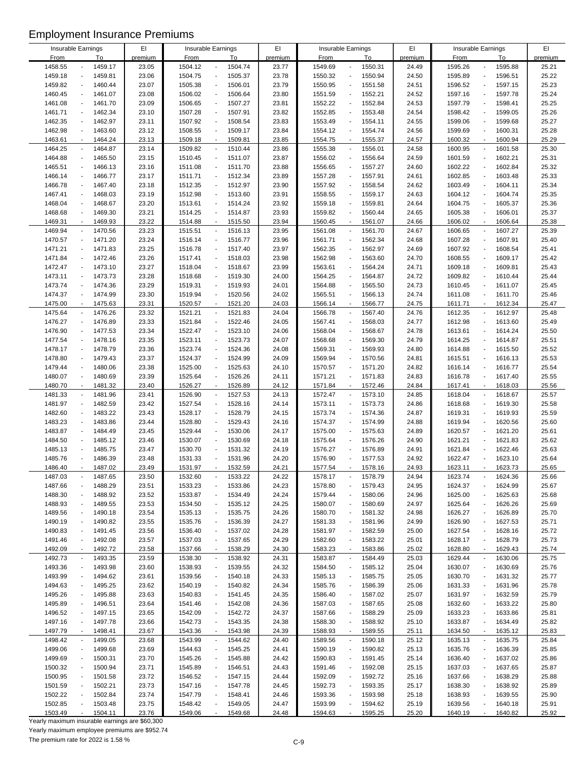| Insurable Earnings |                                     | EI      |             | Insurable Earnings                     | EI      |             | Insurable Earnings                  | EI      |             | Insurable Earnings                  | EI      |
|--------------------|-------------------------------------|---------|-------------|----------------------------------------|---------|-------------|-------------------------------------|---------|-------------|-------------------------------------|---------|
| <b>From</b>        | To                                  | premium | <b>From</b> | To                                     | premium | <b>From</b> | To                                  | premium | <b>From</b> | To                                  | premium |
| 1458.55            | 1459.17                             | 23.05   | 1504.12     | 1504.74<br>$\overline{\phantom{a}}$    | 23.77   | 1549.69     | 1550.31                             | 24.49   | 1595.26     | 1595.88<br>$\overline{a}$           | 25.21   |
| 1459.18            | 1459.81                             | 23.06   | 1504.75     | 1505.37<br>$\blacksquare$              | 23.78   | 1550.32     | 1550.94                             | 24.50   | 1595.89     | 1596.51<br>$\overline{a}$           | 25.22   |
| 1459.82            | 1460.44<br>$\overline{a}$           | 23.07   | 1505.38     | 1506.01<br>$\blacksquare$              | 23.79   | 1550.95     | 1551.58                             | 24.51   | 1596.52     | 1597.15<br>$\overline{a}$           | 25.23   |
| 1460.45            | 1461.07<br>$\overline{a}$           | 23.08   | 1506.02     | 1506.64<br>$\blacksquare$              | 23.80   | 1551.59     | 1552.21<br>$\overline{\phantom{a}}$ | 24.52   | 1597.16     | 1597.78<br>$\overline{a}$           | 25.24   |
| 1461.08            | 1461.70                             | 23.09   | 1506.65     | 1507.27<br>$\blacksquare$              | 23.81   | 1552.22     | 1552.84                             | 24.53   | 1597.79     | 1598.41<br>÷,                       | 25.25   |
|                    |                                     |         |             |                                        |         |             |                                     |         |             |                                     |         |
| 1461.71            | 1462.34<br>$\overline{a}$           | 23.10   | 1507.28     | 1507.91<br>$\blacksquare$              | 23.82   | 1552.85     | 1553.48<br>$\overline{\phantom{a}}$ | 24.54   | 1598.42     | 1599.05<br>$\overline{a}$           | 25.26   |
| 1462.35            | 1462.97                             | 23.11   | 1507.92     | 1508.54<br>$\blacksquare$              | 23.83   | 1553.49     | 1554.11<br>$\overline{\phantom{a}}$ | 24.55   | 1599.06     | 1599.68<br>$\overline{a}$           | 25.27   |
| 1462.98            | 1463.60                             | 23.12   | 1508.55     | 1509.17<br>$\blacksquare$              | 23.84   | 1554.12     | 1554.74                             | 24.56   | 1599.69     | 1600.31<br>$\overline{a}$           | 25.28   |
| 1463.61            | 1464.24<br>$\overline{\phantom{a}}$ | 23.13   | 1509.18     | 1509.81<br>$\blacksquare$              | 23.85   | 1554.75     | 1555.37<br>$\overline{\phantom{a}}$ | 24.57   | 1600.32     | 1600.94<br>$\overline{a}$           | 25.29   |
| 1464.25            | 1464.87<br>$\overline{a}$           | 23.14   | 1509.82     | 1510.44<br>$\blacksquare$              | 23.86   | 1555.38     | 1556.01<br>$\blacksquare$           | 24.58   | 1600.95     | 1601.58<br>$\blacksquare$           | 25.30   |
|                    |                                     |         |             |                                        |         |             |                                     |         |             |                                     |         |
| 1464.88            | 1465.50                             | 23.15   | 1510.45     | $\blacksquare$<br>1511.07              | 23.87   | 1556.02     | 1556.64                             | 24.59   | 1601.59     | 1602.21<br>÷,                       | 25.31   |
| 1465.51            | 1466.13                             | 23.16   | 1511.08     | $\overline{\phantom{a}}$<br>1511.70    | 23.88   | 1556.65     | 1557.27                             | 24.60   | 1602.22     | 1602.84<br>$\overline{a}$           | 25.32   |
| 1466.14            | 1466.77<br>$\overline{a}$           | 23.17   | 1511.71     | 1512.34<br>$\blacksquare$              | 23.89   | 1557.28     | 1557.91<br>$\overline{\phantom{a}}$ | 24.61   | 1602.85     | 1603.48<br>$\overline{a}$           | 25.33   |
| 1466.78            | 1467.40                             | 23.18   | 1512.35     | 1512.97<br>$\blacksquare$              | 23.90   | 1557.92     | 1558.54                             | 24.62   | 1603.49     | 1604.11<br>$\overline{a}$           | 25.34   |
| 1467.41            | 1468.03                             | 23.19   | 1512.98     | 1513.60<br>$\blacksquare$              | 23.91   | 1558.55     | 1559.17                             | 24.63   | 1604.12     | 1604.74<br>$\overline{a}$           | 25.35   |
| 1468.04            | 1468.67<br>$\overline{\phantom{a}}$ | 23.20   | 1513.61     | 1514.24<br>$\blacksquare$              | 23.92   | 1559.18     | 1559.81<br>$\overline{\phantom{a}}$ | 24.64   | 1604.75     | 1605.37<br>$\overline{a}$           | 25.36   |
|                    |                                     |         |             |                                        |         |             |                                     |         |             |                                     |         |
| 1468.68            | 1469.30                             | 23.21   | 1514.25     | 1514.87<br>$\blacksquare$              | 23.93   | 1559.82     | 1560.44                             | 24.65   | 1605.38     | 1606.01                             | 25.37   |
| 1469.31            | 1469.93<br>$\sim$                   | 23.22   | 1514.88     | $\mathcal{L}^{\mathcal{L}}$<br>1515.50 | 23.94   | 1560.45     | 1561.07<br>$\sim$                   | 24.66   | 1606.02     | 1606.64<br>ä,                       | 25.38   |
| 1469.94            | 1470.56<br>$\overline{\phantom{a}}$ | 23.23   | 1515.51     | 1516.13<br>$\overline{\phantom{a}}$    | 23.95   | 1561.08     | 1561.70<br>$\overline{\phantom{a}}$ | 24.67   | 1606.65     | 1607.27<br>$\blacksquare$           | 25.39   |
| 1470.57            | 1471.20<br>$\overline{a}$           | 23.24   | 1516.14     | 1516.77<br>$\blacksquare$              | 23.96   | 1561.71     | 1562.34                             | 24.68   | 1607.28     | 1607.91<br>$\overline{a}$           | 25.40   |
| 1471.21            | 1471.83<br>$\overline{a}$           | 23.25   | 1516.78     | 1517.40<br>$\blacksquare$              | 23.97   | 1562.35     | 1562.97                             | 24.69   | 1607.92     | 1608.54<br>$\overline{a}$           | 25.41   |
| 1471.84            | 1472.46<br>$\overline{a}$           | 23.26   | 1517.41     | 1518.03<br>$\blacksquare$              | 23.98   | 1562.98     | 1563.60                             | 24.70   | 1608.55     | 1609.17<br>$\overline{a}$           | 25.42   |
| 1472.47            |                                     |         |             | $\blacksquare$                         |         |             |                                     |         |             | ÷,                                  |         |
|                    | 1473.10                             | 23.27   | 1518.04     | 1518.67                                | 23.99   | 1563.61     | 1564.24                             | 24.71   | 1609.18     | 1609.81                             | 25.43   |
| 1473.11            | 1473.73<br>$\blacksquare$           | 23.28   | 1518.68     | 1519.30<br>$\blacksquare$              | 24.00   | 1564.25     | 1564.87                             | 24.72   | 1609.82     | 1610.44<br>$\overline{a}$           | 25.44   |
| 1473.74            | 1474.36<br>$\overline{a}$           | 23.29   | 1519.31     | 1519.93<br>$\blacksquare$              | 24.01   | 1564.88     | 1565.50<br>$\overline{\phantom{a}}$ | 24.73   | 1610.45     | 1611.07<br>$\overline{a}$           | 25.45   |
| 1474.37            | 1474.99                             | 23.30   | 1519.94     | 1520.56<br>$\blacksquare$              | 24.02   | 1565.51     | 1566.13                             | 24.74   | 1611.08     | 1611.70<br>$\overline{a}$           | 25.46   |
| 1475.00            | 1475.63                             | 23.31   | 1520.57     | 1521.20<br>$\blacksquare$              | 24.03   | 1566.14     | 1566.77                             | 24.75   | 1611.71     | 1612.34<br>$\blacksquare$           | 25.47   |
| 1475.64            | 1476.26<br>$\overline{\phantom{a}}$ | 23.32   | 1521.21     | 1521.83<br>$\blacksquare$              | 24.04   | 1566.78     | 1567.40<br>$\overline{\phantom{a}}$ | 24.76   | 1612.35     | 1612.97<br>$\blacksquare$           | 25.48   |
| 1476.27            | 1476.89                             | 23.33   | 1521.84     | 1522.46<br>$\blacksquare$              | 24.05   | 1567.41     | 1568.03                             | 24.77   | 1612.98     | 1613.60<br>$\overline{a}$           | 25.49   |
|                    |                                     |         |             |                                        |         |             |                                     |         |             |                                     |         |
| 1476.90            | 1477.53<br>$\overline{a}$           | 23.34   | 1522.47     | 1523.10<br>$\blacksquare$              | 24.06   | 1568.04     | 1568.67<br>$\overline{\phantom{a}}$ | 24.78   | 1613.61     | 1614.24<br>$\overline{a}$           | 25.50   |
| 1477.54            | 1478.16<br>$\blacksquare$           | 23.35   | 1523.11     | 1523.73<br>$\blacksquare$              | 24.07   | 1568.68     | 1569.30<br>$\overline{a}$           | 24.79   | 1614.25     | 1614.87<br>$\overline{a}$           | 25.51   |
| 1478.17            | 1478.79<br>$\overline{a}$           | 23.36   | 1523.74     | 1524.36<br>$\blacksquare$              | 24.08   | 1569.31     | 1569.93                             | 24.80   | 1614.88     | 1615.50<br>$\overline{a}$           | 25.52   |
| 1478.80            | 1479.43<br>$\overline{a}$           | 23.37   | 1524.37     | 1524.99<br>$\blacksquare$              | 24.09   | 1569.94     | 1570.56<br>$\overline{a}$           | 24.81   | 1615.51     | 1616.13<br>$\overline{a}$           | 25.53   |
| 1479.44            | 1480.06                             | 23.38   | 1525.00     | 1525.63<br>$\overline{\phantom{a}}$    | 24.10   | 1570.57     | 1571.20<br>$\overline{\phantom{a}}$ | 24.82   | 1616.14     | 1616.77<br>$\overline{a}$           | 25.54   |
| 1480.07            | 1480.69                             | 23.39   | 1525.64     | 1526.26<br>$\blacksquare$              | 24.11   | 1571.21     | 1571.83<br>$\overline{\phantom{a}}$ | 24.83   | 1616.78     | 1617.40<br>$\overline{a}$           | 25.55   |
|                    |                                     |         |             | $\blacksquare$                         |         |             | $\sim$                              |         |             | $\overline{a}$                      |         |
| 1480.70            | 1481.32                             | 23.40   | 1526.27     | 1526.89                                | 24.12   | 1571.84     | 1572.46                             | 24.84   | 1617.41     | 1618.03                             | 25.56   |
| 1481.33            | 1481.96<br>$\blacksquare$           | 23.41   | 1526.90     | 1527.53<br>$\blacksquare$              | 24.13   | 1572.47     | 1573.10<br>$\overline{\phantom{a}}$ | 24.85   | 1618.04     | 1618.67<br>$\overline{\phantom{a}}$ | 25.57   |
| 1481.97            | 1482.59                             | 23.42   | 1527.54     | 1528.16<br>$\blacksquare$              | 24.14   | 1573.11     | 1573.73                             | 24.86   | 1618.68     | 1619.30<br>$\overline{a}$           | 25.58   |
| 1482.60            | 1483.22                             | 23.43   | 1528.17     | 1528.79<br>$\blacksquare$              | 24.15   | 1573.74     | 1574.36                             | 24.87   | 1619.31     | 1619.93<br>÷,                       | 25.59   |
| 1483.23            | 1483.86<br>$\overline{a}$           | 23.44   | 1528.80     | 1529.43<br>$\blacksquare$              | 24.16   | 1574.37     | 1574.99<br>$\overline{\phantom{a}}$ | 24.88   | 1619.94     | 1620.56<br>$\overline{a}$           | 25.60   |
| 1483.87            | 1484.49                             | 23.45   | 1529.44     | 1530.06<br>$\blacksquare$              | 24.17   | 1575.00     | 1575.63                             | 24.89   | 1620.57     | 1621.20                             | 25.61   |
| 1484.50            | 1485.12<br>$\overline{\phantom{a}}$ | 23.46   | 1530.07     | 1530.69<br>$\blacksquare$              | 24.18   | 1575.64     | 1576.26<br>$\overline{\phantom{a}}$ | 24.90   | 1621.21     | 1621.83<br>$\overline{a}$           | 25.62   |
| 1485.13            | 1485.75                             | 23.47   | 1530.70     | 1531.32<br>$\blacksquare$              | 24.19   | 1576.27     | 1576.89                             | 24.91   | 1621.84     | 1622.46<br>÷,                       | 25.63   |
|                    |                                     |         |             |                                        |         |             |                                     |         |             |                                     |         |
| 1485.76            | 1486.39                             | 23.48   | 1531.33     | 1531.96<br>$\blacksquare$              | 24.20   | 1576.90     | 1577.53                             | 24.92   | 1622.47     | 1623.10<br>$\overline{a}$           | 25.64   |
| 1486.40            | 1487.02                             | 23.49   | 1531.97     | 1532.59                                | 24.21   | 1577.54     | 1578.16                             | 24.93   | 1623.11     | 1623.73                             | 25.65   |
| 1487.03            | 1487.65                             | 23.50   | 1532.60     | 1533.22<br>$\overline{\phantom{a}}$    | 24.22   | 1578.17     | 1578.79                             | 24.94   | 1623.74     | 1624.36<br>$\overline{a}$           | 25.66   |
| 1487.66            | 1488.29                             | 23.51   | 1533.23     | 1533.86                                | 24.23   | 1578.80     | 1579.43                             | 24.95   | 1624.37     | 1624.99                             | 25.67   |
| 1488.30            | 1488.92                             | 23.52   | 1533.87     | 1534.49<br>$\overline{\phantom{a}}$    | 24.24   | 1579.44     | 1580.06                             | 24.96   | 1625.00     | 1625.63                             | 25.68   |
| 1488.93            | 1489.55                             | 23.53   | 1534.50     | 1535.12<br>$\overline{\phantom{a}}$    | 24.25   | 1580.07     | 1580.69                             | 24.97   | 1625.64     | 1626.26                             | 25.69   |
| 1489.56            | 1490.18                             | 23.54   | 1535.13     | 1535.75<br>$\blacksquare$              | 24.26   | 1580.70     | 1581.32                             | 24.98   | 1626.27     | 1626.89                             | 25.70   |
|                    |                                     |         |             |                                        |         |             |                                     |         |             |                                     |         |
| 1490.19            | 1490.82                             | 23.55   | 1535.76     | 1536.39<br>$\blacksquare$              | 24.27   | 1581.33     | 1581.96                             | 24.99   | 1626.90     | 1627.53                             | 25.71   |
| 1490.83            | 1491.45                             | 23.56   | 1536.40     | 1537.02<br>$\blacksquare$              | 24.28   | 1581.97     | 1582.59<br>$\overline{a}$           | 25.00   | 1627.54     | 1628.16<br>$\overline{a}$           | 25.72   |
| 1491.46            | 1492.08                             | 23.57   | 1537.03     | 1537.65<br>$\overline{\phantom{a}}$    | 24.29   | 1582.60     | 1583.22                             | 25.01   | 1628.17     | 1628.79                             | 25.73   |
| 1492.09            | 1492.72                             | 23.58   | 1537.66     | 1538.29<br>$\blacksquare$              | 24.30   | 1583.23     | 1583.86                             | 25.02   | 1628.80     | 1629.43<br>Ĭ.                       | 25.74   |
| 1492.73            | 1493.35                             | 23.59   | 1538.30     | 1538.92<br>$\overline{\phantom{a}}$    | 24.31   | 1583.87     | 1584.49                             | 25.03   | 1629.44     | 1630.06<br>$\overline{a}$           | 25.75   |
| 1493.36            | 1493.98                             | 23.60   | 1538.93     | 1539.55<br>$\blacksquare$              | 24.32   | 1584.50     | 1585.12                             | 25.04   | 1630.07     | 1630.69<br>$\overline{a}$           | 25.76   |
| 1493.99            | 1494.62                             | 23.61   | 1539.56     | 1540.18<br>$\blacksquare$              | 24.33   | 1585.13     | 1585.75                             | 25.05   | 1630.70     | 1631.32<br>$\overline{a}$           | 25.77   |
|                    |                                     |         |             |                                        |         |             |                                     |         |             |                                     |         |
| 1494.63            | 1495.25                             | 23.62   | 1540.19     | 1540.82<br>$\overline{\phantom{a}}$    | 24.34   | 1585.76     | 1586.39                             | 25.06   | 1631.33     | 1631.96                             | 25.78   |
| 1495.26            | 1495.88                             | 23.63   | 1540.83     | 1541.45<br>$\blacksquare$              | 24.35   | 1586.40     | 1587.02                             | 25.07   | 1631.97     | 1632.59                             | 25.79   |
| 1495.89            | 1496.51                             | 23.64   | 1541.46     | 1542.08<br>$\overline{\phantom{a}}$    | 24.36   | 1587.03     | 1587.65                             | 25.08   | 1632.60     | 1633.22                             | 25.80   |
| 1496.52            | 1497.15                             | 23.65   | 1542.09     | 1542.72<br>$\overline{\phantom{a}}$    | 24.37   | 1587.66     | 1588.29                             | 25.09   | 1633.23     | 1633.86                             | 25.81   |
| 1497.16            | 1497.78                             | 23.66   | 1542.73     | 1543.35<br>$\overline{\phantom{a}}$    | 24.38   | 1588.30     | 1588.92                             | 25.10   | 1633.87     | 1634.49                             | 25.82   |
| 1497.79            | 1498.41                             | 23.67   | 1543.36     | 1543.98<br>$\blacksquare$              | 24.39   | 1588.93     | 1589.55                             | 25.11   | 1634.50     | 1635.12<br>٠                        | 25.83   |
|                    |                                     |         |             |                                        |         |             |                                     |         |             |                                     |         |
| 1498.42            | 1499.05<br>$\blacksquare$           | 23.68   | 1543.99     | 1544.62<br>$\blacksquare$              | 24.40   | 1589.56     | 1590.18<br>$\overline{\phantom{a}}$ | 25.12   | 1635.13     | 1635.75<br>$\blacksquare$           | 25.84   |
| 1499.06            | 1499.68                             | 23.69   | 1544.63     | 1545.25<br>$\overline{\phantom{a}}$    | 24.41   | 1590.19     | 1590.82                             | 25.13   | 1635.76     | 1636.39                             | 25.85   |
| 1499.69            | 1500.31                             | 23.70   | 1545.26     | 1545.88<br>$\overline{\phantom{a}}$    | 24.42   | 1590.83     | 1591.45<br>$\overline{\phantom{a}}$ | 25.14   | 1636.40     | 1637.02<br>$\overline{a}$           | 25.86   |
| 1500.32            | 1500.94                             | 23.71   | 1545.89     | 1546.51<br>$\overline{\phantom{a}}$    | 24.43   | 1591.46     | 1592.08                             | 25.15   | 1637.03     | 1637.65<br>$\overline{a}$           | 25.87   |
| 1500.95            | 1501.58                             | 23.72   | 1546.52     | 1547.15<br>$\overline{\phantom{a}}$    | 24.44   | 1592.09     | 1592.72                             | 25.16   | 1637.66     | 1638.29                             | 25.88   |
| 1501.59            | 1502.21                             | 23.73   | 1547.16     | 1547.78<br>$\blacksquare$              | 24.45   | 1592.73     | 1593.35                             | 25.17   | 1638.30     | 1638.92                             | 25.89   |
| 1502.22            | 1502.84                             | 23.74   | 1547.79     | 1548.41<br>$\overline{\phantom{a}}$    | 24.46   | 1593.36     | 1593.98                             | 25.18   | 1638.93     | 1639.55                             | 25.90   |
|                    |                                     |         |             |                                        |         |             |                                     |         |             |                                     |         |
| 1502.85            | 1503.48                             | 23.75   | 1548.42     | 1549.05                                | 24.47   | 1593.99     | 1594.62                             | 25.19   | 1639.56     | 1640.18                             | 25.91   |
| 1503.49            | 1504.11                             | 23.76   | 1549.06     | 1549.68                                | 24.48   | 1594.63     | 1595.25                             | 25.20   | 1640.19     | 1640.82                             | 25.92   |

Yearly maximum insurable earnings are \$60,300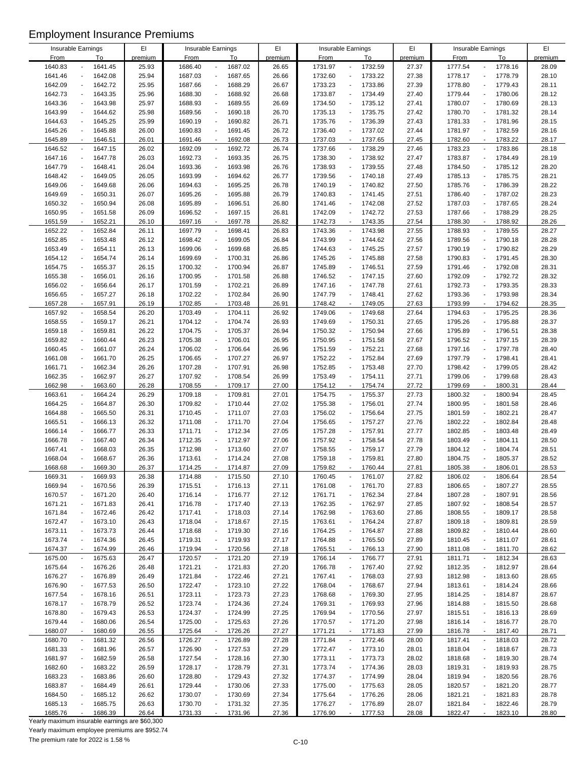|         | Insurable Earnings        | EI      |         |                                     | EI      |         | Insurable Earnings                      | EI      |             |                                     | EI      |
|---------|---------------------------|---------|---------|-------------------------------------|---------|---------|-----------------------------------------|---------|-------------|-------------------------------------|---------|
|         |                           |         |         | Insurable Earnings                  |         |         |                                         |         |             | Insurable Earnings                  |         |
| From    | To                        | premium | From    | To                                  | premium | From    | To                                      | premium | <b>From</b> | To                                  | premium |
| 1640.83 | 1641.45                   | 25.93   | 1686.40 | 1687.02<br>÷,                       | 26.65   | 1731.97 | 1732.59<br>÷.                           | 27.37   | 1777.54     | 1778.16<br>$\blacksquare$           | 28.09   |
| 1641.46 | 1642.08                   | 25.94   | 1687.03 | 1687.65<br>$\overline{\phantom{a}}$ | 26.66   | 1732.60 | 1733.22<br>$\overline{a}$               | 27.38   | 1778.17     | 1778.79<br>$\blacksquare$           | 28.10   |
| 1642.09 | 1642.72                   | 25.95   | 1687.66 | 1688.29<br>$\overline{\phantom{a}}$ | 26.67   | 1733.23 | 1733.86                                 | 27.39   | 1778.80     | 1779.43<br>$\overline{\phantom{a}}$ | 28.11   |
| 1642.73 | 1643.35                   | 25.96   | 1688.30 | 1688.92<br>$\overline{\phantom{a}}$ | 26.68   | 1733.87 | 1734.49<br>$\overline{a}$               | 27.40   | 1779.44     | 1780.06                             | 28.12   |
| 1643.36 | 1643.98                   | 25.97   | 1688.93 | 1689.55<br>$\overline{\phantom{a}}$ | 26.69   | 1734.50 | 1735.12                                 | 27.41   | 1780.07     | 1780.69                             | 28.13   |
| 1643.99 | 1644.62                   | 25.98   | 1689.56 | 1690.18<br>$\overline{\phantom{a}}$ | 26.70   | 1735.13 | 1735.75                                 | 27.42   | 1780.70     | 1781.32<br>$\overline{\phantom{a}}$ | 28.14   |
| 1644.63 | 1645.25                   | 25.99   | 1690.19 | 1690.82<br>$\sim$                   | 26.71   | 1735.76 | 1736.39                                 | 27.43   | 1781.33     | 1781.96                             | 28.15   |
| 1645.26 | 1645.88                   | 26.00   | 1690.83 | 1691.45<br>$\overline{\phantom{a}}$ | 26.72   | 1736.40 | 1737.02<br>$\overline{a}$               | 27.44   | 1781.97     | 1782.59<br>$\blacksquare$           | 28.16   |
|         |                           |         |         |                                     |         |         |                                         |         |             |                                     |         |
| 1645.89 | 1646.51                   | 26.01   | 1691.46 | 1692.08<br>$\overline{\phantom{a}}$ | 26.73   | 1737.03 | 1737.65<br>$\overline{\phantom{a}}$     | 27.45   | 1782.60     | 1783.22                             | 28.17   |
| 1646.52 | 1647.15                   | 26.02   | 1692.09 | 1692.72<br>$\overline{\phantom{a}}$ | 26.74   | 1737.66 | 1738.29                                 | 27.46   | 1783.23     | 1783.86                             | 28.18   |
| 1647.16 | 1647.78                   | 26.03   | 1692.73 | 1693.35<br>$\overline{\phantom{a}}$ | 26.75   | 1738.30 | 1738.92                                 | 27.47   | 1783.87     | 1784.49                             | 28.19   |
| 1647.79 | 1648.41                   | 26.04   | 1693.36 | 1693.98<br>$\overline{\phantom{a}}$ | 26.76   | 1738.93 | 1739.55                                 | 27.48   | 1784.50     | 1785.12                             | 28.20   |
| 1648.42 | 1649.05                   | 26.05   | 1693.99 | 1694.62<br>$\sim$                   | 26.77   | 1739.56 | 1740.18<br>$\overline{a}$               | 27.49   | 1785.13     | 1785.75<br>$\overline{\phantom{a}}$ | 28.21   |
| 1649.06 | 1649.68                   | 26.06   | 1694.63 | 1695.25<br>$\overline{\phantom{a}}$ | 26.78   | 1740.19 | 1740.82<br>$\blacksquare$               | 27.50   | 1785.76     | 1786.39<br>$\overline{\phantom{a}}$ | 28.22   |
| 1649.69 | 1650.31                   | 26.07   | 1695.26 | 1695.88<br>$\overline{\phantom{a}}$ | 26.79   | 1740.83 | 1741.45                                 | 27.51   | 1786.40     | 1787.02<br>$\overline{\phantom{a}}$ | 28.23   |
| 1650.32 | 1650.94                   | 26.08   | 1695.89 | 1696.51<br>÷,                       | 26.80   | 1741.46 | 1742.08                                 | 27.52   | 1787.03     | 1787.65                             | 28.24   |
| 1650.95 | 1651.58                   | 26.09   | 1696.52 | 1697.15<br>$\overline{\phantom{a}}$ | 26.81   | 1742.09 | 1742.72                                 | 27.53   | 1787.66     | 1788.29                             | 28.25   |
|         | $\overline{\phantom{a}}$  |         |         | $\blacksquare$                      |         |         | $\overline{\phantom{a}}$                |         |             | $\blacksquare$                      |         |
| 1651.59 | 1652.21                   | 26.10   | 1697.16 | 1697.78                             | 26.82   | 1742.73 | 1743.35                                 | 27.54   | 1788.30     | 1788.92                             | 28.26   |
| 1652.22 | 1652.84                   | 26.11   | 1697.79 | 1698.41<br>$\overline{\phantom{a}}$ | 26.83   | 1743.36 | 1743.98<br>$\blacksquare$               | 27.55   | 1788.93     | 1789.55<br>$\blacksquare$           | 28.27   |
| 1652.85 | 1653.48                   | 26.12   | 1698.42 | 1699.05<br>$\overline{\phantom{a}}$ | 26.84   | 1743.99 | 1744.62<br>$\overline{a}$               | 27.56   | 1789.56     | 1790.18<br>$\blacksquare$           | 28.28   |
| 1653.49 | 1654.11                   | 26.13   | 1699.06 | 1699.68<br>$\overline{a}$           | 26.85   | 1744.63 | 1745.25                                 | 27.57   | 1790.19     | 1790.82<br>$\overline{\phantom{a}}$ | 28.29   |
| 1654.12 | 1654.74                   | 26.14   | 1699.69 | 1700.31<br>÷,                       | 26.86   | 1745.26 | 1745.88                                 | 27.58   | 1790.83     | 1791.45                             | 28.30   |
| 1654.75 | 1655.37                   | 26.15   | 1700.32 | 1700.94<br>$\overline{a}$           | 26.87   | 1745.89 | 1746.51<br>$\overline{\phantom{m}}$     | 27.59   | 1791.46     | 1792.08                             | 28.31   |
| 1655.38 | 1656.01                   | 26.16   | 1700.95 | 1701.58<br>$\overline{\phantom{a}}$ | 26.88   | 1746.52 | 1747.15                                 | 27.60   | 1792.09     | 1792.72                             | 28.32   |
| 1656.02 | 1656.64                   | 26.17   | 1701.59 | 1702.21<br>÷,                       | 26.89   | 1747.16 | 1747.78<br>$\overline{\phantom{a}}$     | 27.61   | 1792.73     | 1793.35                             | 28.33   |
| 1656.65 | 1657.27                   | 26.18   | 1702.22 | 1702.84<br>$\overline{\phantom{a}}$ | 26.90   | 1747.79 | 1748.41                                 | 27.62   | 1793.36     | 1793.98<br>$\overline{a}$           | 28.34   |
| 1657.28 | 1657.91                   | 26.19   | 1702.85 | 1703.48<br>$\blacksquare$           | 26.91   | 1748.42 | 1749.05                                 | 27.63   | 1793.99     | 1794.62                             | 28.35   |
| 1657.92 | 1658.54                   | 26.20   | 1703.49 | $\blacksquare$<br>1704.11           | 26.92   | 1749.06 | 1749.68                                 | 27.64   | 1794.63     | 1795.25<br>$\ddot{\phantom{a}}$     | 28.36   |
|         |                           |         |         |                                     |         |         |                                         |         |             |                                     |         |
| 1658.55 | 1659.17                   | 26.21   | 1704.12 | 1704.74<br>$\overline{\phantom{a}}$ | 26.93   | 1749.69 | 1750.31                                 | 27.65   | 1795.26     | 1795.88<br>$\overline{\phantom{a}}$ | 28.37   |
| 1659.18 | 1659.81                   | 26.22   | 1704.75 | 1705.37<br>$\overline{\phantom{a}}$ | 26.94   | 1750.32 | 1750.94                                 | 27.66   | 1795.89     | 1796.51                             | 28.38   |
| 1659.82 | 1660.44                   | 26.23   | 1705.38 | 1706.01<br>$\overline{\phantom{a}}$ | 26.95   | 1750.95 | 1751.58                                 | 27.67   | 1796.52     | 1797.15                             | 28.39   |
| 1660.45 | 1661.07                   | 26.24   | 1706.02 | 1706.64<br>$\overline{a}$           | 26.96   | 1751.59 | 1752.21<br>$\overline{a}$               | 27.68   | 1797.16     | 1797.78<br>$\overline{\phantom{a}}$ | 28.40   |
| 1661.08 | 1661.70                   | 26.25   | 1706.65 | 1707.27<br>$\blacksquare$           | 26.97   | 1752.22 | 1752.84                                 | 27.69   | 1797.79     | 1798.41<br>$\overline{\phantom{a}}$ | 28.41   |
| 1661.71 | 1662.34                   | 26.26   | 1707.28 | 1707.91<br>÷,                       | 26.98   | 1752.85 | 1753.48                                 | 27.70   | 1798.42     | 1799.05                             | 28.42   |
| 1662.35 | 1662.97                   | 26.27   | 1707.92 | 1708.54<br>$\blacksquare$           | 26.99   | 1753.49 | 1754.11<br>$\overline{a}$               | 27.71   | 1799.06     | 1799.68                             | 28.43   |
| 1662.98 | 1663.60                   | 26.28   | 1708.55 | 1709.17<br>$\blacksquare$           | 27.00   | 1754.12 | 1754.74<br>$\overline{\phantom{a}}$     | 27.72   | 1799.69     | 1800.31<br>$\sim$                   | 28.44   |
| 1663.61 | 1664.24<br>$\blacksquare$ | 26.29   | 1709.18 | 1709.81<br>$\overline{\phantom{a}}$ | 27.01   | 1754.75 | 1755.37<br>$\blacksquare$               | 27.73   | 1800.32     | 1800.94<br>$\overline{\phantom{a}}$ | 28.45   |
|         |                           |         |         |                                     |         |         |                                         |         |             | $\overline{\phantom{a}}$            |         |
| 1664.25 | 1664.87                   | 26.30   | 1709.82 | $\overline{\phantom{a}}$<br>1710.44 | 27.02   | 1755.38 | 1756.01                                 | 27.74   | 1800.95     | 1801.58                             | 28.46   |
| 1664.88 | 1665.50<br>$\overline{a}$ | 26.31   | 1710.45 | 1711.07<br>$\overline{\phantom{a}}$ | 27.03   | 1756.02 | 1756.64                                 | 27.75   | 1801.59     | 1802.21<br>$\overline{\phantom{a}}$ | 28.47   |
| 1665.51 | 1666.13                   | 26.32   | 1711.08 | 1711.70<br>$\overline{\phantom{a}}$ | 27.04   | 1756.65 | 1757.27<br>$\overline{a}$               | 27.76   | 1802.22     | 1802.84                             | 28.48   |
| 1666.14 | 1666.77                   | 26.33   | 1711.71 | 1712.34<br>$\overline{\phantom{a}}$ | 27.05   | 1757.28 | 1757.91<br>÷.                           | 27.77   | 1802.85     | 1803.48<br>$\overline{\phantom{a}}$ | 28.49   |
| 1666.78 | 1667.40                   | 26.34   | 1712.35 | 1712.97<br>$\overline{\phantom{a}}$ | 27.06   | 1757.92 | 1758.54                                 | 27.78   | 1803.49     | 1804.11                             | 28.50   |
| 1667.41 | 1668.03                   | 26.35   | 1712.98 | 1713.60<br>$\overline{\phantom{a}}$ | 27.07   | 1758.55 | 1759.17                                 | 27.79   | 1804.12     | 1804.74                             | 28.51   |
| 1668.04 | 1668.67                   | 26.36   | 1713.61 | 1714.24<br>$\blacksquare$           | 27.08   | 1759.18 | 1759.81<br>$\overline{\phantom{a}}$     | 27.80   | 1804.75     | 1805.37                             | 28.52   |
| 1668.68 | 1669.30                   | 26.37   | 1714.25 | 1714.87                             | 27.09   | 1759.82 | 1760.44                                 | 27.81   | 1805.38     | 1806.01                             | 28.53   |
| 1669.31 | 1669.93                   | 26.38   | 1714.88 | 1715.50<br>$\overline{\phantom{a}}$ | 27.10   | 1760.45 | 1761.07                                 | 27.82   | 1806.02     | 1806.64                             | 28.54   |
| 1669.94 | 1670.56                   | 26.39   | 1715.51 | 1716.13<br>$\overline{\phantom{a}}$ | 27.11   | 1761.08 | 1761.70                                 | 27.83   | 1806.65     | 1807.27                             | 28.55   |
| 1670.57 |                           |         | 1716.14 | $\overline{\phantom{a}}$            |         |         | 1762.34                                 |         | 1807.28     | 1807.91                             |         |
|         | 1671.20                   | 26.40   |         | 1716.77                             | 27.12   | 1761.71 | 1762.97                                 | 27.84   |             |                                     | 28.56   |
| 1671.21 | 1671.83                   | 26.41   | 1716.78 | 1717.40<br>$\overline{\phantom{a}}$ | 27.13   | 1762.35 | $\blacksquare$                          | 27.85   | 1807.92     | 1808.54<br>$\overline{\phantom{a}}$ | 28.57   |
| 1671.84 | 1672.46                   | 26.42   | 1717.41 | 1718.03<br>$\overline{\phantom{a}}$ | 27.14   | 1762.98 | 1763.60                                 | 27.86   | 1808.55     | 1809.17                             | 28.58   |
| 1672.47 | 1673.10                   | 26.43   | 1718.04 | 1718.67<br>$\overline{\phantom{a}}$ | 27.15   | 1763.61 | 1764.24                                 | 27.87   | 1809.18     | 1809.81                             | 28.59   |
| 1673.11 | 1673.73                   | 26.44   | 1718.68 | 1719.30<br>$\overline{a}$           | 27.16   | 1764.25 | 1764.87                                 | 27.88   | 1809.82     | 1810.44                             | 28.60   |
| 1673.74 | 1674.36                   | 26.45   | 1719.31 | 1719.93<br>$\overline{\phantom{a}}$ | 27.17   | 1764.88 | 1765.50                                 | 27.89   | 1810.45     | 1811.07                             | 28.61   |
| 1674.37 | 1674.99                   | 26.46   | 1719.94 | 1720.56<br>$\overline{\phantom{a}}$ | 27.18   | 1765.51 | 1766.13<br>$\overline{\phantom{a}}$     | 27.90   | 1811.08     | 1811.70<br>$\overline{\phantom{a}}$ | 28.62   |
| 1675.00 | 1675.63                   | 26.47   | 1720.57 | $\sim$<br>1721.20                   | 27.19   | 1766.14 | 1766.77<br>$\overline{\phantom{a}}$     | 27.91   | 1811.71     | 1812.34<br>$\overline{\phantom{a}}$ | 28.63   |
| 1675.64 | 1676.26                   | 26.48   | 1721.21 | 1721.83<br>$\overline{\phantom{a}}$ | 27.20   | 1766.78 | 1767.40                                 | 27.92   | 1812.35     | 1812.97                             | 28.64   |
| 1676.27 | 1676.89                   | 26.49   | 1721.84 | 1722.46<br>$\overline{\phantom{a}}$ | 27.21   | 1767.41 | 1768.03                                 | 27.93   | 1812.98     | 1813.60                             | 28.65   |
| 1676.90 | 1677.53                   | 26.50   | 1722.47 | 1723.10<br>$\overline{\phantom{a}}$ | 27.22   | 1768.04 | 1768.67                                 | 27.94   | 1813.61     | 1814.24                             | 28.66   |
| 1677.54 | 1678.16                   | 26.51   | 1723.11 | 1723.73<br>$\overline{\phantom{a}}$ | 27.23   | 1768.68 | 1769.30<br>$\overline{\phantom{m}}$     | 27.95   | 1814.25     | 1814.87                             | 28.67   |
|         |                           |         |         | $\overline{\phantom{a}}$            |         |         | 1769.93                                 |         | 1814.88     |                                     |         |
| 1678.17 | 1678.79                   | 26.52   | 1723.74 | 1724.36                             | 27.24   | 1769.31 |                                         | 27.96   |             | 1815.50                             | 28.68   |
| 1678.80 | 1679.43                   | 26.53   | 1724.37 | 1724.99<br>$\overline{\phantom{a}}$ | 27.25   | 1769.94 | 1770.56<br>$\overline{\phantom{a}}$     | 27.97   | 1815.51     | 1816.13                             | 28.69   |
| 1679.44 | 1680.06                   | 26.54   | 1725.00 | 1725.63<br>$\overline{\phantom{a}}$ | 27.26   | 1770.57 | 1771.20                                 | 27.98   | 1816.14     | 1816.77                             | 28.70   |
| 1680.07 | 1680.69                   | 26.55   | 1725.64 | 1726.26<br>$\blacksquare$           | 27.27   | 1771.21 | 1771.83                                 | 27.99   | 1816.78     | 1817.40                             | 28.71   |
| 1680.70 | 1681.32                   | 26.56   | 1726.27 | $\overline{\phantom{a}}$<br>1726.89 | 27.28   | 1771.84 | 1772.46                                 | 28.00   | 1817.41     | 1818.03                             | 28.72   |
| 1681.33 | 1681.96                   | 26.57   | 1726.90 | 1727.53<br>$\overline{\phantom{a}}$ | 27.29   | 1772.47 | 1773.10                                 | 28.01   | 1818.04     | 1818.67                             | 28.73   |
| 1681.97 | 1682.59                   | 26.58   | 1727.54 | 1728.16<br>$\overline{\phantom{a}}$ | 27.30   | 1773.11 | 1773.73                                 | 28.02   | 1818.68     | 1819.30                             | 28.74   |
| 1682.60 | 1683.22                   | 26.59   | 1728.17 | 1728.79<br>$\overline{\phantom{a}}$ | 27.31   | 1773.74 | 1774.36                                 | 28.03   | 1819.31     | 1819.93                             | 28.75   |
| 1683.23 | 1683.86                   | 26.60   | 1728.80 | 1729.43<br>$\overline{\phantom{a}}$ | 27.32   | 1774.37 | 1774.99<br>$\overline{\phantom{a}}$     | 28.04   | 1819.94     | 1820.56                             | 28.76   |
| 1683.87 | 1684.49                   | 26.61   | 1729.44 | 1730.06<br>$\overline{\phantom{a}}$ | 27.33   | 1775.00 | 1775.63                                 | 28.05   | 1820.57     | 1821.20                             | 28.77   |
| 1684.50 |                           |         |         | $\overline{\phantom{a}}$            |         |         |                                         |         | 1821.21     |                                     |         |
|         | 1685.12                   | 26.62   | 1730.07 | 1730.69                             | 27.34   | 1775.64 | 1776.26                                 | 28.06   |             | 1821.83                             | 28.78   |
| 1685.13 | 1685.75                   | 26.63   | 1730.70 | 1731.32<br>$\overline{\phantom{a}}$ | 27.35   | 1776.27 | 1776.89<br>$\qquad \qquad \blacksquare$ | 28.07   | 1821.84     | 1822.46                             | 28.79   |
| 1685.76 | 1686.39                   | 26.64   | 1731.33 | 1731.96<br>$\overline{\phantom{a}}$ | 27.36   | 1776.90 | 1777.53                                 | 28.08   | 1822.47     | 1823.10                             | 28.80   |

Yearly maximum insurable earnings are \$60,300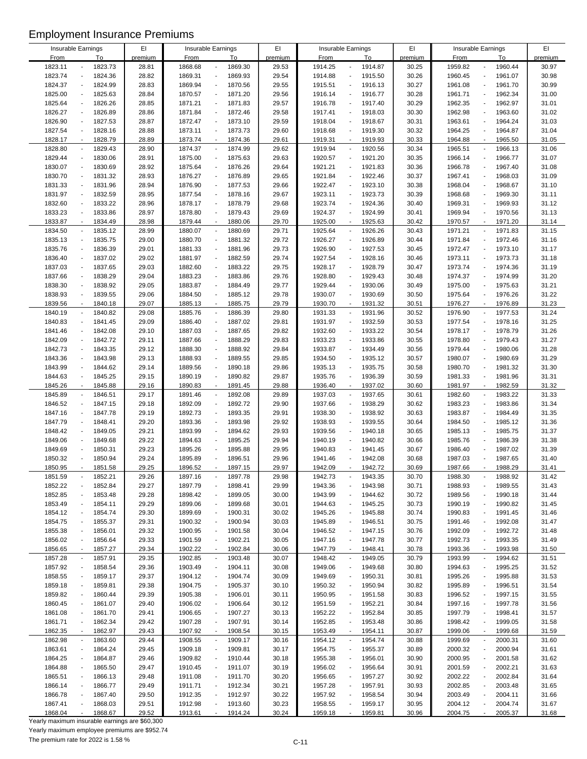|                    |                                     | E1      |             |                                     | EI      |             |                                         |         |             |                                     |         |
|--------------------|-------------------------------------|---------|-------------|-------------------------------------|---------|-------------|-----------------------------------------|---------|-------------|-------------------------------------|---------|
| Insurable Earnings |                                     |         |             | Insurable Earnings                  |         |             | Insurable Earnings                      | EI      |             | Insurable Earnings                  | EI      |
| <b>From</b>        | To                                  | premium | <b>From</b> | To                                  | premium | <b>From</b> | To                                      | premium | <b>From</b> | To                                  | premium |
| 1823.11            | 1823.73                             | 28.81   | 1868.68     | 1869.30<br>÷,                       | 29.53   | 1914.25     | 1914.87                                 | 30.25   | 1959.82     | 1960.44<br>$\overline{a}$           | 30.97   |
| 1823.74            | 1824.36                             | 28.82   | 1869.31     | $\Box$<br>1869.93                   | 29.54   | 1914.88     | 1915.50<br>$\overline{a}$               | 30.26   | 1960.45     | 1961.07<br>$\overline{\phantom{a}}$ | 30.98   |
| 1824.37            | 1824.99                             | 28.83   | 1869.94     | 1870.56<br>$\overline{\phantom{a}}$ | 29.55   | 1915.51     | 1916.13<br>$\overline{a}$               | 30.27   | 1961.08     | 1961.70<br>$\overline{a}$           | 30.99   |
| 1825.00            | 1825.63                             | 28.84   | 1870.57     | 1871.20<br>$\overline{\phantom{a}}$ | 29.56   | 1916.14     | 1916.77<br>$\overline{\phantom{a}}$     | 30.28   | 1961.71     | 1962.34<br>$\overline{a}$           | 31.00   |
| 1825.64            | 1826.26                             | 28.85   | 1871.21     | 1871.83<br>$\overline{\phantom{a}}$ | 29.57   | 1916.78     | 1917.40<br>$\blacksquare$               | 30.29   | 1962.35     | 1962.97<br>$\overline{\phantom{a}}$ | 31.01   |
| 1826.27            | 1826.89                             | 28.86   | 1871.84     | 1872.46<br>$\blacksquare$           | 29.58   | 1917.41     | 1918.03<br>$\overline{a}$               | 30.30   | 1962.98     | 1963.60<br>$\overline{a}$           | 31.02   |
| 1826.90            | 1827.53                             | 28.87   | 1872.47     | 1873.10<br>$\blacksquare$           | 29.59   | 1918.04     | 1918.67<br>$\overline{a}$               | 30.31   | 1963.61     | 1964.24<br>$\overline{a}$           | 31.03   |
| 1827.54            | 1828.16<br>$\overline{a}$           | 28.88   | 1873.11     | 1873.73<br>$\overline{\phantom{a}}$ | 29.60   | 1918.68     | 1919.30<br>$\blacksquare$               | 30.32   | 1964.25     | 1964.87<br>$\overline{\phantom{a}}$ | 31.04   |
|                    |                                     |         |             | $\blacksquare$                      |         |             |                                         |         |             |                                     |         |
| 1828.17            | 1828.79<br>$\overline{\phantom{a}}$ | 28.89   | 1873.74     | 1874.36                             | 29.61   | 1919.31     | 1919.93<br>$\overline{\phantom{a}}$     | 30.33   | 1964.88     | 1965.50<br>$\overline{a}$           | 31.05   |
| 1828.80            | 1829.43                             | 28.90   | 1874.37     | 1874.99<br>$\overline{\phantom{a}}$ | 29.62   | 1919.94     | 1920.56                                 | 30.34   | 1965.51     | 1966.13<br>$\overline{a}$           | 31.06   |
| 1829.44            | 1830.06<br>$\overline{a}$           | 28.91   | 1875.00     | 1875.63<br>$\overline{\phantom{a}}$ | 29.63   | 1920.57     | 1921.20<br>$\overline{\phantom{a}}$     | 30.35   | 1966.14     | 1966.77<br>$\overline{a}$           | 31.07   |
| 1830.07            | 1830.69                             | 28.92   | 1875.64     | 1876.26<br>$\blacksquare$           | 29.64   | 1921.21     | 1921.83                                 | 30.36   | 1966.78     | 1967.40                             | 31.08   |
| 1830.70            | 1831.32<br>$\overline{a}$           | 28.93   | 1876.27     | 1876.89<br>$\blacksquare$           | 29.65   | 1921.84     | 1922.46<br>$\overline{a}$               | 30.37   | 1967.41     | 1968.03<br>$\overline{\phantom{a}}$ | 31.09   |
| 1831.33            | 1831.96                             | 28.94   | 1876.90     | 1877.53<br>$\overline{\phantom{a}}$ | 29.66   | 1922.47     | 1923.10<br>$\overline{a}$               | 30.38   | 1968.04     | 1968.67<br>$\overline{\phantom{a}}$ | 31.10   |
| 1831.97            | 1832.59                             | 28.95   | 1877.54     | 1878.16<br>$\overline{\phantom{a}}$ | 29.67   | 1923.11     | 1923.73                                 | 30.39   | 1968.68     | 1969.30                             | 31.11   |
| 1832.60            | 1833.22                             | 28.96   | 1878.17     | 1878.79<br>$\overline{\phantom{a}}$ | 29.68   | 1923.74     | 1924.36<br>$\overline{\phantom{a}}$     | 30.40   | 1969.31     | 1969.93<br>÷,                       | 31.12   |
| 1833.23            | 1833.86                             | 28.97   | 1878.80     | 1879.43<br>$\overline{\phantom{a}}$ | 29.69   | 1924.37     | 1924.99                                 | 30.41   | 1969.94     | 1970.56<br>$\overline{\phantom{a}}$ | 31.13   |
| 1833.87            | 1834.49<br>÷,                       | 28.98   | 1879.44     | 1880.06<br>$\mathbf{r}$             | 29.70   | 1925.00     | 1925.63                                 | 30.42   | 1970.57     | 1971.20<br>÷,                       | 31.14   |
| 1834.50            | 1835.12                             | 28.99   | 1880.07     | $\overline{\phantom{a}}$<br>1880.69 | 29.71   | 1925.64     | 1926.26<br>$\overline{\phantom{a}}$     | 30.43   | 1971.21     | 1971.83<br>$\blacksquare$           | 31.15   |
| 1835.13            | 1835.75<br>$\overline{a}$           | 29.00   | 1880.70     | 1881.32<br>$\overline{\phantom{a}}$ | 29.72   | 1926.27     | 1926.89<br>$\overline{a}$               | 30.44   | 1971.84     | 1972.46<br>$\overline{\phantom{a}}$ | 31.16   |
| 1835.76            | 1836.39                             |         |             | $\blacksquare$                      | 29.73   |             |                                         |         | 1972.47     | 1973.10<br>$\overline{a}$           | 31.17   |
|                    |                                     | 29.01   | 1881.33     | 1881.96                             |         | 1926.90     | 1927.53                                 | 30.45   |             |                                     |         |
| 1836.40            | 1837.02                             | 29.02   | 1881.97     | 1882.59<br>$\overline{\phantom{a}}$ | 29.74   | 1927.54     | 1928.16                                 | 30.46   | 1973.11     | 1973.73                             | 31.18   |
| 1837.03            | 1837.65<br>$\overline{a}$           | 29.03   | 1882.60     | 1883.22<br>$\overline{\phantom{a}}$ | 29.75   | 1928.17     | 1928.79<br>$\overline{a}$               | 30.47   | 1973.74     | 1974.36<br>$\overline{a}$           | 31.19   |
| 1837.66            | 1838.29                             | 29.04   | 1883.23     | 1883.86<br>$\blacksquare$           | 29.76   | 1928.80     | 1929.43                                 | 30.48   | 1974.37     | 1974.99                             | 31.20   |
| 1838.30            | 1838.92                             | 29.05   | 1883.87     | 1884.49<br>$\blacksquare$           | 29.77   | 1929.44     | 1930.06<br>$\overline{a}$               | 30.49   | 1975.00     | 1975.63<br>$\overline{a}$           | 31.21   |
| 1838.93            | 1839.55                             | 29.06   | 1884.50     | 1885.12<br>$\overline{\phantom{a}}$ | 29.78   | 1930.07     | 1930.69<br>$\overline{a}$               | 30.50   | 1975.64     | 1976.26<br>$\overline{\phantom{a}}$ | 31.22   |
| 1839.56            | 1840.18<br>$\overline{\phantom{a}}$ | 29.07   | 1885.13     | 1885.75<br>$\blacksquare$           | 29.79   | 1930.70     | 1931.32                                 | 30.51   | 1976.27     | 1976.89                             | 31.23   |
| 1840.19            | 1840.82<br>$\blacksquare$           | 29.08   | 1885.76     | $\Box$<br>1886.39                   | 29.80   | 1931.33     | 1931.96<br>$\overline{a}$               | 30.52   | 1976.90     | 1977.53<br>$\overline{\phantom{a}}$ | 31.24   |
| 1840.83            | 1841.45                             | 29.09   | 1886.40     | 1887.02<br>$\overline{\phantom{a}}$ | 29.81   | 1931.97     | 1932.59<br>$\overline{\phantom{a}}$     | 30.53   | 1977.54     | 1978.16<br>$\overline{a}$           | 31.25   |
| 1841.46            | 1842.08                             | 29.10   | 1887.03     | $\blacksquare$<br>1887.65           | 29.82   | 1932.60     | 1933.22                                 | 30.54   | 1978.17     | 1978.79<br>$\overline{a}$           | 31.26   |
| 1842.09            | 1842.72                             | 29.11   | 1887.66     | 1888.29<br>$\overline{\phantom{a}}$ | 29.83   | 1933.23     | 1933.86                                 | 30.55   | 1978.80     | 1979.43<br>$\overline{a}$           | 31.27   |
| 1842.73            | 1843.35<br>$\overline{a}$           | 29.12   | 1888.30     | 1888.92<br>$\overline{\phantom{a}}$ | 29.84   | 1933.87     | 1934.49<br>$\overline{\phantom{a}}$     | 30.56   | 1979.44     | 1980.06<br>$\overline{\phantom{a}}$ | 31.28   |
| 1843.36            | 1843.98                             | 29.13   | 1888.93     | $\Box$<br>1889.55                   | 29.85   | 1934.50     | 1935.12                                 | 30.57   | 1980.07     | 1980.69<br>$\overline{a}$           | 31.29   |
| 1843.99            | 1844.62                             | 29.14   | 1889.56     | 1890.18<br>$\Box$                   | 29.86   | 1935.13     | 1935.75                                 | 30.58   | 1980.70     | 1981.32                             | 31.30   |
|                    |                                     |         |             |                                     |         |             |                                         |         |             |                                     |         |
| 1844.63            | 1845.25<br>$\overline{a}$           | 29.15   | 1890.19     | 1890.82<br>$\overline{\phantom{a}}$ | 29.87   | 1935.76     | 1936.39<br>$\blacksquare$               | 30.59   | 1981.33     | 1981.96<br>$\blacksquare$           | 31.31   |
| 1845.26            | 1845.88                             | 29.16   | 1890.83     | 1891.45<br>$\mathbf{r}$             | 29.88   | 1936.40     | 1937.02                                 | 30.60   | 1981.97     | 1982.59                             | 31.32   |
| 1845.89            | 1846.51<br>$\overline{a}$           | 29.17   | 1891.46     | 1892.08<br>$\blacksquare$           | 29.89   | 1937.03     | 1937.65<br>$\blacksquare$               | 30.61   | 1982.60     | 1983.22<br>$\blacksquare$           | 31.33   |
| 1846.52            | 1847.15                             | 29.18   | 1892.09     | $\Box$<br>1892.72                   | 29.90   | 1937.66     | 1938.29                                 | 30.62   | 1983.23     | 1983.86<br>$\overline{a}$           | 31.34   |
| 1847.16            | 1847.78                             | 29.19   | 1892.73     | 1893.35<br>$\blacksquare$           | 29.91   | 1938.30     | 1938.92                                 | 30.63   | 1983.87     | 1984.49<br>$\overline{a}$           | 31.35   |
| 1847.79            | 1848.41                             | 29.20   | 1893.36     | $\blacksquare$<br>1893.98           | 29.92   | 1938.93     | 1939.55                                 | 30.64   | 1984.50     | 1985.12<br>$\overline{a}$           | 31.36   |
| 1848.42            | 1849.05                             | 29.21   | 1893.99     | 1894.62<br>$\overline{\phantom{a}}$ | 29.93   | 1939.56     | 1940.18<br>$\overline{\phantom{a}}$     | 30.65   | 1985.13     | 1985.75<br>$\overline{a}$           | 31.37   |
| 1849.06            | 1849.68                             | 29.22   | 1894.63     | 1895.25<br>$\blacksquare$           | 29.94   | 1940.19     | 1940.82                                 | 30.66   | 1985.76     | 1986.39                             | 31.38   |
| 1849.69            | 1850.31                             | 29.23   | 1895.26     | 1895.88<br>$\blacksquare$           | 29.95   | 1940.83     | 1941.45                                 | 30.67   | 1986.40     | 1987.02                             | 31.39   |
| 1850.32            | 1850.94                             | 29.24   | 1895.89     | 1896.51<br>$\overline{\phantom{a}}$ | 29.96   | 1941.46     | 1942.08                                 | 30.68   | 1987.03     | 1987.65<br>$\overline{a}$           | 31.40   |
| 1850.95            | 1851.58                             | 29.25   | 1896.52     | 1897.15                             | 29.97   | 1942.09     | 1942.72                                 | 30.69   | 1987.66     | 1988.29                             | 31.41   |
| 1851.59            | 1852.21                             | 29.26   | 1897.16     | 1897.78<br>$\blacksquare$           | 29.98   | 1942.73     | 1943.35                                 | 30.70   | 1988.30     | 1988.92                             | 31.42   |
| 1852.22            | 1852.84                             | 29.27   | 1897.79     | 1898.41<br>$\overline{\phantom{a}}$ | 29.99   | 1943.36     | 1943.98                                 | 30.71   | 1988.93     | 1989.55                             | 31.43   |
| 1852.85            | 1853.48                             | 29.28   | 1898.42     | 1899.05<br>$\overline{\phantom{a}}$ | 30.00   | 1943.99     | 1944.62                                 | 30.72   | 1989.56     | 1990.18                             | 31.44   |
|                    |                                     |         |             |                                     |         |             |                                         |         |             |                                     |         |
| 1853.49            | 1854.11                             | 29.29   | 1899.06     | 1899.68<br>$\blacksquare$           | 30.01   | 1944.63     | 1945.25<br>$\overline{\phantom{a}}$     | 30.73   | 1990.19     | 1990.82<br>$\overline{a}$           | 31.45   |
| 1854.12            | 1854.74                             | 29.30   | 1899.69     | 1900.31<br>$\blacksquare$           | 30.02   | 1945.26     | 1945.88                                 | 30.74   | 1990.83     | 1991.45<br>$\overline{\phantom{a}}$ | 31.46   |
| 1854.75            | 1855.37                             | 29.31   | 1900.32     | 1900.94<br>$\overline{\phantom{a}}$ | 30.03   | 1945.89     | 1946.51                                 | 30.75   | 1991.46     | 1992.08                             | 31.47   |
| 1855.38            | 1856.01                             | 29.32   | 1900.95     | 1901.58<br>$\overline{\phantom{a}}$ | 30.04   | 1946.52     | 1947.15<br>$\overline{\phantom{a}}$     | 30.76   | 1992.09     | 1992.72                             | 31.48   |
| 1856.02            | 1856.64                             | 29.33   | 1901.59     | 1902.21<br>$\overline{\phantom{a}}$ | 30.05   | 1947.16     | 1947.78<br>$\overline{a}$               | 30.77   | 1992.73     | 1993.35<br>$\overline{\phantom{a}}$ | 31.49   |
| 1856.65            | 1857.27                             | 29.34   | 1902.22     | 1902.84<br>$\blacksquare$           | 30.06   | 1947.79     | 1948.41<br>$\overline{\phantom{a}}$     | 30.78   | 1993.36     | 1993.98<br>$\overline{a}$           | 31.50   |
| 1857.28            | 1857.91                             | 29.35   | 1902.85     | 1903.48<br>$\blacksquare$           | 30.07   | 1948.42     | 1949.05                                 | 30.79   | 1993.99     | 1994.62<br>$\overline{a}$           | 31.51   |
| 1857.92            | 1858.54                             | 29.36   | 1903.49     | 1904.11<br>$\blacksquare$           | 30.08   | 1949.06     | 1949.68                                 | 30.80   | 1994.63     | 1995.25<br>$\overline{\phantom{a}}$ | 31.52   |
| 1858.55            | 1859.17                             | 29.37   | 1904.12     | $\overline{\phantom{a}}$<br>1904.74 | 30.09   | 1949.69     | 1950.31                                 | 30.81   | 1995.26     | 1995.88                             | 31.53   |
| 1859.18            | 1859.81                             | 29.38   | 1904.75     | 1905.37<br>$\overline{\phantom{a}}$ | 30.10   | 1950.32     | 1950.94                                 | 30.82   | 1995.89     | 1996.51<br>$\overline{a}$           | 31.54   |
| 1859.82            | 1860.44                             | 29.39   | 1905.38     | 1906.01<br>$\overline{\phantom{a}}$ | 30.11   | 1950.95     | 1951.58<br>$\overline{\phantom{a}}$     | 30.83   | 1996.52     | 1997.15<br>$\blacksquare$           | 31.55   |
| 1860.45            | 1861.07                             | 29.40   | 1906.02     | 1906.64<br>$\blacksquare$           | 30.12   | 1951.59     | 1952.21                                 | 30.84   | 1997.16     | 1997.78                             | 31.56   |
| 1861.08            | 1861.70                             | 29.41   | 1906.65     | 1907.27<br>$\blacksquare$           | 30.13   | 1952.22     | 1952.84<br>$\qquad \qquad \blacksquare$ | 30.85   | 1997.79     | 1998.41<br>$\overline{\phantom{a}}$ | 31.57   |
| 1861.71            | 1862.34                             | 29.42   | 1907.28     | 1907.91<br>$\blacksquare$           | 30.14   | 1952.85     | 1953.48                                 | 30.86   | 1998.42     | 1999.05<br>$\overline{\phantom{a}}$ | 31.58   |
| 1862.35            | 1862.97                             |         |             | 1908.54<br>$\blacksquare$           | 30.15   | 1953.49     |                                         |         |             | 1999.68                             |         |
|                    |                                     | 29.43   | 1907.92     |                                     |         |             | 1954.11                                 | 30.87   | 1999.06     |                                     | 31.59   |
| 1862.98            | 1863.60                             | 29.44   | 1908.55     | 1909.17<br>$\blacksquare$           | 30.16   | 1954.12     | 1954.74<br>$\blacksquare$               | 30.88   | 1999.69     | 2000.31<br>$\blacksquare$           | 31.60   |
| 1863.61            | 1864.24                             | 29.45   | 1909.18     | 1909.81<br>$\overline{\phantom{a}}$ | 30.17   | 1954.75     | 1955.37<br>$\overline{a}$               | 30.89   | 2000.32     | 2000.94                             | 31.61   |
| 1864.25            | 1864.87                             | 29.46   | 1909.82     | 1910.44<br>$\overline{\phantom{a}}$ | 30.18   | 1955.38     | 1956.01<br>$\overline{a}$               | 30.90   | 2000.95     | 2001.58<br>$\overline{a}$           | 31.62   |
| 1864.88            | 1865.50                             | 29.47   | 1910.45     | 1911.07<br>$\blacksquare$           | 30.19   | 1956.02     | 1956.64                                 | 30.91   | 2001.59     | 2002.21                             | 31.63   |
| 1865.51            | 1866.13                             | 29.48   | 1911.08     | 1911.70<br>$\overline{\phantom{a}}$ | 30.20   | 1956.65     | 1957.27                                 | 30.92   | 2002.22     | 2002.84<br>$\overline{\phantom{a}}$ | 31.64   |
| 1866.14            | 1866.77                             | 29.49   | 1911.71     | 1912.34<br>$\overline{\phantom{a}}$ | 30.21   | 1957.28     | 1957.91                                 | 30.93   | 2002.85     | 2003.48                             | 31.65   |
| 1866.78            | 1867.40                             | 29.50   | 1912.35     | 1912.97<br>$\overline{\phantom{a}}$ | 30.22   | 1957.92     | 1958.54                                 | 30.94   | 2003.49     | 2004.11                             | 31.66   |
| 1867.41            | 1868.03                             | 29.51   | 1912.98     | 1913.60<br>$\overline{\phantom{a}}$ | 30.23   | 1958.55     | 1959.17<br>$\qquad \qquad \blacksquare$ | 30.95   | 2004.12     | 2004.74<br>$\overline{\phantom{a}}$ | 31.67   |
| 1868.04            | 1868.67                             | 29.52   | 1913.61     | 1914.24<br>$\sim$                   | 30.24   | 1959.18     | 1959.81                                 | 30.96   | 2004.75     | 2005.37                             | 31.68   |

Yearly maximum insurable earnings are \$60,300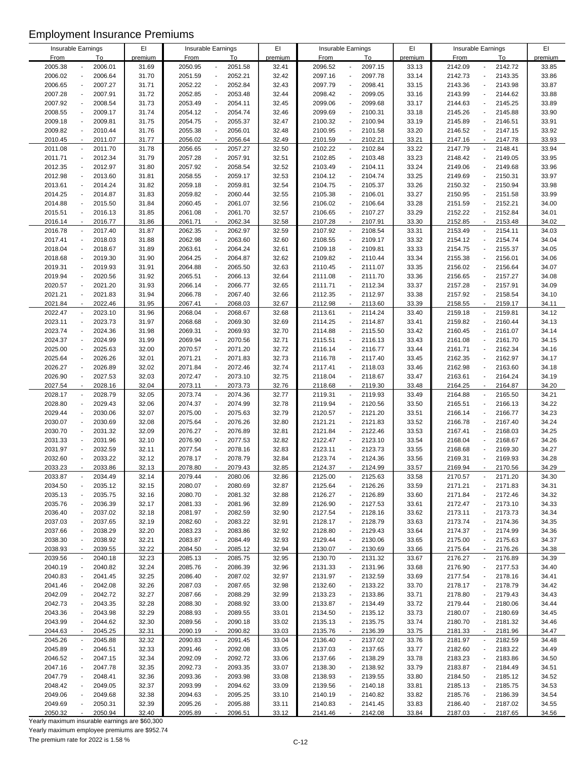|                    |                          |         | EI      |                    |                                     | EI      |             |                                     | EI      |                    |                                     | EI      |
|--------------------|--------------------------|---------|---------|--------------------|-------------------------------------|---------|-------------|-------------------------------------|---------|--------------------|-------------------------------------|---------|
| Insurable Earnings |                          |         |         | Insurable Earnings |                                     |         |             | Insurable Earnings                  |         | Insurable Earnings |                                     |         |
| <b>From</b>        |                          | To      | premium | <b>From</b>        | To                                  | premium | <b>From</b> | To                                  | premium | <b>From</b>        | To                                  | premium |
| 2005.38            |                          | 2006.01 | 31.69   | 2050.95            | 2051.58<br>÷,                       | 32.41   | 2096.52     | 2097.15                             | 33.13   | 2142.09            | 2142.72                             | 33.85   |
| 2006.02            |                          | 2006.64 | 31.70   | 2051.59            | 2052.21<br>$\blacksquare$           | 32.42   | 2097.16     | 2097.78                             | 33.14   | 2142.73            | 2143.35<br>$\overline{a}$           | 33.86   |
| 2006.65            |                          | 2007.27 | 31.71   | 2052.22            | 2052.84<br>$\blacksquare$           | 32.43   | 2097.79     | 2098.41                             | 33.15   | 2143.36            | 2143.98                             | 33.87   |
| 2007.28            |                          | 2007.91 | 31.72   | 2052.85            | $\Box$<br>2053.48                   | 32.44   | 2098.42     | 2099.05<br>$\overline{a}$           | 33.16   | 2143.99            | 2144.62<br>$\blacksquare$           | 33.88   |
| 2007.92            |                          | 2008.54 | 31.73   | 2053.49            | $\Box$<br>2054.11                   | 32.45   | 2099.06     | 2099.68                             | 33.17   | 2144.63            | 2145.25<br>$\overline{a}$           | 33.89   |
|                    |                          |         |         |                    | $\blacksquare$                      |         |             |                                     |         |                    | $\overline{a}$                      |         |
| 2008.55            |                          | 2009.17 | 31.74   | 2054.12            | 2054.74                             | 32.46   | 2099.69     | 2100.31                             | 33.18   | 2145.26            | 2145.88                             | 33.90   |
| 2009.18            |                          | 2009.81 | 31.75   | 2054.75            | 2055.37<br>$\blacksquare$           | 32.47   | 2100.32     | 2100.94<br>$\overline{\phantom{a}}$ | 33.19   | 2145.89            | 2146.51<br>$\overline{a}$           | 33.91   |
| 2009.82            | $\overline{a}$           | 2010.44 | 31.76   | 2055.38            | $\Box$<br>2056.01                   | 32.48   | 2100.95     | 2101.58<br>$\blacksquare$           | 33.20   | 2146.52            | 2147.15<br>$\overline{a}$           | 33.92   |
| 2010.45            | $\overline{\phantom{a}}$ | 2011.07 | 31.77   | 2056.02            | 2056.64<br>$\blacksquare$           | 32.49   | 2101.59     | 2102.21<br>$\overline{\phantom{a}}$ | 33.21   | 2147.16            | 2147.78<br>$\overline{a}$           | 33.93   |
| 2011.08            |                          | 2011.70 | 31.78   | 2056.65            | 2057.27<br>$\overline{\phantom{a}}$ | 32.50   | 2102.22     | 2102.84                             | 33.22   | 2147.79            | 2148.41                             | 33.94   |
| 2011.71            | $\overline{a}$           | 2012.34 | 31.79   | 2057.28            | 2057.91<br>$\overline{\phantom{a}}$ | 32.51   | 2102.85     | 2103.48<br>$\overline{\phantom{a}}$ | 33.23   | 2148.42            | 2149.05<br>$\blacksquare$           | 33.95   |
| 2012.35            |                          | 2012.97 | 31.80   | 2057.92            | 2058.54<br>$\blacksquare$           | 32.52   | 2103.49     | 2104.11                             | 33.24   | 2149.06            | 2149.68                             | 33.96   |
| 2012.98            | $\overline{a}$           | 2013.60 | 31.81   | 2058.55            | 2059.17<br>$\blacksquare$           | 32.53   | 2104.12     | 2104.74<br>$\overline{a}$           | 33.25   | 2149.69            | 2150.31<br>$\overline{a}$           | 33.97   |
|                    |                          |         |         |                    |                                     |         |             |                                     |         |                    |                                     |         |
| 2013.61            |                          | 2014.24 | 31.82   | 2059.18            | $\Box$<br>2059.81                   | 32.54   | 2104.75     | 2105.37<br>$\overline{\phantom{a}}$ | 33.26   | 2150.32            | 2150.94<br>$\overline{a}$           | 33.98   |
| 2014.25            |                          | 2014.87 | 31.83   | 2059.82            | 2060.44<br>$\overline{\phantom{a}}$ | 32.55   | 2105.38     | 2106.01                             | 33.27   | 2150.95            | 2151.58                             | 33.99   |
| 2014.88            |                          | 2015.50 | 31.84   | 2060.45            | $\Box$<br>2061.07                   | 32.56   | 2106.02     | 2106.64<br>$\overline{\phantom{a}}$ | 33.28   | 2151.59            | 2152.21                             | 34.00   |
| 2015.51            |                          | 2016.13 | 31.85   | 2061.08            | 2061.70<br>$\overline{\phantom{a}}$ | 32.57   | 2106.65     | 2107.27                             | 33.29   | 2152.22            | 2152.84<br>$\overline{a}$           | 34.01   |
| 2016.14            | $\sim$                   | 2016.77 | 31.86   | 2061.71            | 2062.34<br>$\mathbf{r}$             | 32.58   | 2107.28     | 2107.91                             | 33.30   | 2152.85            | 2153.48<br>÷,                       | 34.02   |
| 2016.78            |                          | 2017.40 | 31.87   | 2062.35            | $\overline{\phantom{a}}$<br>2062.97 | 32.59   | 2107.92     | 2108.54<br>$\overline{a}$           | 33.31   | 2153.49            | 2154.11<br>$\overline{\phantom{a}}$ | 34.03   |
| 2017.41            | $\blacksquare$           | 2018.03 | 31.88   | 2062.98            | 2063.60<br>$\Box$                   | 32.60   | 2108.55     | 2109.17<br>$\overline{a}$           | 33.32   | 2154.12            | 2154.74<br>$\overline{a}$           | 34.04   |
| 2018.04            |                          | 2018.67 | 31.89   | 2063.61            | $\blacksquare$<br>2064.24           | 32.61   | 2109.18     | 2109.81                             | 33.33   | 2154.75            | 2155.37                             | 34.05   |
|                    |                          |         |         |                    |                                     |         |             |                                     |         |                    |                                     |         |
| 2018.68            |                          | 2019.30 | 31.90   | 2064.25            | 2064.87<br>$\overline{\phantom{a}}$ | 32.62   | 2109.82     | 2110.44                             | 33.34   | 2155.38            | 2156.01<br>$\overline{a}$           | 34.06   |
| 2019.31            | $\overline{a}$           | 2019.93 | 31.91   | 2064.88            | $\Box$<br>2065.50                   | 32.63   | 2110.45     | 2111.07<br>$\overline{\phantom{a}}$ | 33.35   | 2156.02            | 2156.64<br>$\blacksquare$           | 34.07   |
| 2019.94            |                          | 2020.56 | 31.92   | 2065.51            | 2066.13<br>$\blacksquare$           | 32.64   | 2111.08     | 2111.70                             | 33.36   | 2156.65            | 2157.27                             | 34.08   |
| 2020.57            |                          | 2021.20 | 31.93   | 2066.14            | 2066.77<br>$\blacksquare$           | 32.65   | 2111.71     | 2112.34<br>$\overline{a}$           | 33.37   | 2157.28            | 2157.91<br>$\overline{a}$           | 34.09   |
| 2021.21            |                          | 2021.83 | 31.94   | 2066.78            | $\Box$<br>2067.40                   | 32.66   | 2112.35     | 2112.97<br>$\overline{\phantom{a}}$ | 33.38   | 2157.92            | 2158.54<br>$\overline{a}$           | 34.10   |
| 2021.84            |                          | 2022.46 | 31.95   | 2067.41            | 2068.03<br>$\blacksquare$           | 32.67   | 2112.98     | 2113.60                             | 33.39   | 2158.55            | 2159.17                             | 34.11   |
| 2022.47            | $\blacksquare$           | 2023.10 | 31.96   | 2068.04            | $\Box$<br>2068.67                   | 32.68   | 2113.61     | 2114.24<br>$\overline{a}$           | 33.40   | 2159.18            | 2159.81<br>$\blacksquare$           | 34.12   |
|                    |                          |         |         |                    |                                     |         |             |                                     |         |                    |                                     |         |
| 2023.11            |                          | 2023.73 | 31.97   | 2068.68            | 2069.30<br>$\overline{\phantom{a}}$ | 32.69   | 2114.25     | 2114.87<br>$\overline{\phantom{a}}$ | 33.41   | 2159.82            | 2160.44<br>$\blacksquare$           | 34.13   |
| 2023.74            |                          | 2024.36 | 31.98   | 2069.31            | 2069.93<br>$\blacksquare$           | 32.70   | 2114.88     | 2115.50                             | 33.42   | 2160.45            | 2161.07<br>$\overline{a}$           | 34.14   |
| 2024.37            |                          | 2024.99 | 31.99   | 2069.94            | 2070.56<br>$\blacksquare$           | 32.71   | 2115.51     | 2116.13                             | 33.43   | 2161.08            | 2161.70<br>$\overline{a}$           | 34.15   |
| 2025.00            | $\overline{a}$           | 2025.63 | 32.00   | 2070.57            | 2071.20<br>$\overline{\phantom{a}}$ | 32.72   | 2116.14     | 2116.77<br>$\overline{\phantom{a}}$ | 33.44   | 2161.71            | 2162.34<br>$\overline{\phantom{a}}$ | 34.16   |
| 2025.64            |                          | 2026.26 | 32.01   | 2071.21            | 2071.83<br>$\blacksquare$           | 32.73   | 2116.78     | 2117.40                             | 33.45   | 2162.35            | 2162.97<br>$\overline{a}$           | 34.17   |
| 2026.27            |                          | 2026.89 | 32.02   | 2071.84            | 2072.46<br>$\blacksquare$           | 32.74   | 2117.41     | 2118.03                             | 33.46   | 2162.98            | 2163.60                             | 34.18   |
| 2026.90            |                          | 2027.53 | 32.03   | 2072.47            | 2073.10<br>$\overline{\phantom{a}}$ | 32.75   | 2118.04     | 2118.67<br>$\overline{\phantom{a}}$ | 33.47   | 2163.61            | 2164.24<br>$\blacksquare$           | 34.19   |
| 2027.54            |                          | 2028.16 | 32.04   | 2073.11            | 2073.73<br>$\mathbf{r}$             | 32.76   | 2118.68     | 2119.30                             | 33.48   | 2164.25            | 2164.87                             | 34.20   |
|                    |                          |         |         |                    |                                     |         |             |                                     |         |                    |                                     |         |
| 2028.17            |                          | 2028.79 | 32.05   | 2073.74            | 2074.36<br>$\blacksquare$           | 32.77   | 2119.31     | 2119.93<br>$\overline{\phantom{a}}$ | 33.49   | 2164.88            | 2165.50<br>$\blacksquare$           | 34.21   |
| 2028.80            |                          | 2029.43 | 32.06   | 2074.37            | $\Box$<br>2074.99                   | 32.78   | 2119.94     | 2120.56<br>$\overline{\phantom{a}}$ | 33.50   | 2165.51            | 2166.13<br>$\overline{\phantom{a}}$ | 34.22   |
| 2029.44            |                          | 2030.06 | 32.07   | 2075.00            | 2075.63<br>$\blacksquare$           | 32.79   | 2120.57     | 2121.20<br>$\overline{\phantom{a}}$ | 33.51   | 2166.14            | 2166.77<br>$\overline{a}$           | 34.23   |
| 2030.07            |                          | 2030.69 | 32.08   | 2075.64            | $\blacksquare$<br>2076.26           | 32.80   | 2121.21     | 2121.83<br>$\blacksquare$           | 33.52   | 2166.78            | 2167.40<br>$\overline{a}$           | 34.24   |
| 2030.70            |                          | 2031.32 | 32.09   | 2076.27            | 2076.89<br>$\overline{\phantom{a}}$ | 32.81   | 2121.84     | 2122.46<br>$\overline{\phantom{a}}$ | 33.53   | 2167.41            | 2168.03<br>$\overline{a}$           | 34.25   |
| 2031.33            |                          | 2031.96 | 32.10   | 2076.90            | 2077.53<br>$\blacksquare$           | 32.82   | 2122.47     | 2123.10<br>$\overline{\phantom{a}}$ | 33.54   | 2168.04            | 2168.67                             | 34.26   |
| 2031.97            |                          | 2032.59 | 32.11   | 2077.54            | 2078.16<br>$\blacksquare$           | 32.83   | 2123.11     | 2123.73                             | 33.55   | 2168.68            | 2169.30                             | 34.27   |
| 2032.60            |                          | 2033.22 | 32.12   | 2078.17            | 2078.79<br>$\overline{\phantom{a}}$ | 32.84   | 2123.74     | 2124.36<br>$\overline{\phantom{a}}$ | 33.56   | 2169.31            | 2169.93<br>$\overline{\phantom{a}}$ | 34.28   |
|                    |                          |         |         |                    |                                     |         |             |                                     |         |                    |                                     |         |
| 2033.23            |                          | 2033.86 | 32.13   | 2078.80            | 2079.43                             | 32.85   | 2124.37     | 2124.99                             | 33.57   | 2169.94            | 2170.56                             | 34.29   |
| 2033.87            |                          | 2034.49 | 32.14   | 2079.44            | 2080.06<br>$\overline{\phantom{a}}$ | 32.86   | 2125.00     | 2125.63                             | 33.58   | 2170.57            | 2171.20                             | 34.30   |
| 2034.50            |                          | 2035.12 | 32.15   | 2080.07            | 2080.69<br>$\overline{a}$           | 32.87   | 2125.64     | 2126.26<br>$\overline{a}$           | 33.59   | 2171.21            | 2171.83                             | 34.31   |
| 2035.13            |                          | 2035.75 | 32.16   | 2080.70            | 2081.32<br>$\overline{\phantom{a}}$ | 32.88   | 2126.27     | 2126.89                             | 33.60   | 2171.84            | 2172.46                             | 34.32   |
| 2035.76            |                          | 2036.39 | 32.17   | 2081.33            | 2081.96<br>$\blacksquare$           | 32.89   | 2126.90     | 2127.53<br>$\blacksquare$           | 33.61   | 2172.47            | 2173.10<br>$\overline{a}$           | 34.33   |
| 2036.40            |                          | 2037.02 | 32.18   | 2081.97            | 2082.59<br>$\blacksquare$           | 32.90   | 2127.54     | 2128.16                             | 33.62   | 2173.11            | 2173.73                             | 34.34   |
| 2037.03            |                          | 2037.65 | 32.19   | 2082.60            | 2083.22<br>$\blacksquare$           | 32.91   | 2128.17     | 2128.79                             | 33.63   | 2173.74            | 2174.36                             | 34.35   |
| 2037.66            |                          | 2038.29 | 32.20   | 2083.23            | 2083.86<br>$\overline{\phantom{a}}$ | 32.92   | 2128.80     | 2129.43<br>$\overline{\phantom{a}}$ | 33.64   | 2174.37            | 2174.99                             | 34.36   |
|                    |                          |         |         |                    |                                     |         |             |                                     |         |                    |                                     |         |
| 2038.30            |                          | 2038.92 | 32.21   | 2083.87            | 2084.49<br>$\overline{\phantom{a}}$ | 32.93   | 2129.44     | 2130.06                             | 33.65   | 2175.00            | 2175.63<br>$\overline{a}$           | 34.37   |
| 2038.93            |                          | 2039.55 | 32.22   | 2084.50            | $\blacksquare$<br>2085.12           | 32.94   | 2130.07     | 2130.69<br>$\overline{\phantom{a}}$ | 33.66   | 2175.64            | 2176.26<br>$\overline{a}$           | 34.38   |
| 2039.56            |                          | 2040.18 | 32.23   | 2085.13            | 2085.75<br>$\blacksquare$           | 32.95   | 2130.70     | 2131.32                             | 33.67   | 2176.27            | 2176.89<br>$\overline{\phantom{a}}$ | 34.39   |
| 2040.19            |                          | 2040.82 | 32.24   | 2085.76            | 2086.39<br>$\blacksquare$           | 32.96   | 2131.33     | 2131.96                             | 33.68   | 2176.90            | 2177.53                             | 34.40   |
| 2040.83            |                          | 2041.45 | 32.25   | 2086.40            | 2087.02<br>$\overline{\phantom{a}}$ | 32.97   | 2131.97     | 2132.59                             | 33.69   | 2177.54            | 2178.16                             | 34.41   |
| 2041.46            |                          | 2042.08 | 32.26   | 2087.03            | 2087.65<br>$\overline{\phantom{a}}$ | 32.98   | 2132.60     | 2133.22                             | 33.70   | 2178.17            | 2178.79                             | 34.42   |
| 2042.09            |                          | 2042.72 | 32.27   | 2087.66            | 2088.29<br>$\overline{\phantom{a}}$ | 32.99   | 2133.23     | 2133.86<br>$\overline{\phantom{a}}$ | 33.71   | 2178.80            | 2179.43<br>$\overline{a}$           | 34.43   |
| 2042.73            |                          | 2043.35 | 32.28   | 2088.30            | 2088.92<br>$\overline{\phantom{a}}$ | 33.00   | 2133.87     | 2134.49                             | 33.72   | 2179.44            | 2180.06                             | 34.44   |
|                    |                          |         |         |                    |                                     |         |             |                                     |         |                    |                                     |         |
| 2043.36            |                          | 2043.98 | 32.29   | 2088.93            | 2089.55<br>$\blacksquare$           | 33.01   | 2134.50     | 2135.12<br>$\blacksquare$           | 33.73   | 2180.07            | 2180.69                             | 34.45   |
| 2043.99            |                          | 2044.62 | 32.30   | 2089.56            | 2090.18<br>$\blacksquare$           | 33.02   | 2135.13     | 2135.75                             | 33.74   | 2180.70            | 2181.32                             | 34.46   |
| 2044.63            |                          | 2045.25 | 32.31   | 2090.19            | 2090.82<br>$\blacksquare$           | 33.03   | 2135.76     | 2136.39                             | 33.75   | 2181.33            | 2181.96                             | 34.47   |
| 2045.26            |                          | 2045.88 | 32.32   | 2090.83            | 2091.45<br>$\blacksquare$           | 33.04   | 2136.40     | 2137.02<br>$\overline{\phantom{a}}$ | 33.76   | 2181.97            | 2182.59<br>$\blacksquare$           | 34.48   |
| 2045.89            |                          | 2046.51 | 32.33   | 2091.46            | 2092.08<br>$\overline{\phantom{a}}$ | 33.05   | 2137.03     | 2137.65                             | 33.77   | 2182.60            | 2183.22                             | 34.49   |
| 2046.52            |                          | 2047.15 | 32.34   | 2092.09            | 2092.72<br>$\overline{\phantom{a}}$ | 33.06   | 2137.66     | 2138.29<br>$\overline{\phantom{a}}$ | 33.78   | 2183.23            | 2183.86<br>$\overline{\phantom{a}}$ | 34.50   |
| 2047.16            |                          | 2047.78 | 32.35   | 2092.73            | 2093.35<br>$\blacksquare$           | 33.07   | 2138.30     | 2138.92                             | 33.79   | 2183.87            | 2184.49                             | 34.51   |
| 2047.79            |                          | 2048.41 | 32.36   | 2093.36            | 2093.98<br>$\blacksquare$           | 33.08   | 2138.93     | 2139.55                             | 33.80   | 2184.50            | 2185.12                             | 34.52   |
|                    |                          |         |         |                    |                                     |         |             |                                     |         |                    |                                     |         |
| 2048.42            |                          | 2049.05 | 32.37   | 2093.99            | 2094.62<br>$\overline{\phantom{a}}$ | 33.09   | 2139.56     | 2140.18                             | 33.81   | 2185.13            | 2185.75                             | 34.53   |
| 2049.06            |                          | 2049.68 | 32.38   | 2094.63            | 2095.25<br>$\overline{\phantom{a}}$ | 33.10   | 2140.19     | 2140.82                             | 33.82   | 2185.76            | 2186.39                             | 34.54   |
| 2049.69            |                          | 2050.31 | 32.39   | 2095.26            | 2095.88<br>$\overline{a}$           | 33.11   | 2140.83     | 2141.45<br>$\overline{\phantom{a}}$ | 33.83   | 2186.40            | 2187.02<br>$\blacksquare$           | 34.55   |
| 2050.32            |                          | 2050.94 | 32.40   | 2095.89            | 2096.51                             | 33.12   | 2141.46     | 2142.08                             | 33.84   | 2187.03            | 2187.65                             | 34.56   |

Yearly maximum insurable earnings are \$60,300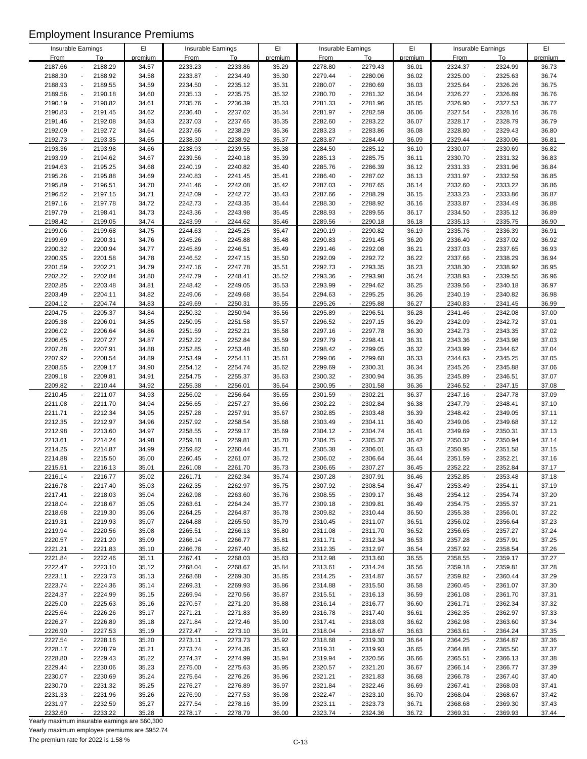| Insurable Earnings |                          |         | E1      | Insurable Earnings |                                     | EI      |             | Insurable Earnings                  | EI      | Insurable Earnings |                                     | EI      |
|--------------------|--------------------------|---------|---------|--------------------|-------------------------------------|---------|-------------|-------------------------------------|---------|--------------------|-------------------------------------|---------|
|                    |                          |         |         |                    |                                     |         |             |                                     |         |                    |                                     |         |
| <b>From</b>        |                          | To      | premium | <b>From</b>        | To                                  | premium | <b>From</b> | To                                  | premium | <b>From</b>        | To                                  | premium |
| 2187.66            |                          | 2188.29 | 34.57   | 2233.23            | 2233.86<br>$\overline{a}$           | 35.29   | 2278.80     | 2279.43                             | 36.01   | 2324.37            | 2324.99                             | 36.73   |
| 2188.30            |                          | 2188.92 | 34.58   | 2233.87            | $\Box$<br>2234.49                   | 35.30   | 2279.44     | 2280.06                             | 36.02   | 2325.00            | 2325.63<br>$\overline{a}$           | 36.74   |
| 2188.93            |                          | 2189.55 | 34.59   | 2234.50            | 2235.12<br>$\overline{\phantom{a}}$ | 35.31   | 2280.07     | 2280.69                             | 36.03   | 2325.64            | 2326.26                             | 36.75   |
| 2189.56            | $\blacksquare$           | 2190.18 | 34.60   | 2235.13            | $\Box$<br>2235.75                   | 35.32   | 2280.70     | 2281.32<br>$\overline{\phantom{a}}$ | 36.04   | 2326.27            | 2326.89                             | 36.76   |
| 2190.19            |                          | 2190.82 | 34.61   | 2235.76            | 2236.39<br>$\Box$                   | 35.33   | 2281.33     | 2281.96                             | 36.05   | 2326.90            | 2327.53<br>$\overline{\phantom{a}}$ | 36.77   |
| 2190.83            |                          | 2191.45 | 34.62   | 2236.40            | 2237.02<br>$\blacksquare$           | 35.34   | 2281.97     | 2282.59                             | 36.06   | 2327.54            | 2328.16<br>$\overline{a}$           | 36.78   |
| 2191.46            |                          | 2192.08 | 34.63   | 2237.03            | 2237.65<br>$\blacksquare$           | 35.35   | 2282.60     | 2283.22                             | 36.07   | 2328.17            | 2328.79<br>$\overline{a}$           | 36.79   |
| 2192.09            | $\blacksquare$           | 2192.72 | 34.64   | 2237.66            | 2238.29<br>$\overline{\phantom{a}}$ | 35.36   | 2283.23     | 2283.86<br>$\blacksquare$           | 36.08   | 2328.80            | 2329.43<br>$\overline{a}$           | 36.80   |
| 2192.73            | $\overline{\phantom{a}}$ | 2193.35 | 34.65   | 2238.30            | 2238.92<br>$\blacksquare$           | 35.37   | 2283.87     | 2284.49<br>$\overline{\phantom{a}}$ | 36.09   | 2329.44            | 2330.06                             | 36.81   |
| 2193.36            |                          | 2193.98 | 34.66   | 2238.93            | 2239.55<br>$\overline{\phantom{a}}$ | 35.38   | 2284.50     | 2285.12                             | 36.10   | 2330.07            | 2330.69                             | 36.82   |
| 2193.99            | $\overline{a}$           | 2194.62 | 34.67   | 2239.56            | 2240.18<br>$\overline{\phantom{a}}$ | 35.39   | 2285.13     | 2285.75<br>$\overline{\phantom{a}}$ | 36.11   | 2330.70            | 2331.32<br>$\overline{\phantom{a}}$ | 36.83   |
|                    |                          |         |         |                    |                                     |         |             |                                     |         |                    |                                     |         |
| 2194.63            |                          | 2195.25 | 34.68   | 2240.19            | 2240.82<br>$\blacksquare$           | 35.40   | 2285.76     | 2286.39                             | 36.12   | 2331.33            | 2331.96                             | 36.84   |
| 2195.26            |                          | 2195.88 | 34.69   | 2240.83            | 2241.45<br>$\blacksquare$           | 35.41   | 2286.40     | 2287.02<br>$\overline{\phantom{a}}$ | 36.13   | 2331.97            | 2332.59<br>$\overline{a}$           | 36.85   |
| 2195.89            |                          | 2196.51 | 34.70   | 2241.46            | 2242.08<br>$\overline{\phantom{a}}$ | 35.42   | 2287.03     | 2287.65                             | 36.14   | 2332.60            | 2333.22<br>$\overline{a}$           | 36.86   |
| 2196.52            |                          | 2197.15 | 34.71   | 2242.09            | 2242.72<br>$\blacksquare$           | 35.43   | 2287.66     | 2288.29                             | 36.15   | 2333.23            | 2333.86                             | 36.87   |
| 2197.16            | $\blacksquare$           | 2197.78 | 34.72   | 2242.73            | $\blacksquare$<br>2243.35           | 35.44   | 2288.30     | 2288.92                             | 36.16   | 2333.87            | 2334.49                             | 36.88   |
| 2197.79            |                          | 2198.41 | 34.73   | 2243.36            | 2243.98<br>$\overline{\phantom{a}}$ | 35.45   | 2288.93     | 2289.55                             | 36.17   | 2334.50            | 2335.12                             | 36.89   |
| 2198.42            | $\sim$                   | 2199.05 | 34.74   | 2243.99            | 2244.62<br>$\mathbf{r}$             | 35.46   | 2289.56     | 2290.18<br>$\sim$                   | 36.18   | 2335.13            | 2335.75<br>÷,                       | 36.90   |
| 2199.06            |                          | 2199.68 | 34.75   | 2244.63            | $\overline{\phantom{a}}$<br>2245.25 | 35.47   | 2290.19     | 2290.82<br>$\overline{\phantom{a}}$ | 36.19   | 2335.76            | 2336.39<br>$\overline{a}$           | 36.91   |
| 2199.69            | $\overline{a}$           | 2200.31 | 34.76   | 2245.26            | 2245.88<br>$\blacksquare$           | 35.48   | 2290.83     | 2291.45<br>$\overline{a}$           | 36.20   | 2336.40            | 2337.02<br>$\overline{a}$           | 36.92   |
| 2200.32            |                          | 2200.94 | 34.77   | 2245.89            | 2246.51<br>$\blacksquare$           | 35.49   | 2291.46     | 2292.08                             | 36.21   | 2337.03            | 2337.65                             | 36.93   |
| 2200.95            |                          | 2201.58 | 34.78   | 2246.52            | 2247.15<br>$\overline{\phantom{a}}$ | 35.50   | 2292.09     | 2292.72                             | 36.22   | 2337.66            | 2338.29                             | 36.94   |
| 2201.59            |                          | 2202.21 | 34.79   | 2247.16            | 2247.78<br>$\overline{\phantom{a}}$ | 35.51   | 2292.73     | 2293.35<br>$\overline{\phantom{a}}$ | 36.23   | 2338.30            | 2338.92<br>$\overline{\phantom{a}}$ | 36.95   |
|                    |                          |         |         |                    |                                     |         |             |                                     |         |                    |                                     |         |
| 2202.22            |                          | 2202.84 | 34.80   | 2247.79            | 2248.41<br>$\blacksquare$           | 35.52   | 2293.36     | 2293.98                             | 36.24   | 2338.93            | 2339.55                             | 36.96   |
| 2202.85            |                          | 2203.48 | 34.81   | 2248.42            | 2249.05<br>$\blacksquare$           | 35.53   | 2293.99     | 2294.62<br>÷,                       | 36.25   | 2339.56            | 2340.18<br>$\overline{a}$           | 36.97   |
| 2203.49            |                          | 2204.11 | 34.82   | 2249.06            | $\Box$<br>2249.68                   | 35.54   | 2294.63     | 2295.25<br>L,                       | 36.26   | 2340.19            | 2340.82<br>$\overline{a}$           | 36.98   |
| 2204.12            |                          | 2204.74 | 34.83   | 2249.69            | 2250.31<br>$\blacksquare$           | 35.55   | 2295.26     | 2295.88                             | 36.27   | 2340.83            | 2341.45                             | 36.99   |
| 2204.75            | $\blacksquare$           | 2205.37 | 34.84   | 2250.32            | $\Box$<br>2250.94                   | 35.56   | 2295.89     | 2296.51<br>$\overline{a}$           | 36.28   | 2341.46            | 2342.08<br>$\overline{a}$           | 37.00   |
| 2205.38            |                          | 2206.01 | 34.85   | 2250.95            | 2251.58<br>$\overline{\phantom{a}}$ | 35.57   | 2296.52     | 2297.15                             | 36.29   | 2342.09            | 2342.72<br>$\overline{\phantom{a}}$ | 37.01   |
| 2206.02            |                          | 2206.64 | 34.86   | 2251.59            | 2252.21<br>$\blacksquare$           | 35.58   | 2297.16     | 2297.78                             | 36.30   | 2342.73            | 2343.35<br>$\overline{a}$           | 37.02   |
| 2206.65            |                          | 2207.27 | 34.87   | 2252.22            | 2252.84<br>$\blacksquare$           | 35.59   | 2297.79     | 2298.41                             | 36.31   | 2343.36            | 2343.98<br>$\overline{a}$           | 37.03   |
| 2207.28            | $\overline{a}$           | 2207.91 | 34.88   | 2252.85            | 2253.48<br>$\overline{\phantom{a}}$ | 35.60   | 2298.42     | 2299.05<br>$\overline{a}$           | 36.32   | 2343.99            | 2344.62<br>$\overline{a}$           | 37.04   |
| 2207.92            |                          | 2208.54 | 34.89   | 2253.49            | $\blacksquare$<br>2254.11           | 35.61   | 2299.06     | 2299.68                             | 36.33   | 2344.63            | 2345.25                             | 37.05   |
| 2208.55            |                          | 2209.17 | 34.90   | 2254.12            | 2254.74<br>$\Box$                   | 35.62   | 2299.69     | 2300.31                             | 36.34   | 2345.26            | 2345.88                             | 37.06   |
| 2209.18            |                          | 2209.81 | 34.91   | 2254.75            | 2255.37<br>$\overline{\phantom{a}}$ | 35.63   | 2300.32     | 2300.94<br>$\blacksquare$           | 36.35   | 2345.89            | 2346.51<br>$\blacksquare$           | 37.07   |
| 2209.82            |                          | 2210.44 | 34.92   | 2255.38            | 2256.01<br>$\mathbf{r}$             | 35.64   | 2300.95     | 2301.58                             | 36.36   | 2346.52            | 2347.15                             | 37.08   |
| 2210.45            | $\overline{\phantom{a}}$ | 2211.07 | 34.93   | 2256.02            | 2256.64<br>$\blacksquare$           | 35.65   | 2301.59     | 2302.21<br>$\overline{\phantom{a}}$ | 36.37   | 2347.16            | 2347.78<br>$\ddot{\phantom{0}}$     | 37.09   |
|                    | $\overline{a}$           |         |         |                    | $\Box$                              |         |             |                                     |         |                    |                                     |         |
| 2211.08            |                          | 2211.70 | 34.94   | 2256.65            | 2257.27                             | 35.66   | 2302.22     | 2302.84                             | 36.38   | 2347.79            | 2348.41<br>$\overline{a}$           | 37.10   |
| 2211.71            |                          | 2212.34 | 34.95   | 2257.28            | 2257.91<br>$\blacksquare$           | 35.67   | 2302.85     | 2303.48                             | 36.39   | 2348.42            | 2349.05<br>$\overline{a}$           | 37.11   |
| 2212.35            | $\overline{a}$           | 2212.97 | 34.96   | 2257.92            | $\blacksquare$<br>2258.54           | 35.68   | 2303.49     | 2304.11                             | 36.40   | 2349.06            | 2349.68<br>$\overline{a}$           | 37.12   |
| 2212.98            |                          | 2213.60 | 34.97   | 2258.55            | 2259.17<br>$\Box$                   | 35.69   | 2304.12     | 2304.74                             | 36.41   | 2349.69            | 2350.31<br>$\overline{\phantom{a}}$ | 37.13   |
| 2213.61            |                          | 2214.24 | 34.98   | 2259.18            | 2259.81<br>$\blacksquare$           | 35.70   | 2304.75     | 2305.37                             | 36.42   | 2350.32            | 2350.94                             | 37.14   |
| 2214.25            |                          | 2214.87 | 34.99   | 2259.82            | 2260.44<br>$\blacksquare$           | 35.71   | 2305.38     | 2306.01                             | 36.43   | 2350.95            | 2351.58                             | 37.15   |
| 2214.88            |                          | 2215.50 | 35.00   | 2260.45            | 2261.07<br>$\overline{\phantom{a}}$ | 35.72   | 2306.02     | 2306.64                             | 36.44   | 2351.59            | 2352.21<br>$\overline{a}$           | 37.16   |
| 2215.51            |                          | 2216.13 | 35.01   | 2261.08            | 2261.70                             | 35.73   | 2306.65     | 2307.27                             | 36.45   | 2352.22            | 2352.84                             | 37.17   |
| 2216.14            |                          | 2216.77 | 35.02   | 2261.71            | 2262.34<br>$\blacksquare$           | 35.74   | 2307.28     | 2307.91                             | 36.46   | 2352.85            | 2353.48                             | 37.18   |
| 2216.78            |                          | 2217.40 | 35.03   | 2262.35            | 2262.97<br>$\overline{\phantom{a}}$ | 35.75   | 2307.92     | 2308.54                             | 36.47   | 2353.49            | 2354.11                             | 37.19   |
| 2217.41            |                          | 2218.03 | 35.04   | 2262.98            | 2263.60<br>$\overline{\phantom{a}}$ | 35.76   | 2308.55     | 2309.17                             | 36.48   | 2354.12            | 2354.74                             | 37.20   |
| 2218.04            |                          | 2218.67 | 35.05   | 2263.61            | 2264.24<br>$\blacksquare$           | 35.77   | 2309.18     | 2309.81                             | 36.49   | 2354.75            | 2355.37                             | 37.21   |
| 2218.68            |                          | 2219.30 | 35.06   | 2264.25            | 2264.87<br>$\blacksquare$           | 35.78   | 2309.82     | 2310.44                             | 36.50   | 2355.38            | 2356.01                             | 37.22   |
| 2219.31            |                          | 2219.93 | 35.07   | 2264.88            | 2265.50<br>$\blacksquare$           | 35.79   | 2310.45     | 2311.07<br>$\overline{\phantom{a}}$ | 36.51   | 2356.02            | 2356.64                             | 37.23   |
| 2219.94            |                          | 2220.56 | 35.08   | 2265.51            | 2266.13<br>$\overline{\phantom{a}}$ | 35.80   | 2311.08     | 2311.70<br>$\overline{\phantom{a}}$ | 36.52   | 2356.65            | 2357.27                             | 37.24   |
| 2220.57            |                          | 2221.20 |         | 2266.14            | 2266.77<br>$\overline{\phantom{a}}$ | 35.81   | 2311.71     | 2312.34                             | 36.53   | 2357.28            | 2357.91                             | 37.25   |
|                    | ÷,                       |         | 35.09   |                    |                                     |         |             |                                     |         |                    |                                     |         |
| 2221.21            |                          | 2221.83 | 35.10   | 2266.78            | 2267.40<br>$\blacksquare$           | 35.82   | 2312.35     | 2312.97<br>$\overline{\phantom{a}}$ | 36.54   | 2357.92            | 2358.54<br>$\overline{a}$           | 37.26   |
| 2221.84            |                          | 2222.46 | 35.11   | 2267.41            | 2268.03<br>$\blacksquare$           | 35.83   | 2312.98     | 2313.60                             | 36.55   | 2358.55            | 2359.17<br>$\overline{\phantom{a}}$ | 37.27   |
| 2222.47            |                          | 2223.10 | 35.12   | 2268.04            | 2268.67<br>$\blacksquare$           | 35.84   | 2313.61     | 2314.24                             | 36.56   | 2359.18            | 2359.81                             | 37.28   |
| 2223.11            |                          | 2223.73 | 35.13   | 2268.68            | 2269.30<br>$\overline{\phantom{a}}$ | 35.85   | 2314.25     | 2314.87                             | 36.57   | 2359.82            | 2360.44                             | 37.29   |
| 2223.74            |                          | 2224.36 | 35.14   | 2269.31            | 2269.93<br>$\overline{\phantom{a}}$ | 35.86   | 2314.88     | 2315.50                             | 36.58   | 2360.45            | 2361.07                             | 37.30   |
| 2224.37            |                          | 2224.99 | 35.15   | 2269.94            | 2270.56<br>$\overline{\phantom{a}}$ | 35.87   | 2315.51     | 2316.13<br>$\overline{\phantom{a}}$ | 36.59   | 2361.08            | 2361.70<br>$\overline{\phantom{a}}$ | 37.31   |
| 2225.00            |                          | 2225.63 | 35.16   | 2270.57            | 2271.20<br>$\overline{\phantom{a}}$ | 35.88   | 2316.14     | 2316.77                             | 36.60   | 2361.71            | 2362.34                             | 37.32   |
| 2225.64            |                          | 2226.26 | 35.17   | 2271.21            | 2271.83<br>$\overline{\phantom{a}}$ | 35.89   | 2316.78     | 2317.40<br>$\blacksquare$           | 36.61   | 2362.35            | 2362.97                             | 37.33   |
| 2226.27            |                          | 2226.89 | 35.18   | 2271.84            | 2272.46<br>$\overline{\phantom{a}}$ | 35.90   | 2317.41     | 2318.03                             | 36.62   | 2362.98            | 2363.60                             | 37.34   |
| 2226.90            |                          | 2227.53 | 35.19   | 2272.47            | 2273.10<br>$\blacksquare$           | 35.91   | 2318.04     | 2318.67                             | 36.63   | 2363.61            | 2364.24                             | 37.35   |
| 2227.54            |                          | 2228.16 | 35.20   | 2273.11            | 2273.73<br>$\overline{\phantom{a}}$ | 35.92   | 2318.68     | 2319.30<br>$\blacksquare$           | 36.64   | 2364.25            | 2364.87<br>$\blacksquare$           | 37.36   |
| 2228.17            |                          | 2228.79 | 35.21   | 2273.74            | 2274.36<br>$\overline{\phantom{a}}$ | 35.93   | 2319.31     | 2319.93                             | 36.65   | 2364.88            | 2365.50                             | 37.37   |
| 2228.80            |                          | 2229.43 | 35.22   | 2274.37            | 2274.99<br>$\overline{\phantom{a}}$ | 35.94   | 2319.94     | 2320.56<br>$\overline{\phantom{a}}$ | 36.66   | 2365.51            | 2366.13<br>$\overline{\phantom{a}}$ | 37.38   |
| 2229.44            |                          | 2230.06 | 35.23   | 2275.00            | 2275.63<br>$\overline{\phantom{a}}$ | 35.95   | 2320.57     | 2321.20                             | 36.67   | 2366.14            | 2366.77                             | 37.39   |
| 2230.07            |                          |         |         |                    |                                     |         |             |                                     |         | 2366.78            |                                     |         |
|                    |                          | 2230.69 | 35.24   | 2275.64            | 2276.26<br>$\overline{\phantom{a}}$ | 35.96   | 2321.21     | 2321.83                             | 36.68   |                    | 2367.40                             | 37.40   |
| 2230.70            |                          | 2231.32 | 35.25   | 2276.27            | 2276.89<br>$\overline{\phantom{a}}$ | 35.97   | 2321.84     | 2322.46                             | 36.69   | 2367.41            | 2368.03                             | 37.41   |
| 2231.33            |                          | 2231.96 | 35.26   | 2276.90            | 2277.53<br>$\overline{\phantom{a}}$ | 35.98   | 2322.47     | 2323.10                             | 36.70   | 2368.04            | 2368.67                             | 37.42   |
| 2231.97            |                          | 2232.59 | 35.27   | 2277.54            | 2278.16<br>$\overline{\phantom{a}}$ | 35.99   | 2323.11     | 2323.73<br>$\overline{\phantom{a}}$ | 36.71   | 2368.68            | 2369.30                             | 37.43   |
| 2232.60            |                          | 2233.22 | 35.28   | 2278.17            | 2278.79                             | 36.00   | 2323.74     | 2324.36                             | 36.72   | 2369.31            | 2369.93                             | 37.44   |

Yearly maximum insurable earnings are \$60,300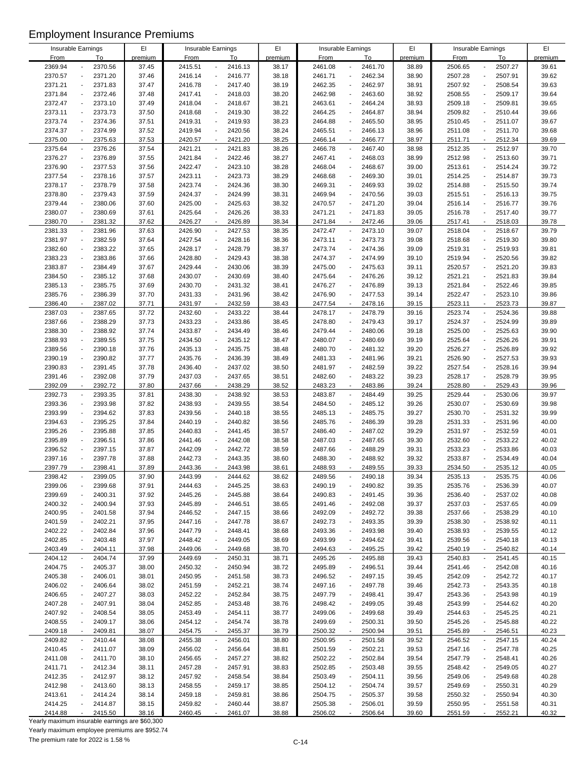| Insurable Earnings |                                     | EI      | Insurable Earnings |                                     | EI      |             | Insurable Earnings                      | EI      |             | Insurable Earnings                  | EI      |
|--------------------|-------------------------------------|---------|--------------------|-------------------------------------|---------|-------------|-----------------------------------------|---------|-------------|-------------------------------------|---------|
| <b>From</b>        | To                                  | premium | <b>From</b>        | To                                  | premium | <b>From</b> | To                                      | premium | <b>From</b> | To                                  | premium |
| 2369.94            | 2370.56                             | 37.45   | 2415.51            | 2416.13<br>$\overline{a}$           | 38.17   | 2461.08     | 2461.70                                 | 38.89   | 2506.65     | 2507.27                             | 39.61   |
| 2370.57            | 2371.20                             | 37.46   | 2416.14            | 2416.77<br>$\blacksquare$           | 38.18   | 2461.71     | 2462.34                                 | 38.90   | 2507.28     | 2507.91<br>$\overline{\phantom{a}}$ | 39.62   |
| 2371.21            | 2371.83<br>$\overline{a}$           | 37.47   | 2416.78            | $\blacksquare$<br>2417.40           | 38.19   | 2462.35     | 2462.97                                 | 38.91   | 2507.92     | 2508.54<br>$\overline{a}$           | 39.63   |
| 2371.84            | 2372.46<br>$\overline{a}$           | 37.48   | 2417.41            | $\blacksquare$<br>2418.03           | 38.20   | 2462.98     | 2463.60<br>$\overline{\phantom{a}}$     | 38.92   | 2508.55     | 2509.17<br>$\overline{a}$           | 39.64   |
| 2372.47            | 2373.10                             | 37.49   | 2418.04            | 2418.67<br>$\overline{\phantom{a}}$ | 38.21   | 2463.61     | 2464.24                                 | 38.93   | 2509.18     | 2509.81<br>$\overline{\phantom{a}}$ | 39.65   |
| 2373.11            | 2373.73                             | 37.50   | 2418.68            | 2419.30<br>$\blacksquare$           | 38.22   | 2464.25     | 2464.87                                 | 38.94   | 2509.82     | 2510.44<br>$\overline{a}$           | 39.66   |
| 2373.74            | 2374.36                             | 37.51   | 2419.31            | 2419.93<br>$\blacksquare$           | 38.23   | 2464.88     | 2465.50                                 | 38.95   | 2510.45     | 2511.07<br>$\overline{a}$           | 39.67   |
| 2374.37            | 2374.99<br>$\overline{a}$           | 37.52   | 2419.94            | 2420.56<br>$\blacksquare$           | 38.24   | 2465.51     | 2466.13<br>$\blacksquare$               | 38.96   | 2511.08     | 2511.70<br>$\overline{\phantom{a}}$ | 39.68   |
|                    |                                     |         |                    |                                     |         |             |                                         |         |             |                                     |         |
| 2375.00            | 2375.63<br>$\overline{a}$           | 37.53   | 2420.57            | 2421.20<br>$\blacksquare$           | 38.25   | 2466.14     | 2466.77<br>$\overline{\phantom{a}}$     | 38.97   | 2511.71     | 2512.34<br>$\overline{a}$           | 39.69   |
| 2375.64            | 2376.26                             | 37.54   | 2421.21            | 2421.83<br>$\overline{\phantom{a}}$ | 38.26   | 2466.78     | 2467.40                                 | 38.98   | 2512.35     | 2512.97                             | 39.70   |
| 2376.27            | 2376.89<br>$\overline{a}$           | 37.55   | 2421.84            | 2422.46<br>$\overline{\phantom{a}}$ | 38.27   | 2467.41     | 2468.03<br>$\overline{\phantom{a}}$     | 38.99   | 2512.98     | 2513.60<br>$\overline{a}$           | 39.71   |
| 2376.90            | 2377.53                             | 37.56   | 2422.47            | 2423.10<br>$\blacksquare$           | 38.28   | 2468.04     | 2468.67                                 | 39.00   | 2513.61     | 2514.24                             | 39.72   |
| 2377.54            | 2378.16<br>$\overline{a}$           | 37.57   | 2423.11            | 2423.73<br>$\blacksquare$           | 38.29   | 2468.68     | 2469.30<br>$\overline{a}$               | 39.01   | 2514.25     | 2514.87<br>$\overline{a}$           | 39.73   |
| 2378.17            | 2378.79                             | 37.58   | 2423.74            | 2424.36<br>$\overline{\phantom{a}}$ | 38.30   | 2469.31     | 2469.93<br>$\overline{a}$               | 39.02   | 2514.88     | 2515.50<br>$\overline{\phantom{a}}$ | 39.74   |
| 2378.80            | 2379.43                             | 37.59   | 2424.37            | 2424.99<br>$\blacksquare$           | 38.31   | 2469.94     | 2470.56                                 | 39.03   | 2515.51     | 2516.13                             | 39.75   |
| 2379.44            | 2380.06                             | 37.60   | 2425.00            | 2425.63<br>$\blacksquare$           | 38.32   | 2470.57     | 2471.20<br>$\overline{\phantom{a}}$     | 39.04   | 2516.14     | 2516.77<br>$\overline{a}$           | 39.76   |
| 2380.07            | 2380.69                             | 37.61   | 2425.64            | 2426.26<br>$\overline{\phantom{a}}$ | 38.33   | 2471.21     | 2471.83                                 | 39.05   | 2516.78     | 2517.40<br>$\overline{\phantom{a}}$ | 39.77   |
|                    |                                     |         |                    | $\mathbf{r}$                        |         |             |                                         |         |             | ÷,                                  |         |
| 2380.70            | 2381.32                             | 37.62   | 2426.27            | 2426.89                             | 38.34   | 2471.84     | 2472.46                                 | 39.06   | 2517.41     | 2518.03                             | 39.78   |
| 2381.33            | 2381.96                             | 37.63   | 2426.90            | $\overline{\phantom{a}}$<br>2427.53 | 38.35   | 2472.47     | 2473.10<br>$\overline{a}$               | 39.07   | 2518.04     | 2518.67<br>$\overline{a}$           | 39.79   |
| 2381.97            | 2382.59<br>$\overline{a}$           | 37.64   | 2427.54            | 2428.16<br>$\overline{\phantom{a}}$ | 38.36   | 2473.11     | 2473.73<br>$\overline{a}$               | 39.08   | 2518.68     | 2519.30<br>$\overline{\phantom{a}}$ | 39.80   |
| 2382.60            | 2383.22                             | 37.65   | 2428.17            | 2428.79<br>$\blacksquare$           | 38.37   | 2473.74     | 2474.36                                 | 39.09   | 2519.31     | 2519.93                             | 39.81   |
| 2383.23            | 2383.86                             | 37.66   | 2428.80            | 2429.43<br>$\overline{\phantom{a}}$ | 38.38   | 2474.37     | 2474.99                                 | 39.10   | 2519.94     | 2520.56                             | 39.82   |
| 2383.87            | 2384.49                             | 37.67   | 2429.44            | 2430.06<br>$\overline{\phantom{a}}$ | 38.39   | 2475.00     | 2475.63<br>$\overline{\phantom{a}}$     | 39.11   | 2520.57     | 2521.20<br>$\overline{\phantom{a}}$ | 39.83   |
| 2384.50            | 2385.12                             | 37.68   | 2430.07            | 2430.69<br>$\blacksquare$           | 38.40   | 2475.64     | 2476.26                                 | 39.12   | 2521.21     | 2521.83                             | 39.84   |
| 2385.13            | 2385.75                             | 37.69   | 2430.70            | 2431.32<br>$\blacksquare$           | 38.41   | 2476.27     | 2476.89<br>$\overline{a}$               | 39.13   | 2521.84     | 2522.46<br>$\overline{a}$           | 39.85   |
| 2385.76            | 2386.39                             | 37.70   | 2431.33            | 2431.96<br>$\overline{\phantom{a}}$ | 38.42   | 2476.90     | 2477.53<br>L,                           | 39.14   | 2522.47     | 2523.10<br>$\overline{a}$           | 39.86   |
| 2386.40            | 2387.02<br>$\overline{\phantom{a}}$ | 37.71   | 2431.97            | 2432.59<br>$\blacksquare$           | 38.43   | 2477.54     | 2478.16                                 | 39.15   | 2523.11     | 2523.73                             | 39.87   |
| 2387.03            | 2387.65                             | 37.72   | 2432.60            | $\overline{\phantom{a}}$<br>2433.22 | 38.44   | 2478.17     | 2478.79<br>$\overline{a}$               | 39.16   | 2523.74     | 2524.36<br>$\overline{\phantom{a}}$ | 39.88   |
|                    |                                     |         |                    |                                     |         |             |                                         |         |             |                                     |         |
| 2387.66            | 2388.29                             | 37.73   | 2433.23            | 2433.86<br>$\overline{\phantom{a}}$ | 38.45   | 2478.80     | 2479.43                                 | 39.17   | 2524.37     | 2524.99<br>$\overline{\phantom{a}}$ | 39.89   |
| 2388.30            | 2388.92                             | 37.74   | 2433.87            | 2434.49<br>$\blacksquare$           | 38.46   | 2479.44     | 2480.06                                 | 39.18   | 2525.00     | 2525.63                             | 39.90   |
| 2388.93            | 2389.55                             | 37.75   | 2434.50            | 2435.12<br>$\blacksquare$           | 38.47   | 2480.07     | 2480.69                                 | 39.19   | 2525.64     | 2526.26                             | 39.91   |
| 2389.56            | 2390.18<br>$\overline{a}$           | 37.76   | 2435.13            | 2435.75<br>$\overline{\phantom{a}}$ | 38.48   | 2480.70     | 2481.32<br>$\overline{\phantom{a}}$     | 39.20   | 2526.27     | 2526.89<br>$\overline{a}$           | 39.92   |
| 2390.19            | 2390.82                             | 37.77   | 2435.76            | 2436.39<br>$\blacksquare$           | 38.49   | 2481.33     | 2481.96                                 | 39.21   | 2526.90     | 2527.53                             | 39.93   |
| 2390.83            | 2391.45                             | 37.78   | 2436.40            | 2437.02<br>$\blacksquare$           | 38.50   | 2481.97     | 2482.59                                 | 39.22   | 2527.54     | 2528.16                             | 39.94   |
| 2391.46            | 2392.08<br>$\overline{a}$           | 37.79   | 2437.03            | 2437.65<br>$\overline{a}$           | 38.51   | 2482.60     | 2483.22<br>$\blacksquare$               | 39.23   | 2528.17     | 2528.79<br>$\blacksquare$           | 39.95   |
| 2392.09            | 2392.72                             | 37.80   | 2437.66            | 2438.29<br>$\mathbf{r}$             | 38.52   | 2483.23     | 2483.86                                 | 39.24   | 2528.80     | 2529.43                             | 39.96   |
| 2392.73            | 2393.35                             | 37.81   | 2438.30            | 2438.92<br>$\blacksquare$           | 38.53   | 2483.87     | 2484.49<br>$\overline{\phantom{a}}$     | 39.25   | 2529.44     | 2530.06<br>$\overline{\phantom{a}}$ | 39.97   |
| 2393.36            | 2393.98                             |         |                    | $\Box$                              |         |             |                                         |         |             | $\overline{a}$                      |         |
|                    |                                     | 37.82   | 2438.93            | 2439.55                             | 38.54   | 2484.50     | 2485.12                                 | 39.26   | 2530.07     | 2530.69                             | 39.98   |
| 2393.99            | 2394.62                             | 37.83   | 2439.56            | 2440.18<br>$\blacksquare$           | 38.55   | 2485.13     | 2485.75                                 | 39.27   | 2530.70     | 2531.32<br>$\overline{a}$           | 39.99   |
| 2394.63            | 2395.25                             | 37.84   | 2440.19            | $\blacksquare$<br>2440.82           | 38.56   | 2485.76     | 2486.39                                 | 39.28   | 2531.33     | 2531.96<br>$\overline{a}$           | 40.00   |
| 2395.26            | 2395.88                             | 37.85   | 2440.83            | 2441.45<br>$\blacksquare$           | 38.57   | 2486.40     | 2487.02<br>$\overline{a}$               | 39.29   | 2531.97     | 2532.59<br>$\overline{\phantom{a}}$ | 40.01   |
| 2395.89            | 2396.51                             | 37.86   | 2441.46            | 2442.08<br>$\blacksquare$           | 38.58   | 2487.03     | 2487.65                                 | 39.30   | 2532.60     | 2533.22                             | 40.02   |
| 2396.52            | 2397.15                             | 37.87   | 2442.09            | 2442.72<br>÷,                       | 38.59   | 2487.66     | 2488.29                                 | 39.31   | 2533.23     | 2533.86                             | 40.03   |
| 2397.16            | 2397.78                             | 37.88   | 2442.73            | 2443.35<br>$\overline{a}$           | 38.60   | 2488.30     | 2488.92                                 | 39.32   | 2533.87     | 2534.49<br>$\overline{a}$           | 40.04   |
| 2397.79            | 2398.41                             | 37.89   | 2443.36            | 2443.98                             | 38.61   | 2488.93     | 2489.55                                 | 39.33   | 2534.50     | 2535.12                             | 40.05   |
| 2398.42            | 2399.05                             | 37.90   | 2443.99            | 2444.62<br>$\blacksquare$           | 38.62   | 2489.56     | 2490.18                                 | 39.34   | 2535.13     | 2535.75                             | 40.06   |
| 2399.06            | 2399.68                             | 37.91   | 2444.63            | 2445.25<br>$\overline{\phantom{a}}$ | 38.63   | 2490.19     | 2490.82<br>$\overline{a}$               | 39.35   | 2535.76     | 2536.39                             | 40.07   |
| 2399.69            | 2400.31                             | 37.92   | 2445.26            | 2445.88<br>$\overline{\phantom{a}}$ | 38.64   | 2490.83     | 2491.45                                 | 39.36   | 2536.40     | 2537.02                             | 40.08   |
|                    |                                     |         |                    |                                     |         |             |                                         |         |             |                                     |         |
| 2400.32            | 2400.94                             | 37.93   | 2445.89            | 2446.51<br>$\overline{\phantom{a}}$ | 38.65   | 2491.46     | 2492.08<br>$\qquad \qquad \blacksquare$ | 39.37   | 2537.03     | 2537.65<br>$\overline{\phantom{a}}$ | 40.09   |
| 2400.95            | 2401.58                             | 37.94   | 2446.52            | 2447.15<br>$\overline{\phantom{a}}$ | 38.66   | 2492.09     | 2492.72                                 | 39.38   | 2537.66     | 2538.29                             | 40.10   |
| 2401.59            | 2402.21                             | 37.95   | 2447.16            | 2447.78<br>$\blacksquare$           | 38.67   | 2492.73     | 2493.35                                 | 39.39   | 2538.30     | 2538.92                             | 40.11   |
| 2402.22            | 2402.84                             | 37.96   | 2447.79            | 2448.41<br>÷,                       | 38.68   | 2493.36     | 2493.98<br>$\overline{a}$               | 39.40   | 2538.93     | 2539.55                             | 40.12   |
| 2402.85            | 2403.48                             | 37.97   | 2448.42            | 2449.05<br>$\overline{\phantom{a}}$ | 38.69   | 2493.99     | 2494.62                                 | 39.41   | 2539.56     | 2540.18                             | 40.13   |
| 2403.49            | 2404.11                             | 37.98   | 2449.06            | 2449.68<br>$\blacksquare$           | 38.70   | 2494.63     | 2495.25<br>$\overline{\phantom{a}}$     | 39.42   | 2540.19     | 2540.82<br>$\overline{a}$           | 40.14   |
| 2404.12            | 2404.74                             | 37.99   | 2449.69            | 2450.31<br>$\blacksquare$           | 38.71   | 2495.26     | 2495.88                                 | 39.43   | 2540.83     | 2541.45<br>$\blacksquare$           | 40.15   |
| 2404.75            | 2405.37                             | 38.00   | 2450.32            | 2450.94<br>$\blacksquare$           | 38.72   | 2495.89     | 2496.51                                 | 39.44   | 2541.46     | 2542.08                             | 40.16   |
| 2405.38            | 2406.01                             | 38.01   | 2450.95            | $\overline{\phantom{a}}$<br>2451.58 | 38.73   | 2496.52     | 2497.15                                 | 39.45   | 2542.09     | 2542.72                             | 40.17   |
| 2406.02            | 2406.64                             | 38.02   | 2451.59            | 2452.21<br>$\overline{\phantom{a}}$ | 38.74   | 2497.16     | 2497.78                                 | 39.46   | 2542.73     | 2543.35                             | 40.18   |
| 2406.65            | 2407.27                             | 38.03   | 2452.22            | 2452.84<br>$\overline{\phantom{a}}$ | 38.75   | 2497.79     | 2498.41<br>$\overline{a}$               | 39.47   | 2543.36     | 2543.98<br>$\overline{\phantom{a}}$ | 40.19   |
|                    |                                     |         |                    | $\overline{\phantom{a}}$            |         |             |                                         |         |             |                                     |         |
| 2407.28            | 2407.91                             | 38.04   | 2452.85            | 2453.48                             | 38.76   | 2498.42     | 2499.05                                 | 39.48   | 2543.99     | 2544.62                             | 40.20   |
| 2407.92            | 2408.54                             | 38.05   | 2453.49            | 2454.11<br>$\overline{\phantom{a}}$ | 38.77   | 2499.06     | 2499.68<br>$\qquad \qquad \blacksquare$ | 39.49   | 2544.63     | 2545.25                             | 40.21   |
| 2408.55            | 2409.17                             | 38.06   | 2454.12            | 2454.74<br>$\overline{\phantom{a}}$ | 38.78   | 2499.69     | 2500.31                                 | 39.50   | 2545.26     | 2545.88                             | 40.22   |
| 2409.18            | 2409.81                             | 38.07   | 2454.75            | 2455.37<br>$\blacksquare$           | 38.79   | 2500.32     | 2500.94                                 | 39.51   | 2545.89     | 2546.51                             | 40.23   |
| 2409.82            | 2410.44                             | 38.08   | 2455.38            | 2456.01<br>$\overline{\phantom{a}}$ | 38.80   | 2500.95     | 2501.58<br>$\blacksquare$               | 39.52   | 2546.52     | 2547.15<br>$\blacksquare$           | 40.24   |
| 2410.45            | 2411.07                             | 38.09   | 2456.02            | 2456.64<br>$\overline{\phantom{a}}$ | 38.81   | 2501.59     | 2502.21                                 | 39.53   | 2547.16     | 2547.78                             | 40.25   |
| 2411.08            | 2411.70                             | 38.10   | 2456.65            | 2457.27<br>$\overline{a}$           | 38.82   | 2502.22     | 2502.84                                 | 39.54   | 2547.79     | 2548.41<br>$\overline{\phantom{a}}$ | 40.26   |
| 2411.71            | 2412.34                             | 38.11   | 2457.28            | 2457.91<br>$\blacksquare$           | 38.83   | 2502.85     | 2503.48                                 | 39.55   | 2548.42     | 2549.05                             | 40.27   |
| 2412.35            | 2412.97                             | 38.12   | 2457.92            | 2458.54<br>$\overline{\phantom{a}}$ | 38.84   | 2503.49     | 2504.11                                 | 39.56   | 2549.06     | 2549.68                             | 40.28   |
| 2412.98            | 2413.60                             | 38.13   | 2458.55            | 2459.17<br>$\overline{\phantom{a}}$ | 38.85   | 2504.12     | 2504.74                                 | 39.57   | 2549.69     | 2550.31                             | 40.29   |
| 2413.61            | 2414.24                             | 38.14   | 2459.18            | 2459.81<br>$\overline{\phantom{a}}$ | 38.86   | 2504.75     | 2505.37                                 | 39.58   | 2550.32     | 2550.94                             | 40.30   |
| 2414.25            |                                     |         |                    | $\overline{\phantom{a}}$            |         |             |                                         |         |             |                                     |         |
|                    | 2414.87                             | 38.15   | 2459.82            | 2460.44                             | 38.87   | 2505.38     | 2506.01<br>$\qquad \qquad \blacksquare$ | 39.59   | 2550.95     | 2551.58                             | 40.31   |
| 2414.88            | 2415.50                             | 38.16   | 2460.45            | 2461.07                             | 38.88   | 2506.02     | 2506.64                                 | 39.60   | 2551.59     | 2552.21                             | 40.32   |

Yearly maximum insurable earnings are \$60,300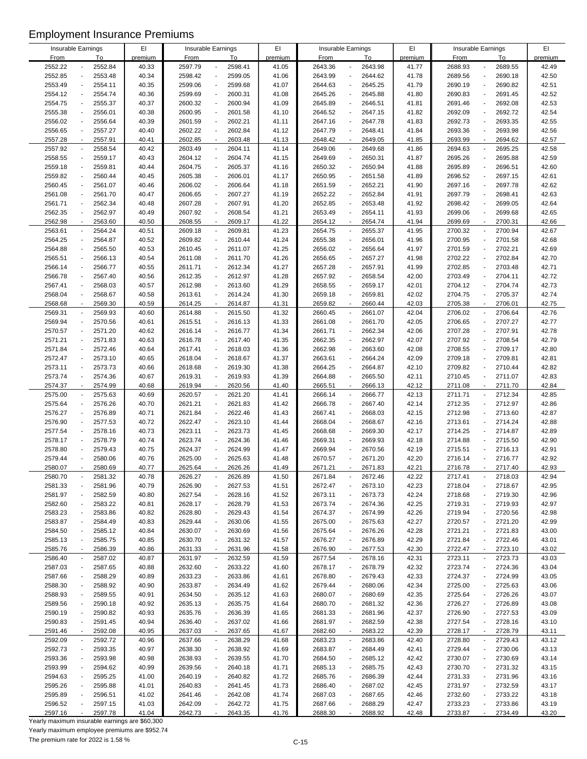|                    |                           | EI      |             |                                     | EI      |             |                                     | EI      |             |                                     | EI      |
|--------------------|---------------------------|---------|-------------|-------------------------------------|---------|-------------|-------------------------------------|---------|-------------|-------------------------------------|---------|
| Insurable Earnings |                           |         |             | Insurable Earnings                  |         |             | Insurable Earnings                  |         |             | Insurable Earnings                  |         |
| <b>From</b>        | To                        | premium | <b>From</b> | To                                  | premium | <b>From</b> | To                                  | premium | <b>From</b> | To                                  | premium |
| 2552.22            | 2552.84                   | 40.33   | 2597.79     | 2598.41<br>$\overline{a}$           | 41.05   | 2643.36     | 2643.98                             | 41.77   | 2688.93     | 2689.55                             | 42.49   |
| 2552.85            | 2553.48                   | 40.34   | 2598.42     | 2599.05<br>$\blacksquare$           | 41.06   | 2643.99     | 2644.62                             | 41.78   | 2689.56     | 2690.18<br>$\overline{a}$           | 42.50   |
| 2553.49            | 2554.11                   | 40.35   | 2599.06     | 2599.68<br>$\blacksquare$           | 41.07   | 2644.63     | 2645.25                             | 41.79   | 2690.19     | 2690.82<br>Ĭ.                       | 42.51   |
| 2554.12            | 2554.74                   | 40.36   | 2599.69     | $\Box$<br>2600.31                   | 41.08   | 2645.26     | 2645.88<br>$\overline{a}$           | 41.80   | 2690.83     | 2691.45<br>$\overline{\phantom{a}}$ | 42.52   |
| 2554.75            | 2555.37                   | 40.37   | 2600.32     | $\Box$<br>2600.94                   | 41.09   | 2645.89     | 2646.51                             | 41.81   | 2691.46     | 2692.08<br>$\overline{\phantom{a}}$ | 42.53   |
| 2555.38            | 2556.01                   | 40.38   | 2600.95     | 2601.58<br>$\blacksquare$           | 41.10   | 2646.52     | 2647.15                             | 41.82   | 2692.09     | 2692.72<br>$\overline{a}$           | 42.54   |
| 2556.02            | 2556.64                   | 40.39   | 2601.59     | 2602.21<br>$\overline{\phantom{a}}$ | 41.11   | 2647.16     | 2647.78                             | 41.83   | 2692.73     | 2693.35<br>$\overline{a}$           | 42.55   |
| 2556.65            | 2557.27<br>$\blacksquare$ | 40.40   | 2602.22     | 2602.84<br>$\overline{\phantom{a}}$ | 41.12   | 2647.79     | 2648.41<br>$\blacksquare$           | 41.84   | 2693.36     | 2693.98<br>$\overline{a}$           | 42.56   |
|                    |                           |         |             |                                     |         |             |                                     |         |             |                                     |         |
| 2557.28            | 2557.91<br>$\overline{a}$ | 40.41   | 2602.85     | $\blacksquare$<br>2603.48           | 41.13   | 2648.42     | 2649.05<br>$\overline{\phantom{a}}$ | 41.85   | 2693.99     | 2694.62                             | 42.57   |
| 2557.92            | 2558.54                   | 40.42   | 2603.49     | 2604.11<br>$\overline{\phantom{a}}$ | 41.14   | 2649.06     | 2649.68                             | 41.86   | 2694.63     | 2695.25                             | 42.58   |
| 2558.55            | 2559.17<br>$\overline{a}$ | 40.43   | 2604.12     | $\Box$<br>2604.74                   | 41.15   | 2649.69     | 2650.31<br>$\overline{\phantom{a}}$ | 41.87   | 2695.26     | 2695.88<br>$\overline{\phantom{a}}$ | 42.59   |
| 2559.18            | 2559.81                   | 40.44   | 2604.75     | 2605.37<br>$\blacksquare$           | 41.16   | 2650.32     | 2650.94                             | 41.88   | 2695.89     | 2696.51                             | 42.60   |
| 2559.82            | 2560.44<br>$\overline{a}$ | 40.45   | 2605.38     | 2606.01<br>$\blacksquare$           | 41.17   | 2650.95     | 2651.58<br>$\overline{a}$           | 41.89   | 2696.52     | 2697.15<br>$\overline{a}$           | 42.61   |
| 2560.45            | 2561.07                   | 40.46   | 2606.02     | $\Box$<br>2606.64                   | 41.18   | 2651.59     | 2652.21                             | 41.90   | 2697.16     | 2697.78<br>$\overline{a}$           | 42.62   |
| 2561.08            | 2561.70                   | 40.47   | 2606.65     | 2607.27<br>$\blacksquare$           | 41.19   | 2652.22     | 2652.84                             | 41.91   | 2697.79     | 2698.41                             | 42.63   |
| 2561.71            | 2562.34                   | 40.48   | 2607.28     | $\Box$<br>2607.91                   | 41.20   | 2652.85     | 2653.48                             | 41.92   | 2698.42     | 2699.05                             | 42.64   |
| 2562.35            | 2562.97                   | 40.49   | 2607.92     | 2608.54<br>$\overline{\phantom{a}}$ | 41.21   | 2653.49     | 2654.11                             | 41.93   | 2699.06     | 2699.68<br>$\overline{\phantom{a}}$ | 42.65   |
|                    |                           |         |             | $\mathbf{r}$                        |         |             |                                     |         |             | ÷,                                  |         |
| 2562.98            | 2563.60                   | 40.50   | 2608.55     | 2609.17                             | 41.22   | 2654.12     | 2654.74                             | 41.94   | 2699.69     | 2700.31                             | 42.66   |
| 2563.61            | 2564.24                   | 40.51   | 2609.18     | $\overline{\phantom{a}}$<br>2609.81 | 41.23   | 2654.75     | 2655.37                             | 41.95   | 2700.32     | 2700.94<br>$\overline{a}$           | 42.67   |
| 2564.25            | 2564.87<br>$\overline{a}$ | 40.52   | 2609.82     | $\Box$<br>2610.44                   | 41.24   | 2655.38     | 2656.01<br>$\overline{a}$           | 41.96   | 2700.95     | 2701.58<br>$\overline{a}$           | 42.68   |
| 2564.88            | 2565.50                   | 40.53   | 2610.45     | 2611.07<br>$\blacksquare$           | 41.25   | 2656.02     | 2656.64                             | 41.97   | 2701.59     | 2702.21                             | 42.69   |
| 2565.51            | 2566.13                   | 40.54   | 2611.08     | 2611.70<br>$\overline{\phantom{a}}$ | 41.26   | 2656.65     | 2657.27                             | 41.98   | 2702.22     | 2702.84                             | 42.70   |
| 2566.14            | 2566.77                   | 40.55   | 2611.71     | 2612.34<br>$\overline{\phantom{a}}$ | 41.27   | 2657.28     | 2657.91<br>$\overline{a}$           | 41.99   | 2702.85     | 2703.48<br>$\blacksquare$           | 42.71   |
| 2566.78            | 2567.40                   | 40.56   | 2612.35     | 2612.97<br>$\blacksquare$           | 41.28   | 2657.92     | 2658.54                             | 42.00   | 2703.49     | 2704.11                             | 42.72   |
| 2567.41            | 2568.03<br>$\overline{a}$ | 40.57   | 2612.98     | 2613.60<br>$\blacksquare$           | 41.29   | 2658.55     | 2659.17<br>$\overline{a}$           | 42.01   | 2704.12     | 2704.74<br>$\overline{a}$           | 42.73   |
| 2568.04            | 2568.67                   | 40.58   | 2613.61     | 2614.24<br>$\overline{\phantom{a}}$ | 41.30   | 2659.18     | 2659.81<br>L,                       | 42.02   | 2704.75     | 2705.37<br>$\overline{a}$           | 42.74   |
| 2568.68            | 2569.30                   | 40.59   | 2614.25     | 2614.87<br>$\blacksquare$           | 41.31   | 2659.82     | 2660.44                             | 42.03   | 2705.38     | 2706.01                             | 42.75   |
| 2569.31            | 2569.93<br>$\blacksquare$ | 40.60   | 2614.88     | $\overline{\phantom{a}}$<br>2615.50 | 41.32   | 2660.45     | 2661.07<br>$\overline{a}$           | 42.04   | 2706.02     | 2706.64<br>$\overline{a}$           | 42.76   |
|                    |                           |         |             |                                     |         |             |                                     |         |             |                                     |         |
| 2569.94            | 2570.56                   | 40.61   | 2615.51     | 2616.13<br>$\overline{\phantom{a}}$ | 41.33   | 2661.08     | 2661.70                             | 42.05   | 2706.65     | 2707.27<br>$\overline{a}$           | 42.77   |
| 2570.57            | 2571.20                   | 40.62   | 2616.14     | $\blacksquare$<br>2616.77           | 41.34   | 2661.71     | 2662.34                             | 42.06   | 2707.28     | 2707.91<br>$\overline{a}$           | 42.78   |
| 2571.21            | 2571.83                   | 40.63   | 2616.78     | $\blacksquare$<br>2617.40           | 41.35   | 2662.35     | 2662.97                             | 42.07   | 2707.92     | 2708.54<br>$\overline{a}$           | 42.79   |
| 2571.84            | 2572.46<br>$\overline{a}$ | 40.64   | 2617.41     | 2618.03<br>$\overline{\phantom{a}}$ | 41.36   | 2662.98     | 2663.60<br>$\overline{\phantom{a}}$ | 42.08   | 2708.55     | 2709.17<br>$\overline{a}$           | 42.80   |
| 2572.47            | 2573.10                   | 40.65   | 2618.04     | $\blacksquare$<br>2618.67           | 41.37   | 2663.61     | 2664.24                             | 42.09   | 2709.18     | 2709.81<br>$\overline{a}$           | 42.81   |
| 2573.11            | 2573.73                   | 40.66   | 2618.68     | 2619.30<br>$\blacksquare$           | 41.38   | 2664.25     | 2664.87                             | 42.10   | 2709.82     | 2710.44<br>$\overline{\phantom{a}}$ | 42.82   |
| 2573.74            | 2574.36<br>$\overline{a}$ | 40.67   | 2619.31     | 2619.93<br>$\overline{\phantom{a}}$ | 41.39   | 2664.88     | 2665.50<br>$\blacksquare$           | 42.11   | 2710.45     | 2711.07<br>$\blacksquare$           | 42.83   |
| 2574.37            | 2574.99                   | 40.68   | 2619.94     | 2620.56<br>$\mathbf{r}$             | 41.40   | 2665.51     | 2666.13                             | 42.12   | 2711.08     | 2711.70                             | 42.84   |
| 2575.00            | 2575.63                   | 40.69   | 2620.57     | 2621.20<br>$\blacksquare$           | 41.41   | 2666.14     | 2666.77<br>$\overline{\phantom{a}}$ | 42.13   | 2711.71     | 2712.34<br>$\overline{a}$           | 42.85   |
| 2575.64            | 2576.26                   | 40.70   | 2621.21     | $\Box$<br>2621.83                   | 41.42   | 2666.78     | 2667.40                             | 42.14   | 2712.35     | 2712.97<br>$\overline{a}$           | 42.86   |
|                    |                           |         |             |                                     |         |             |                                     |         |             |                                     |         |
| 2576.27            | 2576.89                   | 40.71   | 2621.84     | 2622.46<br>$\blacksquare$           | 41.43   | 2667.41     | 2668.03                             | 42.15   | 2712.98     | 2713.60<br>$\overline{a}$           | 42.87   |
| 2576.90            | 2577.53                   | 40.72   | 2622.47     | 2623.10<br>÷,                       | 41.44   | 2668.04     | 2668.67                             | 42.16   | 2713.61     | 2714.24<br>$\overline{a}$           | 42.88   |
| 2577.54            | 2578.16                   | 40.73   | 2623.11     | 2623.73<br>$\overline{\phantom{a}}$ | 41.45   | 2668.68     | 2669.30                             | 42.17   | 2714.25     | 2714.87<br>$\overline{a}$           | 42.89   |
| 2578.17            | 2578.79                   | 40.74   | 2623.74     | 2624.36<br>$\blacksquare$           | 41.46   | 2669.31     | 2669.93                             | 42.18   | 2714.88     | 2715.50<br>$\overline{\phantom{a}}$ | 42.90   |
| 2578.80            | 2579.43                   | 40.75   | 2624.37     | 2624.99<br>÷,                       | 41.47   | 2669.94     | 2670.56                             | 42.19   | 2715.51     | 2716.13                             | 42.91   |
| 2579.44            | 2580.06                   | 40.76   | 2625.00     | 2625.63<br>$\overline{\phantom{a}}$ | 41.48   | 2670.57     | 2671.20<br>$\overline{\phantom{a}}$ | 42.20   | 2716.14     | 2716.77<br>$\overline{a}$           | 42.92   |
| 2580.07            | 2580.69                   | 40.77   | 2625.64     | 2626.26                             | 41.49   | 2671.21     | 2671.83                             | 42.21   | 2716.78     | 2717.40                             | 42.93   |
| 2580.70            | 2581.32                   | 40.78   | 2626.27     | 2626.89<br>$\blacksquare$           | 41.50   | 2671.84     | 2672.46                             | 42.22   | 2717.41     | 2718.03                             | 42.94   |
| 2581.33            | 2581.96                   | 40.79   | 2626.90     | 2627.53<br>$\overline{\phantom{a}}$ | 41.51   | 2672.47     | 2673.10                             | 42.23   | 2718.04     | 2718.67                             | 42.95   |
| 2581.97            | 2582.59                   | 40.80   | 2627.54     | 2628.16<br>$\overline{\phantom{a}}$ | 41.52   | 2673.11     | 2673.73                             | 42.24   | 2718.68     | 2719.30                             | 42.96   |
| 2582.60            | 2583.22                   | 40.81   | 2628.17     | 2628.79<br>$\blacksquare$           | 41.53   | 2673.74     | 2674.36<br>$\blacksquare$           | 42.25   | 2719.31     | 2719.93<br>$\overline{a}$           | 42.97   |
| 2583.23            | 2583.86                   | 40.82   | 2628.80     | 2629.43<br>$\blacksquare$           | 41.54   | 2674.37     | 2674.99                             | 42.26   | 2719.94     | 2720.56                             | 42.98   |
|                    |                           |         |             |                                     |         |             |                                     |         |             |                                     |         |
| 2583.87            | 2584.49                   | 40.83   | 2629.44     | 2630.06<br>$\blacksquare$           | 41.55   | 2675.00     | 2675.63                             | 42.27   | 2720.57     | 2721.20                             | 42.99   |
| 2584.50            | 2585.12                   | 40.84   | 2630.07     | 2630.69<br>$\overline{\phantom{a}}$ | 41.56   | 2675.64     | 2676.26<br>$\overline{a}$           | 42.28   | 2721.21     | 2721.83                             | 43.00   |
| 2585.13            | 2585.75                   | 40.85   | 2630.70     | 2631.32<br>$\overline{\phantom{a}}$ | 41.57   | 2676.27     | 2676.89                             | 42.29   | 2721.84     | 2722.46                             | 43.01   |
| 2585.76            | 2586.39                   | 40.86   | 2631.33     | 2631.96<br>$\blacksquare$           | 41.58   | 2676.90     | 2677.53<br>$\overline{\phantom{a}}$ | 42.30   | 2722.47     | 2723.10<br>$\overline{a}$           | 43.02   |
| 2586.40            | 2587.02                   | 40.87   | 2631.97     | 2632.59<br>$\blacksquare$           | 41.59   | 2677.54     | 2678.16                             | 42.31   | 2723.11     | 2723.73<br>$\overline{a}$           | 43.03   |
| 2587.03            | 2587.65                   | 40.88   | 2632.60     | 2633.22<br>$\overline{\phantom{a}}$ | 41.60   | 2678.17     | 2678.79                             | 42.32   | 2723.74     | 2724.36                             | 43.04   |
| 2587.66            | 2588.29                   | 40.89   | 2633.23     | 2633.86<br>$\overline{\phantom{a}}$ | 41.61   | 2678.80     | 2679.43                             | 42.33   | 2724.37     | 2724.99                             | 43.05   |
| 2588.30            | 2588.92                   | 40.90   | 2633.87     | 2634.49<br>$\overline{\phantom{a}}$ | 41.62   | 2679.44     | 2680.06                             | 42.34   | 2725.00     | 2725.63                             | 43.06   |
| 2588.93            | 2589.55                   | 40.91   | 2634.50     | 2635.12<br>$\overline{\phantom{a}}$ | 41.63   | 2680.07     | 2680.69<br>$\overline{\phantom{a}}$ | 42.35   | 2725.64     | 2726.26<br>$\overline{\phantom{a}}$ | 43.07   |
| 2589.56            | 2590.18                   | 40.92   | 2635.13     | 2635.75<br>$\blacksquare$           | 41.64   | 2680.70     | 2681.32                             | 42.36   | 2726.27     | 2726.89                             | 43.08   |
| 2590.19            | 2590.82                   | 40.93   | 2635.76     | 2636.39<br>$\overline{\phantom{a}}$ | 41.65   | 2681.33     | 2681.96                             | 42.37   | 2726.90     | 2727.53                             | 43.09   |
|                    |                           |         |             |                                     |         |             |                                     |         |             |                                     |         |
| 2590.83            | 2591.45                   | 40.94   | 2636.40     | 2637.02<br>$\blacksquare$           | 41.66   | 2681.97     | 2682.59                             | 42.38   | 2727.54     | 2728.16                             | 43.10   |
| 2591.46            | 2592.08                   | 40.95   | 2637.03     | 2637.65<br>$\blacksquare$           | 41.67   | 2682.60     | 2683.22                             | 42.39   | 2728.17     | 2728.79                             | 43.11   |
| 2592.09            | 2592.72                   | 40.96   | 2637.66     | 2638.29<br>$\blacksquare$           | 41.68   | 2683.23     | 2683.86                             | 42.40   | 2728.80     | 2729.43<br>$\overline{\phantom{a}}$ | 43.12   |
| 2592.73            | 2593.35                   | 40.97   | 2638.30     | 2638.92<br>$\overline{\phantom{a}}$ | 41.69   | 2683.87     | 2684.49                             | 42.41   | 2729.44     | 2730.06                             | 43.13   |
| 2593.36            | 2593.98                   | 40.98   | 2638.93     | 2639.55<br>$\overline{\phantom{a}}$ | 41.70   | 2684.50     | 2685.12                             | 42.42   | 2730.07     | 2730.69                             | 43.14   |
| 2593.99            | 2594.62                   | 40.99   | 2639.56     | 2640.18<br>$\blacksquare$           | 41.71   | 2685.13     | 2685.75                             | 42.43   | 2730.70     | 2731.32                             | 43.15   |
| 2594.63            | 2595.25                   | 41.00   | 2640.19     | 2640.82<br>$\blacksquare$           | 41.72   | 2685.76     | 2686.39                             | 42.44   | 2731.33     | 2731.96                             | 43.16   |
| 2595.26            | 2595.88                   | 41.01   | 2640.83     | 2641.45<br>$\overline{\phantom{a}}$ | 41.73   | 2686.40     | 2687.02                             | 42.45   | 2731.97     | 2732.59                             | 43.17   |
| 2595.89            | 2596.51                   | 41.02   | 2641.46     | 2642.08<br>$\overline{\phantom{a}}$ | 41.74   | 2687.03     | 2687.65                             | 42.46   | 2732.60     | 2733.22                             | 43.18   |
| 2596.52            | 2597.15                   | 41.03   | 2642.09     | 2642.72<br>$\overline{\phantom{a}}$ | 41.75   | 2687.66     | 2688.29                             | 42.47   | 2733.23     | 2733.86                             | 43.19   |
| 2597.16            | 2597.78                   | 41.04   | 2642.73     | 2643.35                             | 41.76   | 2688.30     | 2688.92                             | 42.48   | 2733.87     | 2734.49                             | 43.20   |
|                    |                           |         |             |                                     |         |             |                                     |         |             |                                     |         |

Yearly maximum insurable earnings are \$60,300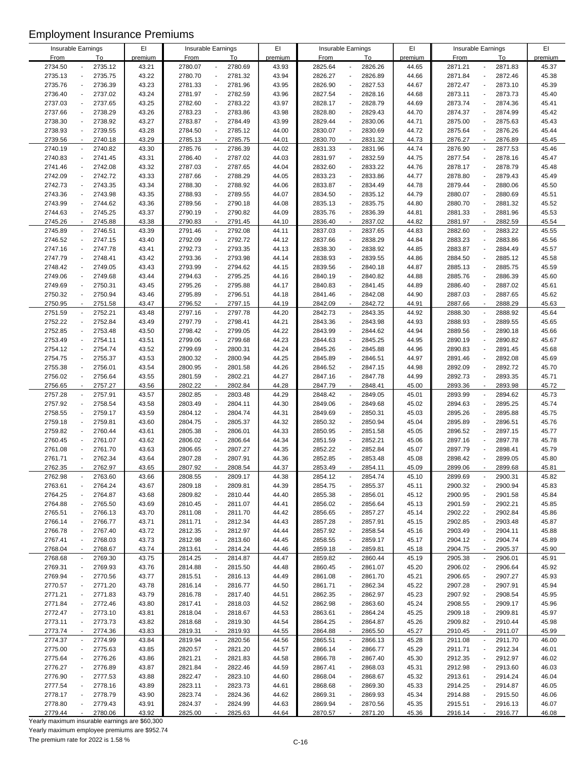| Insurable Earnings |                                     | E1      |             |                                     | EI      |             | Insurable Earnings                  | EI      |             | Insurable Earnings                  | EI      |
|--------------------|-------------------------------------|---------|-------------|-------------------------------------|---------|-------------|-------------------------------------|---------|-------------|-------------------------------------|---------|
|                    |                                     |         |             | Insurable Earnings                  |         |             |                                     |         |             |                                     |         |
| <b>From</b>        | To                                  | premium | <b>From</b> | To                                  | premium | <b>From</b> | To                                  | premium | <b>From</b> | To                                  | premium |
| 2734.50            | 2735.12                             | 43.21   | 2780.07     | 2780.69<br>$\overline{a}$           | 43.93   | 2825.64     | 2826.26                             | 44.65   | 2871.21     | 2871.83<br>$\overline{a}$           | 45.37   |
| 2735.13            | 2735.75                             | 43.22   | 2780.70     | 2781.32<br>$\blacksquare$           | 43.94   | 2826.27     | 2826.89                             | 44.66   | 2871.84     | 2872.46<br>$\overline{a}$           | 45.38   |
| 2735.76            | 2736.39                             | 43.23   | 2781.33     | 2781.96<br>$\overline{\phantom{a}}$ | 43.95   | 2826.90     | 2827.53                             | 44.67   | 2872.47     | 2873.10                             | 45.39   |
| 2736.40            | 2737.02<br>$\overline{\phantom{a}}$ | 43.24   | 2781.97     | $\blacksquare$<br>2782.59           | 43.96   | 2827.54     | 2828.16<br>$\overline{\phantom{a}}$ | 44.68   | 2873.11     | 2873.73<br>$\overline{a}$           | 45.40   |
| 2737.03            | 2737.65                             | 43.25   | 2782.60     | 2783.22<br>$\overline{\phantom{a}}$ | 43.97   | 2828.17     | 2828.79                             | 44.69   | 2873.74     | 2874.36<br>$\overline{\phantom{a}}$ | 45.41   |
| 2737.66            | 2738.29                             | 43.26   | 2783.23     | 2783.86<br>$\blacksquare$           | 43.98   | 2828.80     | 2829.43                             | 44.70   | 2874.37     | 2874.99                             | 45.42   |
| 2738.30            | 2738.92                             | 43.27   | 2783.87     | 2784.49<br>$\blacksquare$           | 43.99   | 2829.44     | 2830.06                             | 44.71   | 2875.00     | 2875.63<br>$\overline{a}$           | 45.43   |
| 2738.93            | 2739.55<br>$\blacksquare$           | 43.28   | 2784.50     | 2785.12<br>$\overline{\phantom{a}}$ | 44.00   | 2830.07     | 2830.69<br>$\blacksquare$           | 44.72   | 2875.64     | 2876.26<br>$\overline{a}$           | 45.44   |
| 2739.56            | 2740.18<br>$\blacksquare$           | 43.29   | 2785.13     | $\blacksquare$<br>2785.75           | 44.01   | 2830.70     | 2831.32<br>$\overline{\phantom{a}}$ | 44.73   | 2876.27     | 2876.89<br>$\overline{a}$           | 45.45   |
| 2740.19            | 2740.82                             | 43.30   | 2785.76     | 2786.39<br>$\overline{\phantom{a}}$ | 44.02   | 2831.33     | 2831.96                             | 44.74   | 2876.90     | 2877.53                             | 45.46   |
| 2740.83            | 2741.45<br>$\overline{a}$           | 43.31   | 2786.40     | 2787.02<br>$\overline{\phantom{a}}$ | 44.03   | 2831.97     | 2832.59<br>$\overline{\phantom{a}}$ | 44.75   | 2877.54     | 2878.16<br>$\overline{\phantom{a}}$ | 45.47   |
| 2741.46            |                                     | 43.32   | 2787.03     | $\blacksquare$                      | 44.04   | 2832.60     |                                     |         | 2878.17     |                                     |         |
|                    | 2742.08                             |         |             | 2787.65                             |         |             | 2833.22                             | 44.76   |             | 2878.79                             | 45.48   |
| 2742.09            | 2742.72<br>$\overline{a}$           | 43.33   | 2787.66     | 2788.29<br>$\blacksquare$           | 44.05   | 2833.23     | 2833.86<br>$\overline{a}$           | 44.77   | 2878.80     | 2879.43<br>$\overline{a}$           | 45.49   |
| 2742.73            | 2743.35                             | 43.34   | 2788.30     | $\Box$<br>2788.92                   | 44.06   | 2833.87     | 2834.49                             | 44.78   | 2879.44     | 2880.06<br>$\overline{\phantom{a}}$ | 45.50   |
| 2743.36            | 2743.98                             | 43.35   | 2788.93     | 2789.55<br>$\overline{\phantom{a}}$ | 44.07   | 2834.50     | 2835.12                             | 44.79   | 2880.07     | 2880.69                             | 45.51   |
| 2743.99            | 2744.62<br>$\overline{\phantom{a}}$ | 43.36   | 2789.56     | 2790.18<br>$\overline{\phantom{a}}$ | 44.08   | 2835.13     | 2835.75                             | 44.80   | 2880.70     | 2881.32                             | 45.52   |
| 2744.63            | 2745.25                             | 43.37   | 2790.19     | 2790.82<br>$\overline{\phantom{a}}$ | 44.09   | 2835.76     | 2836.39                             | 44.81   | 2881.33     | 2881.96                             | 45.53   |
| 2745.26            | 2745.88                             | 43.38   | 2790.83     | 2791.45<br>$\mathbf{r}$             | 44.10   | 2836.40     | 2837.02                             | 44.82   | 2881.97     | 2882.59<br>÷,                       | 45.54   |
| 2745.89            | 2746.51<br>$\overline{\phantom{a}}$ | 43.39   | 2791.46     | $\overline{\phantom{a}}$<br>2792.08 | 44.11   | 2837.03     | 2837.65                             | 44.83   | 2882.60     | 2883.22<br>$\overline{a}$           | 45.55   |
| 2746.52            | 2747.15<br>$\blacksquare$           | 43.40   | 2792.09     | 2792.72<br>$\overline{\phantom{a}}$ | 44.12   | 2837.66     | 2838.29<br>$\overline{a}$           | 44.84   | 2883.23     | 2883.86<br>$\overline{a}$           | 45.56   |
| 2747.16            | 2747.78                             | 43.41   | 2792.73     | 2793.35<br>$\blacksquare$           | 44.13   | 2838.30     | 2838.92                             | 44.85   | 2883.87     | 2884.49                             | 45.57   |
| 2747.79            | 2748.41                             | 43.42   | 2793.36     | 2793.98<br>$\overline{\phantom{a}}$ | 44.14   | 2838.93     | 2839.55                             | 44.86   | 2884.50     | 2885.12                             | 45.58   |
| 2748.42            | 2749.05<br>$\overline{a}$           | 43.43   | 2793.99     | 2794.62<br>$\overline{\phantom{a}}$ | 44.15   | 2839.56     | 2840.18<br>$\overline{a}$           | 44.87   | 2885.13     | 2885.75<br>$\overline{\phantom{a}}$ | 45.59   |
| 2749.06            | 2749.68                             | 43.44   | 2794.63     | 2795.25<br>$\blacksquare$           | 44.16   | 2840.19     | 2840.82                             | 44.88   | 2885.76     | 2886.39                             | 45.60   |
| 2749.69            | 2750.31                             | 43.45   | 2795.26     | 2795.88<br>$\blacksquare$           | 44.17   | 2840.83     | 2841.45<br>$\overline{a}$           | 44.89   | 2886.40     | 2887.02<br>$\overline{a}$           | 45.61   |
| 2750.32            | 2750.94                             | 43.46   | 2795.89     | 2796.51<br>$\overline{\phantom{a}}$ | 44.18   | 2841.46     | 2842.08<br>L,                       | 44.90   | 2887.03     | 2887.65<br>$\overline{a}$           | 45.62   |
|                    |                                     |         |             |                                     |         |             |                                     |         |             |                                     |         |
| 2750.95            | 2751.58                             | 43.47   | 2796.52     | 2797.15<br>$\blacksquare$           | 44.19   | 2842.09     | 2842.72                             | 44.91   | 2887.66     | 2888.29                             | 45.63   |
| 2751.59            | 2752.21<br>$\blacksquare$           | 43.48   | 2797.16     | $\Box$<br>2797.78                   | 44.20   | 2842.73     | 2843.35                             | 44.92   | 2888.30     | 2888.92<br>$\overline{a}$           | 45.64   |
| 2752.22            | 2752.84                             | 43.49   | 2797.79     | 2798.41<br>$\overline{\phantom{a}}$ | 44.21   | 2843.36     | 2843.98                             | 44.93   | 2888.93     | 2889.55<br>$\overline{\phantom{a}}$ | 45.65   |
| 2752.85            | 2753.48                             | 43.50   | 2798.42     | 2799.05<br>$\blacksquare$           | 44.22   | 2843.99     | 2844.62                             | 44.94   | 2889.56     | 2890.18<br>Ĭ.                       | 45.66   |
| 2753.49            | 2754.11                             | 43.51   | 2799.06     | 2799.68<br>$\blacksquare$           | 44.23   | 2844.63     | 2845.25                             | 44.95   | 2890.19     | 2890.82                             | 45.67   |
| 2754.12            | 2754.74<br>$\overline{a}$           | 43.52   | 2799.69     | 2800.31<br>$\overline{\phantom{a}}$ | 44.24   | 2845.26     | 2845.88<br>$\overline{\phantom{a}}$ | 44.96   | 2890.83     | 2891.45<br>$\overline{a}$           | 45.68   |
| 2754.75            | 2755.37                             | 43.53   | 2800.32     | $\blacksquare$<br>2800.94           | 44.25   | 2845.89     | 2846.51                             | 44.97   | 2891.46     | 2892.08                             | 45.69   |
| 2755.38            | 2756.01                             | 43.54   | 2800.95     | $\Box$<br>2801.58                   | 44.26   | 2846.52     | 2847.15                             | 44.98   | 2892.09     | 2892.72                             | 45.70   |
| 2756.02            | 2756.64<br>$\blacksquare$           | 43.55   | 2801.59     | 2802.21<br>$\overline{\phantom{a}}$ | 44.27   | 2847.16     | 2847.78<br>$\blacksquare$           | 44.99   | 2892.73     | 2893.35<br>$\overline{\phantom{a}}$ | 45.71   |
| 2756.65            | 2757.27                             | 43.56   | 2802.22     | 2802.84<br>$\mathbf{r}$             | 44.28   | 2847.79     | 2848.41                             | 45.00   | 2893.36     | 2893.98                             | 45.72   |
| 2757.28            | 2757.91                             | 43.57   | 2802.85     | 2803.48<br>$\blacksquare$           | 44.29   | 2848.42     | 2849.05<br>$\overline{\phantom{a}}$ | 45.01   | 2893.99     | 2894.62<br>$\overline{a}$           | 45.73   |
| 2757.92            | 2758.54                             | 43.58   | 2803.49     | $\Box$<br>2804.11                   | 44.30   | 2849.06     | 2849.68                             | 45.02   | 2894.63     | 2895.25<br>$\overline{a}$           | 45.74   |
| 2758.55            | 2759.17                             | 43.59   | 2804.12     | $\blacksquare$<br>2804.74           | 44.31   | 2849.69     | 2850.31                             | 45.03   | 2895.26     | 2895.88<br>$\overline{a}$           | 45.75   |
| 2759.18            | 2759.81<br>$\overline{a}$           | 43.60   | 2804.75     | $\blacksquare$<br>2805.37           | 44.32   | 2850.32     | 2850.94                             | 45.04   | 2895.89     | 2896.51<br>$\overline{a}$           | 45.76   |
| 2759.82            | 2760.44                             | 43.61   | 2805.38     | 2806.01<br>$\overline{\phantom{a}}$ | 44.33   | 2850.95     | 2851.58                             | 45.05   | 2896.52     | 2897.15<br>$\overline{\phantom{a}}$ | 45.77   |
| 2760.45            | 2761.07                             | 43.62   | 2806.02     | $\blacksquare$<br>2806.64           | 44.34   | 2851.59     | 2852.21                             | 45.06   | 2897.16     | 2897.78                             | 45.78   |
| 2761.08            |                                     | 43.63   | 2806.65     | $\blacksquare$                      |         | 2852.22     |                                     | 45.07   | 2897.79     |                                     |         |
|                    | 2761.70                             |         |             | 2807.27                             | 44.35   |             | 2852.84                             |         |             | 2898.41                             | 45.79   |
| 2761.71            | 2762.34                             | 43.64   | 2807.28     | 2807.91<br>$\overline{\phantom{a}}$ | 44.36   | 2852.85     | 2853.48                             | 45.08   | 2898.42     | 2899.05<br>$\overline{a}$           | 45.80   |
| 2762.35            | 2762.97                             | 43.65   | 2807.92     | 2808.54                             | 44.37   | 2853.49     | 2854.11                             | 45.09   | 2899.06     | 2899.68                             | 45.81   |
| 2762.98            | 2763.60                             | 43.66   | 2808.55     | 2809.17<br>$\blacksquare$           | 44.38   | 2854.12     | 2854.74                             | 45.10   | 2899.69     | 2900.31                             | 45.82   |
| 2763.61            | 2764.24                             | 43.67   | 2809.18     | 2809.81<br>$\overline{\phantom{a}}$ | 44.39   | 2854.75     | 2855.37                             | 45.11   | 2900.32     | 2900.94                             | 45.83   |
| 2764.25            | 2764.87                             | 43.68   | 2809.82     | 2810.44<br>$\overline{\phantom{a}}$ | 44.40   | 2855.38     | 2856.01                             | 45.12   | 2900.95     | 2901.58                             | 45.84   |
| 2764.88            | 2765.50                             | 43.69   | 2810.45     | 2811.07<br>$\blacksquare$           | 44.41   | 2856.02     | 2856.64                             | 45.13   | 2901.59     | 2902.21                             | 45.85   |
| 2765.51            | 2766.13                             | 43.70   | 2811.08     | 2811.70<br>$\overline{\phantom{a}}$ | 44.42   | 2856.65     | 2857.27                             | 45.14   | 2902.22     | 2902.84                             | 45.86   |
| 2766.14            | 2766.77                             | 43.71   | 2811.71     | 2812.34<br>$\blacksquare$           | 44.43   | 2857.28     | 2857.91                             | 45.15   | 2902.85     | 2903.48                             | 45.87   |
| 2766.78            | 2767.40                             | 43.72   | 2812.35     | 2812.97<br>$\overline{a}$           | 44.44   | 2857.92     | 2858.54<br>$\overline{a}$           | 45.16   | 2903.49     | 2904.11                             | 45.88   |
| 2767.41            | 2768.03                             | 43.73   | 2812.98     | 2813.60<br>$\overline{\phantom{a}}$ | 44.45   | 2858.55     | 2859.17                             | 45.17   | 2904.12     | 2904.74                             | 45.89   |
| 2768.04            | 2768.67                             | 43.74   | 2813.61     | 2814.24<br>$\blacksquare$           | 44.46   | 2859.18     | 2859.81                             | 45.18   | 2904.75     | 2905.37                             | 45.90   |
| 2768.68            | 2769.30                             | 43.75   | 2814.25     | 2814.87<br>$\blacksquare$           | 44.47   | 2859.82     | 2860.44                             | 45.19   | 2905.38     | 2906.01<br>$\overline{a}$           | 45.91   |
| 2769.31            | 2769.93                             | 43.76   | 2814.88     | 2815.50<br>$\blacksquare$           | 44.48   | 2860.45     | 2861.07                             | 45.20   | 2906.02     | 2906.64                             | 45.92   |
| 2769.94            | 2770.56                             | 43.77   | 2815.51     | $\overline{\phantom{a}}$<br>2816.13 | 44.49   | 2861.08     | 2861.70                             | 45.21   | 2906.65     | 2907.27                             | 45.93   |
| 2770.57            | 2771.20                             | 43.78   | 2816.14     | 2816.77<br>$\overline{\phantom{a}}$ | 44.50   | 2861.71     | 2862.34                             | 45.22   | 2907.28     | 2907.91                             | 45.94   |
| 2771.21            | 2771.83<br>$\overline{a}$           | 43.79   | 2816.78     | 2817.40<br>$\overline{\phantom{a}}$ | 44.51   | 2862.35     | 2862.97<br>$\overline{a}$           | 45.23   | 2907.92     | 2908.54<br>$\overline{\phantom{a}}$ | 45.95   |
|                    |                                     |         |             |                                     |         |             |                                     |         |             |                                     |         |
| 2771.84            | 2772.46                             | 43.80   | 2817.41     | 2818.03<br>$\overline{\phantom{a}}$ | 44.52   | 2862.98     | 2863.60                             | 45.24   | 2908.55     | 2909.17                             | 45.96   |
| 2772.47            | 2773.10                             | 43.81   | 2818.04     | 2818.67<br>$\overline{\phantom{a}}$ | 44.53   | 2863.61     | 2864.24                             | 45.25   | 2909.18     | 2909.81                             | 45.97   |
| 2773.11            | 2773.73                             | 43.82   | 2818.68     | 2819.30<br>$\blacksquare$           | 44.54   | 2864.25     | 2864.87                             | 45.26   | 2909.82     | 2910.44                             | 45.98   |
| 2773.74            | 2774.36                             | 43.83   | 2819.31     | 2819.93<br>$\blacksquare$           | 44.55   | 2864.88     | 2865.50                             | 45.27   | 2910.45     | 2911.07                             | 45.99   |
| 2774.37            | 2774.99                             | 43.84   | 2819.94     | 2820.56<br>$\blacksquare$           | 44.56   | 2865.51     | 2866.13                             | 45.28   | 2911.08     | 2911.70<br>$\blacksquare$           | 46.00   |
| 2775.00            | 2775.63                             | 43.85   | 2820.57     | 2821.20<br>$\overline{\phantom{a}}$ | 44.57   | 2866.14     | 2866.77                             | 45.29   | 2911.71     | 2912.34                             | 46.01   |
| 2775.64            | 2776.26                             | 43.86   | 2821.21     | 2821.83<br>$\overline{\phantom{a}}$ | 44.58   | 2866.78     | 2867.40                             | 45.30   | 2912.35     | 2912.97                             | 46.02   |
| 2776.27            | 2776.89                             | 43.87   | 2821.84     | 2822.46<br>$\overline{\phantom{a}}$ | 44.59   | 2867.41     | 2868.03                             | 45.31   | 2912.98     | 2913.60                             | 46.03   |
| 2776.90            | 2777.53                             | 43.88   | 2822.47     | 2823.10<br>$\overline{\phantom{a}}$ | 44.60   | 2868.04     | 2868.67                             | 45.32   | 2913.61     | 2914.24                             | 46.04   |
| 2777.54            | 2778.16                             | 43.89   | 2823.11     | 2823.73<br>$\overline{\phantom{a}}$ | 44.61   | 2868.68     | 2869.30                             | 45.33   | 2914.25     | 2914.87                             | 46.05   |
| 2778.17            | 2778.79                             | 43.90   | 2823.74     | 2824.36<br>$\overline{a}$           | 44.62   | 2869.31     | 2869.93                             | 45.34   | 2914.88     | 2915.50                             | 46.06   |
| 2778.80            | 2779.43                             | 43.91   | 2824.37     | 2824.99<br>$\overline{a}$           | 44.63   | 2869.94     | 2870.56<br>$\blacksquare$           | 45.35   | 2915.51     | 2916.13<br>$\overline{\phantom{a}}$ | 46.07   |
| 2779.44            | 2780.06                             | 43.92   | 2825.00     | 2825.63                             | 44.64   | 2870.57     | 2871.20                             | 45.36   | 2916.14     | 2916.77                             | 46.08   |

Yearly maximum insurable earnings are \$60,300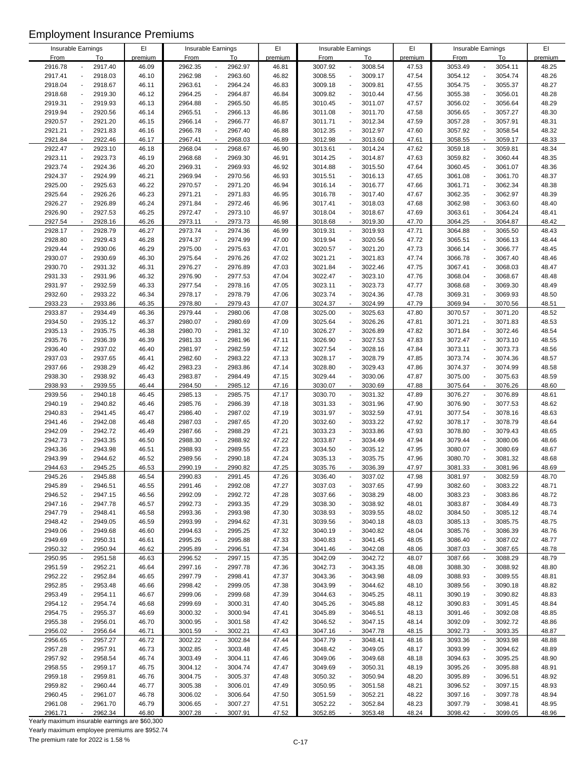| Insurable Earnings |                          |         | EI      | Insurable Earnings |                          |         | EI      | Insurable Earnings |                          |         | EI      |             | Insurable Earnings                  | EI      |
|--------------------|--------------------------|---------|---------|--------------------|--------------------------|---------|---------|--------------------|--------------------------|---------|---------|-------------|-------------------------------------|---------|
| <b>From</b>        |                          | To      | premium | <b>From</b>        |                          | To      | premium | From               |                          | To      | premium | <b>From</b> | To                                  | premium |
| 2916.78            |                          | 2917.40 | 46.09   | 2962.35            | $\overline{\phantom{a}}$ | 2962.97 | 46.81   | 3007.92            |                          | 3008.54 | 47.53   | 3053.49     | 3054.11                             | 48.25   |
| 2917.41            |                          | 2918.03 | 46.10   | 2962.98            | $\blacksquare$           | 2963.60 | 46.82   | 3008.55            |                          | 3009.17 | 47.54   | 3054.12     | 3054.74<br>$\overline{\phantom{a}}$ | 48.26   |
| 2918.04            | $\blacksquare$           | 2918.67 | 46.11   | 2963.61            | $\overline{\phantom{a}}$ | 2964.24 | 46.83   | 3009.18            | $\blacksquare$           | 3009.81 | 47.55   | 3054.75     | 3055.37<br>$\overline{\phantom{a}}$ | 48.27   |
| 2918.68            | $\overline{\phantom{a}}$ | 2919.30 | 46.12   | 2964.25            | $\Box$                   | 2964.87 | 46.84   | 3009.82            | $\blacksquare$           | 3010.44 | 47.56   | 3055.38     | 3056.01<br>$\overline{\phantom{a}}$ | 48.28   |
| 2919.31            |                          | 2919.93 | 46.13   | 2964.88            | $\overline{\phantom{a}}$ | 2965.50 | 46.85   | 3010.45            | $\overline{a}$           | 3011.07 | 47.57   | 3056.02     | 3056.64<br>$\overline{\phantom{a}}$ | 48.29   |
| 2919.94            |                          |         |         |                    | $\overline{a}$           |         |         |                    | $\blacksquare$           |         |         |             | $\overline{\phantom{a}}$            |         |
|                    |                          | 2920.56 | 46.14   | 2965.51            |                          | 2966.13 | 46.86   | 3011.08            |                          | 3011.70 | 47.58   | 3056.65     | 3057.27                             | 48.30   |
| 2920.57            |                          | 2921.20 | 46.15   | 2966.14            | $\overline{\phantom{a}}$ | 2966.77 | 46.87   | 3011.71            | $\overline{\phantom{a}}$ | 3012.34 | 47.59   | 3057.28     | 3057.91<br>$\overline{\phantom{a}}$ | 48.31   |
| 2921.21            | $\blacksquare$           | 2921.83 | 46.16   | 2966.78            | $\overline{\phantom{a}}$ | 2967.40 | 46.88   | 3012.35            |                          | 3012.97 | 47.60   | 3057.92     | 3058.54<br>$\overline{\phantom{a}}$ | 48.32   |
| 2921.84            | $\overline{\phantom{a}}$ | 2922.46 | 46.17   | 2967.41            | $\overline{\phantom{a}}$ | 2968.03 | 46.89   | 3012.98            | $\blacksquare$           | 3013.60 | 47.61   | 3058.55     | 3059.17<br>$\blacksquare$           | 48.33   |
| 2922.47            |                          | 2923.10 | 46.18   | 2968.04            | $\overline{\phantom{a}}$ | 2968.67 | 46.90   | 3013.61            | $\overline{\phantom{a}}$ | 3014.24 | 47.62   | 3059.18     | 3059.81<br>$\overline{\phantom{a}}$ | 48.34   |
| 2923.11            |                          | 2923.73 | 46.19   | 2968.68            | $\overline{\phantom{a}}$ | 2969.30 | 46.91   | 3014.25            | $\blacksquare$           | 3014.87 | 47.63   | 3059.82     | 3060.44<br>$\overline{\phantom{a}}$ | 48.35   |
| 2923.74            |                          | 2924.36 | 46.20   | 2969.31            | $\overline{\phantom{a}}$ | 2969.93 | 46.92   | 3014.88            | $\overline{a}$           | 3015.50 | 47.64   | 3060.45     | 3061.07<br>$\overline{\phantom{a}}$ | 48.36   |
| 2924.37            | $\overline{a}$           | 2924.99 | 46.21   | 2969.94            | $\blacksquare$           | 2970.56 | 46.93   | 3015.51            | $\overline{\phantom{a}}$ | 3016.13 | 47.65   | 3061.08     | 3061.70<br>$\overline{\phantom{a}}$ | 48.37   |
| 2925.00            |                          | 2925.63 | 46.22   | 2970.57            | $\overline{\phantom{a}}$ | 2971.20 | 46.94   | 3016.14            |                          | 3016.77 | 47.66   | 3061.71     | 3062.34                             | 48.38   |
| 2925.64            |                          | 2926.26 | 46.23   | 2971.21            | $\overline{\phantom{a}}$ | 2971.83 | 46.95   | 3016.78            |                          | 3017.40 | 47.67   | 3062.35     | 3062.97                             | 48.39   |
| 2926.27            |                          | 2926.89 | 46.24   | 2971.84            | $\overline{a}$           | 2972.46 | 46.96   | 3017.41            | $\overline{\phantom{a}}$ | 3018.03 | 47.68   | 3062.98     | 3063.60                             | 48.40   |
| 2926.90            |                          | 2927.53 | 46.25   | 2972.47            | $\overline{\phantom{a}}$ | 2973.10 | 46.97   | 3018.04            |                          | 3018.67 | 47.69   | 3063.61     | 3064.24                             | 48.41   |
| 2927.54            | $\sim$                   | 2928.16 | 46.26   | 2973.11            | $\sim$                   | 2973.73 | 46.98   | 3018.68            | $\overline{\phantom{a}}$ | 3019.30 | 47.70   | 3064.25     | 3064.87<br>÷,                       | 48.42   |
| 2928.17            | $\overline{\phantom{a}}$ | 2928.79 | 46.27   | 2973.74            | $\overline{\phantom{a}}$ | 2974.36 | 46.99   | 3019.31            | $\overline{\phantom{a}}$ | 3019.93 | 47.71   | 3064.88     | 3065.50<br>$\overline{\phantom{a}}$ | 48.43   |
| 2928.80            |                          | 2929.43 | 46.28   | 2974.37            | $\overline{\phantom{a}}$ | 2974.99 | 47.00   | 3019.94            | $\overline{a}$           | 3020.56 | 47.72   | 3065.51     | 3066.13<br>$\overline{\phantom{a}}$ | 48.44   |
| 2929.44            |                          | 2930.06 | 46.29   | 2975.00            | $\overline{a}$           | 2975.63 | 47.01   | 3020.57            | $\overline{a}$           | 3021.20 | 47.73   | 3066.14     | 3066.77                             | 48.45   |
| 2930.07            |                          | 2930.69 | 46.30   | 2975.64            | $\overline{\phantom{a}}$ | 2976.26 | 47.02   | 3021.21            |                          | 3021.83 | 47.74   | 3066.78     | 3067.40                             | 48.46   |
| 2930.70            |                          | 2931.32 | 46.31   | 2976.27            | $\overline{a}$           | 2976.89 | 47.03   | 3021.84            | $\blacksquare$           | 3022.46 | 47.75   | 3067.41     | 3068.03<br>$\overline{\phantom{a}}$ | 48.47   |
| 2931.33            |                          | 2931.96 | 46.32   | 2976.90            | $\sim$                   | 2977.53 | 47.04   | 3022.47            |                          | 3023.10 | 47.76   | 3068.04     | 3068.67<br>$\overline{\phantom{a}}$ | 48.48   |
| 2931.97            | $\overline{a}$           | 2932.59 | 46.33   | 2977.54            | $\overline{\phantom{a}}$ | 2978.16 | 47.05   | 3023.11            | $\blacksquare$           | 3023.73 | 47.77   | 3068.68     | 3069.30<br>$\overline{\phantom{a}}$ | 48.49   |
| 2932.60            |                          | 2933.22 | 46.34   | 2978.17            | $\overline{a}$           | 2978.79 | 47.06   | 3023.74            |                          | 3024.36 | 47.78   | 3069.31     | 3069.93<br>$\overline{\phantom{a}}$ | 48.50   |
| 2933.23            |                          | 2933.86 | 46.35   | 2978.80            | $\overline{\phantom{a}}$ | 2979.43 | 47.07   | 3024.37            |                          | 3024.99 | 47.79   | 3069.94     | 3070.56<br>$\overline{\phantom{a}}$ | 48.51   |
| 2933.87            | $\overline{\phantom{a}}$ | 2934.49 | 46.36   | 2979.44            | $\overline{\phantom{a}}$ | 2980.06 | 47.08   | 3025.00            | $\overline{\phantom{a}}$ | 3025.63 | 47.80   | 3070.57     | 3071.20<br>$\overline{\phantom{a}}$ | 48.52   |
| 2934.50            |                          | 2935.12 | 46.37   | 2980.07            | $\overline{\phantom{a}}$ | 2980.69 | 47.09   | 3025.64            |                          | 3026.26 | 47.81   | 3071.21     | 3071.83<br>$\overline{\phantom{a}}$ | 48.53   |
| 2935.13            | $\overline{a}$           | 2935.75 | 46.38   | 2980.70            | $\sim$                   | 2981.32 | 47.10   | 3026.27            | $\overline{a}$           | 3026.89 | 47.82   | 3071.84     | 3072.46<br>$\overline{\phantom{a}}$ | 48.54   |
| 2935.76            |                          | 2936.39 | 46.39   | 2981.33            | $\overline{\phantom{a}}$ | 2981.96 | 47.11   | 3026.90            | $\overline{a}$           | 3027.53 | 47.83   | 3072.47     | 3073.10<br>$\blacksquare$           | 48.55   |
| 2936.40            | $\overline{a}$           | 2937.02 |         |                    |                          |         |         |                    | $\overline{a}$           | 3028.16 |         | 3073.11     | 3073.73<br>$\overline{\phantom{a}}$ |         |
|                    |                          |         | 46.40   | 2981.97            | $\overline{\phantom{a}}$ | 2982.59 | 47.12   | 3027.54            |                          |         | 47.84   |             |                                     | 48.56   |
| 2937.03            |                          | 2937.65 | 46.41   | 2982.60            | $\overline{a}$           | 2983.22 | 47.13   | 3028.17            | $\overline{a}$           | 3028.79 | 47.85   | 3073.74     | 3074.36                             | 48.57   |
| 2937.66            |                          | 2938.29 | 46.42   | 2983.23            | $\overline{\phantom{a}}$ | 2983.86 | 47.14   | 3028.80            |                          | 3029.43 | 47.86   | 3074.37     | 3074.99                             | 48.58   |
| 2938.30            |                          | 2938.92 | 46.43   | 2983.87            | $\overline{\phantom{a}}$ | 2984.49 | 47.15   | 3029.44            | $\overline{a}$           | 3030.06 | 47.87   | 3075.00     | 3075.63                             | 48.59   |
| 2938.93            |                          | 2939.55 | 46.44   | 2984.50            | $\sim$                   | 2985.12 | 47.16   | 3030.07            | $\overline{\phantom{a}}$ | 3030.69 | 47.88   | 3075.64     | 3076.26<br>÷,                       | 48.60   |
| 2939.56            | $\overline{\phantom{a}}$ | 2940.18 | 46.45   | 2985.13            | $\overline{\phantom{a}}$ | 2985.75 | 47.17   | 3030.70            | $\overline{\phantom{a}}$ | 3031.32 | 47.89   | 3076.27     | 3076.89<br>$\overline{\phantom{a}}$ | 48.61   |
| 2940.19            |                          | 2940.82 | 46.46   | 2985.76            | $\overline{\phantom{a}}$ | 2986.39 | 47.18   | 3031.33            |                          | 3031.96 | 47.90   | 3076.90     | 3077.53<br>$\overline{\phantom{a}}$ | 48.62   |
| 2940.83            |                          | 2941.45 | 46.47   | 2986.40            | $\sim$                   | 2987.02 | 47.19   | 3031.97            |                          | 3032.59 | 47.91   | 3077.54     | 3078.16<br>$\overline{a}$           | 48.63   |
| 2941.46            | $\overline{a}$           | 2942.08 | 46.48   | 2987.03            | $\overline{a}$           | 2987.65 | 47.20   | 3032.60            | $\blacksquare$           | 3033.22 | 47.92   | 3078.17     | 3078.79<br>$\overline{\phantom{a}}$ | 48.64   |
| 2942.09            |                          | 2942.72 | 46.49   | 2987.66            | $\overline{\phantom{a}}$ | 2988.29 | 47.21   | 3033.23            |                          | 3033.86 | 47.93   | 3078.80     | 3079.43                             | 48.65   |
| 2942.73            |                          | 2943.35 | 46.50   | 2988.30            | ÷,                       | 2988.92 | 47.22   | 3033.87            | $\overline{a}$           | 3034.49 | 47.94   | 3079.44     | 3080.06<br>$\overline{\phantom{a}}$ | 48.66   |
| 2943.36            |                          | 2943.98 | 46.51   | 2988.93            | $\sim$                   | 2989.55 | 47.23   | 3034.50            |                          | 3035.12 | 47.95   | 3080.07     | 3080.69                             | 48.67   |
| 2943.99            |                          | 2944.62 | 46.52   | 2989.56            | $\overline{a}$           | 2990.18 | 47.24   | 3035.13            |                          | 3035.75 | 47.96   | 3080.70     | 3081.32<br>$\overline{\phantom{a}}$ | 48.68   |
| 2944.63            |                          | 2945.25 | 46.53   | 2990.19            |                          | 2990.82 | 47.25   | 3035.76            |                          | 3036.39 | 47.97   | 3081.33     | 3081.96                             | 48.69   |
| 2945.26            |                          | 2945.88 | 46.54   | 2990.83            | $\overline{\phantom{a}}$ | 2991.45 | 47.26   | 3036.40            | $\overline{\phantom{a}}$ | 3037.02 | 47.98   | 3081.97     | 3082.59                             | 48.70   |
| 2945.89            |                          | 2946.51 | 46.55   | 2991.46            | $\overline{\phantom{a}}$ | 2992.08 | 47.27   | 3037.03            |                          | 3037.65 | 47.99   | 3082.60     | 3083.22                             | 48.71   |
| 2946.52            |                          | 2947.15 | 46.56   | 2992.09            | $\overline{a}$           | 2992.72 | 47.28   | 3037.66            |                          | 3038.29 | 48.00   | 3083.23     | 3083.86                             | 48.72   |
| 2947.16            |                          | 2947.78 | 46.57   | 2992.73            | $\overline{\phantom{a}}$ | 2993.35 | 47.29   | 3038.30            |                          | 3038.92 | 48.01   | 3083.87     | 3084.49                             | 48.73   |
| 2947.79            |                          | 2948.41 | 46.58   | 2993.36            | $\overline{\phantom{a}}$ | 2993.98 | 47.30   | 3038.93            |                          | 3039.55 | 48.02   | 3084.50     | 3085.12                             | 48.74   |
| 2948.42            |                          | 2949.05 | 46.59   | 2993.99            | $\overline{\phantom{a}}$ | 2994.62 | 47.31   | 3039.56            |                          | 3040.18 | 48.03   | 3085.13     | 3085.75                             | 48.75   |
| 2949.06            |                          | 2949.68 | 46.60   | 2994.63            | $\overline{\phantom{a}}$ | 2995.25 | 47.32   | 3040.19            | $\blacksquare$           | 3040.82 | 48.04   | 3085.76     | 3086.39                             | 48.76   |
| 2949.69            |                          | 2950.31 | 46.61   | 2995.26            | $\overline{\phantom{a}}$ | 2995.88 | 47.33   | 3040.83            |                          | 3041.45 | 48.05   | 3086.40     | 3087.02                             | 48.77   |
| 2950.32            |                          | 2950.94 | 46.62   | 2995.89            | ÷,                       | 2996.51 | 47.34   | 3041.46            | $\overline{\phantom{a}}$ | 3042.08 | 48.06   | 3087.03     | 3087.65                             | 48.78   |
| 2950.95            |                          | 2951.58 | 46.63   | 2996.52            | $\overline{\phantom{a}}$ | 2997.15 | 47.35   | 3042.09            |                          | 3042.72 | 48.07   | 3087.66     | 3088.29<br>$\overline{\phantom{a}}$ | 48.79   |
| 2951.59            |                          | 2952.21 | 46.64   | 2997.16            | $\overline{\phantom{a}}$ | 2997.78 | 47.36   | 3042.73            |                          | 3043.35 | 48.08   | 3088.30     | 3088.92<br>$\overline{\phantom{a}}$ | 48.80   |
| 2952.22            |                          | 2952.84 | 46.65   | 2997.79            | $\overline{a}$           | 2998.41 | 47.37   | 3043.36            |                          | 3043.98 | 48.09   | 3088.93     | 3089.55                             | 48.81   |
| 2952.85            |                          | 2953.48 | 46.66   | 2998.42            | $\overline{\phantom{a}}$ | 2999.05 | 47.38   | 3043.99            |                          | 3044.62 | 48.10   | 3089.56     | 3090.18                             | 48.82   |
| 2953.49            |                          | 2954.11 |         | 2999.06            | $\overline{\phantom{a}}$ | 2999.68 |         | 3044.63            |                          | 3045.25 | 48.11   | 3090.19     | 3090.82                             | 48.83   |
|                    |                          |         | 46.67   |                    |                          |         | 47.39   |                    |                          |         |         |             |                                     |         |
| 2954.12            |                          | 2954.74 | 46.68   | 2999.69            | $\overline{\phantom{a}}$ | 3000.31 | 47.40   | 3045.26            |                          | 3045.88 | 48.12   | 3090.83     | 3091.45                             | 48.84   |
| 2954.75            |                          | 2955.37 | 46.69   | 3000.32            | $\overline{\phantom{a}}$ | 3000.94 | 47.41   | 3045.89            |                          | 3046.51 | 48.13   | 3091.46     | 3092.08                             | 48.85   |
| 2955.38            |                          | 2956.01 | 46.70   | 3000.95            | $\overline{\phantom{a}}$ | 3001.58 | 47.42   | 3046.52            |                          | 3047.15 | 48.14   | 3092.09     | 3092.72                             | 48.86   |
| 2956.02            | $\blacksquare$           | 2956.64 | 46.71   | 3001.59            | $\overline{\phantom{a}}$ | 3002.21 | 47.43   | 3047.16            | $\blacksquare$           | 3047.78 | 48.15   | 3092.73     | 3093.35<br>$\overline{\phantom{a}}$ | 48.87   |
| 2956.65            | $\overline{\phantom{a}}$ | 2957.27 | 46.72   | 3002.22            | $\overline{\phantom{a}}$ | 3002.84 | 47.44   | 3047.79            | $\overline{\phantom{a}}$ | 3048.41 | 48.16   | 3093.36     | 3093.98<br>$\overline{\phantom{a}}$ | 48.88   |
| 2957.28            |                          | 2957.91 | 46.73   | 3002.85            | $\overline{\phantom{a}}$ | 3003.48 | 47.45   | 3048.42            |                          | 3049.05 | 48.17   | 3093.99     | 3094.62                             | 48.89   |
| 2957.92            |                          | 2958.54 | 46.74   | 3003.49            | $\overline{\phantom{a}}$ | 3004.11 | 47.46   | 3049.06            | $\blacksquare$           | 3049.68 | 48.18   | 3094.63     | 3095.25                             | 48.90   |
| 2958.55            |                          | 2959.17 | 46.75   | 3004.12            | $\overline{\phantom{a}}$ | 3004.74 | 47.47   | 3049.69            |                          | 3050.31 | 48.19   | 3095.26     | 3095.88                             | 48.91   |
| 2959.18            |                          | 2959.81 | 46.76   | 3004.75            | $\overline{\phantom{a}}$ | 3005.37 | 47.48   | 3050.32            |                          | 3050.94 | 48.20   | 3095.89     | 3096.51                             | 48.92   |
| 2959.82            |                          | 2960.44 | 46.77   | 3005.38            | $\overline{\phantom{a}}$ | 3006.01 | 47.49   | 3050.95            | $\overline{a}$           | 3051.58 | 48.21   | 3096.52     | 3097.15                             | 48.93   |
| 2960.45            |                          | 2961.07 | 46.78   | 3006.02            | $\overline{\phantom{a}}$ | 3006.64 | 47.50   | 3051.59            |                          | 3052.21 | 48.22   | 3097.16     | 3097.78                             | 48.94   |
| 2961.08            |                          | 2961.70 | 46.79   | 3006.65            | $\overline{a}$           | 3007.27 | 47.51   | 3052.22            |                          | 3052.84 | 48.23   | 3097.79     | 3098.41                             | 48.95   |
| 2961.71            |                          | 2962.34 | 46.80   | 3007.28            |                          | 3007.91 | 47.52   | 3052.85            |                          | 3053.48 | 48.24   | 3098.42     | 3099.05                             | 48.96   |

Yearly maximum insurable earnings are \$60,300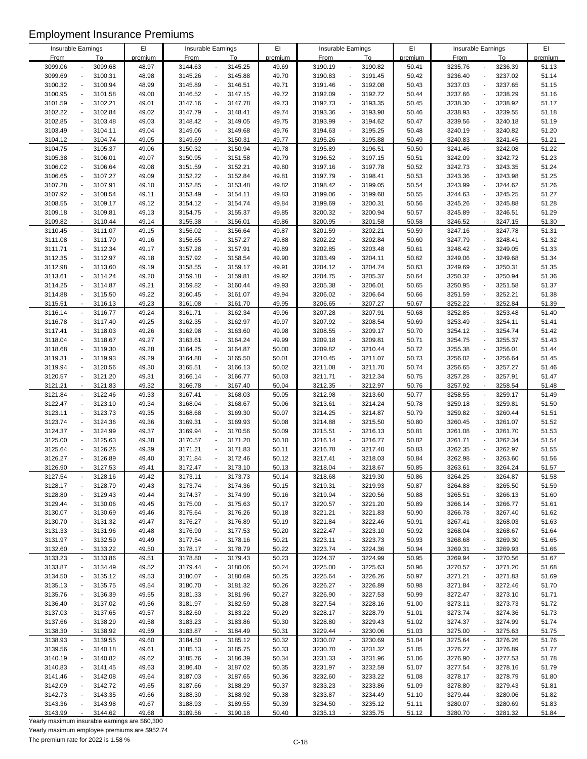|                    |                                     |         |             |                                     | EI             |             |                                     | EI      |                    |                                     |         |
|--------------------|-------------------------------------|---------|-------------|-------------------------------------|----------------|-------------|-------------------------------------|---------|--------------------|-------------------------------------|---------|
| Insurable Earnings |                                     | EI      |             | Insurable Earnings                  |                |             | Insurable Earnings                  |         |                    | Insurable Earnings                  | EI      |
| <b>From</b>        | To                                  | premium | <b>From</b> | To                                  | premium        | <b>From</b> | To                                  | premium | <b>From</b>        | To                                  | premium |
| 3099.06            | 3099.68                             | 48.97   | 3144.63     | 3145.25<br>$\overline{a}$           | 49.69          | 3190.19     | 3190.82                             | 50.41   | 3235.76            | 3236.39<br>$\overline{a}$           | 51.13   |
| 3099.69            | 3100.31                             | 48.98   | 3145.26     | $\Box$<br>3145.88                   | 49.70          | 3190.83     | 3191.45<br>$\overline{a}$           | 50.42   | 3236.40            | 3237.02<br>$\overline{a}$           | 51.14   |
| 3100.32            | 3100.94                             | 48.99   | 3145.89     | 3146.51<br>$\blacksquare$           | 49.71          | 3191.46     | 3192.08                             | 50.43   | 3237.03            | 3237.65<br>Ĭ.                       | 51.15   |
| 3100.95            | 3101.58<br>$\blacksquare$           | 49.00   | 3146.52     | $\overline{\phantom{a}}$<br>3147.15 | 49.72          | 3192.09     | 3192.72<br>$\overline{\phantom{a}}$ | 50.44   | 3237.66            | 3238.29<br>$\overline{a}$           | 51.16   |
| 3101.59            | 3102.21                             | 49.01   | 3147.16     | $\Box$<br>3147.78                   | 49.73          | 3192.73     | 3193.35<br>$\blacksquare$           | 50.45   | 3238.30            | 3238.92<br>$\overline{a}$           | 51.17   |
| 3102.22            | 3102.84                             | 49.02   | 3147.79     | 3148.41<br>$\blacksquare$           | 49.74          | 3193.36     | 3193.98                             | 50.46   | 3238.93            | 3239.55<br>$\overline{a}$           | 51.18   |
| 3102.85            | 3103.48                             | 49.03   | 3148.42     | 3149.05<br>$\blacksquare$           | 49.75          | 3193.99     | 3194.62<br>$\overline{\phantom{a}}$ | 50.47   | 3239.56            | 3240.18<br>$\overline{a}$           | 51.19   |
| 3103.49            | 3104.11<br>$\overline{a}$           | 49.04   | 3149.06     | 3149.68<br>$\blacksquare$           | 49.76          | 3194.63     | 3195.25<br>$\blacksquare$           | 50.48   | 3240.19            | 3240.82<br>$\overline{a}$           | 51.20   |
| 3104.12            |                                     |         |             | $\blacksquare$                      |                |             | $\overline{\phantom{a}}$            |         |                    |                                     |         |
|                    | 3104.74<br>$\overline{\phantom{a}}$ | 49.05   | 3149.69     | 3150.31                             | 49.77          | 3195.26     | 3195.88                             | 50.49   | 3240.83            | 3241.45                             | 51.21   |
| 3104.75            | 3105.37                             | 49.06   | 3150.32     | 3150.94<br>$\overline{\phantom{a}}$ | 49.78          | 3195.89     | 3196.51                             | 50.50   | 3241.46            | 3242.08                             | 51.22   |
| 3105.38            | 3106.01<br>$\overline{a}$           | 49.07   | 3150.95     | $\Box$<br>3151.58                   | 49.79          | 3196.52     | 3197.15<br>$\overline{\phantom{a}}$ | 50.51   | 3242.09            | 3242.72<br>$\overline{\phantom{a}}$ | 51.23   |
| 3106.02            | 3106.64                             | 49.08   | 3151.59     | 3152.21<br>$\blacksquare$           | 49.80          | 3197.16     | 3197.78                             | 50.52   | 3242.73            | 3243.35                             | 51.24   |
| 3106.65            | 3107.27<br>$\overline{a}$           | 49.09   | 3152.22     | 3152.84<br>$\blacksquare$           | 49.81          | 3197.79     | 3198.41<br>$\overline{a}$           | 50.53   | 3243.36            | 3243.98<br>$\overline{a}$           | 51.25   |
| 3107.28            | 3107.91                             | 49.10   | 3152.85     | $\overline{\phantom{a}}$<br>3153.48 | 49.82          | 3198.42     | 3199.05<br>$\overline{a}$           | 50.54   | 3243.99            | 3244.62<br>$\overline{a}$           | 51.26   |
| 3107.92            | 3108.54                             | 49.11   | 3153.49     | 3154.11<br>$\blacksquare$           | 49.83          | 3199.06     | 3199.68                             | 50.55   | 3244.63            | 3245.25                             | 51.27   |
| 3108.55            | 3109.17<br>$\blacksquare$           | 49.12   | 3154.12     | $\Box$<br>3154.74                   | 49.84          | 3199.69     | 3200.31                             | 50.56   | 3245.26            | 3245.88                             | 51.28   |
| 3109.18            | 3109.81                             | 49.13   | 3154.75     | 3155.37<br>$\overline{\phantom{a}}$ | 49.85          | 3200.32     | 3200.94                             | 50.57   | 3245.89            | 3246.51<br>$\overline{\phantom{a}}$ | 51.29   |
| 3109.82            | 3110.44<br>$\sim$                   | 49.14   | 3155.38     | 3156.01<br>$\mathbf{r}$             | 49.86          | 3200.95     | 3201.58<br>$\sim$                   | 50.58   | 3246.52            | 3247.15<br>÷,                       | 51.30   |
| 3110.45            | 3111.07<br>$\blacksquare$           | 49.15   | 3156.02     | $\blacksquare$<br>3156.64           | 49.87          | 3201.59     | 3202.21                             | 50.59   | 3247.16            | 3247.78<br>$\overline{a}$           | 51.31   |
| 3111.08            | 3111.70<br>$\blacksquare$           | 49.16   | 3156.65     | $\overline{\phantom{a}}$<br>3157.27 | 49.88          | 3202.22     | 3202.84<br>$\overline{a}$           | 50.60   | 3247.79            | 3248.41<br>$\overline{a}$           | 51.32   |
| 3111.71            | 3112.34                             |         | 3157.28     | ÷,                                  | 49.89          | 3202.85     | 3203.48                             |         | 3248.42            | 3249.05                             | 51.33   |
|                    |                                     | 49.17   |             | 3157.91                             |                |             |                                     | 50.61   |                    |                                     |         |
| 3112.35            | 3112.97                             | 49.18   | 3157.92     | 3158.54<br>$\Box$                   | 49.90          | 3203.49     | 3204.11                             | 50.62   | 3249.06            | 3249.68                             | 51.34   |
| 3112.98            | 3113.60<br>$\overline{\phantom{a}}$ | 49.19   | 3158.55     | 3159.17<br>$\Box$                   | 49.91          | 3204.12     | 3204.74<br>$\blacksquare$           | 50.63   | 3249.69            | 3250.31<br>$\overline{\phantom{a}}$ | 51.35   |
| 3113.61            | 3114.24                             | 49.20   | 3159.18     | 3159.81<br>$\blacksquare$           | 49.92          | 3204.75     | 3205.37                             | 50.64   | 3250.32            | 3250.94                             | 51.36   |
| 3114.25            | 3114.87<br>$\overline{a}$           | 49.21   | 3159.82     | $\blacksquare$<br>3160.44           | 49.93          | 3205.38     | 3206.01<br>$\overline{a}$           | 50.65   | 3250.95            | 3251.58<br>$\overline{a}$           | 51.37   |
| 3114.88            | 3115.50                             | 49.22   | 3160.45     | $\overline{\phantom{a}}$<br>3161.07 | 49.94          | 3206.02     | 3206.64<br>$\mathcal{L}$            | 50.66   | 3251.59            | 3252.21<br>$\overline{a}$           | 51.38   |
| 3115.51            | 3116.13<br>$\overline{\phantom{a}}$ | 49.23   | 3161.08     | 3161.70<br>$\blacksquare$           | 49.95          | 3206.65     | 3207.27                             | 50.67   | 3252.22            | 3252.84                             | 51.39   |
| 3116.14            | 3116.77<br>$\blacksquare$           | 49.24   | 3161.71     | $\Box$<br>3162.34                   | 49.96          | 3207.28     | 3207.91<br>$\overline{a}$           | 50.68   | 3252.85            | 3253.48<br>$\overline{a}$           | 51.40   |
| 3116.78            | 3117.40<br>$\overline{a}$           | 49.25   | 3162.35     | 3162.97<br>$\overline{\phantom{a}}$ | 49.97          | 3207.92     | 3208.54                             | 50.69   | 3253.49            | 3254.11<br>$\overline{\phantom{a}}$ | 51.41   |
| 3117.41            | 3118.03<br>$\overline{a}$           | 49.26   | 3162.98     | 3163.60<br>$\blacksquare$           | 49.98          | 3208.55     | 3209.17                             | 50.70   | 3254.12            | 3254.74                             | 51.42   |
| 3118.04            | 3118.67                             | 49.27   | 3163.61     | $\blacksquare$<br>3164.24           | 49.99          | 3209.18     | 3209.81                             | 50.71   | 3254.75            | 3255.37<br>$\overline{a}$           | 51.43   |
| 3118.68            | 3119.30<br>$\blacksquare$           | 49.28   | 3164.25     | 3164.87<br>$\overline{\phantom{a}}$ | 50.00          | 3209.82     | 3210.44<br>$\overline{a}$           | 50.72   | 3255.38            | 3256.01<br>$\overline{a}$           | 51.44   |
| 3119.31            | 3119.93                             | 49.29   | 3164.88     | $\blacksquare$<br>3165.50           | 50.01          | 3210.45     | 3211.07                             | 50.73   | 3256.02            | 3256.64                             | 51.45   |
|                    |                                     |         |             | $\blacksquare$                      |                |             |                                     |         |                    |                                     |         |
| 3119.94            | 3120.56                             | 49.30   | 3165.51     | 3166.13                             | 50.02          | 3211.08     | 3211.70                             | 50.74   | 3256.65            | 3257.27                             | 51.46   |
| 3120.57            | 3121.20<br>$\overline{\phantom{a}}$ | 49.31   | 3166.14     | 3166.77<br>$\Box$                   | 50.03          | 3211.71     | 3212.34<br>$\overline{\phantom{a}}$ | 50.75   | 3257.28            | 3257.91<br>$\overline{a}$           | 51.47   |
| 3121.21            | 3121.83                             | 49.32   | 3166.78     | 3167.40<br>$\mathcal{L}$            | 50.04          | 3212.35     | 3212.97                             | 50.76   | 3257.92            | 3258.54                             | 51.48   |
| 3121.84            | 3122.46<br>$\overline{\phantom{a}}$ | 49.33   | 3167.41     | 3168.03<br>$\blacksquare$           | 50.05          | 3212.98     | 3213.60<br>$\overline{\phantom{a}}$ | 50.77   | 3258.55            | 3259.17<br>$\ddot{\phantom{0}}$     | 51.49   |
| 3122.47            | 3123.10<br>$\overline{a}$           | 49.34   | 3168.04     | $\Box$<br>3168.67                   | 50.06          | 3213.61     | 3214.24<br>$\overline{a}$           | 50.78   | 3259.18            | 3259.81<br>$\overline{a}$           | 51.50   |
| 3123.11            | 3123.73<br>$\overline{a}$           | 49.35   | 3168.68     | $\blacksquare$<br>3169.30           | 50.07          | 3214.25     | 3214.87                             | 50.79   | 3259.82            | 3260.44<br>$\overline{a}$           | 51.51   |
| 3123.74            | 3124.36<br>$\overline{\phantom{a}}$ | 49.36   | 3169.31     | $\blacksquare$<br>3169.93           | 50.08          | 3214.88     | 3215.50<br>$\overline{a}$           | 50.80   | 3260.45            | 3261.07<br>$\overline{a}$           | 51.52   |
| 3124.37            | 3124.99                             | 49.37   | 3169.94     | 3170.56<br>$\blacksquare$           | 50.09          | 3215.51     | 3216.13<br>$\overline{\phantom{a}}$ | 50.81   | 3261.08            | 3261.70<br>$\overline{\phantom{a}}$ | 51.53   |
| 3125.00            | 3125.63                             | 49.38   | 3170.57     | 3171.20<br>$\blacksquare$           | 50.10          | 3216.14     | 3216.77<br>$\overline{a}$           | 50.82   | 3261.71            | 3262.34<br>$\overline{a}$           | 51.54   |
| 3125.64            | 3126.26                             | 49.39   | 3171.21     | 3171.83<br>$\blacksquare$           | 50.11          | 3216.78     | 3217.40                             | 50.83   | 3262.35            | 3262.97                             | 51.55   |
| 3126.27            | 3126.89                             | 49.40   | 3171.84     | 3172.46<br>$\overline{\phantom{a}}$ | 50.12          | 3217.41     | 3218.03<br>$\blacksquare$           | 50.84   | 3262.98            | 3263.60<br>$\overline{a}$           | 51.56   |
| 3126.90            | 3127.53                             | 49.41   | 3172.47     | 3173.10                             | 50.13          | 3218.04     | 3218.67                             | 50.85   | 3263.61            | 3264.24                             | 51.57   |
| 3127.54            | 3128.16                             | 49.42   | 3173.11     | 3173.73<br>$\overline{\phantom{a}}$ | 50.14          | 3218.68     | 3219.30                             | 50.86   | 3264.25            | 3264.87                             | 51.58   |
| 3128.17            | 3128.79                             | 49.43   | 3173.74     | 3174.36<br>$\overline{\phantom{a}}$ | 50.15          | 3219.31     | 3219.93                             | 50.87   | 3264.88            | 3265.50                             | 51.59   |
|                    |                                     |         |             | $\overline{\phantom{a}}$            |                |             | 3220.56                             |         |                    |                                     |         |
| 3128.80            | 3129.43                             | 49.44   | 3174.37     | 3174.99<br>$\overline{\phantom{a}}$ | 50.16<br>50.17 | 3219.94     | $\blacksquare$                      | 50.88   | 3265.51<br>3266.14 | 3266.13<br>3266.77                  | 51.60   |
| 3129.44            | 3130.06                             | 49.45   | 3175.00     | 3175.63                             |                | 3220.57     | 3221.20                             | 50.89   |                    |                                     | 51.61   |
| 3130.07            | 3130.69                             | 49.46   | 3175.64     | 3176.26<br>$\overline{\phantom{a}}$ | 50.18          | 3221.21     | 3221.83                             | 50.90   | 3266.78            | 3267.40                             | 51.62   |
| 3130.70            | 3131.32                             | 49.47   | 3176.27     | 3176.89<br>$\blacksquare$           | 50.19          | 3221.84     | 3222.46                             | 50.91   | 3267.41            | 3268.03                             | 51.63   |
| 3131.33            | 3131.96                             | 49.48   | 3176.90     | 3177.53<br>÷,                       | 50.20          | 3222.47     | 3223.10<br>$\overline{\phantom{a}}$ | 50.92   | 3268.04            | 3268.67                             | 51.64   |
| 3131.97            | 3132.59                             | 49.49   | 3177.54     | 3178.16<br>$\overline{\phantom{a}}$ | 50.21          | 3223.11     | 3223.73                             | 50.93   | 3268.68            | 3269.30                             | 51.65   |
| 3132.60            | 3133.22                             | 49.50   | 3178.17     | 3178.79<br>$\blacksquare$           | 50.22          | 3223.74     | 3224.36<br>$\overline{\phantom{a}}$ | 50.94   | 3269.31            | 3269.93                             | 51.66   |
| 3133.23            | 3133.86                             | 49.51   | 3178.80     | 3179.43<br>$\blacksquare$           | 50.23          | 3224.37     | 3224.99                             | 50.95   | 3269.94            | 3270.56<br>$\overline{\phantom{a}}$ | 51.67   |
| 3133.87            | 3134.49                             | 49.52   | 3179.44     | 3180.06<br>$\blacksquare$           | 50.24          | 3225.00     | 3225.63                             | 50.96   | 3270.57            | 3271.20                             | 51.68   |
| 3134.50            | 3135.12                             | 49.53   | 3180.07     | 3180.69<br>$\overline{\phantom{a}}$ | 50.25          | 3225.64     | 3226.26                             | 50.97   | 3271.21            | 3271.83                             | 51.69   |
| 3135.13            | 3135.75                             | 49.54   | 3180.70     | 3181.32<br>$\overline{\phantom{a}}$ | 50.26          | 3226.27     | 3226.89                             | 50.98   | 3271.84            | 3272.46                             | 51.70   |
| 3135.76            | 3136.39                             | 49.55   | 3181.33     | 3181.96<br>$\overline{\phantom{a}}$ | 50.27          | 3226.90     | 3227.53<br>$\overline{\phantom{a}}$ | 50.99   | 3272.47            | 3273.10                             | 51.71   |
| 3136.40            | 3137.02                             | 49.56   | 3181.97     | 3182.59<br>$\overline{\phantom{a}}$ | 50.28          | 3227.54     | 3228.16                             | 51.00   | 3273.11            | 3273.73                             | 51.72   |
| 3137.03            | 3137.65                             | 49.57   | 3182.60     | 3183.22<br>$\overline{\phantom{a}}$ | 50.29          | 3228.17     | 3228.79<br>$\blacksquare$           | 51.01   | 3273.74            | 3274.36                             | 51.73   |
| 3137.66            | 3138.29                             | 49.58   | 3183.23     | 3183.86<br>$\overline{\phantom{a}}$ | 50.30          | 3228.80     | 3229.43                             | 51.02   | 3274.37            | 3274.99                             | 51.74   |
| 3138.30            | 3138.92                             | 49.59   | 3183.87     | 3184.49<br>$\blacksquare$           | 50.31          | 3229.44     | 3230.06                             | 51.03   | 3275.00            | 3275.63                             | 51.75   |
| 3138.93            | 3139.55                             | 49.60   | 3184.50     | 3185.12<br>$\blacksquare$           | 50.32          | 3230.07     | 3230.69<br>$\blacksquare$           | 51.04   | 3275.64            | 3276.26<br>$\blacksquare$           | 51.76   |
| 3139.56            | 3140.18                             |         | 3185.13     | 3185.75<br>$\overline{\phantom{a}}$ |                | 3230.70     | 3231.32                             | 51.05   | 3276.27            | 3276.89                             |         |
|                    |                                     | 49.61   |             |                                     | 50.33          |             |                                     |         |                    |                                     | 51.77   |
| 3140.19            | 3140.82                             | 49.62   | 3185.76     | 3186.39<br>$\blacksquare$           | 50.34          | 3231.33     | 3231.96                             | 51.06   | 3276.90            | 3277.53                             | 51.78   |
| 3140.83            | 3141.45                             | 49.63   | 3186.40     | 3187.02<br>$\blacksquare$           | 50.35          | 3231.97     | 3232.59                             | 51.07   | 3277.54            | 3278.16                             | 51.79   |
| 3141.46            | 3142.08                             | 49.64   | 3187.03     | 3187.65<br>$\overline{\phantom{a}}$ | 50.36          | 3232.60     | 3233.22                             | 51.08   | 3278.17            | 3278.79                             | 51.80   |
| 3142.09            | 3142.72                             | 49.65   | 3187.66     | 3188.29<br>$\overline{\phantom{a}}$ | 50.37          | 3233.23     | 3233.86                             | 51.09   | 3278.80            | 3279.43                             | 51.81   |
| 3142.73            | 3143.35                             | 49.66   | 3188.30     | 3188.92<br>$\overline{\phantom{a}}$ | 50.38          | 3233.87     | 3234.49                             | 51.10   | 3279.44            | 3280.06                             | 51.82   |
| 3143.36            | 3143.98                             | 49.67   | 3188.93     | 3189.55<br>$\overline{\phantom{a}}$ | 50.39          | 3234.50     | 3235.12<br>$\overline{a}$           | 51.11   | 3280.07            | 3280.69                             | 51.83   |
| 3143.99            | 3144.62                             | 49.68   | 3189.56     | 3190.18<br>$\sim$                   | 50.40          | 3235.13     | 3235.75                             | 51.12   | 3280.70            | 3281.32                             | 51.84   |

Yearly maximum insurable earnings are \$60,300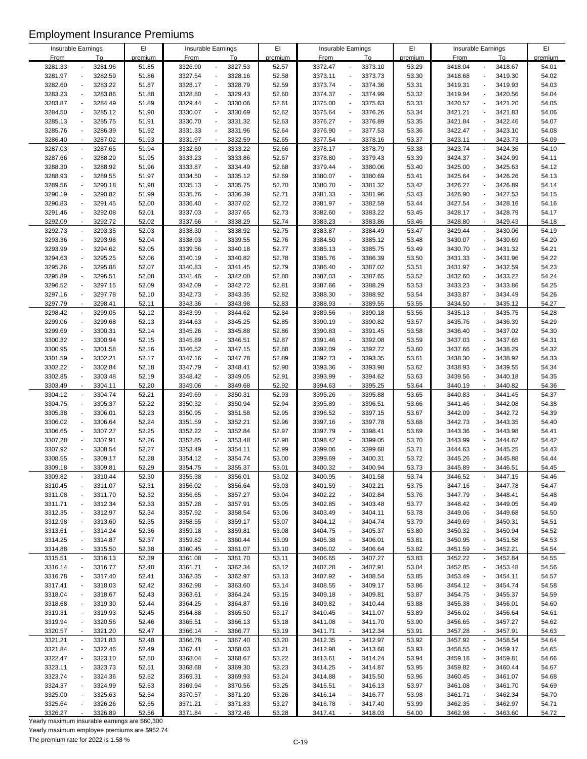| Insurable Earnings |                          |         | EI      |         | Insurable Earnings                  | EI      |             | Insurable Earnings                  | EI      |             | Insurable Earnings                  | EI      |
|--------------------|--------------------------|---------|---------|---------|-------------------------------------|---------|-------------|-------------------------------------|---------|-------------|-------------------------------------|---------|
|                    |                          |         |         |         |                                     |         |             |                                     |         |             |                                     |         |
| <b>From</b>        |                          | To      | premium | From    | To                                  | premium | <b>From</b> | To                                  | premium | <b>From</b> | To                                  | premium |
| 3281.33            |                          | 3281.96 | 51.85   | 3326.90 | 3327.53<br>$\blacksquare$           | 52.57   | 3372.47     | 3373.10<br>$\overline{a}$           | 53.29   | 3418.04     | 3418.67<br>$\overline{a}$           | 54.01   |
| 3281.97            |                          | 3282.59 | 51.86   | 3327.54 | 3328.16<br>$\Box$                   | 52.58   | 3373.11     | 3373.73<br>$\overline{a}$           | 53.30   | 3418.68     | 3419.30<br>$\overline{a}$           | 54.02   |
| 3282.60            |                          | 3283.22 | 51.87   | 3328.17 | 3328.79<br>$\overline{\phantom{a}}$ | 52.59   | 3373.74     | 3374.36                             | 53.31   | 3419.31     | 3419.93<br>$\overline{a}$           | 54.03   |
| 3283.23            |                          | 3283.86 | 51.88   | 3328.80 | 3329.43<br>$\Box$                   | 52.60   | 3374.37     | 3374.99                             | 53.32   | 3419.94     | 3420.56                             | 54.04   |
| 3283.87            |                          | 3284.49 | 51.89   | 3329.44 | 3330.06<br>$\Box$                   | 52.61   | 3375.00     | 3375.63                             | 53.33   | 3420.57     | 3421.20                             | 54.05   |
| 3284.50            |                          | 3285.12 | 51.90   | 3330.07 | 3330.69<br>$\blacksquare$           | 52.62   | 3375.64     | 3376.26<br>$\overline{a}$           | 53.34   | 3421.21     | 3421.83<br>$\overline{a}$           | 54.06   |
|                    |                          |         |         |         |                                     |         |             |                                     |         |             |                                     |         |
| 3285.13            |                          | 3285.75 | 51.91   | 3330.70 | 3331.32<br>$\blacksquare$           | 52.63   | 3376.27     | 3376.89                             | 53.35   | 3421.84     | 3422.46                             | 54.07   |
| 3285.76            | $\overline{a}$           | 3286.39 | 51.92   | 3331.33 | 3331.96<br>$\blacksquare$           | 52.64   | 3376.90     | 3377.53<br>$\overline{a}$           | 53.36   | 3422.47     | 3423.10<br>$\overline{a}$           | 54.08   |
| 3286.40            |                          | 3287.02 | 51.93   | 3331.97 | 3332.59<br>$\blacksquare$           | 52.65   | 3377.54     | 3378.16<br>$\blacksquare$           | 53.37   | 3423.11     | 3423.73<br>$\overline{a}$           | 54.09   |
| 3287.03            |                          | 3287.65 | 51.94   | 3332.60 | 3333.22<br>$\blacksquare$           | 52.66   | 3378.17     | 3378.79                             | 53.38   | 3423.74     | 3424.36                             | 54.10   |
| 3287.66            |                          | 3288.29 | 51.95   | 3333.23 | 3333.86<br>$\Box$                   | 52.67   | 3378.80     | 3379.43                             | 53.39   | 3424.37     | 3424.99                             | 54.11   |
| 3288.30            |                          | 3288.92 | 51.96   | 3333.87 | 3334.49<br>$\blacksquare$           | 52.68   | 3379.44     | 3380.06                             | 53.40   | 3425.00     | 3425.63                             | 54.12   |
| 3288.93            |                          |         |         |         | $\blacksquare$                      |         |             |                                     |         | 3425.64     | $\overline{a}$                      | 54.13   |
|                    |                          | 3289.55 | 51.97   | 3334.50 | 3335.12                             | 52.69   | 3380.07     | 3380.69                             | 53.41   |             | 3426.26                             |         |
| 3289.56            |                          | 3290.18 | 51.98   | 3335.13 | $\blacksquare$<br>3335.75           | 52.70   | 3380.70     | 3381.32                             | 53.42   | 3426.27     | 3426.89<br>$\overline{a}$           | 54.14   |
| 3290.19            |                          | 3290.82 | 51.99   | 3335.76 | 3336.39<br>$\Box$                   | 52.71   | 3381.33     | 3381.96                             | 53.43   | 3426.90     | 3427.53<br>$\overline{a}$           | 54.15   |
| 3290.83            |                          | 3291.45 | 52.00   | 3336.40 | 3337.02<br>$\blacksquare$           | 52.72   | 3381.97     | 3382.59                             | 53.44   | 3427.54     | 3428.16                             | 54.16   |
| 3291.46            |                          | 3292.08 | 52.01   | 3337.03 | 3337.65<br>$\Box$                   | 52.73   | 3382.60     | 3383.22                             | 53.45   | 3428.17     | 3428.79                             | 54.17   |
| 3292.09            | $\overline{\phantom{a}}$ | 3292.72 | 52.02   | 3337.66 | 3338.29<br>$\blacksquare$           | 52.74   | 3383.23     | 3383.86<br>$\overline{\phantom{a}}$ | 53.46   | 3428.80     | 3429.43<br>$\overline{a}$           | 54.18   |
| 3292.73            |                          | 3293.35 | 52.03   | 3338.30 | $\overline{\phantom{a}}$<br>3338.92 | 52.75   | 3383.87     | 3384.49                             | 53.47   | 3429.44     | 3430.06<br>$\overline{a}$           | 54.19   |
| 3293.36            |                          | 3293.98 | 52.04   | 3338.93 | 3339.55<br>$\blacksquare$           | 52.76   | 3384.50     | 3385.12                             | 53.48   | 3430.07     | 3430.69<br>$\overline{a}$           | 54.20   |
|                    |                          |         |         |         |                                     |         |             |                                     |         |             |                                     |         |
| 3293.99            |                          | 3294.62 | 52.05   | 3339.56 | 3340.18<br>$\overline{\phantom{a}}$ | 52.77   | 3385.13     | 3385.75                             | 53.49   | 3430.70     | 3431.32<br>$\overline{a}$           | 54.21   |
| 3294.63            |                          | 3295.25 | 52.06   | 3340.19 | 3340.82<br>$\blacksquare$           | 52.78   | 3385.76     | 3386.39                             | 53.50   | 3431.33     | 3431.96                             | 54.22   |
| 3295.26            |                          | 3295.88 | 52.07   | 3340.83 | 3341.45<br>÷,                       | 52.79   | 3386.40     | 3387.02                             | 53.51   | 3431.97     | 3432.59                             | 54.23   |
| 3295.89            |                          | 3296.51 | 52.08   | 3341.46 | 3342.08<br>$\overline{\phantom{a}}$ | 52.80   | 3387.03     | 3387.65                             | 53.52   | 3432.60     | 3433.22                             | 54.24   |
| 3296.52            |                          | 3297.15 | 52.09   | 3342.09 | 3342.72<br>$\blacksquare$           | 52.81   | 3387.66     | 3388.29                             | 53.53   | 3433.23     | 3433.86                             | 54.25   |
| 3297.16            |                          | 3297.78 | 52.10   | 3342.73 | $\blacksquare$<br>3343.35           | 52.82   | 3388.30     | 3388.92                             | 53.54   | 3433.87     | 3434.49<br>$\overline{a}$           | 54.26   |
| 3297.79            |                          | 3298.41 |         |         | 3343.98<br>$\blacksquare$           | 52.83   | 3388.93     |                                     | 53.55   |             | 3435.12                             | 54.27   |
|                    |                          |         | 52.11   | 3343.36 |                                     |         |             | 3389.55                             |         | 3434.50     |                                     |         |
| 3298.42            |                          | 3299.05 | 52.12   | 3343.99 | $\mathbb{Z}^2$<br>3344.62           | 52.84   | 3389.56     | 3390.18                             | 53.56   | 3435.13     | 3435.75<br>$\overline{a}$           | 54.28   |
| 3299.06            |                          | 3299.68 | 52.13   | 3344.63 | 3345.25<br>$\blacksquare$           | 52.85   | 3390.19     | 3390.82                             | 53.57   | 3435.76     | 3436.39<br>$\overline{a}$           | 54.29   |
| 3299.69            |                          | 3300.31 | 52.14   | 3345.26 | 3345.88<br>÷,                       | 52.86   | 3390.83     | 3391.45                             | 53.58   | 3436.40     | 3437.02                             | 54.30   |
| 3300.32            |                          | 3300.94 | 52.15   | 3345.89 | 3346.51<br>$\blacksquare$           | 52.87   | 3391.46     | 3392.08                             | 53.59   | 3437.03     | 3437.65                             | 54.31   |
| 3300.95            |                          | 3301.58 | 52.16   | 3346.52 | $\Box$<br>3347.15                   | 52.88   | 3392.09     | 3392.72<br>$\overline{a}$           | 53.60   | 3437.66     | 3438.29<br>$\overline{a}$           | 54.32   |
| 3301.59            |                          | 3302.21 | 52.17   | 3347.16 | 3347.78<br>$\overline{\phantom{a}}$ | 52.89   | 3392.73     | 3393.35                             | 53.61   | 3438.30     | 3438.92<br>$\overline{a}$           | 54.33   |
| 3302.22            |                          | 3302.84 | 52.18   | 3347.79 | 3348.41<br>$\blacksquare$           | 52.90   | 3393.36     | 3393.98                             | 53.62   | 3438.93     | 3439.55                             | 54.34   |
|                    |                          |         |         |         |                                     |         |             |                                     |         |             |                                     |         |
| 3302.85            |                          | 3303.48 | 52.19   | 3348.42 | 3349.05<br>÷,                       | 52.91   | 3393.99     | 3394.62<br>$\overline{a}$           | 53.63   | 3439.56     | 3440.18<br>$\overline{a}$           | 54.35   |
| 3303.49            |                          | 3304.11 | 52.20   | 3349.06 | 3349.68<br>$\blacksquare$           | 52.92   | 3394.63     | 3395.25<br>$\overline{\phantom{a}}$ | 53.64   | 3440.19     | 3440.82<br>$\overline{a}$           | 54.36   |
| 3304.12            | $\overline{a}$           | 3304.74 | 52.21   | 3349.69 | $\overline{\phantom{a}}$<br>3350.31 | 52.93   | 3395.26     | 3395.88<br>$\overline{a}$           | 53.65   | 3440.83     | 3441.45<br>$\overline{a}$           | 54.37   |
| 3304.75            |                          | 3305.37 | 52.22   | 3350.32 | $\Box$<br>3350.94                   | 52.94   | 3395.89     | 3396.51                             | 53.66   | 3441.46     | 3442.08<br>$\overline{a}$           | 54.38   |
| 3305.38            | $\overline{a}$           | 3306.01 | 52.23   | 3350.95 | 3351.58<br>$\Box$                   | 52.95   | 3396.52     | 3397.15                             | 53.67   | 3442.09     | 3442.72<br>$\overline{a}$           | 54.39   |
| 3306.02            |                          | 3306.64 | 52.24   | 3351.59 | 3352.21<br>$\blacksquare$           | 52.96   | 3397.16     | 3397.78                             | 53.68   | 3442.73     | 3443.35<br>$\overline{a}$           | 54.40   |
|                    |                          |         |         |         | $\blacksquare$                      |         |             |                                     |         |             | $\overline{a}$                      |         |
| 3306.65            |                          | 3307.27 | 52.25   | 3352.22 | 3352.84                             | 52.97   | 3397.79     | 3398.41                             | 53.69   | 3443.36     | 3443.98                             | 54.41   |
| 3307.28            |                          | 3307.91 | 52.26   | 3352.85 | 3353.48<br>$\overline{a}$           | 52.98   | 3398.42     | 3399.05                             | 53.70   | 3443.99     | 3444.62                             | 54.42   |
| 3307.92            |                          | 3308.54 | 52.27   | 3353.49 | 3354.11<br>÷,                       | 52.99   | 3399.06     | 3399.68                             | 53.71   | 3444.63     | 3445.25                             | 54.43   |
| 3308.55            |                          | 3309.17 | 52.28   | 3354.12 | 3354.74<br>÷,                       | 53.00   | 3399.69     | 3400.31<br>$\overline{\phantom{a}}$ | 53.72   | 3445.26     | 3445.88<br>$\overline{\phantom{a}}$ | 54.44   |
| 3309.18            |                          | 3309.81 | 52.29   | 3354.75 | 3355.37                             | 53.01   | 3400.32     | 3400.94                             | 53.73   | 3445.89     | 3446.51                             | 54.45   |
| 3309.82            |                          | 3310.44 | 52.30   | 3355.38 | 3356.01<br>$\overline{\phantom{a}}$ | 53.02   | 3400.95     | 3401.58                             | 53.74   | 3446.52     | 3447.15                             | 54.46   |
| 3310.45            |                          | 3311.07 | 52.31   | 3356.02 | 3356.64<br>÷,                       | 53.03   | 3401.59     | 3402.21                             | 53.75   | 3447.16     | 3447.78                             | 54.47   |
|                    |                          |         |         |         |                                     |         |             |                                     |         |             |                                     |         |
| 3311.08            |                          | 3311.70 | 52.32   | 3356.65 | 3357.27<br>$\overline{a}$           | 53.04   | 3402.22     | 3402.84                             | 53.76   | 3447.79     | 3448.41                             | 54.48   |
| 3311.71            |                          | 3312.34 | 52.33   | 3357.28 | 3357.91<br>$\overline{\phantom{a}}$ | 53.05   | 3402.85     | 3403.48<br>$\overline{a}$           | 53.77   | 3448.42     | 3449.05<br>$\overline{\phantom{a}}$ | 54.49   |
| 3312.35            |                          | 3312.97 | 52.34   | 3357.92 | 3358.54<br>$\blacksquare$           | 53.06   | 3403.49     | 3404.11                             | 53.78   | 3449.06     | 3449.68                             | 54.50   |
| 3312.98            |                          | 3313.60 | 52.35   | 3358.55 | 3359.17<br>$\overline{\phantom{a}}$ | 53.07   | 3404.12     | 3404.74                             | 53.79   | 3449.69     | 3450.31                             | 54.51   |
| 3313.61            |                          | 3314.24 | 52.36   | 3359.18 | 3359.81<br>$\overline{\phantom{a}}$ | 53.08   | 3404.75     | 3405.37                             | 53.80   | 3450.32     | 3450.94                             | 54.52   |
| 3314.25            |                          | 3314.87 | 52.37   | 3359.82 | 3360.44<br>$\overline{\phantom{a}}$ | 53.09   | 3405.38     | 3406.01                             | 53.81   | 3450.95     | 3451.58                             | 54.53   |
| 3314.88            |                          | 3315.50 | 52.38   | 3360.45 | 3361.07<br>$\blacksquare$           | 53.10   | 3406.02     | 3406.64<br>$\overline{\phantom{a}}$ | 53.82   | 3451.59     | 3452.21<br>$\overline{a}$           | 54.54   |
|                    |                          |         |         |         |                                     |         |             |                                     |         |             | $\overline{a}$                      |         |
| 3315.51            |                          | 3316.13 | 52.39   | 3361.08 | $\blacksquare$<br>3361.70           | 53.11   | 3406.65     | 3407.27                             | 53.83   | 3452.22     | 3452.84                             | 54.55   |
| 3316.14            |                          | 3316.77 | 52.40   | 3361.71 | 3362.34<br>$\blacksquare$           | 53.12   | 3407.28     | 3407.91<br>$\blacksquare$           | 53.84   | 3452.85     | 3453.48                             | 54.56   |
| 3316.78            |                          | 3317.40 | 52.41   | 3362.35 | 3362.97<br>$\overline{\phantom{a}}$ | 53.13   | 3407.92     | 3408.54                             | 53.85   | 3453.49     | 3454.11                             | 54.57   |
| 3317.41            |                          | 3318.03 | 52.42   | 3362.98 | 3363.60<br>$\overline{\phantom{a}}$ | 53.14   | 3408.55     | 3409.17                             | 53.86   | 3454.12     | 3454.74                             | 54.58   |
| 3318.04            |                          | 3318.67 | 52.43   | 3363.61 | 3364.24<br>$\overline{\phantom{a}}$ | 53.15   | 3409.18     | 3409.81<br>$\overline{a}$           | 53.87   | 3454.75     | 3455.37                             | 54.59   |
| 3318.68            |                          | 3319.30 | 52.44   | 3364.25 | 3364.87<br>$\overline{\phantom{a}}$ | 53.16   | 3409.82     | 3410.44                             | 53.88   | 3455.38     | 3456.01                             | 54.60   |
| 3319.31            |                          | 3319.93 | 52.45   | 3364.88 | 3365.50<br>$\overline{\phantom{a}}$ | 53.17   | 3410.45     | 3411.07<br>$\overline{a}$           | 53.89   | 3456.02     | 3456.64<br>$\overline{\phantom{a}}$ | 54.61   |
| 3319.94            |                          | 3320.56 |         |         | 3366.13<br>$\overline{\phantom{a}}$ | 53.18   |             | 3411.70                             |         | 3456.65     |                                     |         |
|                    |                          |         | 52.46   | 3365.51 |                                     |         | 3411.08     |                                     | 53.90   |             | 3457.27                             | 54.62   |
| 3320.57            |                          | 3321.20 | 52.47   | 3366.14 | 3366.77<br>$\overline{\phantom{a}}$ | 53.19   | 3411.71     | 3412.34                             | 53.91   | 3457.28     | 3457.91                             | 54.63   |
| 3321.21            |                          | 3321.83 | 52.48   | 3366.78 | 3367.40<br>$\overline{\phantom{a}}$ | 53.20   | 3412.35     | 3412.97                             | 53.92   | 3457.92     | 3458.54<br>$\overline{\phantom{a}}$ | 54.64   |
| 3321.84            |                          | 3322.46 | 52.49   | 3367.41 | 3368.03<br>$\overline{\phantom{a}}$ | 53.21   | 3412.98     | 3413.60                             | 53.93   | 3458.55     | 3459.17                             | 54.65   |
| 3322.47            |                          | 3323.10 | 52.50   | 3368.04 | 3368.67<br>$\overline{\phantom{a}}$ | 53.22   | 3413.61     | 3414.24                             | 53.94   | 3459.18     | 3459.81<br>$\overline{a}$           | 54.66   |
| 3323.11            |                          | 3323.73 | 52.51   | 3368.68 | 3369.30<br>$\overline{\phantom{a}}$ | 53.23   | 3414.25     | 3414.87                             | 53.95   | 3459.82     | 3460.44                             | 54.67   |
| 3323.74            |                          | 3324.36 | 52.52   | 3369.31 | 3369.93<br>$\blacksquare$           | 53.24   | 3414.88     | 3415.50<br>$\overline{\phantom{a}}$ | 53.96   | 3460.45     | 3461.07<br>$\overline{\phantom{a}}$ | 54.68   |
| 3324.37            |                          | 3324.99 | 52.53   | 3369.94 | 3370.56<br>$\overline{\phantom{a}}$ | 53.25   | 3415.51     | 3416.13                             | 53.97   | 3461.08     | 3461.70                             | 54.69   |
|                    |                          |         |         |         |                                     |         |             |                                     |         |             |                                     |         |
| 3325.00            |                          | 3325.63 | 52.54   | 3370.57 | 3371.20<br>$\overline{\phantom{a}}$ | 53.26   | 3416.14     | 3416.77                             | 53.98   | 3461.71     | 3462.34                             | 54.70   |
| 3325.64            |                          | 3326.26 | 52.55   | 3371.21 | 3371.83<br>$\overline{\phantom{a}}$ | 53.27   | 3416.78     | 3417.40<br>$\blacksquare$           | 53.99   | 3462.35     | 3462.97                             | 54.71   |
| 3326.27            |                          | 3326.89 | 52.56   | 3371.84 | 3372.46                             | 53.28   | 3417.41     | 3418.03                             | 54.00   | 3462.98     | 3463.60                             | 54.72   |

Yearly maximum insurable earnings are \$60,300